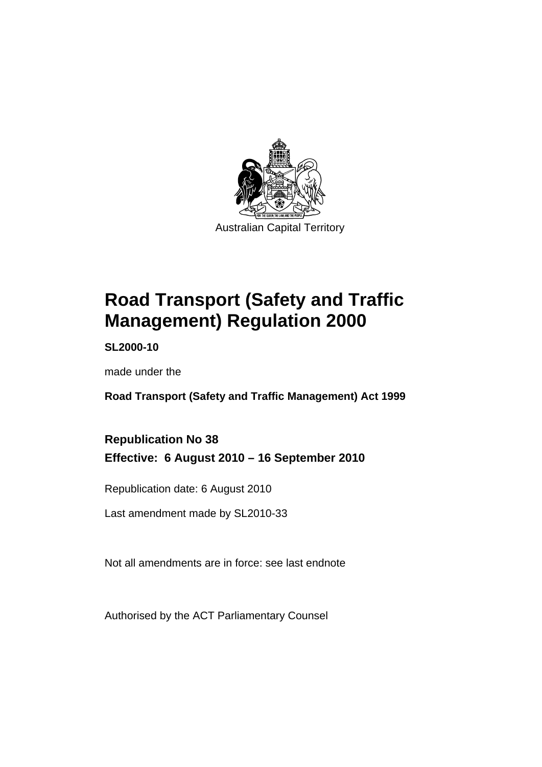

# **[Road Transport \(Safety and Traffic](#page-10-0)  [Management\) Regulation 2000](#page-10-0)**

**SL2000-10** 

made under the

**[Road Transport \(Safety and Traffic Management\) Act 1999](#page-10-0)** 

### **Republication No 38 Effective: 6 August 2010 – 16 September 2010**

Republication date: 6 August 2010

Last amendment made by SL2010-33

Not all amendments are in force: see last endnote

Authorised by the ACT Parliamentary Counsel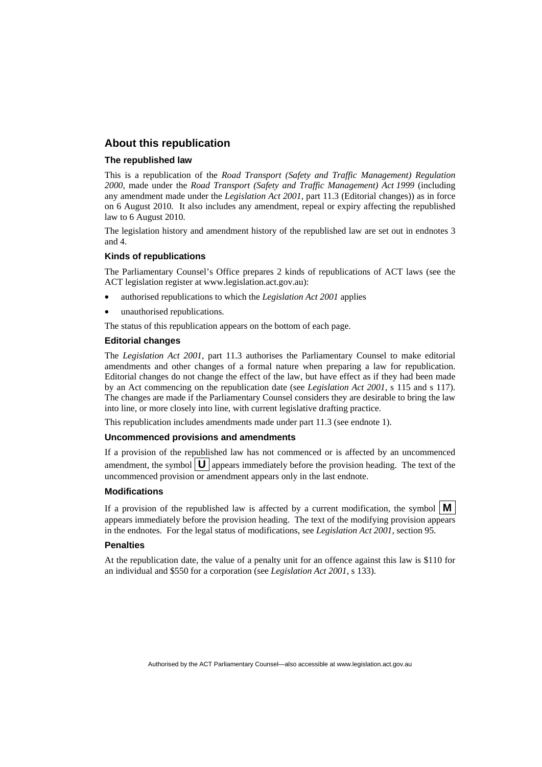#### **About this republication**

#### **The republished law**

This is a republication of the *Road Transport (Safety and Traffic Management) Regulation 2000*, made under the *[Road Transport \(Safety and Traffic Management\) Act 1999](#page-10-0)* (including any amendment made under the *Legislation Act 2001*, part 11.3 (Editorial changes)) as in force on 6 August 2010*.* It also includes any amendment, repeal or expiry affecting the republished law to 6 August 2010.

The legislation history and amendment history of the republished law are set out in endnotes 3 and 4.

#### **Kinds of republications**

The Parliamentary Counsel's Office prepares 2 kinds of republications of ACT laws (see the ACT legislation register at www.legislation.act.gov.au):

- authorised republications to which the *Legislation Act 2001* applies
- unauthorised republications.

The status of this republication appears on the bottom of each page.

#### **Editorial changes**

The *Legislation Act 2001*, part 11.3 authorises the Parliamentary Counsel to make editorial amendments and other changes of a formal nature when preparing a law for republication. Editorial changes do not change the effect of the law, but have effect as if they had been made by an Act commencing on the republication date (see *Legislation Act 2001*, s 115 and s 117). The changes are made if the Parliamentary Counsel considers they are desirable to bring the law into line, or more closely into line, with current legislative drafting practice.

This republication includes amendments made under part 11.3 (see endnote 1).

#### **Uncommenced provisions and amendments**

If a provision of the republished law has not commenced or is affected by an uncommenced amendment, the symbol  $\mathbf{U}$  appears immediately before the provision heading. The text of the uncommenced provision or amendment appears only in the last endnote.

#### **Modifications**

If a provision of the republished law is affected by a current modification, the symbol  $\vert \mathbf{M} \vert$ appears immediately before the provision heading. The text of the modifying provision appears in the endnotes. For the legal status of modifications, see *Legislation Act 2001*, section 95.

#### **Penalties**

At the republication date, the value of a penalty unit for an offence against this law is \$110 for an individual and \$550 for a corporation (see *Legislation Act 2001*, s 133).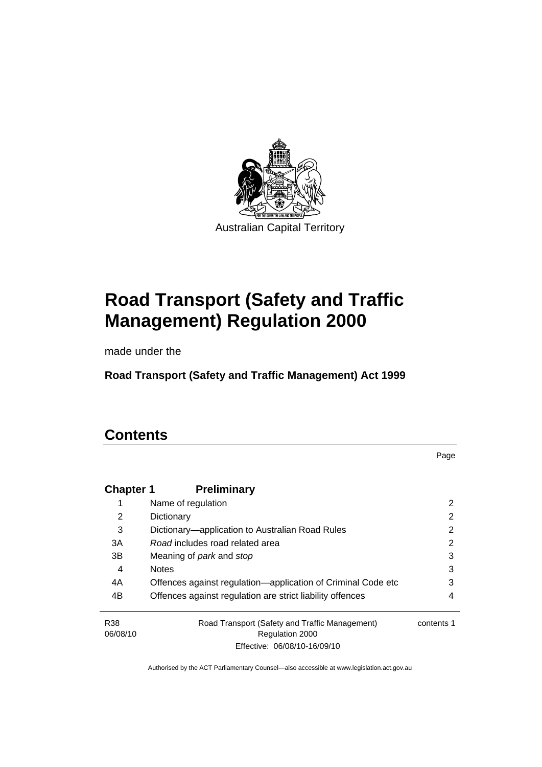

# **[Road Transport \(Safety and Traffic](#page-10-0)  [Management\) Regulation 2000](#page-10-0)**

made under the

**[Road Transport \(Safety and Traffic Management\) Act 1999](#page-10-0)** 

# **Contents**

Page

| <b>Chapter 1</b> | <b>Preliminary</b>                                                |            |
|------------------|-------------------------------------------------------------------|------------|
| 1                | Name of regulation                                                | 2          |
| 2                | Dictionary                                                        | 2          |
| 3                | Dictionary—application to Australian Road Rules                   | 2          |
| 3A               | Road includes road related area                                   | 2          |
| 3B               | Meaning of <i>park</i> and <i>stop</i>                            | 3          |
| 4                | <b>Notes</b>                                                      | 3          |
| 4A               | Offences against regulation-application of Criminal Code etc      | 3          |
| 4B               | Offences against regulation are strict liability offences         | 4          |
| R38<br>06/08/10  | Road Transport (Safety and Traffic Management)<br>Regulation 2000 | contents 1 |
|                  | Effective: 06/08/10-16/09/10                                      |            |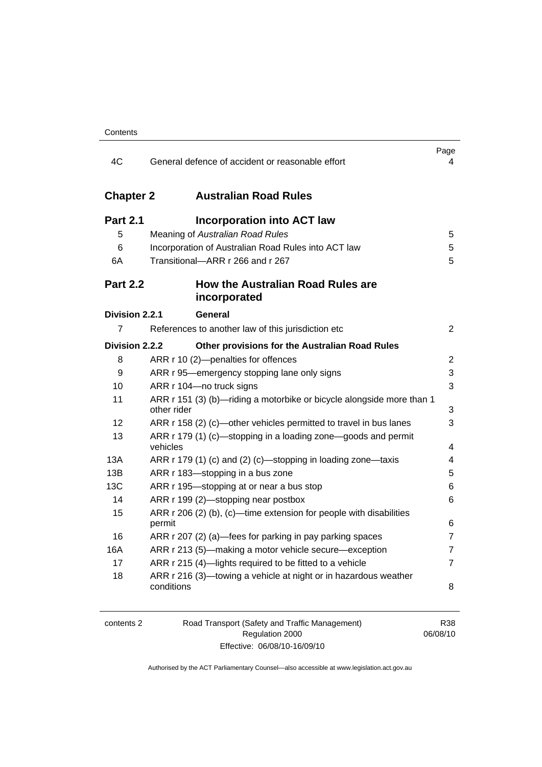| 4C                    | General defence of accident or reasonable effort                                     | Page<br>4      |
|-----------------------|--------------------------------------------------------------------------------------|----------------|
| <b>Chapter 2</b>      | <b>Australian Road Rules</b>                                                         |                |
| <b>Part 2.1</b>       | <b>Incorporation into ACT law</b>                                                    |                |
| 5                     | Meaning of Australian Road Rules                                                     | 5              |
| 6                     | Incorporation of Australian Road Rules into ACT law                                  | 5              |
| 6A                    | Transitional-ARR r 266 and r 267                                                     | 5              |
| <b>Part 2.2</b>       | <b>How the Australian Road Rules are</b><br>incorporated                             |                |
| <b>Division 2.2.1</b> | General                                                                              |                |
| 7                     | References to another law of this jurisdiction etc                                   | $\overline{2}$ |
| Division 2.2.2        | Other provisions for the Australian Road Rules                                       |                |
| 8                     | ARR r 10 (2)-penalties for offences                                                  | $\overline{c}$ |
| 9                     | ARR r 95-emergency stopping lane only signs                                          | 3              |
| 10                    | ARR r 104-no truck signs                                                             | 3              |
| 11                    | ARR r 151 (3) (b)-riding a motorbike or bicycle alongside more than 1<br>other rider | 3              |
| 12                    | ARR r 158 (2) (c)—other vehicles permitted to travel in bus lanes                    | 3              |
| 13                    | ARR r 179 (1) (c)—stopping in a loading zone—goods and permit<br>vehicles            | 4              |
| 13A                   | ARR r 179 (1) (c) and (2) (c)—stopping in loading zone—taxis                         | 4              |
| 13B                   | ARR r 183-stopping in a bus zone                                                     | 5              |
| 13C                   | ARR r 195-stopping at or near a bus stop                                             | 6              |
| 14                    | ARR r 199 (2)-stopping near postbox                                                  | 6              |
| 15                    | ARR r 206 (2) (b), (c)—time extension for people with disabilities<br>permit         | 6              |
| 16                    | ARR r 207 (2) (a)—fees for parking in pay parking spaces                             | 7              |
| 16A                   | ARR r 213 (5)—making a motor vehicle secure—exception                                | $\overline{7}$ |
| 17                    | ARR r 215 (4)-lights required to be fitted to a vehicle                              | $\overline{7}$ |
| 18                    | ARR r 216 (3)-towing a vehicle at night or in hazardous weather<br>conditions        | 8              |

| contents 2 | Road Transport (Safety and Traffic Management) | R38      |
|------------|------------------------------------------------|----------|
|            | Regulation 2000                                | 06/08/10 |
|            | Effective: 06/08/10-16/09/10                   |          |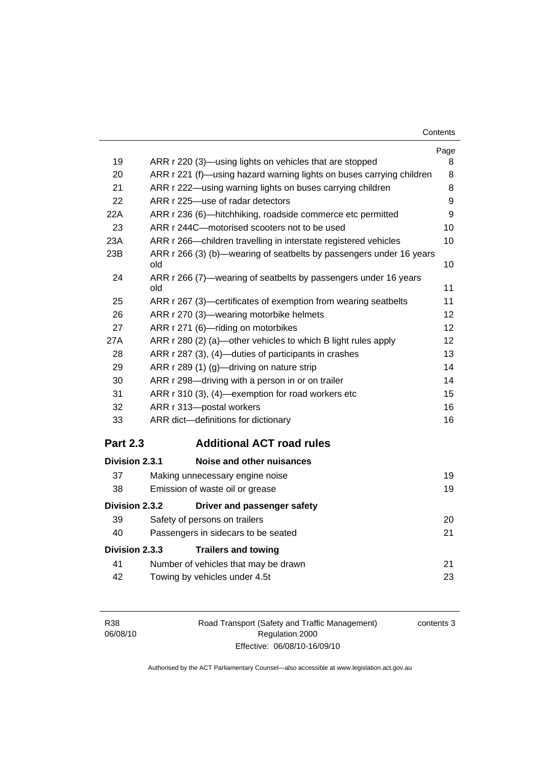| Contents |
|----------|
|----------|

|                 |                                                                            | Page |
|-----------------|----------------------------------------------------------------------------|------|
| 19              | ARR r 220 (3)—using lights on vehicles that are stopped                    | 8    |
| 20              | ARR r 221 (f)—using hazard warning lights on buses carrying children       | 8    |
| 21              | ARR r 222—using warning lights on buses carrying children                  |      |
| 22              | ARR r 225-use of radar detectors                                           | 9    |
| 22A             | ARR r 236 (6)-hitchhiking, roadside commerce etc permitted                 | 9    |
| 23              | ARR r 244C-motorised scooters not to be used                               | 10   |
| 23A             | ARR r 266-children travelling in interstate registered vehicles            | 10   |
| 23B             | ARR r 266 (3) (b)—wearing of seatbelts by passengers under 16 years<br>old | 10   |
| 24              | ARR r 266 (7)—wearing of seatbelts by passengers under 16 years<br>old     | 11   |
| 25              | ARR r 267 (3)-certificates of exemption from wearing seatbelts             | 11   |
| 26              | ARR r 270 (3)—wearing motorbike helmets                                    | 12   |
| 27              | ARR r 271 (6)-riding on motorbikes                                         | 12   |
| 27A             | ARR r 280 (2) (a)—other vehicles to which B light rules apply              | 12   |
| 28              | ARR r 287 (3), (4)-duties of participants in crashes                       | 13   |
| 29              | ARR r 289 (1) (g)—driving on nature strip                                  | 14   |
| 30              | ARR r 298-driving with a person in or on trailer                           |      |
| 31              | ARR r 310 (3), (4)-exemption for road workers etc                          |      |
| 32              | ARR r 313-postal workers                                                   | 16   |
| 33              | ARR dict-definitions for dictionary                                        | 16   |
| <b>Part 2.3</b> | <b>Additional ACT road rules</b>                                           |      |
| Division 2.3.1  | Noise and other nuisances                                                  |      |
| 37              | Making unnecessary engine noise                                            | 19   |
| 38              | Emission of waste oil or grease                                            | 19   |
| Division 2.3.2  | Driver and passenger safety                                                |      |
| 39              | Safety of persons on trailers                                              | 20   |
| 40              | Passengers in sidecars to be seated                                        | 21   |
| Division 2.3.3  | <b>Trailers and towing</b>                                                 |      |
| 41              | Number of vehicles that may be drawn                                       | 21   |
| 42              | Towing by vehicles under 4.5t                                              | 23   |

| R38      |  |
|----------|--|
| 06/08/10 |  |

Road Transport (Safety and Traffic Management) Regulation 2000 Effective: 06/08/10-16/09/10

contents 3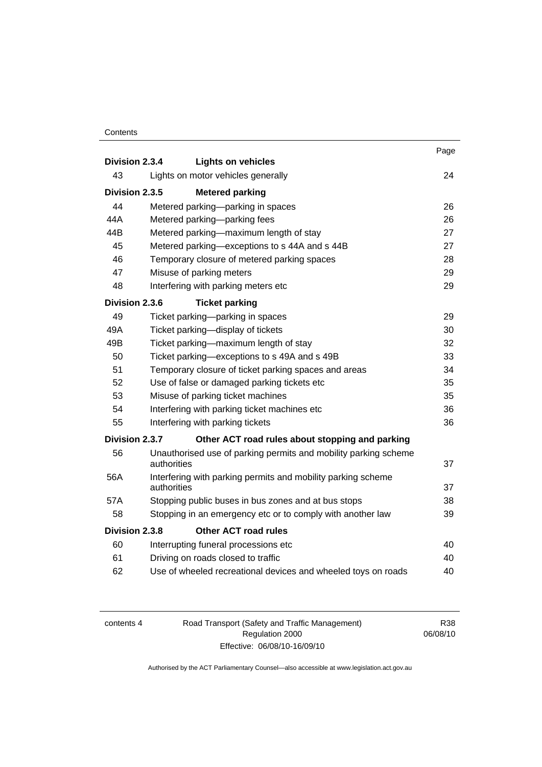#### **Contents**

|                                          |             |                                                                 | Page |
|------------------------------------------|-------------|-----------------------------------------------------------------|------|
| Division 2.3.4                           |             | <b>Lights on vehicles</b>                                       |      |
| 43<br>Lights on motor vehicles generally |             | 24                                                              |      |
| Division 2.3.5<br><b>Metered parking</b> |             |                                                                 |      |
| 44                                       |             | Metered parking-parking in spaces                               | 26   |
| 44A                                      |             | Metered parking-parking fees                                    | 26   |
| 44B                                      |             | Metered parking-maximum length of stay                          | 27   |
| 45                                       |             | Metered parking-exceptions to s 44A and s 44B                   | 27   |
| 46                                       |             | Temporary closure of metered parking spaces                     | 28   |
| 47                                       |             | Misuse of parking meters                                        | 29   |
| 48                                       |             | Interfering with parking meters etc                             | 29   |
| Division 2.3.6                           |             | <b>Ticket parking</b>                                           |      |
| 49                                       |             | Ticket parking-parking in spaces                                | 29   |
| 49A                                      |             | Ticket parking-display of tickets                               | 30   |
| 49B                                      |             | Ticket parking-maximum length of stay                           | 32   |
| 50                                       |             | Ticket parking—exceptions to s 49A and s 49B                    | 33   |
| 51                                       |             | Temporary closure of ticket parking spaces and areas            | 34   |
| 52                                       |             | Use of false or damaged parking tickets etc                     | 35   |
| 53                                       |             | Misuse of parking ticket machines                               | 35   |
| 54                                       |             | Interfering with parking ticket machines etc                    | 36   |
| 55                                       |             | Interfering with parking tickets                                | 36   |
| Division 2.3.7                           |             | Other ACT road rules about stopping and parking                 |      |
| 56                                       | authorities | Unauthorised use of parking permits and mobility parking scheme | 37   |
| 56A                                      | authorities | Interfering with parking permits and mobility parking scheme    | 37   |
| 57A                                      |             | Stopping public buses in bus zones and at bus stops             | 38   |
| 58                                       |             | Stopping in an emergency etc or to comply with another law      | 39   |
| Division 2.3.8                           |             | <b>Other ACT road rules</b>                                     |      |
| 60                                       |             | Interrupting funeral processions etc                            | 40   |
| 61                                       |             | Driving on roads closed to traffic                              | 40   |
| 62                                       |             | Use of wheeled recreational devices and wheeled toys on roads   | 40   |
|                                          |             |                                                                 |      |

| contents 4 |  |
|------------|--|
|------------|--|

4 Road Transport (Safety and Traffic Management) Regulation 2000 Effective: 06/08/10-16/09/10

R38 06/08/10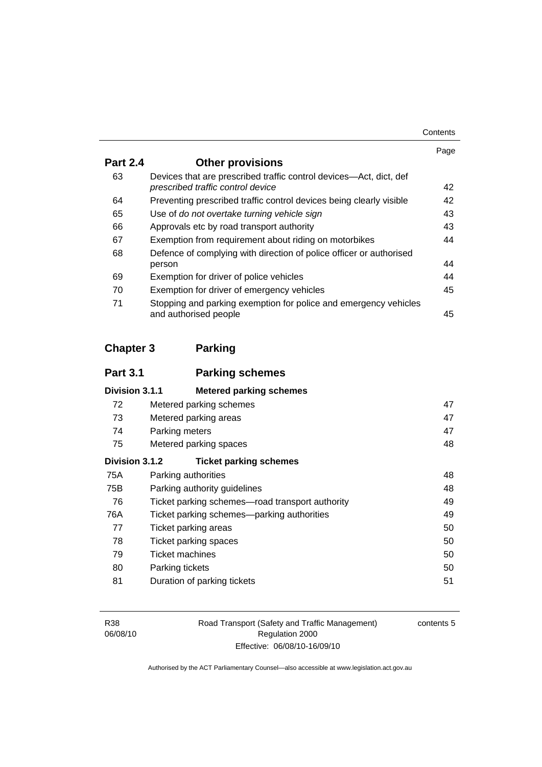| Contents |
|----------|
|----------|

|                 |                                                                                                         | Page |
|-----------------|---------------------------------------------------------------------------------------------------------|------|
| <b>Part 2.4</b> | <b>Other provisions</b>                                                                                 |      |
| 63              | Devices that are prescribed traffic control devices—Act, dict, def<br>prescribed traffic control device | 42   |
| 64              | Preventing prescribed traffic control devices being clearly visible                                     | 42   |
| 65              | Use of do not overtake turning vehicle sign                                                             | 43   |
| 66              | Approvals etc by road transport authority                                                               | 43   |
| 67              | Exemption from requirement about riding on motorbikes                                                   | 44   |
| 68              | Defence of complying with direction of police officer or authorised                                     |      |
|                 | person                                                                                                  | 44   |
| 69              | Exemption for driver of police vehicles                                                                 | 44   |
| 70              | Exemption for driver of emergency vehicles                                                              | 45   |
| 71              | Stopping and parking exemption for police and emergency vehicles<br>and authorised people               | 45   |

# **Chapter 3 Parking**

| <b>Part 3.1</b> | <b>Parking schemes</b>                          |    |
|-----------------|-------------------------------------------------|----|
| Division 3.1.1  | <b>Metered parking schemes</b>                  |    |
| 72              | Metered parking schemes                         | 47 |
| 73              | Metered parking areas                           | 47 |
| 74              | Parking meters                                  | 47 |
| 75              | Metered parking spaces                          |    |
| Division 3.1.2  | <b>Ticket parking schemes</b>                   |    |
| 75A             | Parking authorities                             | 48 |
| 75B             | Parking authority guidelines                    | 48 |
| 76              | Ticket parking schemes—road transport authority | 49 |
| 76A             | Ticket parking schemes—parking authorities      | 49 |
| 77              | Ticket parking areas                            | 50 |
| 78              | Ticket parking spaces                           | 50 |
| 79              | <b>Ticket machines</b>                          | 50 |
| 80              | Parking tickets                                 | 50 |
| 81              | Duration of parking tickets                     | 51 |

Road Transport (Safety and Traffic Management) Regulation 2000 Effective: 06/08/10-16/09/10

contents 5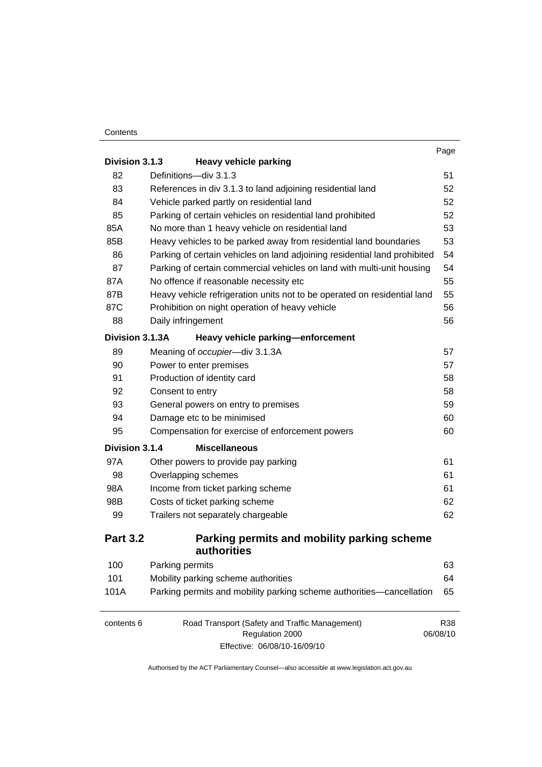#### **Contents**

|                 |                                                                                                   | Page            |
|-----------------|---------------------------------------------------------------------------------------------------|-----------------|
| Division 3.1.3  | <b>Heavy vehicle parking</b>                                                                      |                 |
| 82              | Definitions-div 3.1.3                                                                             | 51              |
| 83              | References in div 3.1.3 to land adjoining residential land                                        | 52              |
| 84              | Vehicle parked partly on residential land                                                         | 52              |
| 85              | Parking of certain vehicles on residential land prohibited                                        | 52              |
| 85A             | No more than 1 heavy vehicle on residential land                                                  | 53              |
| 85B             | Heavy vehicles to be parked away from residential land boundaries                                 | 53              |
| 86              | Parking of certain vehicles on land adjoining residential land prohibited                         | 54              |
| 87              | Parking of certain commercial vehicles on land with multi-unit housing                            | 54              |
| 87A             | No offence if reasonable necessity etc                                                            | 55              |
| 87B             | Heavy vehicle refrigeration units not to be operated on residential land                          | 55              |
| 87C             | Prohibition on night operation of heavy vehicle                                                   | 56              |
| 88              | Daily infringement                                                                                | 56              |
| Division 3.1.3A | Heavy vehicle parking-enforcement                                                                 |                 |
| 89              | Meaning of occupier-div 3.1.3A                                                                    | 57              |
| 90              | Power to enter premises                                                                           | 57              |
| 91              | Production of identity card                                                                       | 58              |
| 92              | Consent to entry                                                                                  | 58              |
| 93              | General powers on entry to premises                                                               | 59              |
| 94              | Damage etc to be minimised                                                                        | 60              |
| 95              | Compensation for exercise of enforcement powers                                                   | 60              |
| Division 3.1.4  | <b>Miscellaneous</b>                                                                              |                 |
| 97A             | Other powers to provide pay parking                                                               | 61              |
| 98              | Overlapping schemes                                                                               | 61              |
| 98A             | Income from ticket parking scheme                                                                 | 61              |
| 98B             | Costs of ticket parking scheme                                                                    | 62              |
| 99              | Trailers not separately chargeable                                                                | 62              |
| <b>Part 3.2</b> | Parking permits and mobility parking scheme<br>authorities                                        |                 |
| 100             | Parking permits                                                                                   | 63              |
| 101             | Mobility parking scheme authorities                                                               | 64              |
| 101A            | Parking permits and mobility parking scheme authorities-cancellation                              | 65              |
| contents 6      | Road Transport (Safety and Traffic Management)<br>Regulation 2000<br>Effective: 06/08/10-16/09/10 | R38<br>06/08/10 |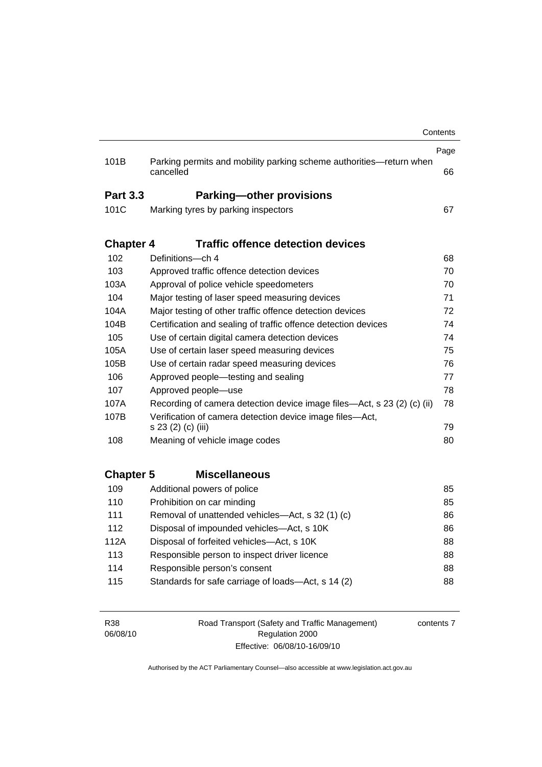|                  | cancelled                                                                      | 66 |
|------------------|--------------------------------------------------------------------------------|----|
| <b>Part 3.3</b>  | <b>Parking-other provisions</b>                                                |    |
| 101C             | Marking tyres by parking inspectors                                            | 67 |
| <b>Chapter 4</b> | <b>Traffic offence detection devices</b>                                       |    |
| 102              | Definitions-ch 4                                                               | 68 |
| 103              | Approved traffic offence detection devices                                     | 70 |
| 103A             | Approval of police vehicle speedometers                                        | 70 |
| 104              | Major testing of laser speed measuring devices                                 | 71 |
| 104A             | Major testing of other traffic offence detection devices                       | 72 |
| 104B             | Certification and sealing of traffic offence detection devices                 | 74 |
| 105              | Use of certain digital camera detection devices                                | 74 |
| 105A             | Use of certain laser speed measuring devices                                   | 75 |
| 105B             | Use of certain radar speed measuring devices                                   | 76 |
| 106              | Approved people-testing and sealing                                            | 77 |
| 107              | Approved people-use                                                            | 78 |
| 107A             | Recording of camera detection device image files—Act, s 23 (2) (c) (ii)        | 78 |
| 107B             | Verification of camera detection device image files-Act,<br>s 23 (2) (c) (iii) | 79 |
| 108              | Meaning of vehicle image codes                                                 | 80 |
| <b>Chapter 5</b> | <b>Miscellaneous</b>                                                           |    |
| 109              | Additional powers of police                                                    | 85 |
| 110              | Prohibition on car minding                                                     | 85 |
| 111              | Removal of unattended vehicles-Act, s 32 (1) (c)                               | 86 |
| 112              | Disposal of impounded vehicles-Act, s 10K                                      | 86 |
| 112A             | Disposal of forfeited vehicles-Act, s 10K                                      | 88 |
| 113              | Responsible person to inspect driver licence                                   | 88 |
| 114              | Responsible person's consent                                                   | 88 |
| 115              | Standards for safe carriage of loads-Act, s 14 (2)                             | 88 |

| R38      | Road Transport (Safety and Traffic Management) | contents |
|----------|------------------------------------------------|----------|
| 06/08/10 | Regulation 2000                                |          |
|          | Effective: 06/08/10-16/09/10                   |          |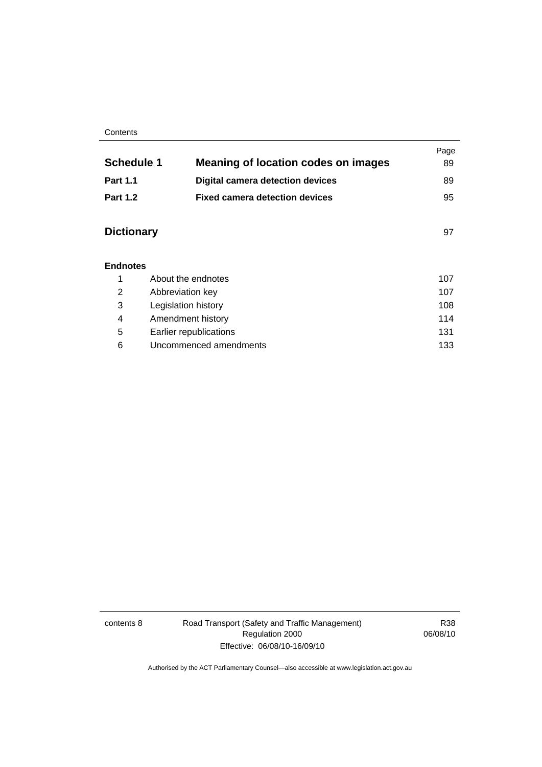#### **Contents**

|                   |                                            | Page |
|-------------------|--------------------------------------------|------|
| <b>Schedule 1</b> | <b>Meaning of location codes on images</b> | 89   |
| <b>Part 1.1</b>   | <b>Digital camera detection devices</b>    | 89   |
| <b>Part 1.2</b>   | <b>Fixed camera detection devices</b>      | 95   |
| <b>Dictionary</b> |                                            | 97   |
| <b>Endnotes</b>   |                                            |      |
|                   | About the endnotes                         | 107  |
| ◠                 | Abbrovistion kov                           | 107  |

|   | Abbreviation key       | 107 |
|---|------------------------|-----|
| 3 | Legislation history    | 108 |
| 4 | Amendment history      | 114 |
| 5 | Earlier republications | 131 |
| 6 | Uncommenced amendments | 133 |
|   |                        |     |

contents 8 Road Transport (Safety and Traffic Management) Regulation 2000 Effective: 06/08/10-16/09/10

R38 06/08/10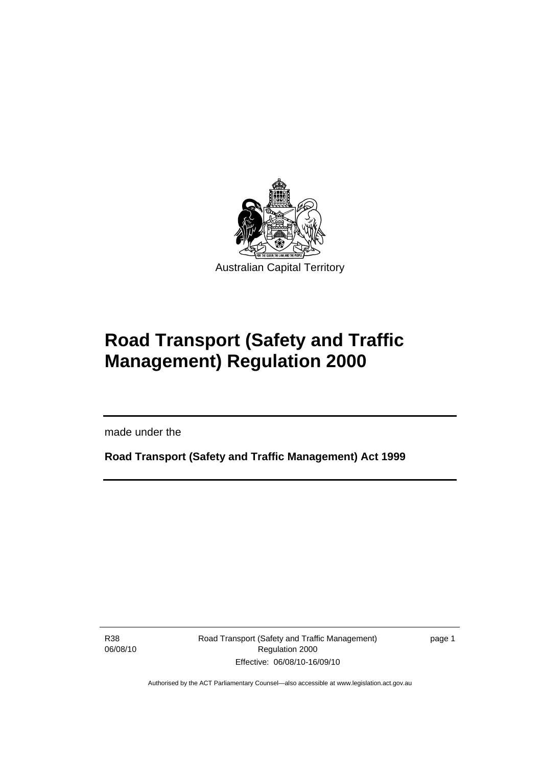<span id="page-10-0"></span>

# **Road Transport (Safety and Traffic Management) Regulation 2000**

made under the

**Road Transport (Safety and Traffic Management) Act 1999** 

R38 06/08/10

I

Road Transport (Safety and Traffic Management) Regulation 2000 Effective: 06/08/10-16/09/10

page 1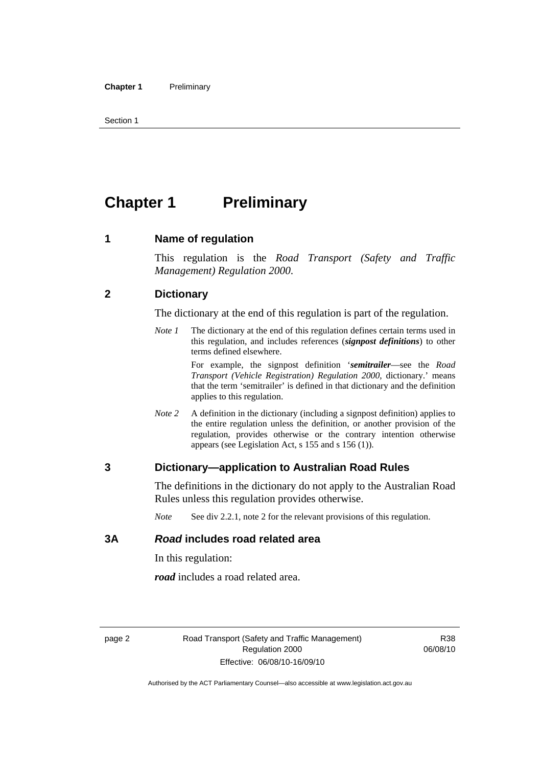<span id="page-11-0"></span>Section 1

# **Chapter 1** Preliminary

#### **1 Name of regulation**

This regulation is the *Road Transport (Safety and Traffic Management) Regulation 2000*.

#### **2 Dictionary**

The dictionary at the end of this regulation is part of the regulation.

*Note 1* The dictionary at the end of this regulation defines certain terms used in this regulation, and includes references (*signpost definitions*) to other terms defined elsewhere.

> For example, the signpost definition '*semitrailer*—see the *Road Transport (Vehicle Registration) Regulation 2000*, dictionary.' means that the term 'semitrailer' is defined in that dictionary and the definition applies to this regulation.

*Note 2* A definition in the dictionary (including a signpost definition) applies to the entire regulation unless the definition, or another provision of the regulation, provides otherwise or the contrary intention otherwise appears (see Legislation Act, s 155 and s 156 (1)).

#### **3 Dictionary—application to Australian Road Rules**

The definitions in the dictionary do not apply to the Australian Road Rules unless this regulation provides otherwise.

*Note* See div 2.2.1, note 2 for the relevant provisions of this regulation.

#### **3A** *Road* **includes road related area**

In this regulation:

*road* includes a road related area.

R38 06/08/10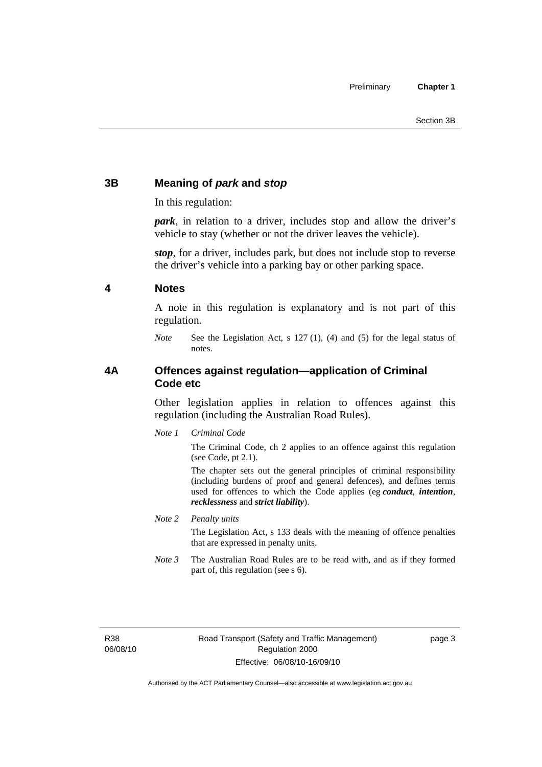#### <span id="page-12-0"></span>**3B Meaning of** *park* **and** *stop*

In this regulation:

*park*, in relation to a driver, includes stop and allow the driver's vehicle to stay (whether or not the driver leaves the vehicle).

*stop*, for a driver, includes park, but does not include stop to reverse the driver's vehicle into a parking bay or other parking space.

#### **4 Notes**

A note in this regulation is explanatory and is not part of this regulation.

*Note* See the Legislation Act, s 127 (1), (4) and (5) for the legal status of notes.

#### **4A Offences against regulation—application of Criminal Code etc**

Other legislation applies in relation to offences against this regulation (including the Australian Road Rules).

*Note 1 Criminal Code*

The Criminal Code, ch 2 applies to an offence against this regulation (see Code, pt 2.1).

The chapter sets out the general principles of criminal responsibility (including burdens of proof and general defences), and defines terms used for offences to which the Code applies (eg *conduct*, *intention*, *recklessness* and *strict liability*).

*Note 2 Penalty units* 

The Legislation Act, s 133 deals with the meaning of offence penalties that are expressed in penalty units.

*Note 3* The Australian Road Rules are to be read with, and as if they formed part of, this regulation (see s 6).

R38 06/08/10 page 3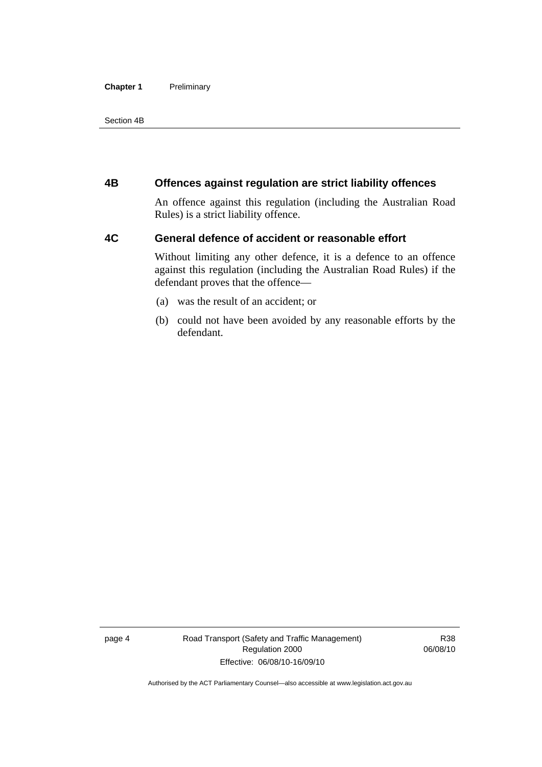#### <span id="page-13-0"></span>**Chapter 1** Preliminary

Section 4B

#### **4B Offences against regulation are strict liability offences**

An offence against this regulation (including the Australian Road Rules) is a strict liability offence.

#### **4C General defence of accident or reasonable effort**

Without limiting any other defence, it is a defence to an offence against this regulation (including the Australian Road Rules) if the defendant proves that the offence—

- (a) was the result of an accident; or
- (b) could not have been avoided by any reasonable efforts by the defendant.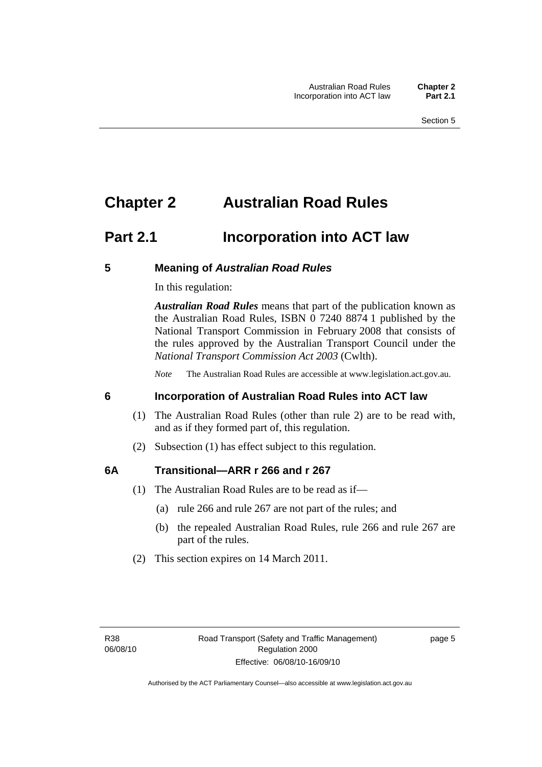# <span id="page-14-0"></span>**Chapter 2 Australian Road Rules**

### **Part 2.1 Incorporation into ACT law**

#### **5 Meaning of** *Australian Road Rules*

In this regulation:

*Australian Road Rules* means that part of the publication known as the Australian Road Rules, ISBN 0 7240 8874 1 published by the National Transport Commission in February 2008 that consists of the rules approved by the Australian Transport Council under the *National Transport Commission Act 2003* (Cwlth).

*Note* The Australian Road Rules are accessible at www.legislation.act.gov.au.

#### **6 Incorporation of Australian Road Rules into ACT law**

- (1) The Australian Road Rules (other than rule 2) are to be read with, and as if they formed part of, this regulation.
- (2) Subsection (1) has effect subject to this regulation.

#### **6A Transitional—ARR r 266 and r 267**

- (1) The Australian Road Rules are to be read as if—
	- (a) rule 266 and rule 267 are not part of the rules; and
	- (b) the repealed Australian Road Rules, rule 266 and rule 267 are part of the rules.
- (2) This section expires on 14 March 2011.

page 5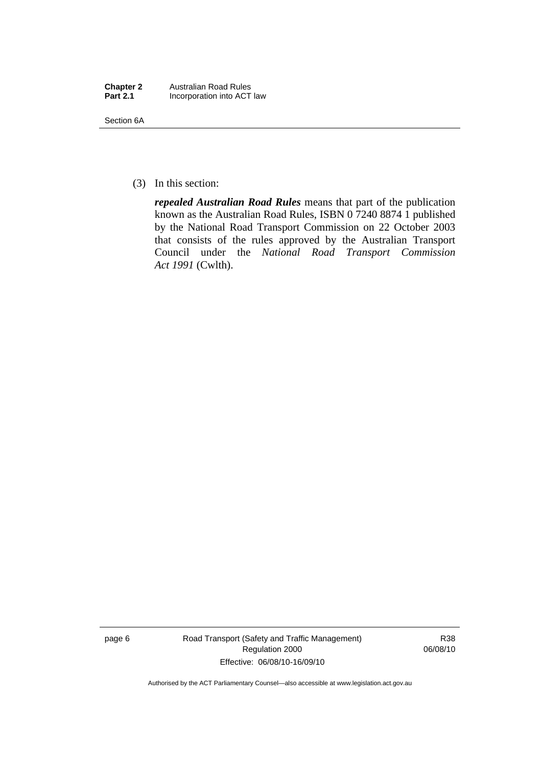| <b>Chapter 2</b> | <b>Australian Road Rules</b> |
|------------------|------------------------------|
| <b>Part 2.1</b>  | Incorporation into ACT law   |

Section 6A

(3) In this section:

*repealed Australian Road Rules* means that part of the publication known as the Australian Road Rules, ISBN 0 7240 8874 1 published by the National Road Transport Commission on 22 October 2003 that consists of the rules approved by the Australian Transport Council under the *National Road Transport Commission Act 1991* (Cwlth).

page 6 Road Transport (Safety and Traffic Management) Regulation 2000 Effective: 06/08/10-16/09/10

R38 06/08/10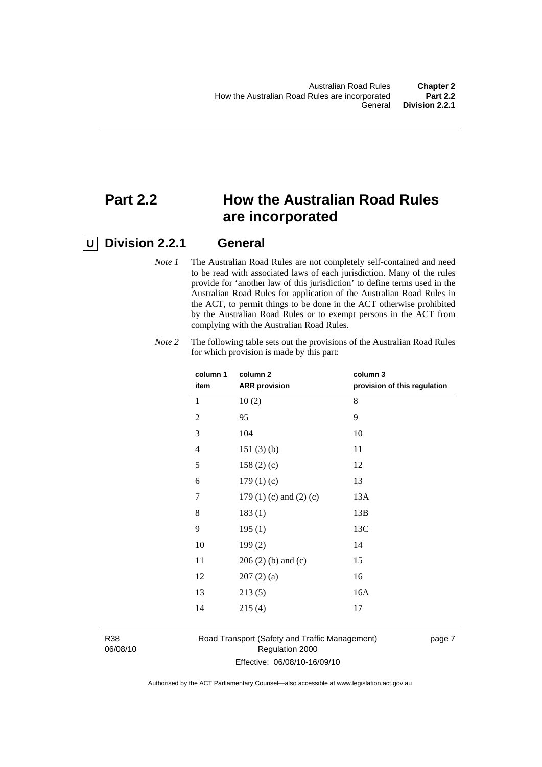# **Part 2.2 How the Australian Road Rules are incorporated**

#### **U Division 2.2.1 General**

*Note 1* The Australian Road Rules are not completely self-contained and need to be read with associated laws of each jurisdiction. Many of the rules provide for 'another law of this jurisdiction' to define terms used in the Australian Road Rules for application of the Australian Road Rules in the ACT, to permit things to be done in the ACT otherwise prohibited by the Australian Road Rules or to exempt persons in the ACT from complying with the Australian Road Rules.

| column 1<br>item | column <sub>2</sub><br><b>ARR</b> provision | column 3<br>provision of this regulation |
|------------------|---------------------------------------------|------------------------------------------|
| 1                | 10(2)                                       | 8                                        |
| $\overline{2}$   | 95                                          | 9                                        |
| 3                | 104                                         | 10                                       |
| 4                | 151(3)(b)                                   | 11                                       |
| 5                | 158(2)(c)                                   | 12                                       |
| 6                | 179(1)(c)                                   | 13                                       |
| 7                | 179 $(1)$ $(c)$ and $(2)$ $(c)$             | 13A                                      |
| 8                | 183(1)                                      | 13B                                      |
| 9                | 195(1)                                      | 13C                                      |
| 10               | 199(2)                                      | 14                                       |
| 11               | $206(2)$ (b) and (c)                        | 15                                       |
| 12               | 207(2)(a)                                   | 16                                       |
| 13               | 213(5)                                      | 16A                                      |
| 14               | 215(4)                                      | 17                                       |
|                  |                                             |                                          |

*Note 2* The following table sets out the provisions of the Australian Road Rules for which provision is made by this part:

R38 06/08/10 Road Transport (Safety and Traffic Management) Regulation 2000 Effective: 06/08/10-16/09/10

page 7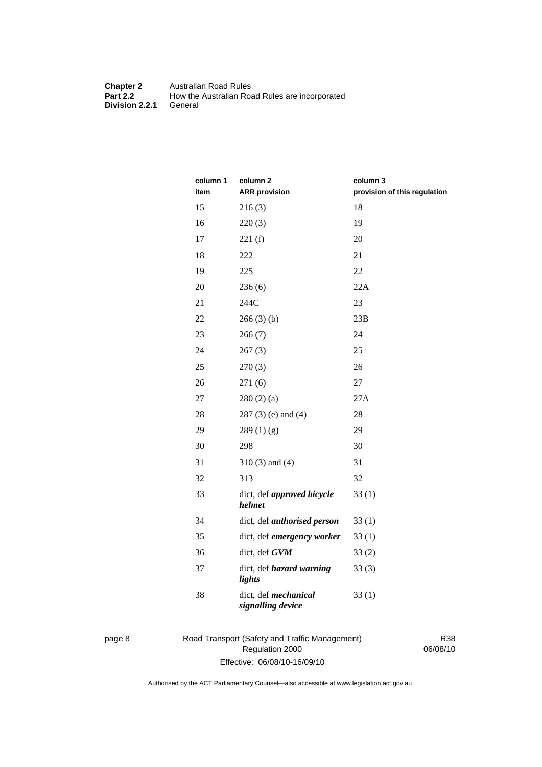#### **Chapter 2** Australian Road Rules<br>**Part 2.2** How the Australian Road How the Australian Road Rules are incorporated General **Division 2.2.1**

| column 1<br>item | column <sub>2</sub><br><b>ARR</b> provision | column 3<br>provision of this regulation |
|------------------|---------------------------------------------|------------------------------------------|
| 15               | 216(3)                                      | 18                                       |
| 16               | 220(3)                                      | 19                                       |
| 17               | 221(f)                                      | 20                                       |
| 18               | 222                                         | 21                                       |
| 19               | 225                                         | 22                                       |
| 20               | 236(6)                                      | 22A                                      |
| 21               | 244C                                        | 23                                       |
| 22               | 266(3)(b)                                   | 23B                                      |
| 23               | 266(7)                                      | 24                                       |
| 24               | 267(3)                                      | 25                                       |
| 25               | 270(3)                                      | 26                                       |
| 26               | 271(6)                                      | 27                                       |
| 27               | 280(2)(a)                                   | 27A                                      |
| 28               | $287(3)$ (e) and (4)                        | 28                                       |
| 29               | 289(1)(g)                                   | 29                                       |
| 30               | 298                                         | 30                                       |
| 31               | $310(3)$ and $(4)$                          | 31                                       |
| 32               | 313                                         | 32                                       |
| 33               | dict, def approved bicycle<br>helmet        | 33(1)                                    |
| 34               | dict, def <i>authorised</i> person          | 33(1)                                    |
| 35               | dict, def emergency worker                  | 33(1)                                    |
| 36               | dict, def GVM                               | 33(2)                                    |
| 37               | dict, def hazard warning<br>lights          | 33(3)                                    |
| 38               | dict, def mechanical<br>signalling device   | 33(1)                                    |

page 8 Road Transport (Safety and Traffic Management) Regulation 2000 Effective: 06/08/10-16/09/10

R38 06/08/10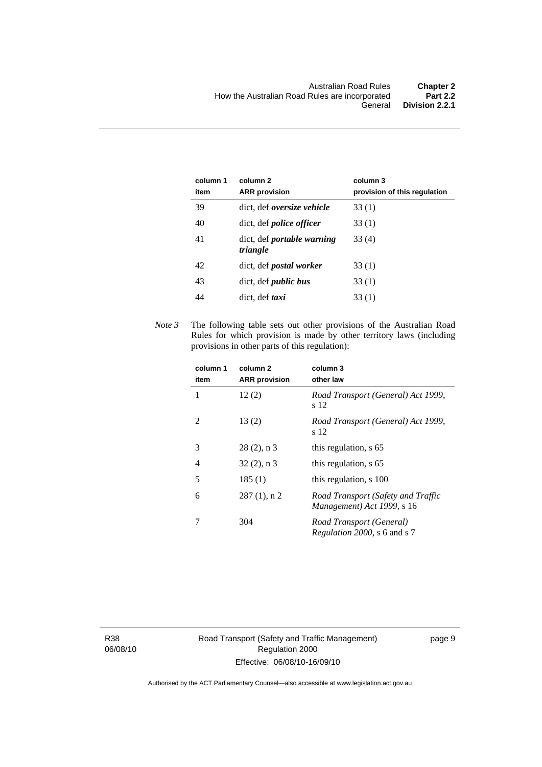| column 1<br>item | column 2<br><b>ARR</b> provision              | column 3<br>provision of this regulation |
|------------------|-----------------------------------------------|------------------------------------------|
| 39               | dict, def <i>oversize</i> vehicle             | 33(1)                                    |
| 40               | dict, def <i>police officer</i>               | 33(1)                                    |
| 41               | dict, def <i>portable</i> warning<br>triangle | 33 (4)                                   |
| 42               | dict, def <i>postal</i> worker                | 33(1)                                    |
| 43               | dict, def <i>public bus</i>                   | 33(1)                                    |
| 44               | dict, def <i>taxi</i>                         | 33 (1)                                   |

*Note 3* The following table sets out other provisions of the Australian Road Rules for which provision is made by other territory laws (including provisions in other parts of this regulation):

| column 1<br>item | column <sub>2</sub><br><b>ARR</b> provision | column 3<br>other law                                            |
|------------------|---------------------------------------------|------------------------------------------------------------------|
| 1                | 12(2)                                       | Road Transport (General) Act 1999,<br>s 12                       |
| 2                | 13(2)                                       | Road Transport (General) Act 1999,<br>s 12                       |
| 3                | $28(2)$ , n 3                               | this regulation, s 65                                            |
| 4                | $32(2)$ , n 3                               | this regulation, s 65                                            |
| 5                | 185(1)                                      | this regulation, s 100                                           |
| 6                | $287(1)$ , n 2                              | Road Transport (Safety and Traffic<br>Management) Act 1999, s 16 |
|                  | 304                                         | Road Transport (General)<br><i>Regulation 2000, s 6 and s 7</i>  |

R38 06/08/10 Road Transport (Safety and Traffic Management) Regulation 2000 Effective: 06/08/10-16/09/10

page 9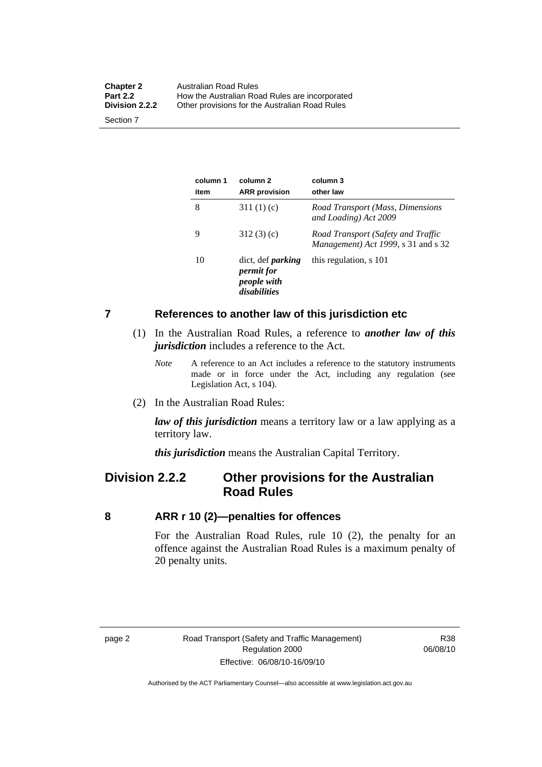<span id="page-19-0"></span>

| <b>Chapter 2</b><br><b>Part 2.2</b> | Australian Road Rules<br>How the Australian Road Rules are incorporated |
|-------------------------------------|-------------------------------------------------------------------------|
| Division 2.2.2                      | Other provisions for the Australian Road Rules                          |
| Section 7                           |                                                                         |

**column 1 item column 2 ARR provision column 3 other law**  8 311 (1) (c) *Road Transport (Mass, Dimensions and Loading) Act 2009*  9 312 (3) (c) *Road Transport (Safety and Traffic Management) Act 1999*, s 31 and s 32 10 dict, def *parking permit for people with disabilities* this regulation, s 101

#### **7 References to another law of this jurisdiction etc**

- (1) In the Australian Road Rules, a reference to *another law of this jurisdiction* includes a reference to the Act.
	- *Note* A reference to an Act includes a reference to the statutory instruments made or in force under the Act, including any regulation (see Legislation Act, s 104).
- (2) In the Australian Road Rules:

*law of this jurisdiction* means a territory law or a law applying as a territory law.

*this jurisdiction* means the Australian Capital Territory.

### **Division 2.2.2 Other provisions for the Australian Road Rules**

#### **8 ARR r 10 (2)—penalties for offences**

For the Australian Road Rules, rule 10 (2), the penalty for an offence against the Australian Road Rules is a maximum penalty of 20 penalty units.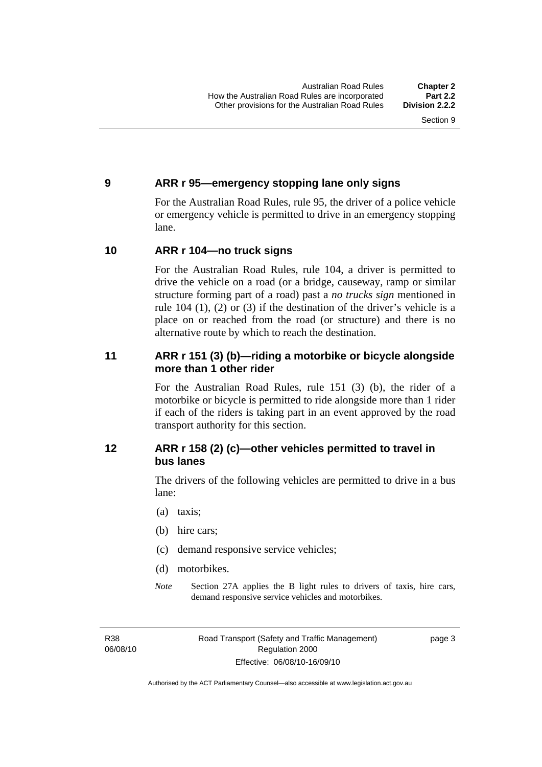#### <span id="page-20-0"></span>**9 ARR r 95—emergency stopping lane only signs**

For the Australian Road Rules, rule 95, the driver of a police vehicle or emergency vehicle is permitted to drive in an emergency stopping lane.

#### **10 ARR r 104—no truck signs**

For the Australian Road Rules, rule 104, a driver is permitted to drive the vehicle on a road (or a bridge, causeway, ramp or similar structure forming part of a road) past a *no trucks sign* mentioned in rule 104 (1), (2) or (3) if the destination of the driver's vehicle is a place on or reached from the road (or structure) and there is no alternative route by which to reach the destination.

#### **11 ARR r 151 (3) (b)—riding a motorbike or bicycle alongside more than 1 other rider**

For the Australian Road Rules, rule 151 (3) (b), the rider of a motorbike or bicycle is permitted to ride alongside more than 1 rider if each of the riders is taking part in an event approved by the road transport authority for this section.

#### **12 ARR r 158 (2) (c)—other vehicles permitted to travel in bus lanes**

The drivers of the following vehicles are permitted to drive in a bus lane:

- (a) taxis;
- (b) hire cars;
- (c) demand responsive service vehicles;
- (d) motorbikes.
- *Note* Section 27A applies the B light rules to drivers of taxis, hire cars, demand responsive service vehicles and motorbikes.

R38 06/08/10 page 3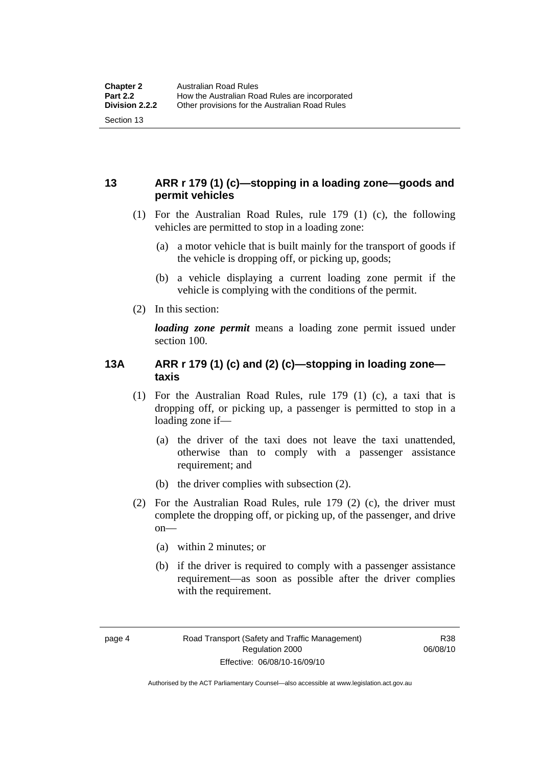#### <span id="page-21-0"></span>**13 ARR r 179 (1) (c)—stopping in a loading zone—goods and permit vehicles**

- (1) For the Australian Road Rules, rule 179 (1) (c), the following vehicles are permitted to stop in a loading zone:
	- (a) a motor vehicle that is built mainly for the transport of goods if the vehicle is dropping off, or picking up, goods;
	- (b) a vehicle displaying a current loading zone permit if the vehicle is complying with the conditions of the permit.
- (2) In this section:

*loading zone permit* means a loading zone permit issued under section 100.

#### **13A ARR r 179 (1) (c) and (2) (c)—stopping in loading zone taxis**

- (1) For the Australian Road Rules, rule 179 (1) (c), a taxi that is dropping off, or picking up, a passenger is permitted to stop in a loading zone if—
	- (a) the driver of the taxi does not leave the taxi unattended, otherwise than to comply with a passenger assistance requirement; and
	- (b) the driver complies with subsection (2).
- (2) For the Australian Road Rules, rule 179 (2) (c), the driver must complete the dropping off, or picking up, of the passenger, and drive on—
	- (a) within 2 minutes; or
	- (b) if the driver is required to comply with a passenger assistance requirement—as soon as possible after the driver complies with the requirement.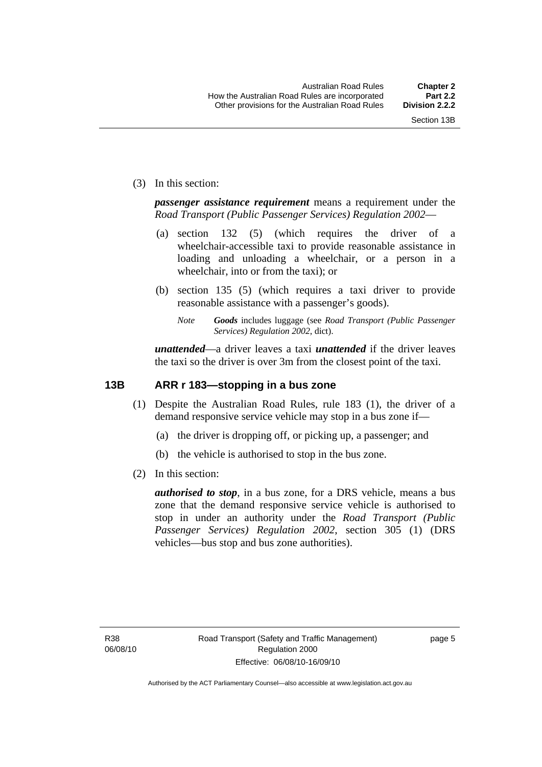<span id="page-22-0"></span>(3) In this section:

*passenger assistance requirement* means a requirement under the *Road Transport (Public Passenger Services) Regulation 2002*—

- (a) section 132 (5) (which requires the driver of a wheelchair-accessible taxi to provide reasonable assistance in loading and unloading a wheelchair, or a person in a wheelchair, into or from the taxi); or
- (b) section 135 (5) (which requires a taxi driver to provide reasonable assistance with a passenger's goods).
	- *Note Goods* includes luggage (see *Road Transport (Public Passenger Services) Regulation 2002*, dict).

*unattended*—a driver leaves a taxi *unattended* if the driver leaves the taxi so the driver is over 3m from the closest point of the taxi.

#### **13B ARR r 183—stopping in a bus zone**

- (1) Despite the Australian Road Rules, rule 183 (1), the driver of a demand responsive service vehicle may stop in a bus zone if—
	- (a) the driver is dropping off, or picking up, a passenger; and
	- (b) the vehicle is authorised to stop in the bus zone.
- (2) In this section:

*authorised to stop*, in a bus zone, for a DRS vehicle, means a bus zone that the demand responsive service vehicle is authorised to stop in under an authority under the *Road Transport (Public Passenger Services) Regulation 2002*, section 305 (1) (DRS vehicles—bus stop and bus zone authorities).

page 5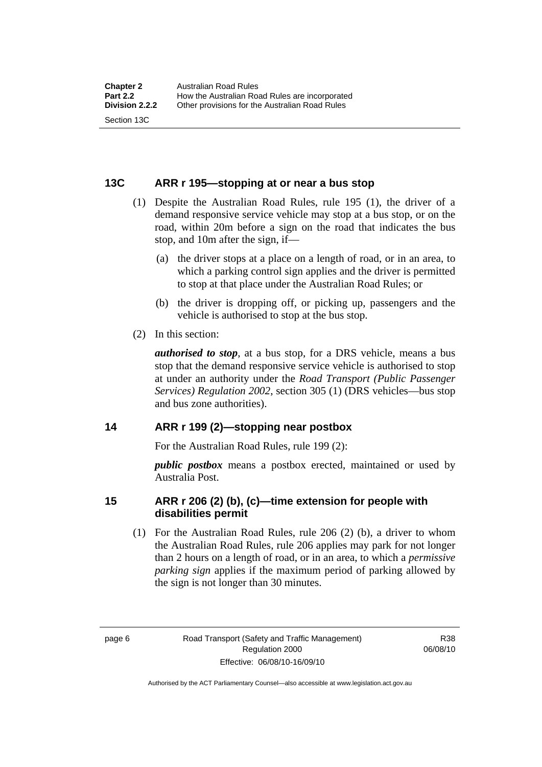#### <span id="page-23-0"></span>**13C ARR r 195—stopping at or near a bus stop**

- (1) Despite the Australian Road Rules, rule 195 (1), the driver of a demand responsive service vehicle may stop at a bus stop, or on the road, within 20m before a sign on the road that indicates the bus stop, and 10m after the sign, if—
	- (a) the driver stops at a place on a length of road, or in an area, to which a parking control sign applies and the driver is permitted to stop at that place under the Australian Road Rules; or
	- (b) the driver is dropping off, or picking up, passengers and the vehicle is authorised to stop at the bus stop.
- (2) In this section:

*authorised to stop*, at a bus stop, for a DRS vehicle, means a bus stop that the demand responsive service vehicle is authorised to stop at under an authority under the *Road Transport (Public Passenger Services) Regulation 2002*, section 305 (1) (DRS vehicles—bus stop and bus zone authorities).

#### **14 ARR r 199 (2)—stopping near postbox**

For the Australian Road Rules, rule 199 (2):

*public postbox* means a postbox erected, maintained or used by Australia Post.

#### **15 ARR r 206 (2) (b), (c)—time extension for people with disabilities permit**

 (1) For the Australian Road Rules, rule 206 (2) (b), a driver to whom the Australian Road Rules, rule 206 applies may park for not longer than 2 hours on a length of road, or in an area, to which a *permissive parking sign* applies if the maximum period of parking allowed by the sign is not longer than 30 minutes.

R38 06/08/10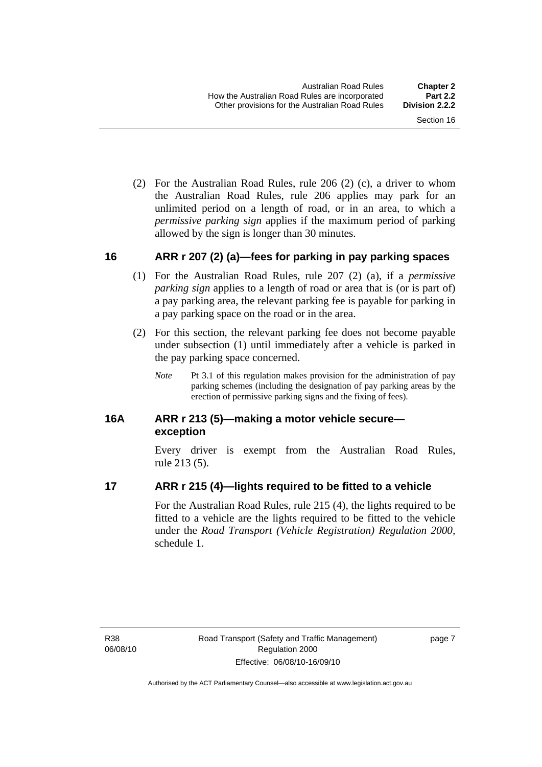<span id="page-24-0"></span> (2) For the Australian Road Rules, rule 206 (2) (c), a driver to whom the Australian Road Rules, rule 206 applies may park for an unlimited period on a length of road, or in an area, to which a *permissive parking sign* applies if the maximum period of parking allowed by the sign is longer than 30 minutes.

#### **16 ARR r 207 (2) (a)—fees for parking in pay parking spaces**

- (1) For the Australian Road Rules, rule 207 (2) (a), if a *permissive parking sign* applies to a length of road or area that is (or is part of) a pay parking area, the relevant parking fee is payable for parking in a pay parking space on the road or in the area.
- (2) For this section, the relevant parking fee does not become payable under subsection (1) until immediately after a vehicle is parked in the pay parking space concerned.
	- *Note* Pt 3.1 of this regulation makes provision for the administration of pay parking schemes (including the designation of pay parking areas by the erection of permissive parking signs and the fixing of fees).

#### **16A ARR r 213 (5)—making a motor vehicle secure exception**

Every driver is exempt from the Australian Road Rules, rule 213 (5).

#### **17 ARR r 215 (4)—lights required to be fitted to a vehicle**

For the Australian Road Rules, rule 215 (4), the lights required to be fitted to a vehicle are the lights required to be fitted to the vehicle under the *Road Transport (Vehicle Registration) Regulation 2000,*  schedule 1.

R38 06/08/10 page 7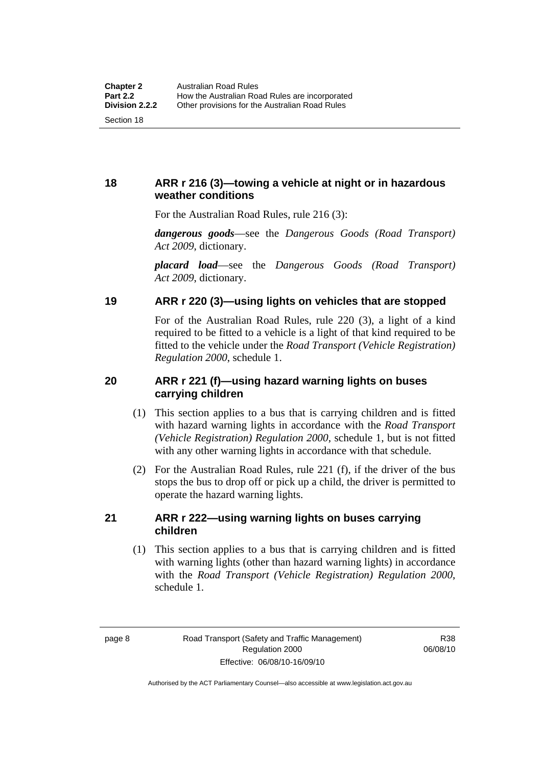#### <span id="page-25-0"></span>**18 ARR r 216 (3)—towing a vehicle at night or in hazardous weather conditions**

For the Australian Road Rules, rule 216 (3):

*dangerous goods*—see the *Dangerous Goods (Road Transport) Act 2009*, dictionary.

*placard load*—see the *Dangerous Goods (Road Transport) Act 2009*, dictionary.

#### **19 ARR r 220 (3)—using lights on vehicles that are stopped**

For of the Australian Road Rules, rule 220 (3), a light of a kind required to be fitted to a vehicle is a light of that kind required to be fitted to the vehicle under the *Road Transport (Vehicle Registration) Regulation 2000*, schedule 1.

#### **20 ARR r 221 (f)—using hazard warning lights on buses carrying children**

- (1) This section applies to a bus that is carrying children and is fitted with hazard warning lights in accordance with the *Road Transport (Vehicle Registration) Regulation 2000*, schedule 1, but is not fitted with any other warning lights in accordance with that schedule.
- (2) For the Australian Road Rules, rule 221 (f), if the driver of the bus stops the bus to drop off or pick up a child, the driver is permitted to operate the hazard warning lights.

#### **21 ARR r 222—using warning lights on buses carrying children**

 (1) This section applies to a bus that is carrying children and is fitted with warning lights (other than hazard warning lights) in accordance with the *Road Transport (Vehicle Registration) Regulation 2000*, schedule 1.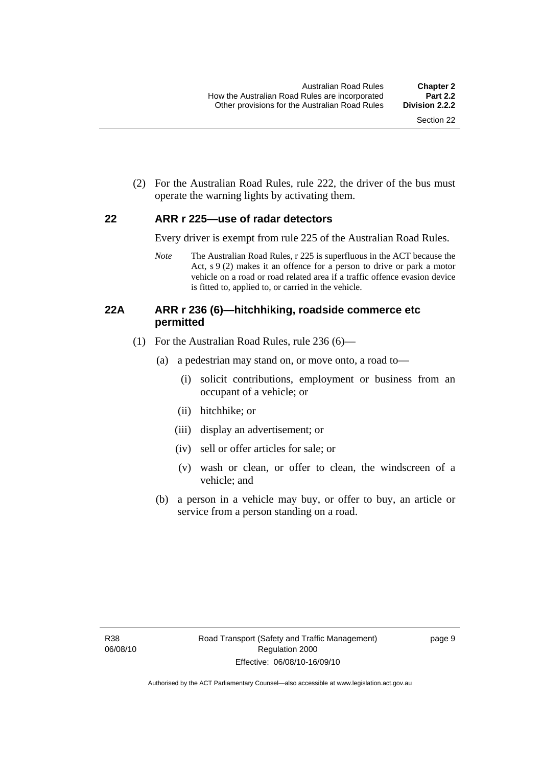<span id="page-26-0"></span> (2) For the Australian Road Rules, rule 222, the driver of the bus must operate the warning lights by activating them.

#### **22 ARR r 225—use of radar detectors**

Every driver is exempt from rule 225 of the Australian Road Rules.

*Note* The Australian Road Rules, r 225 is superfluous in the ACT because the Act, s 9 (2) makes it an offence for a person to drive or park a motor vehicle on a road or road related area if a traffic offence evasion device is fitted to, applied to, or carried in the vehicle.

#### **22A ARR r 236 (6)—hitchhiking, roadside commerce etc permitted**

- (1) For the Australian Road Rules, rule 236 (6)—
	- (a) a pedestrian may stand on, or move onto, a road to—
		- (i) solicit contributions, employment or business from an occupant of a vehicle; or
		- (ii) hitchhike; or
		- (iii) display an advertisement; or
		- (iv) sell or offer articles for sale; or
		- (v) wash or clean, or offer to clean, the windscreen of a vehicle; and
	- (b) a person in a vehicle may buy, or offer to buy, an article or service from a person standing on a road.

page 9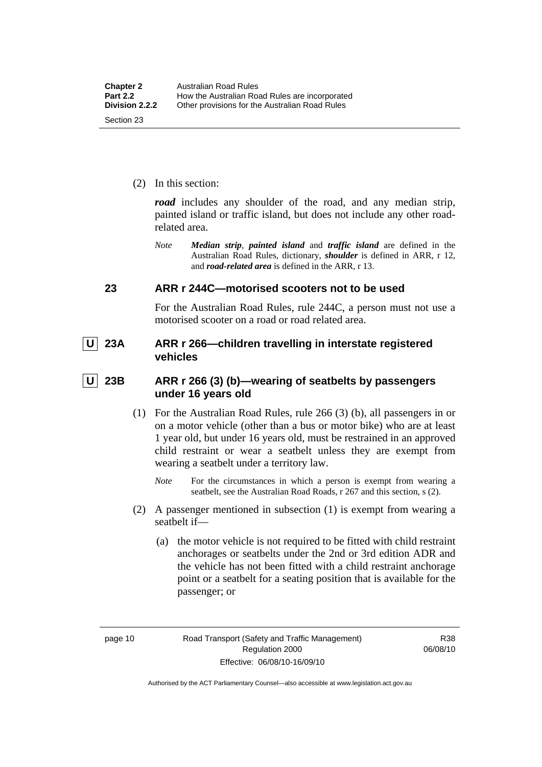<span id="page-27-0"></span>(2) In this section:

*road* includes any shoulder of the road, and any median strip, painted island or traffic island, but does not include any other roadrelated area.

*Note Median strip*, *painted island* and *traffic island* are defined in the Australian Road Rules, dictionary, *shoulder* is defined in ARR, r 12, and *road-related area* is defined in the ARR, r 13.

#### **23 ARR r 244C—motorised scooters not to be used**

For the Australian Road Rules, rule 244C, a person must not use a motorised scooter on a road or road related area.

 **U 23A ARR r 266—children travelling in interstate registered vehicles** 

 **U 23B ARR r 266 (3) (b)—wearing of seatbelts by passengers under 16 years old** 

- (1) For the Australian Road Rules, rule 266 (3) (b), all passengers in or on a motor vehicle (other than a bus or motor bike) who are at least 1 year old, but under 16 years old, must be restrained in an approved child restraint or wear a seatbelt unless they are exempt from wearing a seatbelt under a territory law.
	- *Note* For the circumstances in which a person is exempt from wearing a seatbelt, see the Australian Road Roads, r 267 and this section, s (2).
- (2) A passenger mentioned in subsection (1) is exempt from wearing a seatbelt if—
	- (a) the motor vehicle is not required to be fitted with child restraint anchorages or seatbelts under the 2nd or 3rd edition ADR and the vehicle has not been fitted with a child restraint anchorage point or a seatbelt for a seating position that is available for the passenger; or

R38 06/08/10

Authorised by the ACT Parliamentary Counsel—also accessible at www.legislation.act.gov.au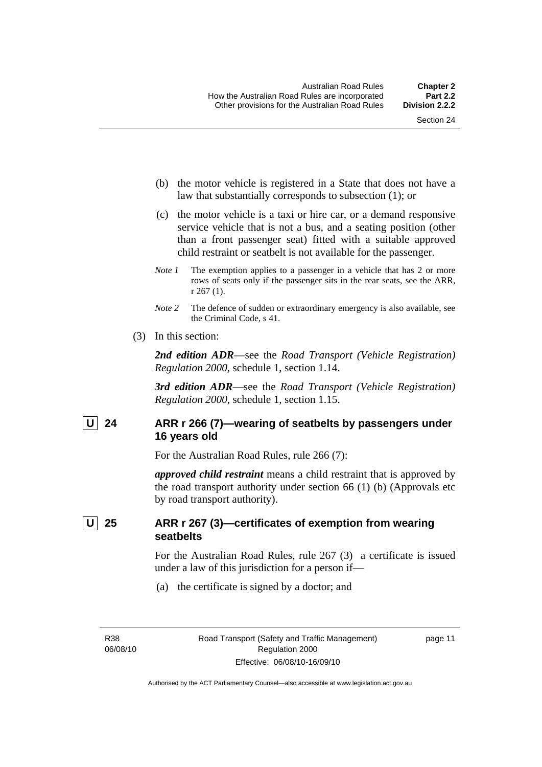- <span id="page-28-0"></span> (b) the motor vehicle is registered in a State that does not have a law that substantially corresponds to subsection (1); or
- (c) the motor vehicle is a taxi or hire car, or a demand responsive service vehicle that is not a bus, and a seating position (other than a front passenger seat) fitted with a suitable approved child restraint or seatbelt is not available for the passenger.
- *Note 1* The exemption applies to a passenger in a vehicle that has 2 or more rows of seats only if the passenger sits in the rear seats, see the ARR, r 267 (1).
- *Note* 2 The defence of sudden or extraordinary emergency is also available, see the Criminal Code, s 41.
- (3) In this section:

*2nd edition ADR*—see the *Road Transport (Vehicle Registration) Regulation 2000*, schedule 1, section 1.14.

*3rd edition ADR*—see the *Road Transport (Vehicle Registration) Regulation 2000*, schedule 1, section 1.15.

#### U 24 ARR r 266 (7)—wearing of seatbelts by passengers under **16 years old**

For the Australian Road Rules, rule 266 (7):

*approved child restraint* means a child restraint that is approved by the road transport authority under section 66 (1) (b) (Approvals etc by road transport authority).

#### **U 25 ARR r 267 (3)—certificates of exemption from wearing seatbelts**

For the Australian Road Rules, rule 267 (3) a certificate is issued under a law of this jurisdiction for a person if—

(a) the certificate is signed by a doctor; and

R38 06/08/10 page 11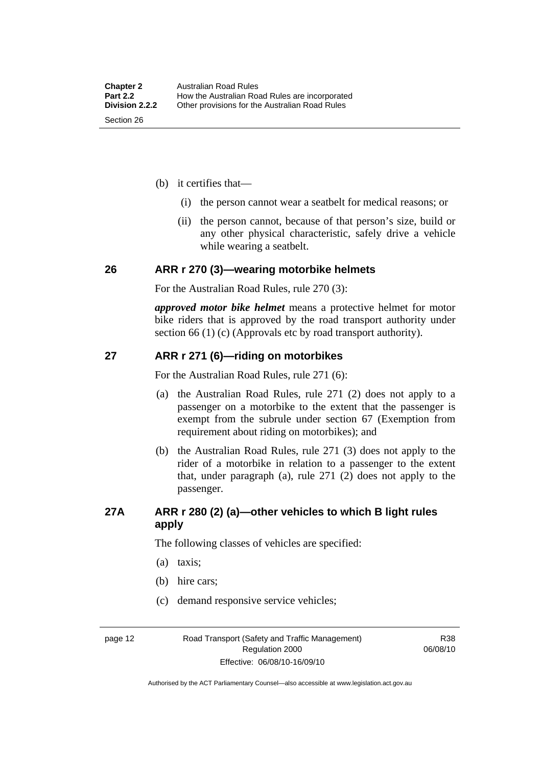- <span id="page-29-0"></span> (b) it certifies that—
	- (i) the person cannot wear a seatbelt for medical reasons; or
	- (ii) the person cannot, because of that person's size, build or any other physical characteristic, safely drive a vehicle while wearing a seatbelt.

#### **26 ARR r 270 (3)—wearing motorbike helmets**

For the Australian Road Rules, rule 270 (3):

*approved motor bike helmet* means a protective helmet for motor bike riders that is approved by the road transport authority under section 66 (1) (c) (Approvals etc by road transport authority).

#### **27 ARR r 271 (6)—riding on motorbikes**

For the Australian Road Rules, rule 271 (6):

- (a) the Australian Road Rules, rule 271 (2) does not apply to a passenger on a motorbike to the extent that the passenger is exempt from the subrule under section 67 (Exemption from requirement about riding on motorbikes); and
- (b) the Australian Road Rules, rule 271 (3) does not apply to the rider of a motorbike in relation to a passenger to the extent that, under paragraph (a), rule 271 (2) does not apply to the passenger.

#### **27A ARR r 280 (2) (a)—other vehicles to which B light rules apply**

The following classes of vehicles are specified:

- (a) taxis;
- (b) hire cars;
- (c) demand responsive service vehicles;

page 12 Road Transport (Safety and Traffic Management) Regulation 2000 Effective: 06/08/10-16/09/10

R38 06/08/10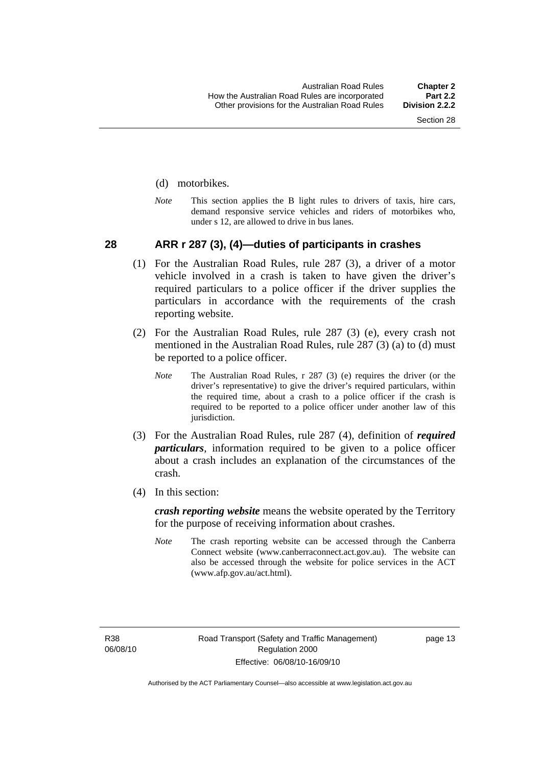#### <span id="page-30-0"></span>(d) motorbikes.

*Note* This section applies the B light rules to drivers of taxis, hire cars, demand responsive service vehicles and riders of motorbikes who, under s 12, are allowed to drive in bus lanes.

#### **28 ARR r 287 (3), (4)—duties of participants in crashes**

- (1) For the Australian Road Rules, rule 287 (3), a driver of a motor vehicle involved in a crash is taken to have given the driver's required particulars to a police officer if the driver supplies the particulars in accordance with the requirements of the crash reporting website.
- (2) For the Australian Road Rules, rule 287 (3) (e), every crash not mentioned in the Australian Road Rules, rule 287 (3) (a) to (d) must be reported to a police officer.
	- *Note* The Australian Road Rules, r 287 (3) (e) requires the driver (or the driver's representative) to give the driver's required particulars, within the required time, about a crash to a police officer if the crash is required to be reported to a police officer under another law of this jurisdiction.
- (3) For the Australian Road Rules, rule 287 (4), definition of *required particulars*, information required to be given to a police officer about a crash includes an explanation of the circumstances of the crash.
- (4) In this section:

*crash reporting website* means the website operated by the Territory for the purpose of receiving information about crashes.

*Note* The crash reporting website can be accessed through the Canberra Connect website (www.canberraconnect.act.gov.au). The website can also be accessed through the website for police services in the ACT (www.afp.gov.au/act.html).

R38 06/08/10 page 13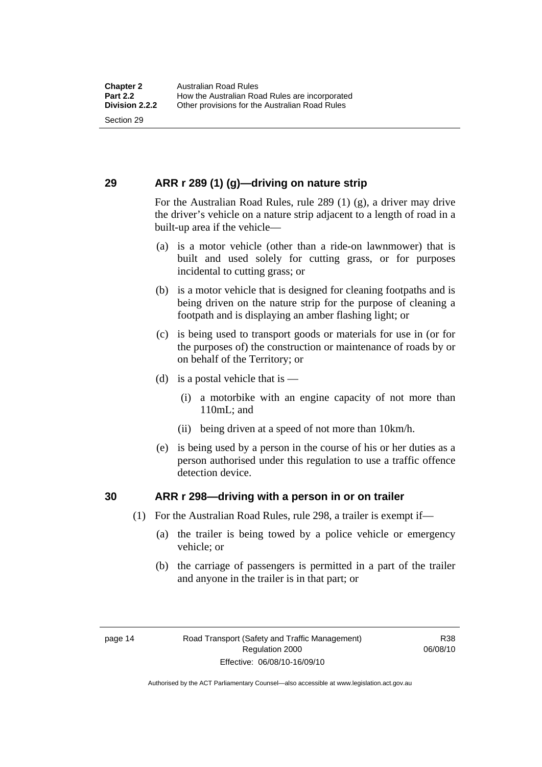#### <span id="page-31-0"></span>**29 ARR r 289 (1) (g)—driving on nature strip**

For the Australian Road Rules, rule 289 (1) (g), a driver may drive the driver's vehicle on a nature strip adjacent to a length of road in a built-up area if the vehicle—

- (a) is a motor vehicle (other than a ride-on lawnmower) that is built and used solely for cutting grass, or for purposes incidental to cutting grass; or
- (b) is a motor vehicle that is designed for cleaning footpaths and is being driven on the nature strip for the purpose of cleaning a footpath and is displaying an amber flashing light; or
- (c) is being used to transport goods or materials for use in (or for the purposes of) the construction or maintenance of roads by or on behalf of the Territory; or
- (d) is a postal vehicle that is  $-$ 
	- (i) a motorbike with an engine capacity of not more than 110mL; and
	- (ii) being driven at a speed of not more than 10km/h.
- (e) is being used by a person in the course of his or her duties as a person authorised under this regulation to use a traffic offence detection device.

#### **30 ARR r 298—driving with a person in or on trailer**

- (1) For the Australian Road Rules, rule 298, a trailer is exempt if—
	- (a) the trailer is being towed by a police vehicle or emergency vehicle; or
	- (b) the carriage of passengers is permitted in a part of the trailer and anyone in the trailer is in that part; or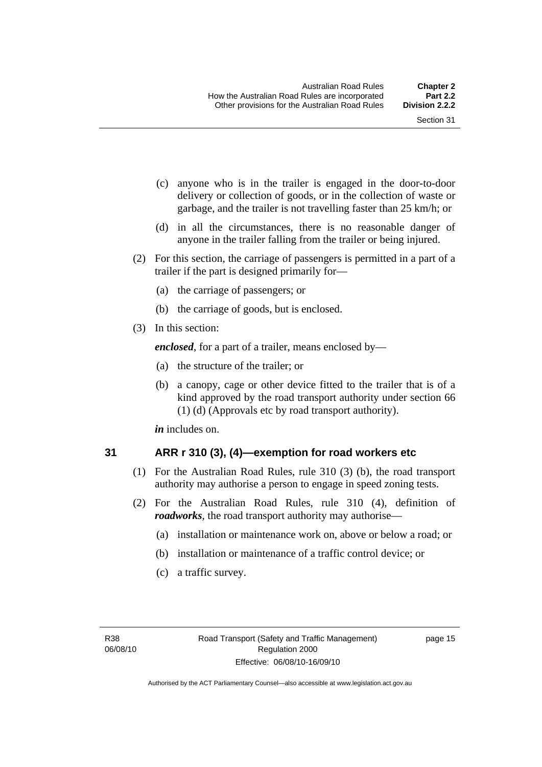- <span id="page-32-0"></span> (c) anyone who is in the trailer is engaged in the door-to-door delivery or collection of goods, or in the collection of waste or garbage, and the trailer is not travelling faster than 25 km/h; or
- (d) in all the circumstances, there is no reasonable danger of anyone in the trailer falling from the trailer or being injured.
- (2) For this section, the carriage of passengers is permitted in a part of a trailer if the part is designed primarily for—
	- (a) the carriage of passengers; or
	- (b) the carriage of goods, but is enclosed.
- (3) In this section:

*enclosed*, for a part of a trailer, means enclosed by—

- (a) the structure of the trailer; or
- (b) a canopy, cage or other device fitted to the trailer that is of a kind approved by the road transport authority under section 66 (1) (d) (Approvals etc by road transport authority).

*in* includes on.

#### **31 ARR r 310 (3), (4)—exemption for road workers etc**

- (1) For the Australian Road Rules, rule 310 (3) (b), the road transport authority may authorise a person to engage in speed zoning tests.
- (2) For the Australian Road Rules, rule 310 (4), definition of *roadworks*, the road transport authority may authorise—
	- (a) installation or maintenance work on, above or below a road; or
	- (b) installation or maintenance of a traffic control device; or
	- (c) a traffic survey.

page 15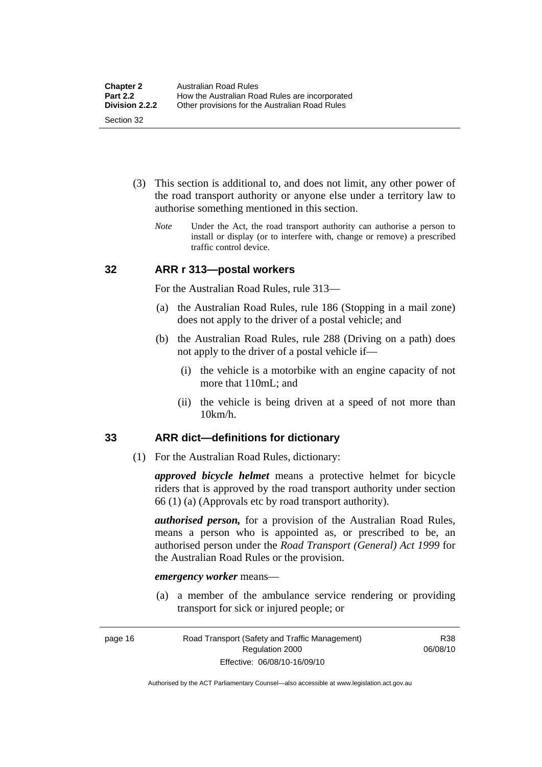- <span id="page-33-0"></span> (3) This section is additional to, and does not limit, any other power of the road transport authority or anyone else under a territory law to authorise something mentioned in this section.
	- *Note* Under the Act, the road transport authority can authorise a person to install or display (or to interfere with, change or remove) a prescribed traffic control device.

#### **32 ARR r 313—postal workers**

For the Australian Road Rules, rule 313—

- (a) the Australian Road Rules, rule 186 (Stopping in a mail zone) does not apply to the driver of a postal vehicle; and
- (b) the Australian Road Rules, rule 288 (Driving on a path) does not apply to the driver of a postal vehicle if—
	- (i) the vehicle is a motorbike with an engine capacity of not more that 110mL; and
	- (ii) the vehicle is being driven at a speed of not more than 10km/h.

#### **33 ARR dict—definitions for dictionary**

(1) For the Australian Road Rules, dictionary:

*approved bicycle helmet* means a protective helmet for bicycle riders that is approved by the road transport authority under section 66 (1) (a) (Approvals etc by road transport authority).

*authorised person,* for a provision of the Australian Road Rules, means a person who is appointed as, or prescribed to be, an authorised person under the *Road Transport (General) Act 1999* for the Australian Road Rules or the provision.

#### *emergency worker* means—

 (a) a member of the ambulance service rendering or providing transport for sick or injured people; or

R38 06/08/10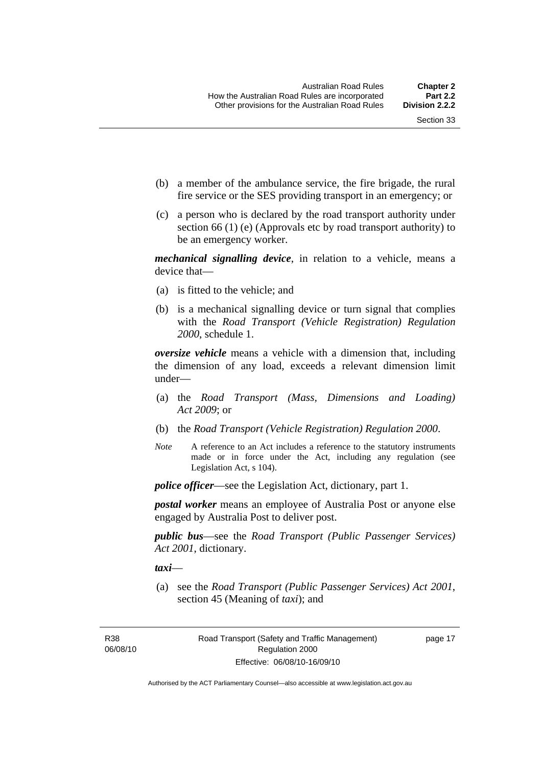- (b) a member of the ambulance service, the fire brigade, the rural fire service or the SES providing transport in an emergency; or
- (c) a person who is declared by the road transport authority under section 66 (1) (e) (Approvals etc by road transport authority) to be an emergency worker.

*mechanical signalling device*, in relation to a vehicle, means a device that—

- (a) is fitted to the vehicle; and
- (b) is a mechanical signalling device or turn signal that complies with the *Road Transport (Vehicle Registration) Regulation 2000*, schedule 1.

*oversize vehicle* means a vehicle with a dimension that, including the dimension of any load, exceeds a relevant dimension limit under—

- (a) the *Road Transport (Mass, Dimensions and Loading) Act 2009*; or
- (b) the *Road Transport (Vehicle Registration) Regulation 2000*.
- *Note* A reference to an Act includes a reference to the statutory instruments made or in force under the Act, including any regulation (see Legislation Act, s 104).

*police officer*—see the Legislation Act, dictionary, part 1.

*postal worker* means an employee of Australia Post or anyone else engaged by Australia Post to deliver post.

*public bus*—see the *Road Transport (Public Passenger Services) Act 2001*, dictionary.

*taxi*—

 (a) see the *Road Transport (Public Passenger Services) Act 2001*, section 45 (Meaning of *taxi*); and

R38 06/08/10 page 17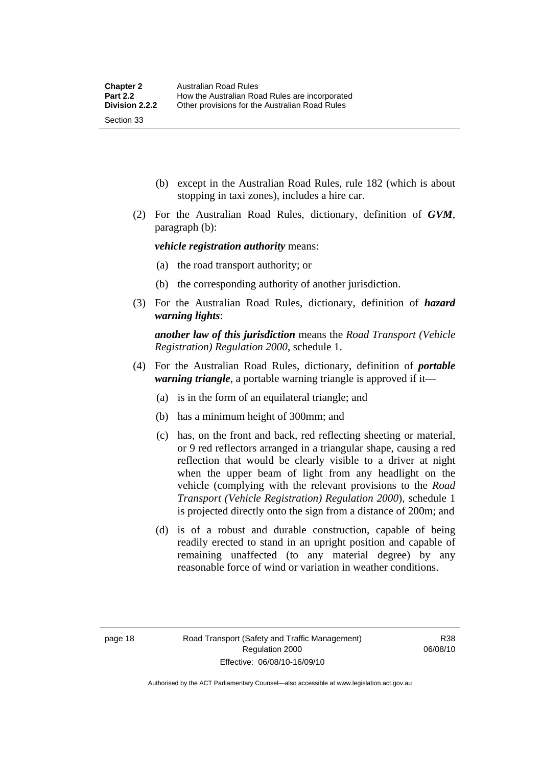- (b) except in the Australian Road Rules, rule 182 (which is about stopping in taxi zones), includes a hire car.
- (2) For the Australian Road Rules, dictionary, definition of *GVM*, paragraph (b):

*vehicle registration authority* means:

- (a) the road transport authority; or
- (b) the corresponding authority of another jurisdiction.
- (3) For the Australian Road Rules, dictionary, definition of *hazard warning lights*:

*another law of this jurisdiction* means the *Road Transport (Vehicle Registration) Regulation 2000*, schedule 1.

- (4) For the Australian Road Rules, dictionary, definition of *portable warning triangle*, a portable warning triangle is approved if it—
	- (a) is in the form of an equilateral triangle; and
	- (b) has a minimum height of 300mm; and
	- (c) has, on the front and back, red reflecting sheeting or material, or 9 red reflectors arranged in a triangular shape, causing a red reflection that would be clearly visible to a driver at night when the upper beam of light from any headlight on the vehicle (complying with the relevant provisions to the *Road Transport (Vehicle Registration) Regulation 2000*), schedule 1 is projected directly onto the sign from a distance of 200m; and
	- (d) is of a robust and durable construction, capable of being readily erected to stand in an upright position and capable of remaining unaffected (to any material degree) by any reasonable force of wind or variation in weather conditions.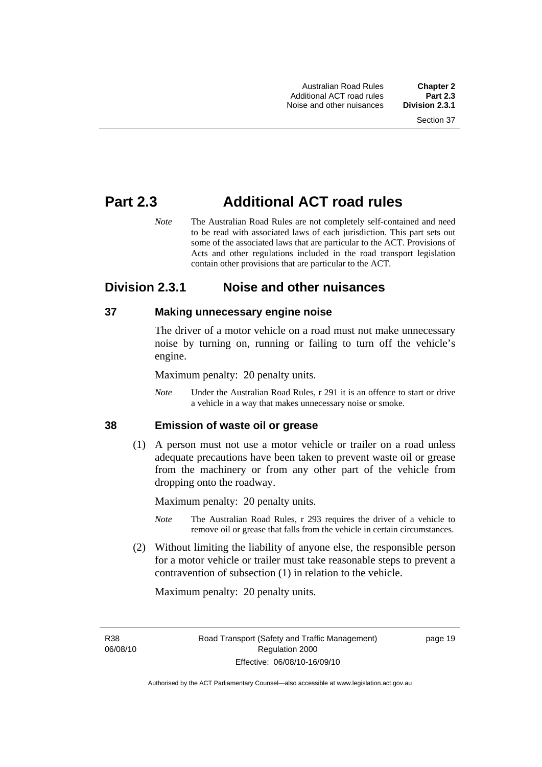# **Part 2.3 Additional ACT road rules**

*Note* The Australian Road Rules are not completely self-contained and need to be read with associated laws of each jurisdiction. This part sets out some of the associated laws that are particular to the ACT. Provisions of Acts and other regulations included in the road transport legislation contain other provisions that are particular to the ACT.

# **Division 2.3.1 Noise and other nuisances**

# **37 Making unnecessary engine noise**

The driver of a motor vehicle on a road must not make unnecessary noise by turning on, running or failing to turn off the vehicle's engine.

Maximum penalty: 20 penalty units.

*Note* Under the Australian Road Rules, r 291 it is an offence to start or drive a vehicle in a way that makes unnecessary noise or smoke.

# **38 Emission of waste oil or grease**

 (1) A person must not use a motor vehicle or trailer on a road unless adequate precautions have been taken to prevent waste oil or grease from the machinery or from any other part of the vehicle from dropping onto the roadway.

Maximum penalty: 20 penalty units.

- *Note* The Australian Road Rules, r 293 requires the driver of a vehicle to remove oil or grease that falls from the vehicle in certain circumstances.
- (2) Without limiting the liability of anyone else, the responsible person for a motor vehicle or trailer must take reasonable steps to prevent a contravention of subsection (1) in relation to the vehicle.

Maximum penalty: 20 penalty units.

R38 06/08/10 page 19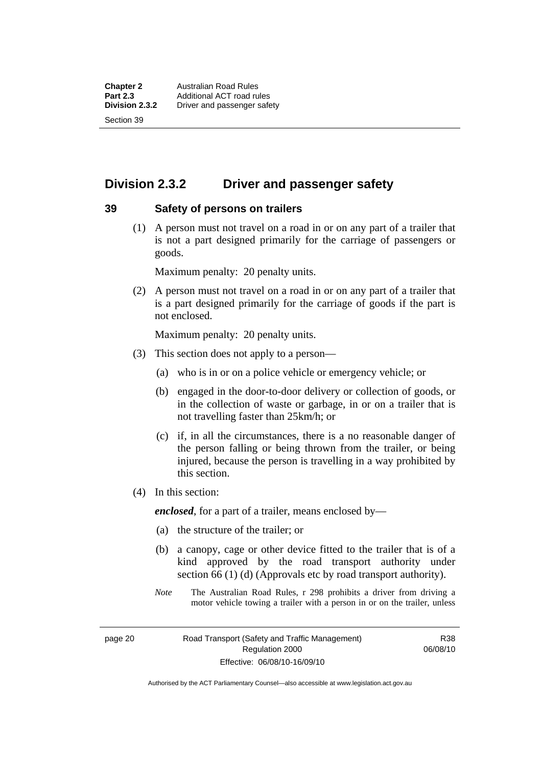# **Division 2.3.2 Driver and passenger safety**

#### **39 Safety of persons on trailers**

 (1) A person must not travel on a road in or on any part of a trailer that is not a part designed primarily for the carriage of passengers or goods.

Maximum penalty: 20 penalty units.

 (2) A person must not travel on a road in or on any part of a trailer that is a part designed primarily for the carriage of goods if the part is not enclosed.

Maximum penalty: 20 penalty units.

- (3) This section does not apply to a person—
	- (a) who is in or on a police vehicle or emergency vehicle; or
	- (b) engaged in the door-to-door delivery or collection of goods, or in the collection of waste or garbage, in or on a trailer that is not travelling faster than 25km/h; or
	- (c) if, in all the circumstances, there is a no reasonable danger of the person falling or being thrown from the trailer, or being injured, because the person is travelling in a way prohibited by this section.
- (4) In this section:

*enclosed*, for a part of a trailer, means enclosed by—

- (a) the structure of the trailer; or
- (b) a canopy, cage or other device fitted to the trailer that is of a kind approved by the road transport authority under section 66 (1) (d) (Approvals etc by road transport authority).
- *Note* The Australian Road Rules, r 298 prohibits a driver from driving a motor vehicle towing a trailer with a person in or on the trailer, unless

page 20 Road Transport (Safety and Traffic Management) Regulation 2000 Effective: 06/08/10-16/09/10

R38 06/08/10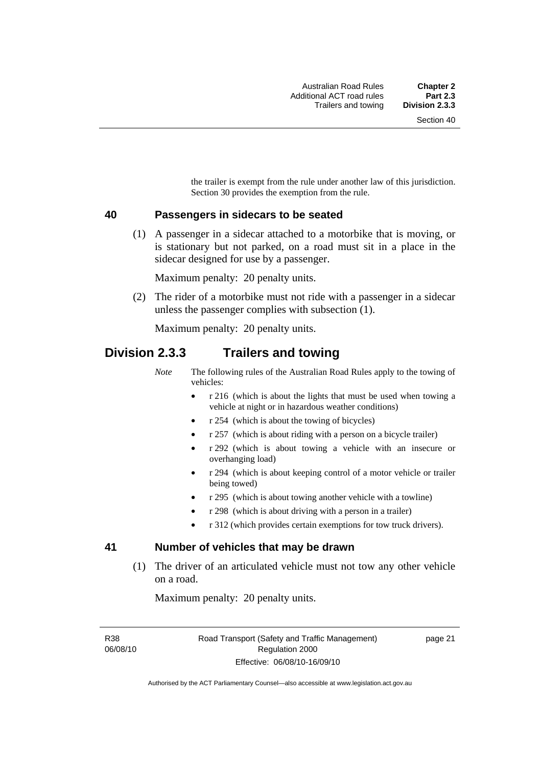the trailer is exempt from the rule under another law of this jurisdiction. Section 30 provides the exemption from the rule.

#### **40 Passengers in sidecars to be seated**

 (1) A passenger in a sidecar attached to a motorbike that is moving, or is stationary but not parked, on a road must sit in a place in the sidecar designed for use by a passenger.

Maximum penalty: 20 penalty units.

 (2) The rider of a motorbike must not ride with a passenger in a sidecar unless the passenger complies with subsection (1).

Maximum penalty: 20 penalty units.

# **Division 2.3.3 Trailers and towing**

*Note* The following rules of the Australian Road Rules apply to the towing of vehicles:

- r 216 (which is about the lights that must be used when towing a vehicle at night or in hazardous weather conditions)
- r 254 (which is about the towing of bicycles)
- r 257 (which is about riding with a person on a bicycle trailer)
- r 292 (which is about towing a vehicle with an insecure or overhanging load)
- r 294 (which is about keeping control of a motor vehicle or trailer being towed)
- r 295 (which is about towing another vehicle with a towline)
- r 298 (which is about driving with a person in a trailer)
- r 312 (which provides certain exemptions for tow truck drivers).

# **41 Number of vehicles that may be drawn**

 (1) The driver of an articulated vehicle must not tow any other vehicle on a road.

Maximum penalty: 20 penalty units.

R38 06/08/10 page 21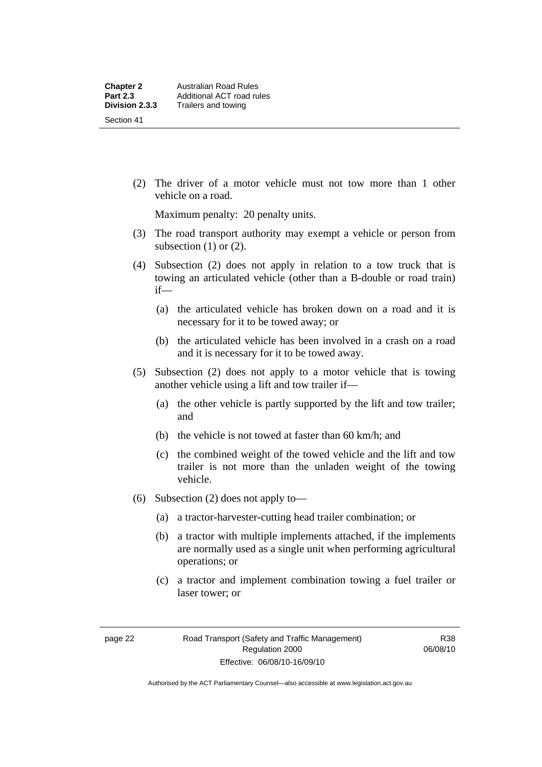(2) The driver of a motor vehicle must not tow more than 1 other vehicle on a road.

Maximum penalty: 20 penalty units.

- (3) The road transport authority may exempt a vehicle or person from subsection  $(1)$  or  $(2)$ .
- (4) Subsection (2) does not apply in relation to a tow truck that is towing an articulated vehicle (other than a B-double or road train) if—
	- (a) the articulated vehicle has broken down on a road and it is necessary for it to be towed away; or
	- (b) the articulated vehicle has been involved in a crash on a road and it is necessary for it to be towed away.
- (5) Subsection (2) does not apply to a motor vehicle that is towing another vehicle using a lift and tow trailer if—
	- (a) the other vehicle is partly supported by the lift and tow trailer; and
	- (b) the vehicle is not towed at faster than 60 km/h; and
	- (c) the combined weight of the towed vehicle and the lift and tow trailer is not more than the unladen weight of the towing vehicle.
- (6) Subsection (2) does not apply to—
	- (a) a tractor-harvester-cutting head trailer combination; or
	- (b) a tractor with multiple implements attached, if the implements are normally used as a single unit when performing agricultural operations; or
	- (c) a tractor and implement combination towing a fuel trailer or laser tower; or

R38 06/08/10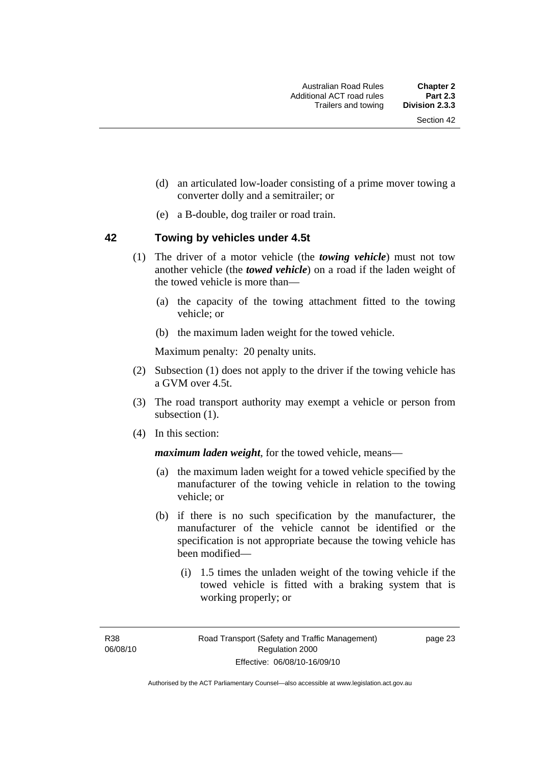- (d) an articulated low-loader consisting of a prime mover towing a converter dolly and a semitrailer; or
- (e) a B-double, dog trailer or road train.

# **42 Towing by vehicles under 4.5t**

- (1) The driver of a motor vehicle (the *towing vehicle*) must not tow another vehicle (the *towed vehicle*) on a road if the laden weight of the towed vehicle is more than—
	- (a) the capacity of the towing attachment fitted to the towing vehicle; or
	- (b) the maximum laden weight for the towed vehicle.

Maximum penalty: 20 penalty units.

- (2) Subsection (1) does not apply to the driver if the towing vehicle has a GVM over 4.5t.
- (3) The road transport authority may exempt a vehicle or person from subsection  $(1)$ .
- (4) In this section:

*maximum laden weight*, for the towed vehicle, means—

- (a) the maximum laden weight for a towed vehicle specified by the manufacturer of the towing vehicle in relation to the towing vehicle; or
- (b) if there is no such specification by the manufacturer, the manufacturer of the vehicle cannot be identified or the specification is not appropriate because the towing vehicle has been modified—
	- (i) 1.5 times the unladen weight of the towing vehicle if the towed vehicle is fitted with a braking system that is working properly; or

R38 06/08/10 page 23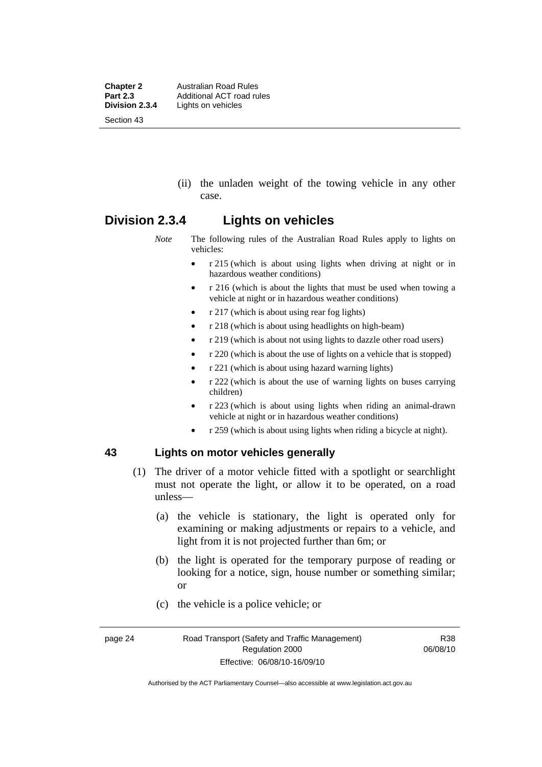**Chapter 2 Australian Road Rules**<br>**Part 2.3 Additional ACT road rules Part 2.3** Additional ACT road rules<br>**Division 2.3.4** Lights on vehicles Lights on vehicles Section 43

> (ii) the unladen weight of the towing vehicle in any other case.

# **Division 2.3.4 Lights on vehicles**

*Note* The following rules of the Australian Road Rules apply to lights on vehicles:

- r 215 (which is about using lights when driving at night or in hazardous weather conditions)
- r 216 (which is about the lights that must be used when towing a vehicle at night or in hazardous weather conditions)
- r 217 (which is about using rear fog lights)
- r 218 (which is about using headlights on high-beam)
- r 219 (which is about not using lights to dazzle other road users)
- r 220 (which is about the use of lights on a vehicle that is stopped)
- r 221 (which is about using hazard warning lights)
- r 222 (which is about the use of warning lights on buses carrying children)
- r 223 (which is about using lights when riding an animal-drawn vehicle at night or in hazardous weather conditions)
- r 259 (which is about using lights when riding a bicycle at night).

#### **43 Lights on motor vehicles generally**

- (1) The driver of a motor vehicle fitted with a spotlight or searchlight must not operate the light, or allow it to be operated, on a road unless—
	- (a) the vehicle is stationary, the light is operated only for examining or making adjustments or repairs to a vehicle, and light from it is not projected further than 6m; or
	- (b) the light is operated for the temporary purpose of reading or looking for a notice, sign, house number or something similar; or
	- (c) the vehicle is a police vehicle; or

R38 06/08/10

Authorised by the ACT Parliamentary Counsel—also accessible at www.legislation.act.gov.au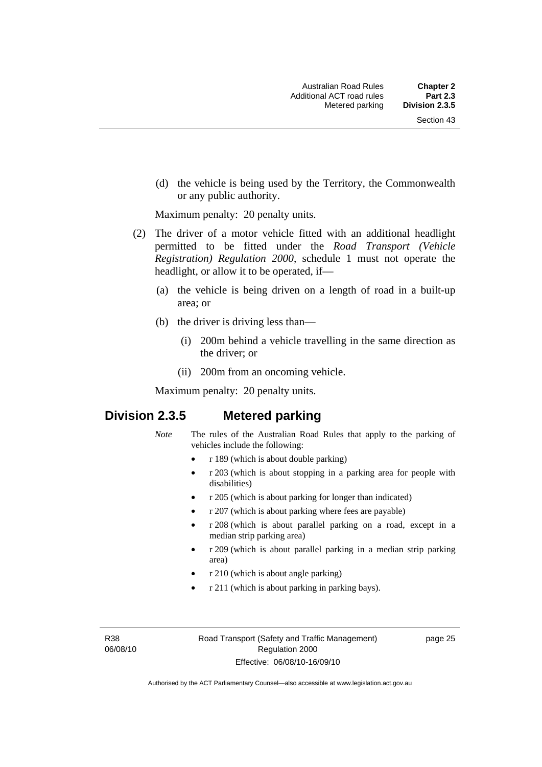(d) the vehicle is being used by the Territory, the Commonwealth or any public authority.

Maximum penalty: 20 penalty units.

- (2) The driver of a motor vehicle fitted with an additional headlight permitted to be fitted under the *Road Transport (Vehicle Registration) Regulation 2000*, schedule 1 must not operate the headlight, or allow it to be operated, if—
	- (a) the vehicle is being driven on a length of road in a built-up area; or
	- (b) the driver is driving less than—
		- (i) 200m behind a vehicle travelling in the same direction as the driver; or
		- (ii) 200m from an oncoming vehicle.

Maximum penalty: 20 penalty units.

# **Division 2.3.5 Metered parking**

- *Note* The rules of the Australian Road Rules that apply to the parking of vehicles include the following:
	- r 189 (which is about double parking)
	- r 203 (which is about stopping in a parking area for people with disabilities)
	- r 205 (which is about parking for longer than indicated)
	- r 207 (which is about parking where fees are payable)
	- r 208 (which is about parallel parking on a road, except in a median strip parking area)
	- r 209 (which is about parallel parking in a median strip parking area)
	- r 210 (which is about angle parking)
	- r 211 (which is about parking in parking bays).

R38 06/08/10 page 25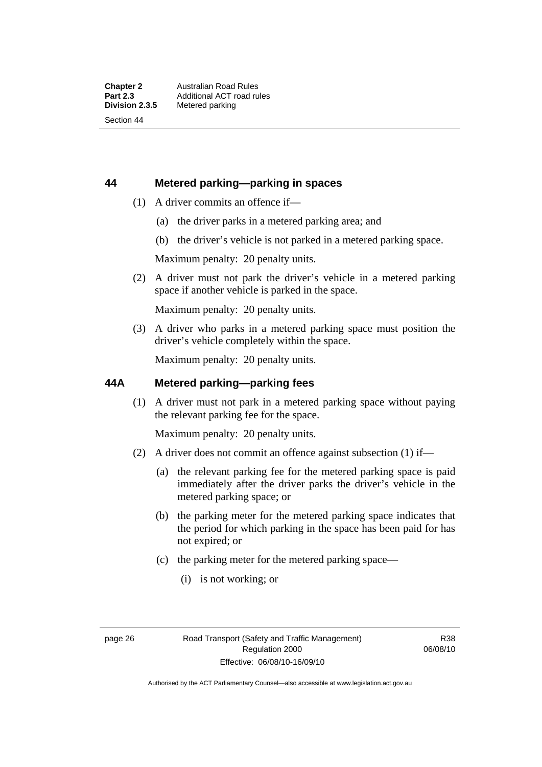# **44 Metered parking—parking in spaces**

- (1) A driver commits an offence if—
	- (a) the driver parks in a metered parking area; and
	- (b) the driver's vehicle is not parked in a metered parking space.

Maximum penalty: 20 penalty units.

 (2) A driver must not park the driver's vehicle in a metered parking space if another vehicle is parked in the space.

Maximum penalty: 20 penalty units.

 (3) A driver who parks in a metered parking space must position the driver's vehicle completely within the space.

Maximum penalty: 20 penalty units.

# **44A Metered parking—parking fees**

 (1) A driver must not park in a metered parking space without paying the relevant parking fee for the space.

Maximum penalty: 20 penalty units.

- (2) A driver does not commit an offence against subsection (1) if—
	- (a) the relevant parking fee for the metered parking space is paid immediately after the driver parks the driver's vehicle in the metered parking space; or
	- (b) the parking meter for the metered parking space indicates that the period for which parking in the space has been paid for has not expired; or
	- (c) the parking meter for the metered parking space—
		- (i) is not working; or

R38 06/08/10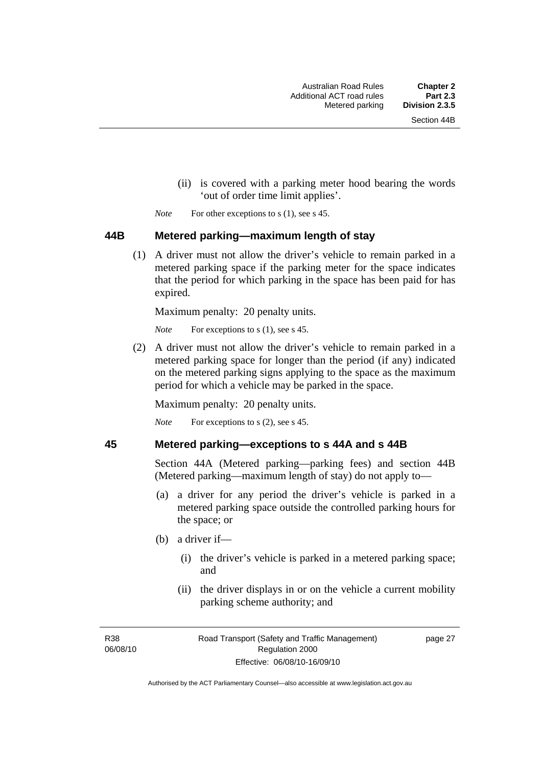- (ii) is covered with a parking meter hood bearing the words 'out of order time limit applies'.
- *Note* For other exceptions to s (1), see s 45.

#### **44B Metered parking—maximum length of stay**

 (1) A driver must not allow the driver's vehicle to remain parked in a metered parking space if the parking meter for the space indicates that the period for which parking in the space has been paid for has expired.

Maximum penalty: 20 penalty units.

*Note* For exceptions to s (1), see s 45.

 (2) A driver must not allow the driver's vehicle to remain parked in a metered parking space for longer than the period (if any) indicated on the metered parking signs applying to the space as the maximum period for which a vehicle may be parked in the space.

Maximum penalty: 20 penalty units.

*Note* For exceptions to s (2), see s 45.

# **45 Metered parking—exceptions to s 44A and s 44B**

Section 44A (Metered parking—parking fees) and section 44B (Metered parking—maximum length of stay) do not apply to—

- (a) a driver for any period the driver's vehicle is parked in a metered parking space outside the controlled parking hours for the space; or
- (b) a driver if—
	- (i) the driver's vehicle is parked in a metered parking space; and
	- (ii) the driver displays in or on the vehicle a current mobility parking scheme authority; and

R38 06/08/10 page 27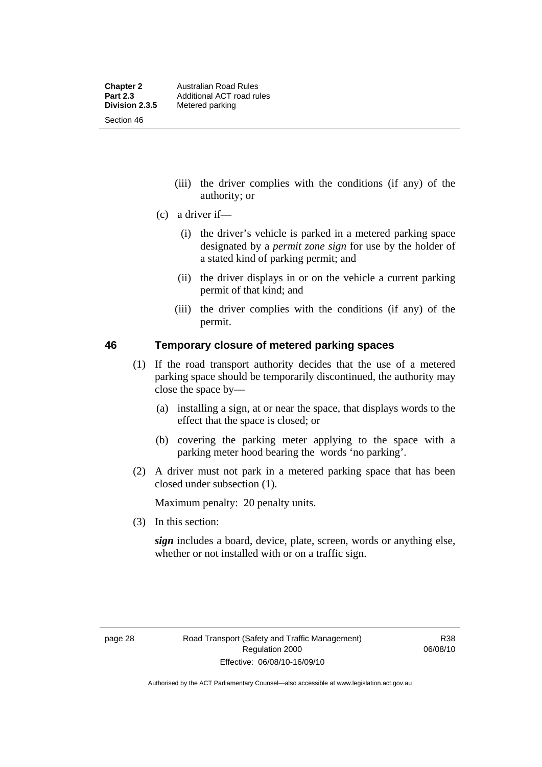- (iii) the driver complies with the conditions (if any) of the authority; or
- (c) a driver if—
	- (i) the driver's vehicle is parked in a metered parking space designated by a *permit zone sign* for use by the holder of a stated kind of parking permit; and
	- (ii) the driver displays in or on the vehicle a current parking permit of that kind; and
	- (iii) the driver complies with the conditions (if any) of the permit.

# **46 Temporary closure of metered parking spaces**

- (1) If the road transport authority decides that the use of a metered parking space should be temporarily discontinued, the authority may close the space by—
	- (a) installing a sign, at or near the space, that displays words to the effect that the space is closed; or
	- (b) covering the parking meter applying to the space with a parking meter hood bearing the words 'no parking'.
- (2) A driver must not park in a metered parking space that has been closed under subsection (1).

Maximum penalty: 20 penalty units.

(3) In this section:

*sign* includes a board, device, plate, screen, words or anything else, whether or not installed with or on a traffic sign.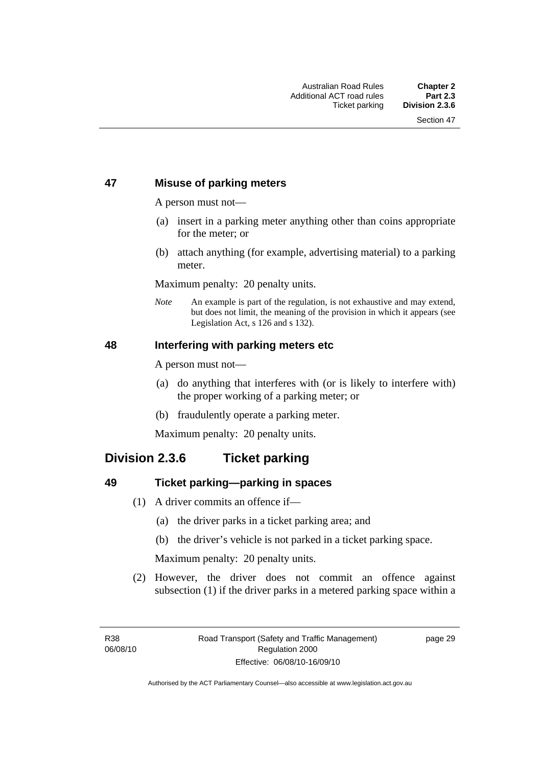# **47 Misuse of parking meters**

A person must not—

- (a) insert in a parking meter anything other than coins appropriate for the meter; or
- (b) attach anything (for example, advertising material) to a parking meter.

Maximum penalty: 20 penalty units.

*Note* An example is part of the regulation, is not exhaustive and may extend, but does not limit, the meaning of the provision in which it appears (see Legislation Act, s 126 and s 132).

# **48 Interfering with parking meters etc**

A person must not—

- (a) do anything that interferes with (or is likely to interfere with) the proper working of a parking meter; or
- (b) fraudulently operate a parking meter.

Maximum penalty: 20 penalty units.

# **Division 2.3.6 Ticket parking**

# **49 Ticket parking—parking in spaces**

- (1) A driver commits an offence if—
	- (a) the driver parks in a ticket parking area; and
	- (b) the driver's vehicle is not parked in a ticket parking space.

Maximum penalty: 20 penalty units.

 (2) However, the driver does not commit an offence against subsection (1) if the driver parks in a metered parking space within a

page 29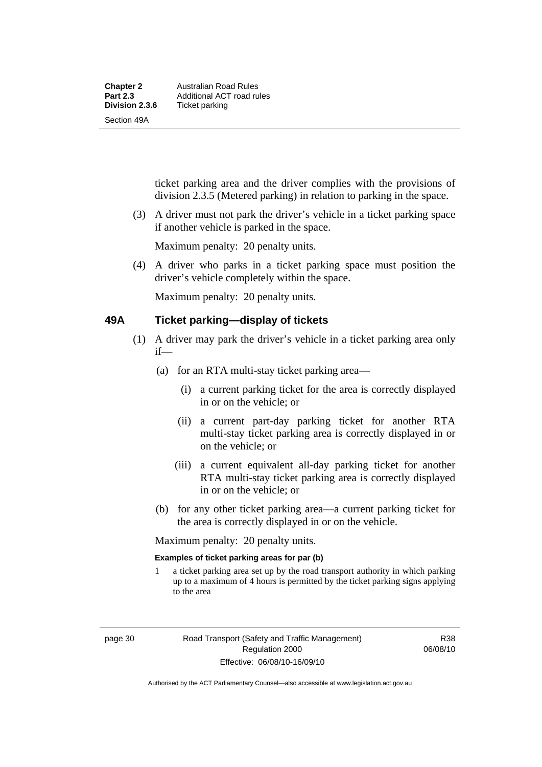ticket parking area and the driver complies with the provisions of division 2.3.5 (Metered parking) in relation to parking in the space.

 (3) A driver must not park the driver's vehicle in a ticket parking space if another vehicle is parked in the space.

Maximum penalty: 20 penalty units.

 (4) A driver who parks in a ticket parking space must position the driver's vehicle completely within the space.

Maximum penalty: 20 penalty units.

# **49A Ticket parking—display of tickets**

- (1) A driver may park the driver's vehicle in a ticket parking area only if—
	- (a) for an RTA multi-stay ticket parking area—
		- (i) a current parking ticket for the area is correctly displayed in or on the vehicle; or
		- (ii) a current part-day parking ticket for another RTA multi-stay ticket parking area is correctly displayed in or on the vehicle; or
		- (iii) a current equivalent all-day parking ticket for another RTA multi-stay ticket parking area is correctly displayed in or on the vehicle; or
	- (b) for any other ticket parking area—a current parking ticket for the area is correctly displayed in or on the vehicle.

Maximum penalty: 20 penalty units.

#### **Examples of ticket parking areas for par (b)**

1 a ticket parking area set up by the road transport authority in which parking up to a maximum of 4 hours is permitted by the ticket parking signs applying to the area

R38 06/08/10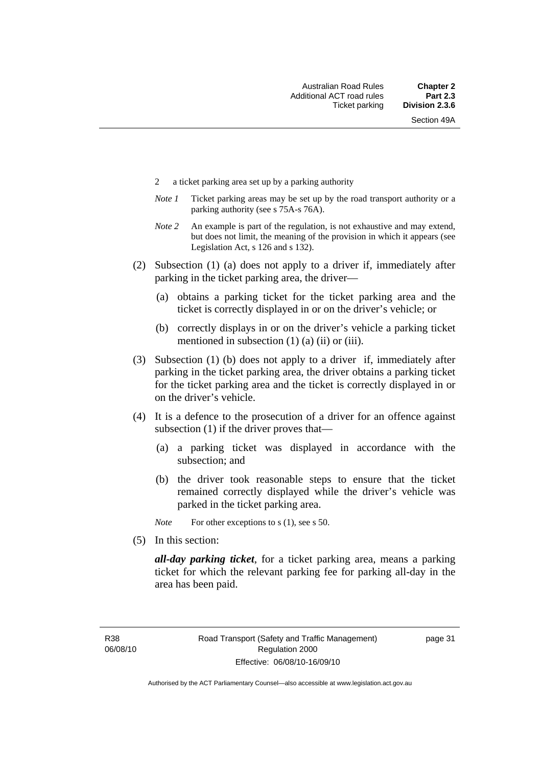- 2 a ticket parking area set up by a parking authority
- *Note 1* Ticket parking areas may be set up by the road transport authority or a parking authority (see s 75A-s 76A).
- *Note 2* An example is part of the regulation, is not exhaustive and may extend, but does not limit, the meaning of the provision in which it appears (see Legislation Act, s 126 and s 132).
- (2) Subsection (1) (a) does not apply to a driver if, immediately after parking in the ticket parking area, the driver—
	- (a) obtains a parking ticket for the ticket parking area and the ticket is correctly displayed in or on the driver's vehicle; or
	- (b) correctly displays in or on the driver's vehicle a parking ticket mentioned in subsection  $(1)$   $(a)$   $(ii)$  or  $(iii)$ .
- (3) Subsection (1) (b) does not apply to a driver if, immediately after parking in the ticket parking area, the driver obtains a parking ticket for the ticket parking area and the ticket is correctly displayed in or on the driver's vehicle.
- (4) It is a defence to the prosecution of a driver for an offence against subsection (1) if the driver proves that—
	- (a) a parking ticket was displayed in accordance with the subsection; and
	- (b) the driver took reasonable steps to ensure that the ticket remained correctly displayed while the driver's vehicle was parked in the ticket parking area.

*Note* For other exceptions to s (1), see s 50.

(5) In this section:

*all-day parking ticket*, for a ticket parking area, means a parking ticket for which the relevant parking fee for parking all-day in the area has been paid.

page 31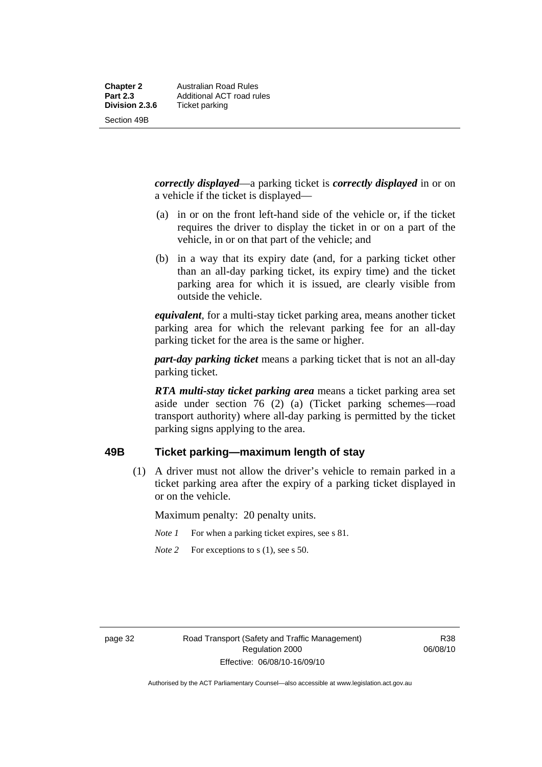Section 49B

*correctly displayed*—a parking ticket is *correctly displayed* in or on

a vehicle if the ticket is displayed—

- (a) in or on the front left-hand side of the vehicle or, if the ticket requires the driver to display the ticket in or on a part of the vehicle, in or on that part of the vehicle; and
- (b) in a way that its expiry date (and, for a parking ticket other than an all-day parking ticket, its expiry time) and the ticket parking area for which it is issued, are clearly visible from outside the vehicle.

*equivalent*, for a multi-stay ticket parking area, means another ticket parking area for which the relevant parking fee for an all-day parking ticket for the area is the same or higher.

*part-day parking ticket* means a parking ticket that is not an all-day parking ticket.

*RTA multi-stay ticket parking area* means a ticket parking area set aside under section 76 (2) (a) (Ticket parking schemes—road transport authority) where all-day parking is permitted by the ticket parking signs applying to the area.

# **49B Ticket parking—maximum length of stay**

 (1) A driver must not allow the driver's vehicle to remain parked in a ticket parking area after the expiry of a parking ticket displayed in or on the vehicle.

Maximum penalty: 20 penalty units.

- *Note 1* For when a parking ticket expires, see s 81.
- *Note* 2 For exceptions to s (1), see s 50.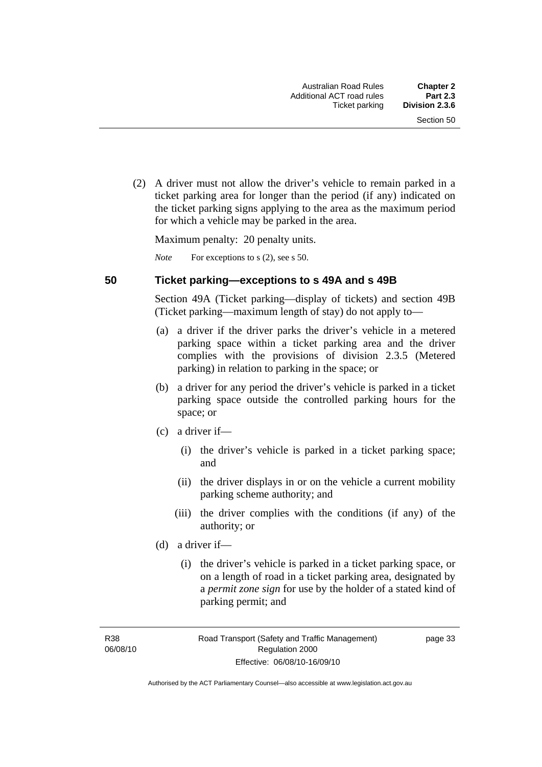(2) A driver must not allow the driver's vehicle to remain parked in a ticket parking area for longer than the period (if any) indicated on the ticket parking signs applying to the area as the maximum period for which a vehicle may be parked in the area.

Maximum penalty: 20 penalty units.

*Note* For exceptions to s (2), see s 50.

#### **50 Ticket parking—exceptions to s 49A and s 49B**

Section 49A (Ticket parking—display of tickets) and section 49B (Ticket parking—maximum length of stay) do not apply to—

- (a) a driver if the driver parks the driver's vehicle in a metered parking space within a ticket parking area and the driver complies with the provisions of division 2.3.5 (Metered parking) in relation to parking in the space; or
- (b) a driver for any period the driver's vehicle is parked in a ticket parking space outside the controlled parking hours for the space; or
- (c) a driver if—
	- (i) the driver's vehicle is parked in a ticket parking space; and
	- (ii) the driver displays in or on the vehicle a current mobility parking scheme authority; and
	- (iii) the driver complies with the conditions (if any) of the authority; or
- (d) a driver if—
	- (i) the driver's vehicle is parked in a ticket parking space, or on a length of road in a ticket parking area, designated by a *permit zone sign* for use by the holder of a stated kind of parking permit; and

R38 06/08/10 page 33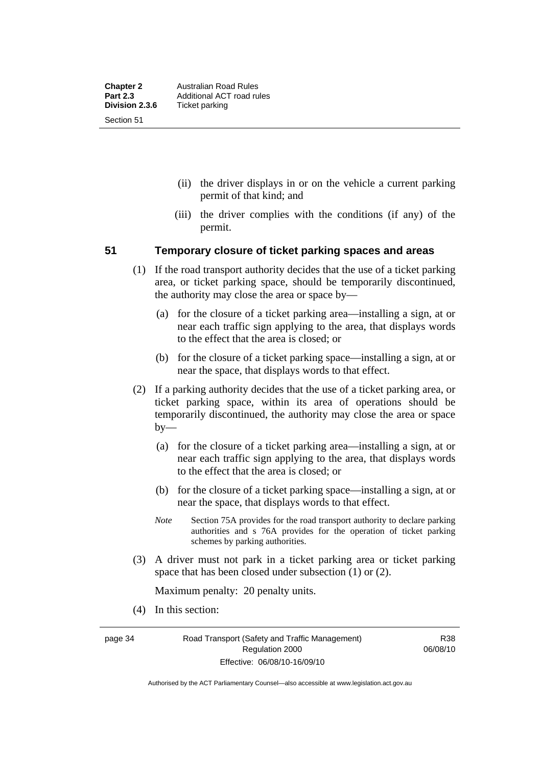- (ii) the driver displays in or on the vehicle a current parking permit of that kind; and
- (iii) the driver complies with the conditions (if any) of the permit.

# **51 Temporary closure of ticket parking spaces and areas**

- (1) If the road transport authority decides that the use of a ticket parking area, or ticket parking space, should be temporarily discontinued, the authority may close the area or space by—
	- (a) for the closure of a ticket parking area—installing a sign, at or near each traffic sign applying to the area, that displays words to the effect that the area is closed; or
	- (b) for the closure of a ticket parking space—installing a sign, at or near the space, that displays words to that effect.
- (2) If a parking authority decides that the use of a ticket parking area, or ticket parking space, within its area of operations should be temporarily discontinued, the authority may close the area or space by—
	- (a) for the closure of a ticket parking area—installing a sign, at or near each traffic sign applying to the area, that displays words to the effect that the area is closed; or
	- (b) for the closure of a ticket parking space—installing a sign, at or near the space, that displays words to that effect.
	- *Note* Section 75A provides for the road transport authority to declare parking authorities and s 76A provides for the operation of ticket parking schemes by parking authorities.
- (3) A driver must not park in a ticket parking area or ticket parking space that has been closed under subsection (1) or (2).

Maximum penalty: 20 penalty units.

(4) In this section:

page 34 Road Transport (Safety and Traffic Management) Regulation 2000 Effective: 06/08/10-16/09/10

R38 06/08/10

Authorised by the ACT Parliamentary Counsel—also accessible at www.legislation.act.gov.au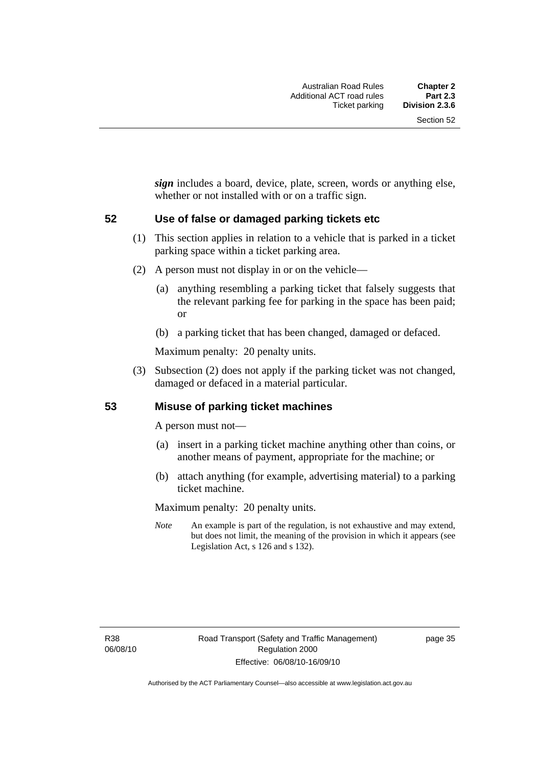*sign* includes a board, device, plate, screen, words or anything else, whether or not installed with or on a traffic sign.

# **52 Use of false or damaged parking tickets etc**

- (1) This section applies in relation to a vehicle that is parked in a ticket parking space within a ticket parking area.
- (2) A person must not display in or on the vehicle—
	- (a) anything resembling a parking ticket that falsely suggests that the relevant parking fee for parking in the space has been paid; or
	- (b) a parking ticket that has been changed, damaged or defaced.

Maximum penalty: 20 penalty units.

 (3) Subsection (2) does not apply if the parking ticket was not changed, damaged or defaced in a material particular.

# **53 Misuse of parking ticket machines**

A person must not—

- (a) insert in a parking ticket machine anything other than coins, or another means of payment, appropriate for the machine; or
- (b) attach anything (for example, advertising material) to a parking ticket machine.

Maximum penalty: 20 penalty units.

*Note* An example is part of the regulation, is not exhaustive and may extend, but does not limit, the meaning of the provision in which it appears (see Legislation Act, s 126 and s 132).

page 35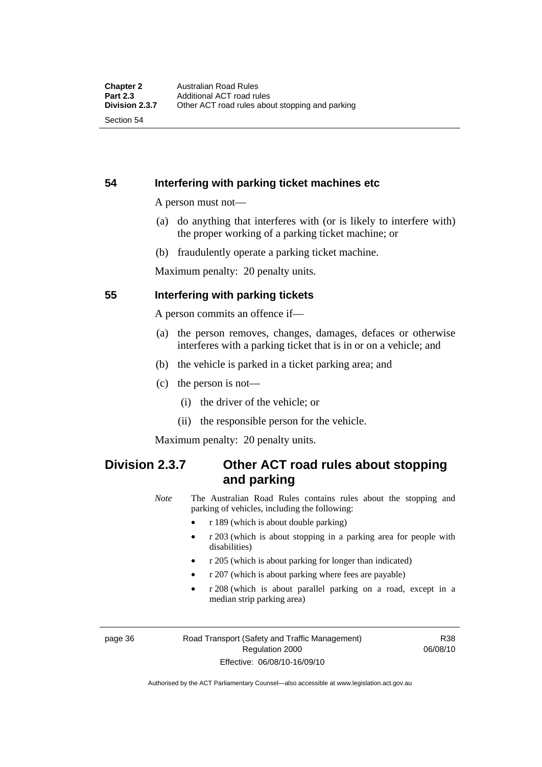Section 54

# **54 Interfering with parking ticket machines etc**

A person must not—

- (a) do anything that interferes with (or is likely to interfere with) the proper working of a parking ticket machine; or
- (b) fraudulently operate a parking ticket machine.

Maximum penalty: 20 penalty units.

# **55 Interfering with parking tickets**

A person commits an offence if—

- (a) the person removes, changes, damages, defaces or otherwise interferes with a parking ticket that is in or on a vehicle; and
- (b) the vehicle is parked in a ticket parking area; and
- (c) the person is not—
	- (i) the driver of the vehicle; or
	- (ii) the responsible person for the vehicle.

Maximum penalty: 20 penalty units.

# **Division 2.3.7 Other ACT road rules about stopping and parking**

*Note* The Australian Road Rules contains rules about the stopping and parking of vehicles, including the following:

- r 189 (which is about double parking)
- r 203 (which is about stopping in a parking area for people with disabilities)
- r 205 (which is about parking for longer than indicated)
- r 207 (which is about parking where fees are payable)
- r 208 (which is about parallel parking on a road, except in a median strip parking area)

page 36 Road Transport (Safety and Traffic Management) Regulation 2000 Effective: 06/08/10-16/09/10

R38 06/08/10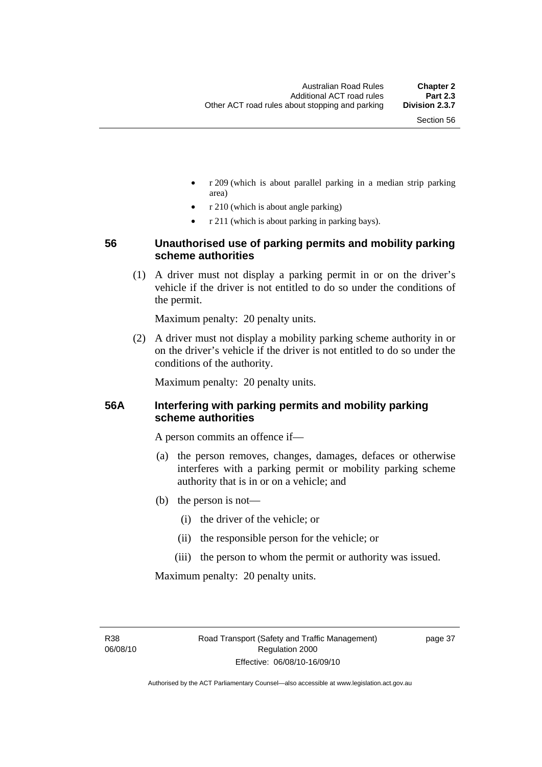- r 209 (which is about parallel parking in a median strip parking area)
- r 210 (which is about angle parking)
- r 211 (which is about parking in parking bays).

# **56 Unauthorised use of parking permits and mobility parking scheme authorities**

 (1) A driver must not display a parking permit in or on the driver's vehicle if the driver is not entitled to do so under the conditions of the permit.

Maximum penalty: 20 penalty units.

 (2) A driver must not display a mobility parking scheme authority in or on the driver's vehicle if the driver is not entitled to do so under the conditions of the authority.

Maximum penalty: 20 penalty units.

# **56A Interfering with parking permits and mobility parking scheme authorities**

A person commits an offence if—

- (a) the person removes, changes, damages, defaces or otherwise interferes with a parking permit or mobility parking scheme authority that is in or on a vehicle; and
- (b) the person is not—
	- (i) the driver of the vehicle; or
	- (ii) the responsible person for the vehicle; or
	- (iii) the person to whom the permit or authority was issued.

Maximum penalty: 20 penalty units.

R38 06/08/10 page 37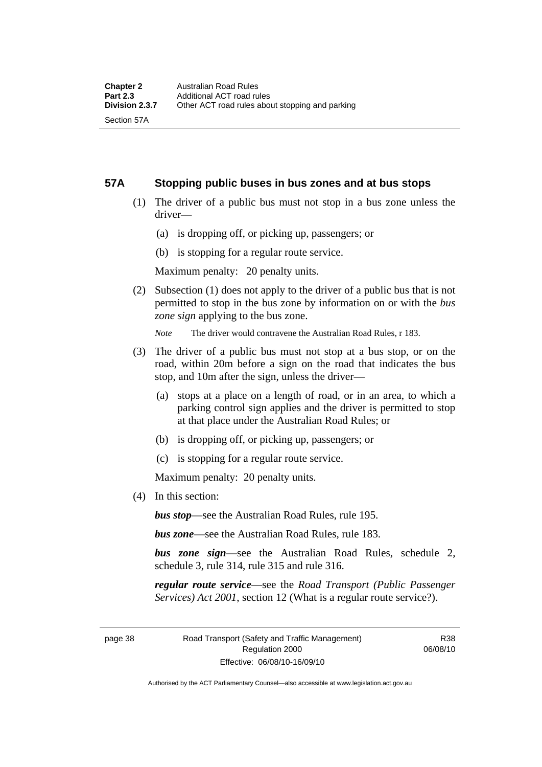Section 57A

# **57A Stopping public buses in bus zones and at bus stops**

- (1) The driver of a public bus must not stop in a bus zone unless the driver—
	- (a) is dropping off, or picking up, passengers; or
	- (b) is stopping for a regular route service.

Maximum penalty: 20 penalty units.

 (2) Subsection (1) does not apply to the driver of a public bus that is not permitted to stop in the bus zone by information on or with the *bus zone sign* applying to the bus zone.

*Note* The driver would contravene the Australian Road Rules, r 183.

- (3) The driver of a public bus must not stop at a bus stop, or on the road, within 20m before a sign on the road that indicates the bus stop, and 10m after the sign, unless the driver—
	- (a) stops at a place on a length of road, or in an area, to which a parking control sign applies and the driver is permitted to stop at that place under the Australian Road Rules; or
	- (b) is dropping off, or picking up, passengers; or
	- (c) is stopping for a regular route service.

Maximum penalty: 20 penalty units.

(4) In this section:

*bus stop*—see the Australian Road Rules, rule 195.

*bus zone*—see the Australian Road Rules, rule 183.

*bus zone sign*—see the Australian Road Rules, schedule 2, schedule 3, rule 314, rule 315 and rule 316.

*regular route service*—see the *Road Transport (Public Passenger Services) Act 2001*, section 12 (What is a regular route service?).

page 38 Road Transport (Safety and Traffic Management) Regulation 2000 Effective: 06/08/10-16/09/10

R38 06/08/10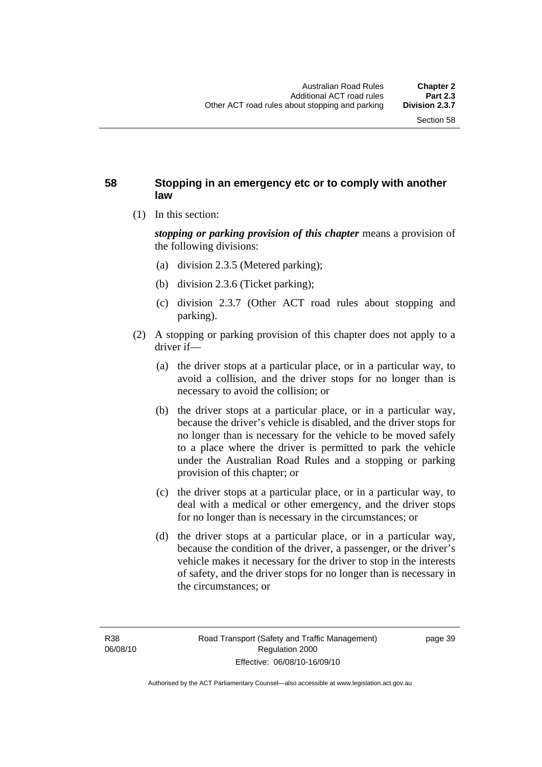# **58 Stopping in an emergency etc or to comply with another law**

(1) In this section:

*stopping or parking provision of this chapter* means a provision of the following divisions:

- (a) division 2.3.5 (Metered parking);
- (b) division 2.3.6 (Ticket parking);
- (c) division 2.3.7 (Other ACT road rules about stopping and parking).
- (2) A stopping or parking provision of this chapter does not apply to a driver if—
	- (a) the driver stops at a particular place, or in a particular way, to avoid a collision, and the driver stops for no longer than is necessary to avoid the collision; or
	- (b) the driver stops at a particular place, or in a particular way, because the driver's vehicle is disabled, and the driver stops for no longer than is necessary for the vehicle to be moved safely to a place where the driver is permitted to park the vehicle under the Australian Road Rules and a stopping or parking provision of this chapter; or
	- (c) the driver stops at a particular place, or in a particular way, to deal with a medical or other emergency, and the driver stops for no longer than is necessary in the circumstances; or
	- (d) the driver stops at a particular place, or in a particular way, because the condition of the driver, a passenger, or the driver's vehicle makes it necessary for the driver to stop in the interests of safety, and the driver stops for no longer than is necessary in the circumstances; or

page 39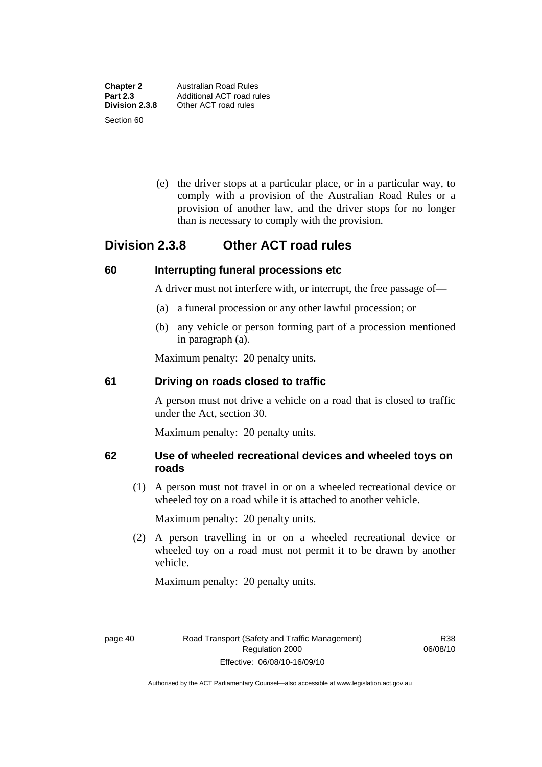**Chapter 2** Australian Road Rules<br>**Part 2.3** Additional ACT road ru Section 60

 (e) the driver stops at a particular place, or in a particular way, to comply with a provision of the Australian Road Rules or a provision of another law, and the driver stops for no longer than is necessary to comply with the provision.

# **Division 2.3.8 Other ACT road rules**

# **60 Interrupting funeral processions etc**

A driver must not interfere with, or interrupt, the free passage of—

- (a) a funeral procession or any other lawful procession; or
- (b) any vehicle or person forming part of a procession mentioned in paragraph (a).

Maximum penalty: 20 penalty units.

# **61 Driving on roads closed to traffic**

A person must not drive a vehicle on a road that is closed to traffic under the Act, section 30.

Maximum penalty: 20 penalty units.

# **62 Use of wheeled recreational devices and wheeled toys on roads**

 (1) A person must not travel in or on a wheeled recreational device or wheeled toy on a road while it is attached to another vehicle.

Maximum penalty: 20 penalty units.

 (2) A person travelling in or on a wheeled recreational device or wheeled toy on a road must not permit it to be drawn by another vehicle.

Maximum penalty: 20 penalty units.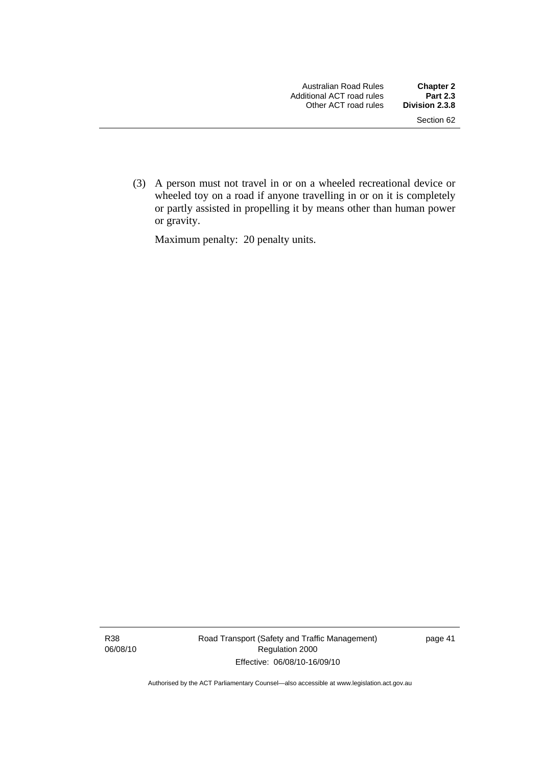(3) A person must not travel in or on a wheeled recreational device or wheeled toy on a road if anyone travelling in or on it is completely or partly assisted in propelling it by means other than human power or gravity.

Maximum penalty: 20 penalty units.

R38 06/08/10 Road Transport (Safety and Traffic Management) Regulation 2000 Effective: 06/08/10-16/09/10

page 41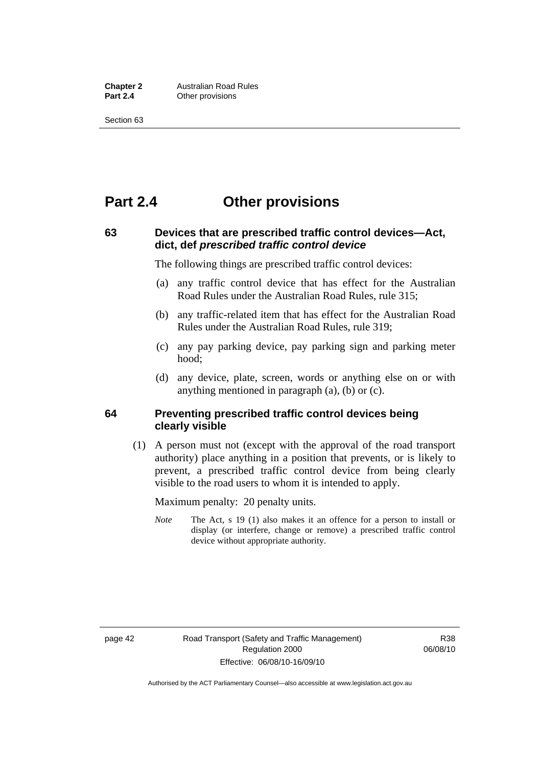**Chapter 2 Australian Road Rules**<br>**Part 2.4 Other provisions Other provisions** 

Section 63

# **Part 2.4 Other provisions**

# **63 Devices that are prescribed traffic control devices—Act, dict, def** *prescribed traffic control device*

The following things are prescribed traffic control devices:

- (a) any traffic control device that has effect for the Australian Road Rules under the Australian Road Rules, rule 315;
- (b) any traffic-related item that has effect for the Australian Road Rules under the Australian Road Rules, rule 319;
- (c) any pay parking device, pay parking sign and parking meter hood;
- (d) any device, plate, screen, words or anything else on or with anything mentioned in paragraph (a), (b) or (c).

### **64 Preventing prescribed traffic control devices being clearly visible**

 (1) A person must not (except with the approval of the road transport authority) place anything in a position that prevents, or is likely to prevent, a prescribed traffic control device from being clearly visible to the road users to whom it is intended to apply.

Maximum penalty: 20 penalty units.

*Note* The Act, s 19 (1) also makes it an offence for a person to install or display (or interfere, change or remove) a prescribed traffic control device without appropriate authority.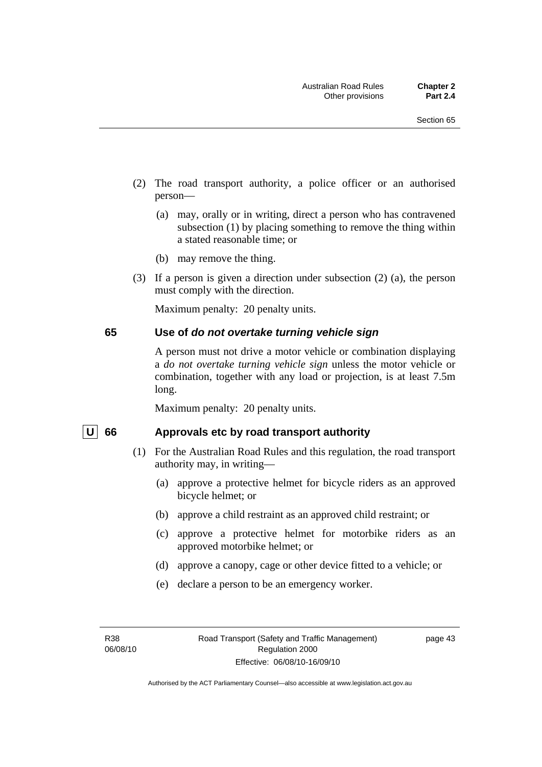- (2) The road transport authority, a police officer or an authorised person—
	- (a) may, orally or in writing, direct a person who has contravened subsection (1) by placing something to remove the thing within a stated reasonable time; or
	- (b) may remove the thing.
- (3) If a person is given a direction under subsection (2) (a), the person must comply with the direction.

Maximum penalty: 20 penalty units.

#### **65 Use of** *do not overtake turning vehicle sign*

A person must not drive a motor vehicle or combination displaying a *do not overtake turning vehicle sign* unless the motor vehicle or combination, together with any load or projection, is at least 7.5m long.

Maximum penalty: 20 penalty units.

#### U 66 Approvals etc by road transport authority

- (1) For the Australian Road Rules and this regulation, the road transport authority may, in writing—
	- (a) approve a protective helmet for bicycle riders as an approved bicycle helmet; or
	- (b) approve a child restraint as an approved child restraint; or
	- (c) approve a protective helmet for motorbike riders as an approved motorbike helmet; or
	- (d) approve a canopy, cage or other device fitted to a vehicle; or
	- (e) declare a person to be an emergency worker.

page 43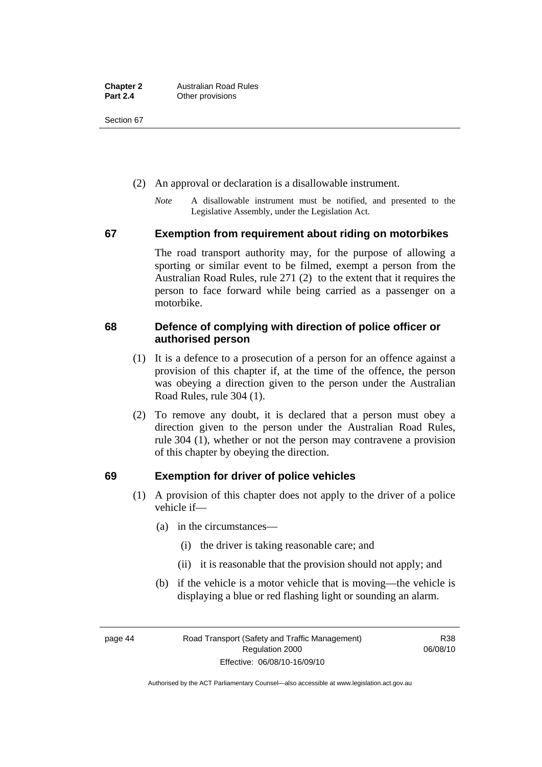Section 67

- (2) An approval or declaration is a disallowable instrument.
	- *Note* A disallowable instrument must be notified, and presented to the Legislative Assembly, under the Legislation Act.

# **67 Exemption from requirement about riding on motorbikes**

The road transport authority may, for the purpose of allowing a sporting or similar event to be filmed, exempt a person from the Australian Road Rules, rule 271 (2) to the extent that it requires the person to face forward while being carried as a passenger on a motorbike.

# **68 Defence of complying with direction of police officer or authorised person**

- (1) It is a defence to a prosecution of a person for an offence against a provision of this chapter if, at the time of the offence, the person was obeying a direction given to the person under the Australian Road Rules, rule 304 (1).
- (2) To remove any doubt, it is declared that a person must obey a direction given to the person under the Australian Road Rules, rule 304 (1), whether or not the person may contravene a provision of this chapter by obeying the direction.

# **69 Exemption for driver of police vehicles**

- (1) A provision of this chapter does not apply to the driver of a police vehicle if—
	- (a) in the circumstances—
		- (i) the driver is taking reasonable care; and
		- (ii) it is reasonable that the provision should not apply; and
	- (b) if the vehicle is a motor vehicle that is moving—the vehicle is displaying a blue or red flashing light or sounding an alarm.

page 44 Road Transport (Safety and Traffic Management) Regulation 2000 Effective: 06/08/10-16/09/10

R38 06/08/10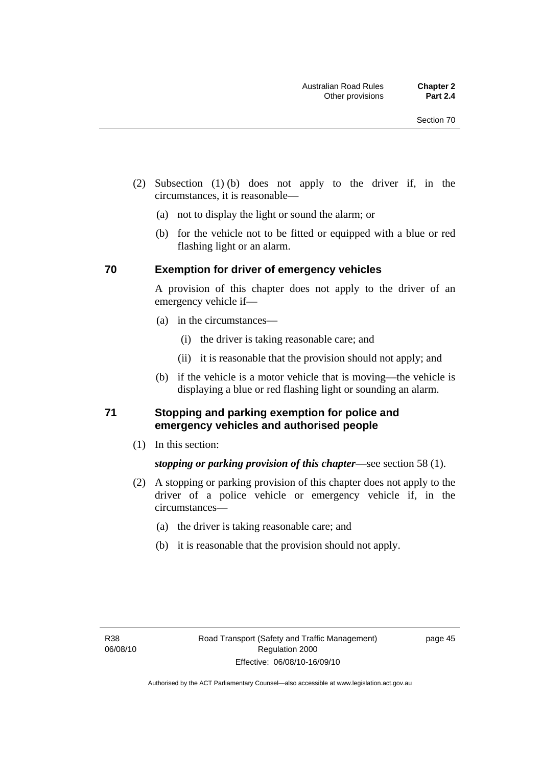- (2) Subsection (1) (b) does not apply to the driver if, in the circumstances, it is reasonable—
	- (a) not to display the light or sound the alarm; or
	- (b) for the vehicle not to be fitted or equipped with a blue or red flashing light or an alarm.

#### **70 Exemption for driver of emergency vehicles**

A provision of this chapter does not apply to the driver of an emergency vehicle if—

- (a) in the circumstances—
	- (i) the driver is taking reasonable care; and
	- (ii) it is reasonable that the provision should not apply; and
- (b) if the vehicle is a motor vehicle that is moving—the vehicle is displaying a blue or red flashing light or sounding an alarm.

# **71 Stopping and parking exemption for police and emergency vehicles and authorised people**

(1) In this section:

# *stopping or parking provision of this chapter*—see section 58 (1).

- (2) A stopping or parking provision of this chapter does not apply to the driver of a police vehicle or emergency vehicle if, in the circumstances—
	- (a) the driver is taking reasonable care; and
	- (b) it is reasonable that the provision should not apply.

page 45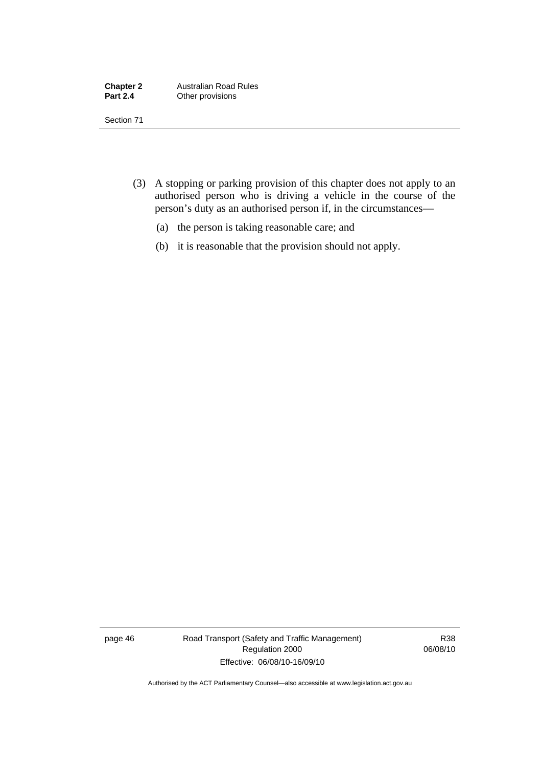| <b>Chapter 2</b> | <b>Australian Road Rules</b> |
|------------------|------------------------------|
| <b>Part 2.4</b>  | Other provisions             |

Section 71

- (3) A stopping or parking provision of this chapter does not apply to an authorised person who is driving a vehicle in the course of the person's duty as an authorised person if, in the circumstances—
	- (a) the person is taking reasonable care; and
	- (b) it is reasonable that the provision should not apply.

page 46 Road Transport (Safety and Traffic Management) Regulation 2000 Effective: 06/08/10-16/09/10

R38 06/08/10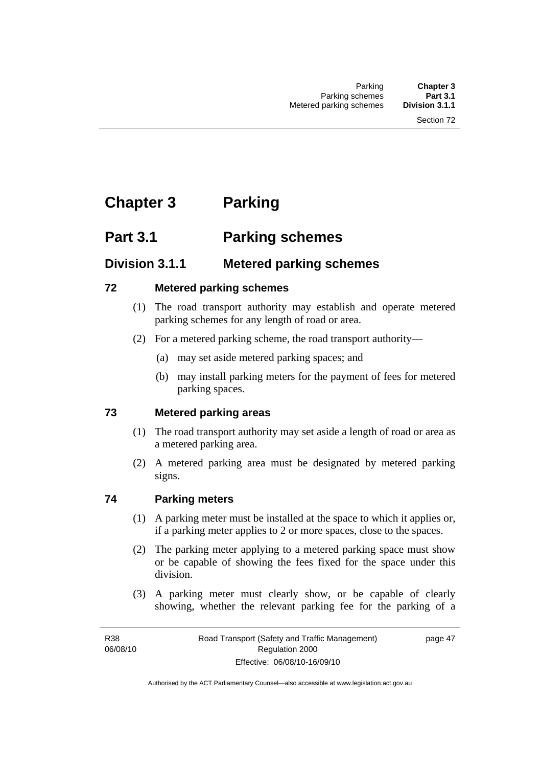# **Chapter 3 Parking**

# **Part 3.1 Parking schemes**

# **Division 3.1.1 Metered parking schemes**

# **72 Metered parking schemes**

- (1) The road transport authority may establish and operate metered parking schemes for any length of road or area.
- (2) For a metered parking scheme, the road transport authority—
	- (a) may set aside metered parking spaces; and
	- (b) may install parking meters for the payment of fees for metered parking spaces.

# **73 Metered parking areas**

- (1) The road transport authority may set aside a length of road or area as a metered parking area.
- (2) A metered parking area must be designated by metered parking signs.

# **74 Parking meters**

- (1) A parking meter must be installed at the space to which it applies or, if a parking meter applies to 2 or more spaces, close to the spaces.
- (2) The parking meter applying to a metered parking space must show or be capable of showing the fees fixed for the space under this division.
- (3) A parking meter must clearly show, or be capable of clearly showing, whether the relevant parking fee for the parking of a

page 47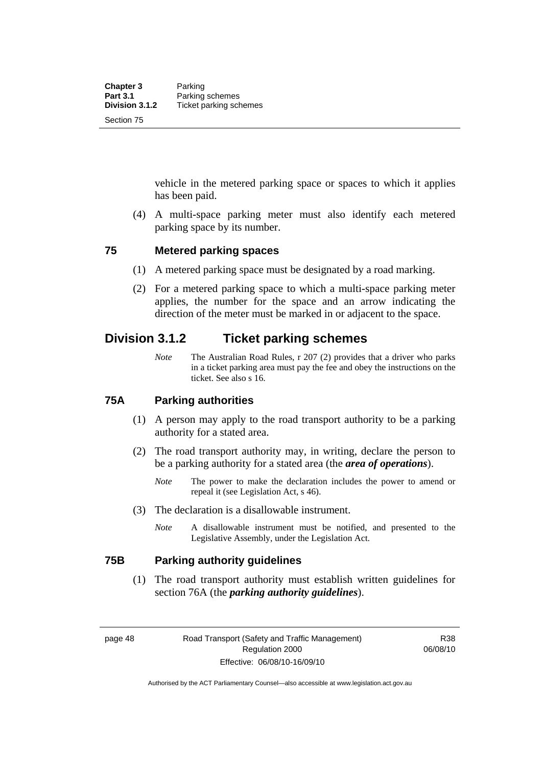vehicle in the metered parking space or spaces to which it applies has been paid.

 (4) A multi-space parking meter must also identify each metered parking space by its number.

# **75 Metered parking spaces**

- (1) A metered parking space must be designated by a road marking.
- (2) For a metered parking space to which a multi-space parking meter applies, the number for the space and an arrow indicating the direction of the meter must be marked in or adjacent to the space.

# **Division 3.1.2 Ticket parking schemes**

*Note* The Australian Road Rules, r 207 (2) provides that a driver who parks in a ticket parking area must pay the fee and obey the instructions on the ticket. See also s 16.

#### **75A Parking authorities**

- (1) A person may apply to the road transport authority to be a parking authority for a stated area.
- (2) The road transport authority may, in writing, declare the person to be a parking authority for a stated area (the *area of operations*).
	- *Note* The power to make the declaration includes the power to amend or repeal it (see Legislation Act, s 46).
- (3) The declaration is a disallowable instrument.
	- *Note* A disallowable instrument must be notified, and presented to the Legislative Assembly, under the Legislation Act.

#### **75B Parking authority guidelines**

 (1) The road transport authority must establish written guidelines for section 76A (the *parking authority guidelines*).

page 48 Road Transport (Safety and Traffic Management) Regulation 2000 Effective: 06/08/10-16/09/10

R38 06/08/10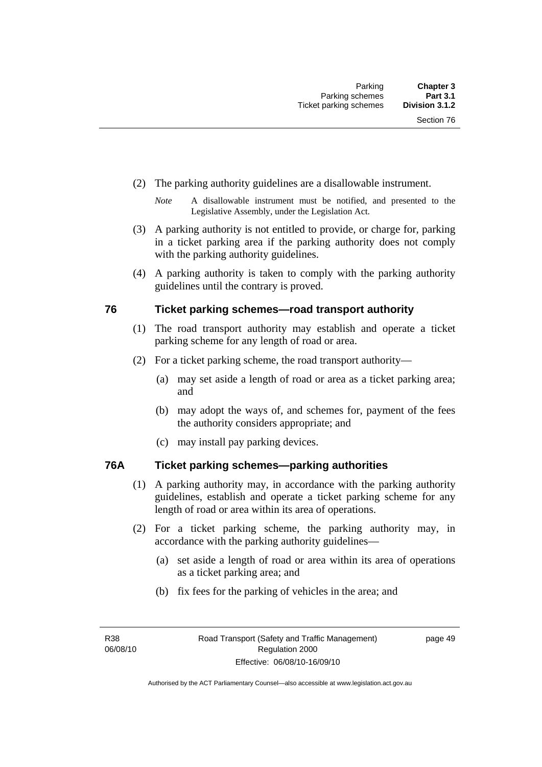- (2) The parking authority guidelines are a disallowable instrument.
	- *Note* A disallowable instrument must be notified, and presented to the Legislative Assembly, under the Legislation Act.
- (3) A parking authority is not entitled to provide, or charge for, parking in a ticket parking area if the parking authority does not comply with the parking authority guidelines.
- (4) A parking authority is taken to comply with the parking authority guidelines until the contrary is proved.

# **76 Ticket parking schemes—road transport authority**

- (1) The road transport authority may establish and operate a ticket parking scheme for any length of road or area.
- (2) For a ticket parking scheme, the road transport authority—
	- (a) may set aside a length of road or area as a ticket parking area; and
	- (b) may adopt the ways of, and schemes for, payment of the fees the authority considers appropriate; and
	- (c) may install pay parking devices.

# **76A Ticket parking schemes—parking authorities**

- (1) A parking authority may, in accordance with the parking authority guidelines, establish and operate a ticket parking scheme for any length of road or area within its area of operations.
- (2) For a ticket parking scheme, the parking authority may, in accordance with the parking authority guidelines—
	- (a) set aside a length of road or area within its area of operations as a ticket parking area; and
	- (b) fix fees for the parking of vehicles in the area; and

page 49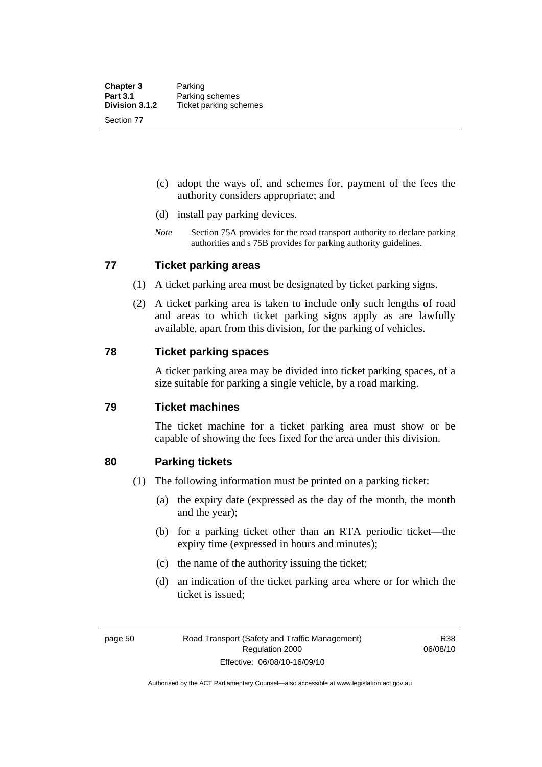- (c) adopt the ways of, and schemes for, payment of the fees the authority considers appropriate; and
- (d) install pay parking devices.
- *Note* Section 75A provides for the road transport authority to declare parking authorities and s 75B provides for parking authority guidelines.

# **77 Ticket parking areas**

- (1) A ticket parking area must be designated by ticket parking signs.
- (2) A ticket parking area is taken to include only such lengths of road and areas to which ticket parking signs apply as are lawfully available, apart from this division, for the parking of vehicles.

# **78 Ticket parking spaces**

A ticket parking area may be divided into ticket parking spaces, of a size suitable for parking a single vehicle, by a road marking.

# **79 Ticket machines**

The ticket machine for a ticket parking area must show or be capable of showing the fees fixed for the area under this division.

# **80 Parking tickets**

- (1) The following information must be printed on a parking ticket:
	- (a) the expiry date (expressed as the day of the month, the month and the year);
	- (b) for a parking ticket other than an RTA periodic ticket—the expiry time (expressed in hours and minutes);
	- (c) the name of the authority issuing the ticket;
	- (d) an indication of the ticket parking area where or for which the ticket is issued;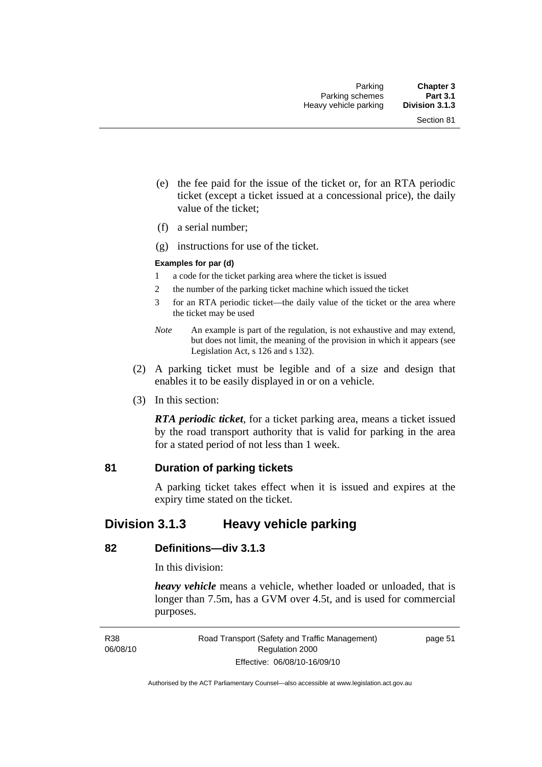- (e) the fee paid for the issue of the ticket or, for an RTA periodic ticket (except a ticket issued at a concessional price), the daily value of the ticket;
- (f) a serial number;
- (g) instructions for use of the ticket.

#### **Examples for par (d)**

- 1 a code for the ticket parking area where the ticket is issued
- 2 the number of the parking ticket machine which issued the ticket
- 3 for an RTA periodic ticket—the daily value of the ticket or the area where the ticket may be used
- *Note* An example is part of the regulation, is not exhaustive and may extend, but does not limit, the meaning of the provision in which it appears (see Legislation Act, s 126 and s 132).
- (2) A parking ticket must be legible and of a size and design that enables it to be easily displayed in or on a vehicle.
- (3) In this section:

*RTA periodic ticket*, for a ticket parking area, means a ticket issued by the road transport authority that is valid for parking in the area for a stated period of not less than 1 week.

# **81 Duration of parking tickets**

A parking ticket takes effect when it is issued and expires at the expiry time stated on the ticket.

# **Division 3.1.3 Heavy vehicle parking**

# **82 Definitions—div 3.1.3**

In this division:

*heavy vehicle* means a vehicle, whether loaded or unloaded, that is longer than 7.5m, has a GVM over 4.5t, and is used for commercial purposes.

R38 06/08/10 Road Transport (Safety and Traffic Management) Regulation 2000 Effective: 06/08/10-16/09/10

page 51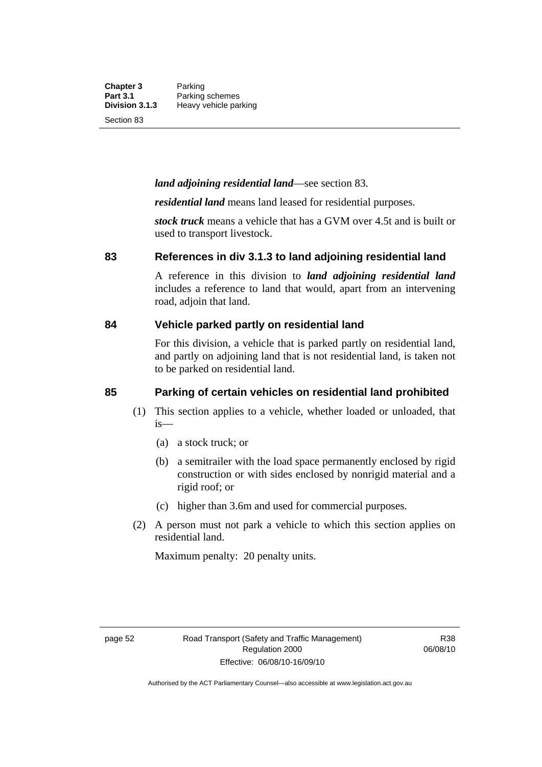**Chapter 3** Parking<br>**Part 3.1** Parking **Part 3.1** Parking schemes<br>**Division 3.1.3** Heavy vehicle pa **Division 3.1.3** Heavy vehicle parking

Section 83

#### *land adjoining residential land*—see section 83.

*residential land* means land leased for residential purposes.

*stock truck* means a vehicle that has a GVM over 4.5t and is built or used to transport livestock.

#### **83 References in div 3.1.3 to land adjoining residential land**

A reference in this division to *land adjoining residential land* includes a reference to land that would, apart from an intervening road, adjoin that land.

#### **84 Vehicle parked partly on residential land**

For this division, a vehicle that is parked partly on residential land, and partly on adjoining land that is not residential land, is taken not to be parked on residential land.

# **85 Parking of certain vehicles on residential land prohibited**

- (1) This section applies to a vehicle, whether loaded or unloaded, that is—
	- (a) a stock truck; or
	- (b) a semitrailer with the load space permanently enclosed by rigid construction or with sides enclosed by nonrigid material and a rigid roof; or
	- (c) higher than 3.6m and used for commercial purposes.
- (2) A person must not park a vehicle to which this section applies on residential land.

Maximum penalty: 20 penalty units.

R38 06/08/10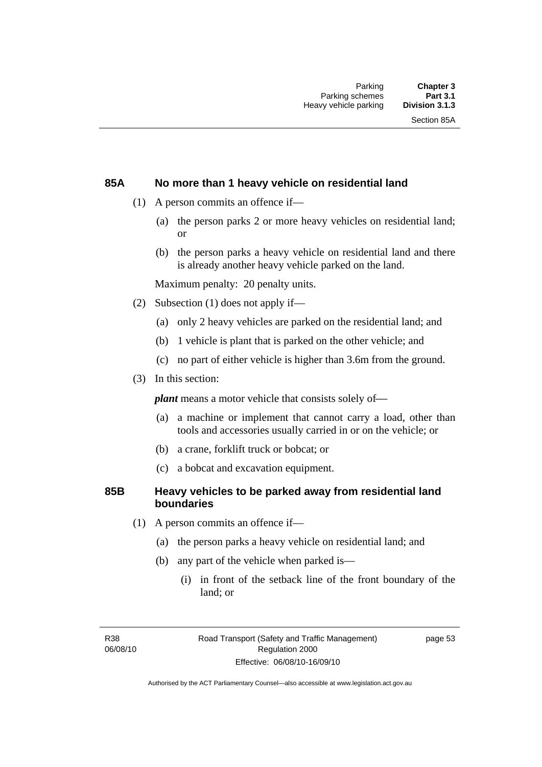# **85A No more than 1 heavy vehicle on residential land**

- (1) A person commits an offence if—
	- (a) the person parks 2 or more heavy vehicles on residential land; or
	- (b) the person parks a heavy vehicle on residential land and there is already another heavy vehicle parked on the land.

Maximum penalty: 20 penalty units.

- (2) Subsection (1) does not apply if—
	- (a) only 2 heavy vehicles are parked on the residential land; and
	- (b) 1 vehicle is plant that is parked on the other vehicle; and
	- (c) no part of either vehicle is higher than 3.6m from the ground.
- (3) In this section:

*plant* means a motor vehicle that consists solely of—

- (a) a machine or implement that cannot carry a load, other than tools and accessories usually carried in or on the vehicle; or
- (b) a crane, forklift truck or bobcat; or
- (c) a bobcat and excavation equipment.

# **85B Heavy vehicles to be parked away from residential land boundaries**

- (1) A person commits an offence if—
	- (a) the person parks a heavy vehicle on residential land; and
	- (b) any part of the vehicle when parked is—
		- (i) in front of the setback line of the front boundary of the land; or

R38 06/08/10 page 53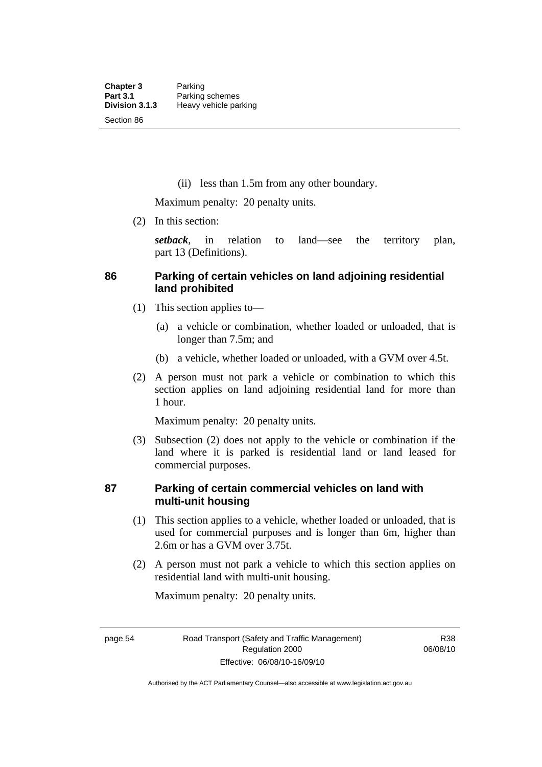(ii) less than 1.5m from any other boundary.

Maximum penalty: 20 penalty units.

(2) In this section:

*setback*, in relation to land—see the territory plan, part 13 (Definitions).

# **86 Parking of certain vehicles on land adjoining residential land prohibited**

- (1) This section applies to—
	- (a) a vehicle or combination, whether loaded or unloaded, that is longer than 7.5m; and
	- (b) a vehicle, whether loaded or unloaded, with a GVM over 4.5t.
- (2) A person must not park a vehicle or combination to which this section applies on land adjoining residential land for more than 1 hour.

Maximum penalty: 20 penalty units.

 (3) Subsection (2) does not apply to the vehicle or combination if the land where it is parked is residential land or land leased for commercial purposes.

# **87 Parking of certain commercial vehicles on land with multi-unit housing**

- (1) This section applies to a vehicle, whether loaded or unloaded, that is used for commercial purposes and is longer than 6m, higher than 2.6m or has a GVM over 3.75t.
- (2) A person must not park a vehicle to which this section applies on residential land with multi-unit housing.

Maximum penalty: 20 penalty units.

Authorised by the ACT Parliamentary Counsel—also accessible at www.legislation.act.gov.au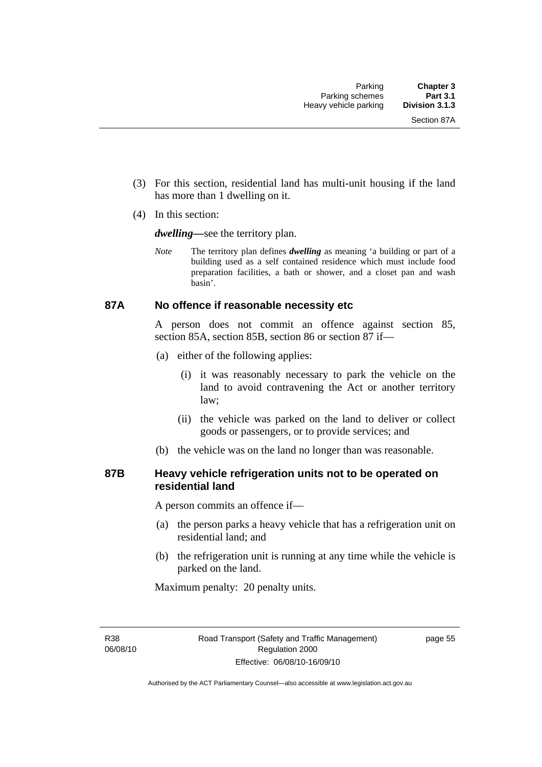- (3) For this section, residential land has multi-unit housing if the land has more than 1 dwelling on it.
- (4) In this section:

*dwelling—*see the territory plan.

*Note* The territory plan defines *dwelling* as meaning 'a building or part of a building used as a self contained residence which must include food preparation facilities, a bath or shower, and a closet pan and wash basin'.

#### **87A No offence if reasonable necessity etc**

A person does not commit an offence against section 85, section 85A, section 85B, section 86 or section 87 if—

- (a) either of the following applies:
	- (i) it was reasonably necessary to park the vehicle on the land to avoid contravening the Act or another territory law;
	- (ii) the vehicle was parked on the land to deliver or collect goods or passengers, or to provide services; and
- (b) the vehicle was on the land no longer than was reasonable.

# **87B Heavy vehicle refrigeration units not to be operated on residential land**

A person commits an offence if—

- (a) the person parks a heavy vehicle that has a refrigeration unit on residential land; and
- (b) the refrigeration unit is running at any time while the vehicle is parked on the land.

Maximum penalty: 20 penalty units.

R38 06/08/10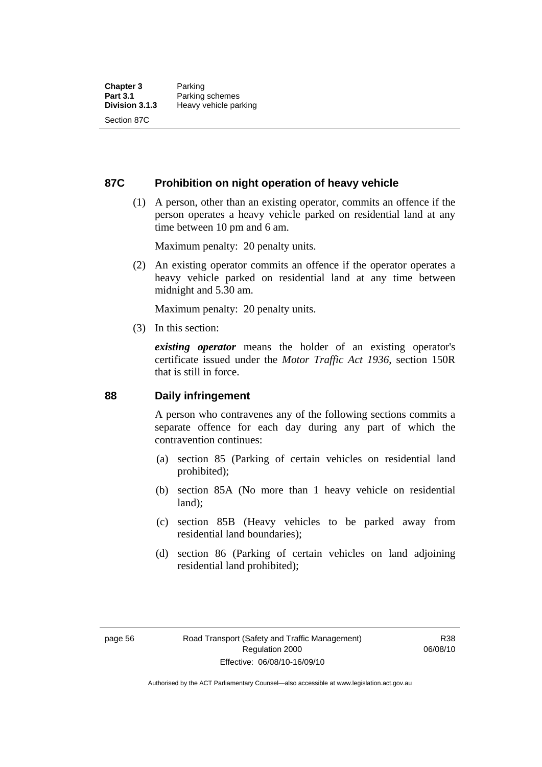### **87C Prohibition on night operation of heavy vehicle**

 (1) A person, other than an existing operator, commits an offence if the person operates a heavy vehicle parked on residential land at any time between 10 pm and 6 am.

Maximum penalty: 20 penalty units.

 (2) An existing operator commits an offence if the operator operates a heavy vehicle parked on residential land at any time between midnight and 5.30 am.

Maximum penalty: 20 penalty units.

(3) In this section:

*existing operator* means the holder of an existing operator's certificate issued under the *Motor Traffic Act 1936*, section 150R that is still in force.

#### **88 Daily infringement**

A person who contravenes any of the following sections commits a separate offence for each day during any part of which the contravention continues:

- (a) section 85 (Parking of certain vehicles on residential land prohibited);
- (b) section 85A (No more than 1 heavy vehicle on residential land);
- (c) section 85B (Heavy vehicles to be parked away from residential land boundaries);
- (d) section 86 (Parking of certain vehicles on land adjoining residential land prohibited);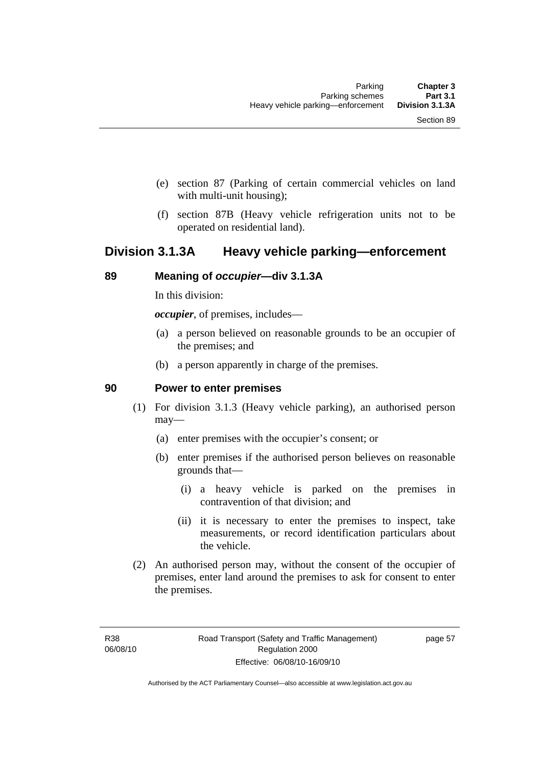- (e) section 87 (Parking of certain commercial vehicles on land with multi-unit housing);
- (f) section 87B (Heavy vehicle refrigeration units not to be operated on residential land).

# **Division 3.1.3A Heavy vehicle parking—enforcement**

#### **89 Meaning of** *occupier***—div 3.1.3A**

In this division:

*occupier*, of premises, includes—

- (a) a person believed on reasonable grounds to be an occupier of the premises; and
- (b) a person apparently in charge of the premises.

#### **90 Power to enter premises**

- (1) For division 3.1.3 (Heavy vehicle parking), an authorised person may—
	- (a) enter premises with the occupier's consent; or
	- (b) enter premises if the authorised person believes on reasonable grounds that—
		- (i) a heavy vehicle is parked on the premises in contravention of that division; and
		- (ii) it is necessary to enter the premises to inspect, take measurements, or record identification particulars about the vehicle.
- (2) An authorised person may, without the consent of the occupier of premises, enter land around the premises to ask for consent to enter the premises.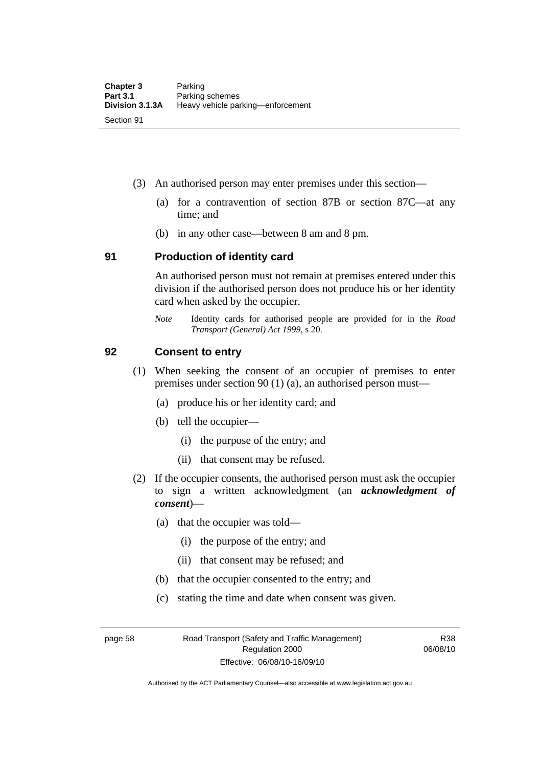- (3) An authorised person may enter premises under this section––
	- (a) for a contravention of section 87B or section 87C––at any time; and
	- (b) in any other case––between 8 am and 8 pm.

#### **91 Production of identity card**

An authorised person must not remain at premises entered under this division if the authorised person does not produce his or her identity card when asked by the occupier.

*Note* Identity cards for authorised people are provided for in the *Road Transport (General) Act 1999*, s 20.

#### **92 Consent to entry**

- (1) When seeking the consent of an occupier of premises to enter premises under section 90 (1) (a), an authorised person must—
	- (a) produce his or her identity card; and
	- (b) tell the occupier—
		- (i) the purpose of the entry; and
		- (ii) that consent may be refused.
- (2) If the occupier consents, the authorised person must ask the occupier to sign a written acknowledgment (an *acknowledgment of consent*)—
	- (a) that the occupier was told—
		- (i) the purpose of the entry; and
		- (ii) that consent may be refused; and
	- (b) that the occupier consented to the entry; and
	- (c) stating the time and date when consent was given.

page 58 Road Transport (Safety and Traffic Management) Regulation 2000 Effective: 06/08/10-16/09/10

R38 06/08/10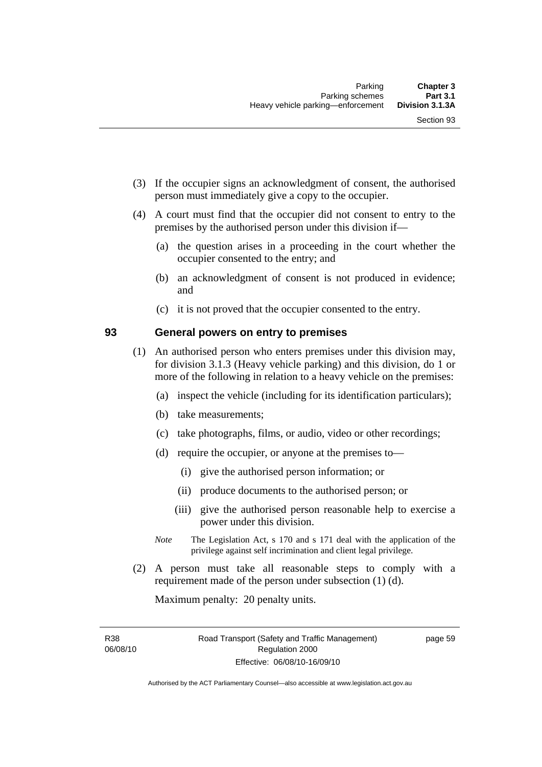- (3) If the occupier signs an acknowledgment of consent, the authorised person must immediately give a copy to the occupier.
- (4) A court must find that the occupier did not consent to entry to the premises by the authorised person under this division if—
	- (a) the question arises in a proceeding in the court whether the occupier consented to the entry; and
	- (b) an acknowledgment of consent is not produced in evidence; and
	- (c) it is not proved that the occupier consented to the entry.

# **93 General powers on entry to premises**

- (1) An authorised person who enters premises under this division may, for division 3.1.3 (Heavy vehicle parking) and this division, do 1 or more of the following in relation to a heavy vehicle on the premises:
	- (a) inspect the vehicle (including for its identification particulars);
	- (b) take measurements;
	- (c) take photographs, films, or audio, video or other recordings;
	- (d) require the occupier, or anyone at the premises to—
		- (i) give the authorised person information; or
		- (ii) produce documents to the authorised person; or
		- (iii) give the authorised person reasonable help to exercise a power under this division.
	- *Note* The Legislation Act, s 170 and s 171 deal with the application of the privilege against self incrimination and client legal privilege.
- (2) A person must take all reasonable steps to comply with a requirement made of the person under subsection (1) (d).

Maximum penalty: 20 penalty units.

R38 06/08/10 page 59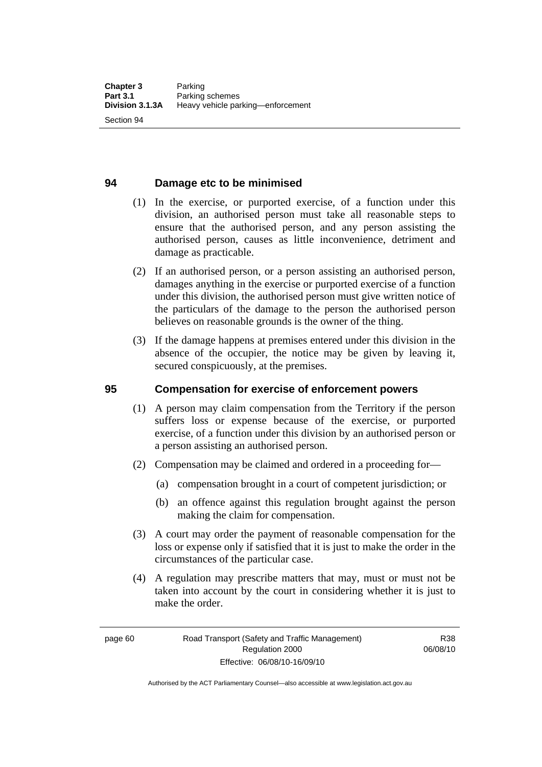## **94 Damage etc to be minimised**

- (1) In the exercise, or purported exercise, of a function under this division, an authorised person must take all reasonable steps to ensure that the authorised person, and any person assisting the authorised person, causes as little inconvenience, detriment and damage as practicable.
- (2) If an authorised person, or a person assisting an authorised person, damages anything in the exercise or purported exercise of a function under this division, the authorised person must give written notice of the particulars of the damage to the person the authorised person believes on reasonable grounds is the owner of the thing.
- (3) If the damage happens at premises entered under this division in the absence of the occupier, the notice may be given by leaving it, secured conspicuously, at the premises.

#### **95 Compensation for exercise of enforcement powers**

- (1) A person may claim compensation from the Territory if the person suffers loss or expense because of the exercise, or purported exercise, of a function under this division by an authorised person or a person assisting an authorised person.
- (2) Compensation may be claimed and ordered in a proceeding for—
	- (a) compensation brought in a court of competent jurisdiction; or
	- (b) an offence against this regulation brought against the person making the claim for compensation.
- (3) A court may order the payment of reasonable compensation for the loss or expense only if satisfied that it is just to make the order in the circumstances of the particular case.
- (4) A regulation may prescribe matters that may, must or must not be taken into account by the court in considering whether it is just to make the order.

Authorised by the ACT Parliamentary Counsel—also accessible at www.legislation.act.gov.au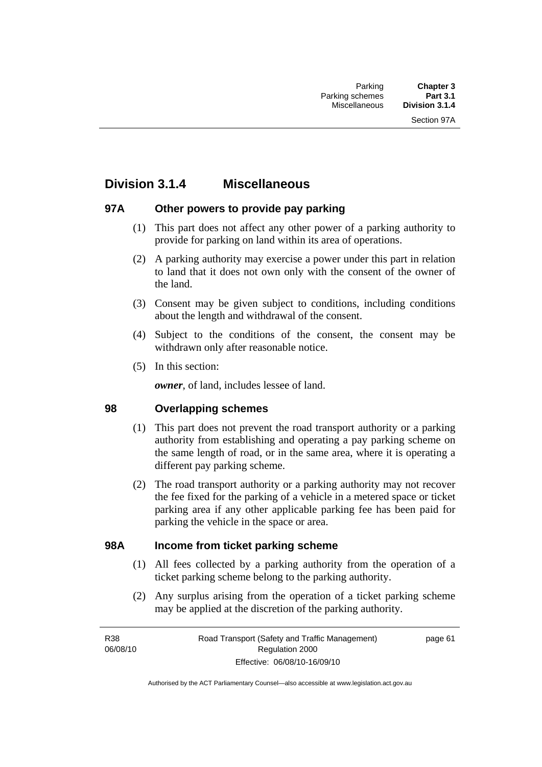# **Division 3.1.4 Miscellaneous**

# **97A Other powers to provide pay parking**

- (1) This part does not affect any other power of a parking authority to provide for parking on land within its area of operations.
- (2) A parking authority may exercise a power under this part in relation to land that it does not own only with the consent of the owner of the land.
- (3) Consent may be given subject to conditions, including conditions about the length and withdrawal of the consent.
- (4) Subject to the conditions of the consent, the consent may be withdrawn only after reasonable notice.
- (5) In this section:

*owner*, of land, includes lessee of land.

### **98 Overlapping schemes**

- (1) This part does not prevent the road transport authority or a parking authority from establishing and operating a pay parking scheme on the same length of road, or in the same area, where it is operating a different pay parking scheme.
- (2) The road transport authority or a parking authority may not recover the fee fixed for the parking of a vehicle in a metered space or ticket parking area if any other applicable parking fee has been paid for parking the vehicle in the space or area.

### **98A Income from ticket parking scheme**

- (1) All fees collected by a parking authority from the operation of a ticket parking scheme belong to the parking authority.
- (2) Any surplus arising from the operation of a ticket parking scheme may be applied at the discretion of the parking authority.

page 61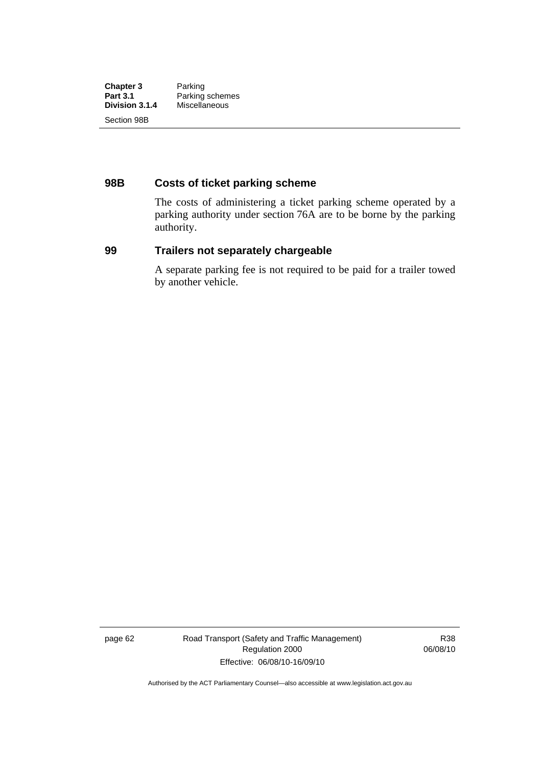| <b>Chapter 3</b> | Parking         |
|------------------|-----------------|
| <b>Part 3.1</b>  | Parking schemes |
| Division 3.1.4   | Miscellaneous   |
| Section 98B      |                 |

# **98B Costs of ticket parking scheme**

The costs of administering a ticket parking scheme operated by a parking authority under section 76A are to be borne by the parking authority.

# **99 Trailers not separately chargeable**

A separate parking fee is not required to be paid for a trailer towed by another vehicle.

page 62 Road Transport (Safety and Traffic Management) Regulation 2000 Effective: 06/08/10-16/09/10

R38 06/08/10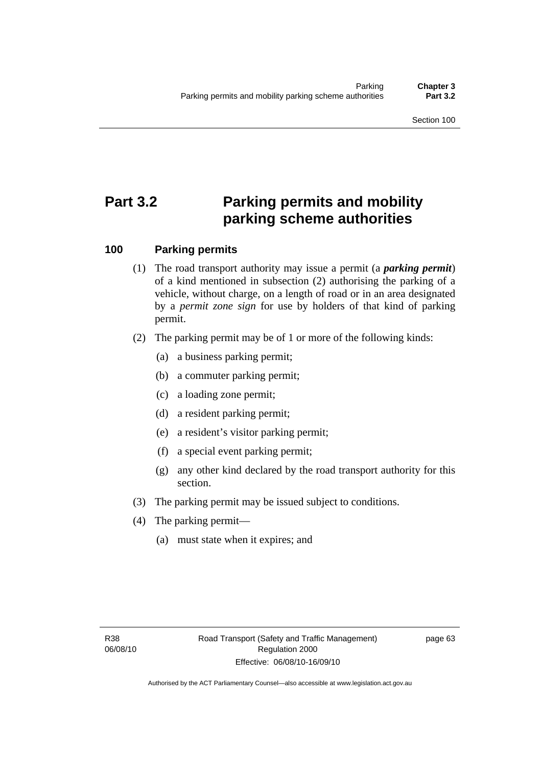# **Part 3.2 Parking permits and mobility parking scheme authorities**

# **100 Parking permits**

- (1) The road transport authority may issue a permit (a *parking permit*) of a kind mentioned in subsection (2) authorising the parking of a vehicle, without charge, on a length of road or in an area designated by a *permit zone sign* for use by holders of that kind of parking permit.
- (2) The parking permit may be of 1 or more of the following kinds:
	- (a) a business parking permit;
	- (b) a commuter parking permit;
	- (c) a loading zone permit;
	- (d) a resident parking permit;
	- (e) a resident's visitor parking permit;
	- (f) a special event parking permit;
	- (g) any other kind declared by the road transport authority for this section.
- (3) The parking permit may be issued subject to conditions.
- (4) The parking permit—
	- (a) must state when it expires; and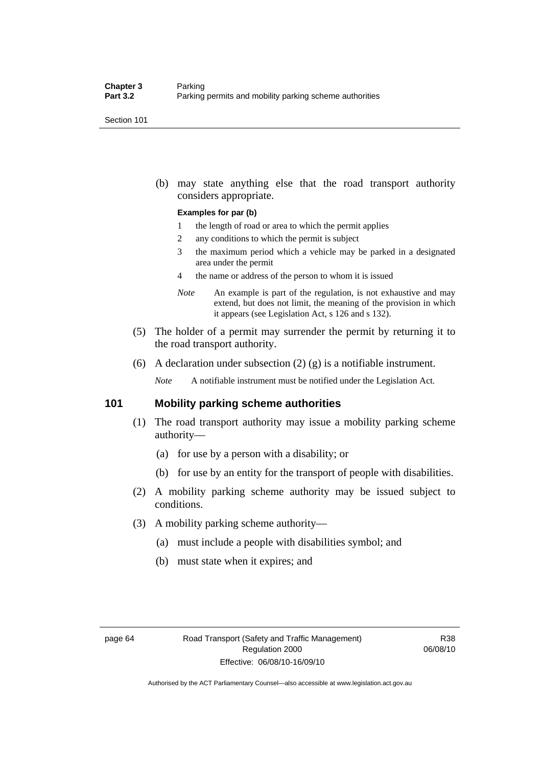Section 101

 (b) may state anything else that the road transport authority considers appropriate.

#### **Examples for par (b)**

- 1 the length of road or area to which the permit applies
- 2 any conditions to which the permit is subject
- 3 the maximum period which a vehicle may be parked in a designated area under the permit
- 4 the name or address of the person to whom it is issued
- *Note* An example is part of the regulation, is not exhaustive and may extend, but does not limit, the meaning of the provision in which it appears (see Legislation Act, s 126 and s 132).
- (5) The holder of a permit may surrender the permit by returning it to the road transport authority.
- (6) A declaration under subsection  $(2)$  (g) is a notifiable instrument.

*Note* A notifiable instrument must be notified under the Legislation Act.

#### **101 Mobility parking scheme authorities**

- (1) The road transport authority may issue a mobility parking scheme authority—
	- (a) for use by a person with a disability; or
	- (b) for use by an entity for the transport of people with disabilities.
- (2) A mobility parking scheme authority may be issued subject to conditions.
- (3) A mobility parking scheme authority—
	- (a) must include a people with disabilities symbol; and
	- (b) must state when it expires; and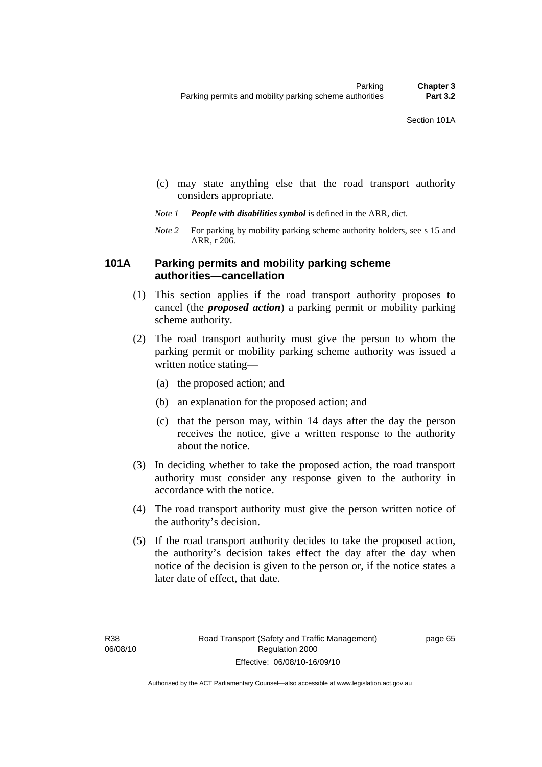- (c) may state anything else that the road transport authority considers appropriate.
- *Note 1 People with disabilities symbol* is defined in the ARR, dict.
- *Note 2* For parking by mobility parking scheme authority holders, see s 15 and ARR, r 206.

### **101A Parking permits and mobility parking scheme authorities—cancellation**

- (1) This section applies if the road transport authority proposes to cancel (the *proposed action*) a parking permit or mobility parking scheme authority.
- (2) The road transport authority must give the person to whom the parking permit or mobility parking scheme authority was issued a written notice stating—
	- (a) the proposed action; and
	- (b) an explanation for the proposed action; and
	- (c) that the person may, within 14 days after the day the person receives the notice, give a written response to the authority about the notice.
- (3) In deciding whether to take the proposed action, the road transport authority must consider any response given to the authority in accordance with the notice.
- (4) The road transport authority must give the person written notice of the authority's decision.
- (5) If the road transport authority decides to take the proposed action, the authority's decision takes effect the day after the day when notice of the decision is given to the person or, if the notice states a later date of effect, that date.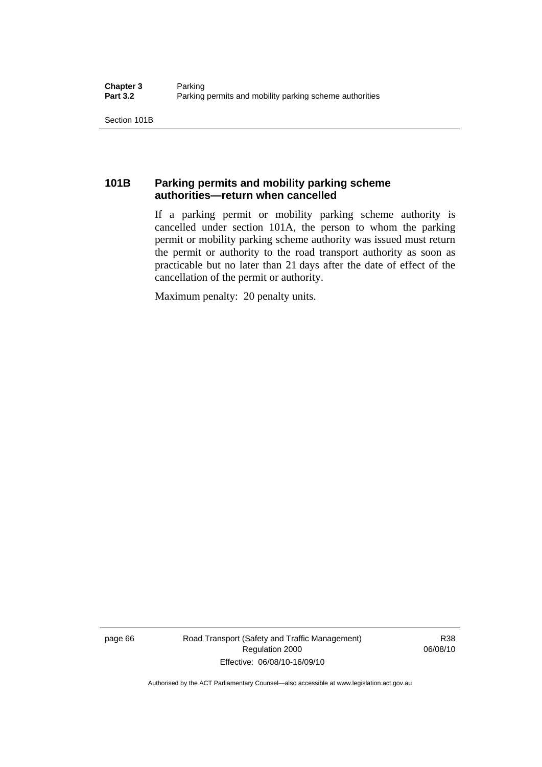Section 101B

# **101B Parking permits and mobility parking scheme authorities—return when cancelled**

If a parking permit or mobility parking scheme authority is cancelled under section 101A, the person to whom the parking permit or mobility parking scheme authority was issued must return the permit or authority to the road transport authority as soon as practicable but no later than 21 days after the date of effect of the cancellation of the permit or authority.

Maximum penalty: 20 penalty units.

page 66 Road Transport (Safety and Traffic Management) Regulation 2000 Effective: 06/08/10-16/09/10

R38 06/08/10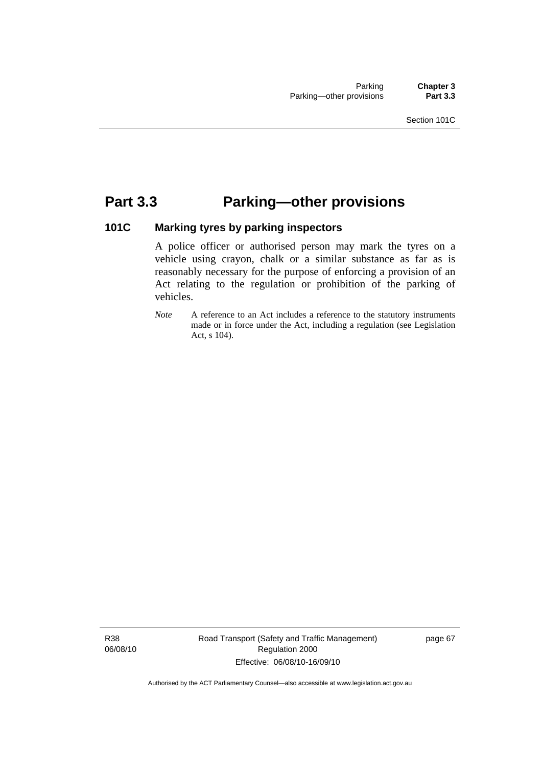# **Part 3.3 Parking—other provisions**

# **101C Marking tyres by parking inspectors**

A police officer or authorised person may mark the tyres on a vehicle using crayon, chalk or a similar substance as far as is reasonably necessary for the purpose of enforcing a provision of an Act relating to the regulation or prohibition of the parking of vehicles.

*Note* A reference to an Act includes a reference to the statutory instruments made or in force under the Act, including a regulation (see Legislation Act, s 104).

R38 06/08/10 Road Transport (Safety and Traffic Management) Regulation 2000 Effective: 06/08/10-16/09/10

page 67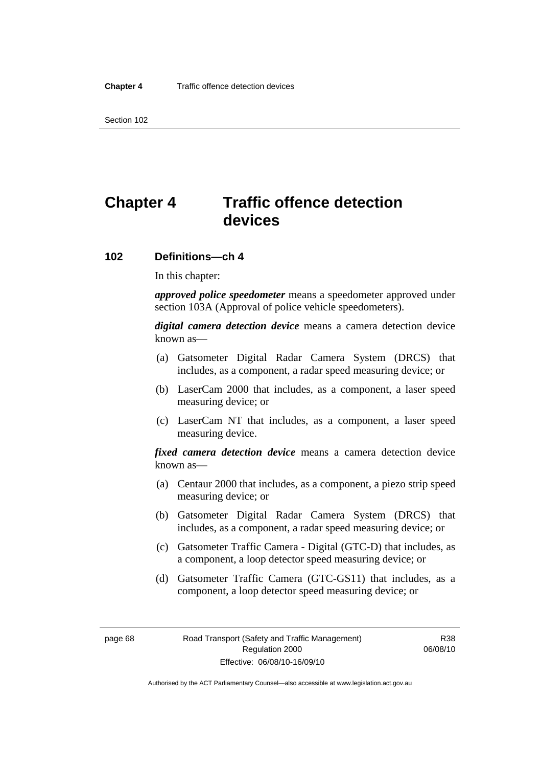Section 102

# **Chapter 4 Traffic offence detection devices**

#### **102 Definitions—ch 4**

In this chapter:

*approved police speedometer* means a speedometer approved under section 103A (Approval of police vehicle speedometers).

*digital camera detection device* means a camera detection device known as—

- (a) Gatsometer Digital Radar Camera System (DRCS) that includes, as a component, a radar speed measuring device; or
- (b) LaserCam 2000 that includes, as a component, a laser speed measuring device; or
- (c) LaserCam NT that includes, as a component, a laser speed measuring device.

*fixed camera detection device* means a camera detection device known as—

- (a) Centaur 2000 that includes, as a component, a piezo strip speed measuring device; or
- (b) Gatsometer Digital Radar Camera System (DRCS) that includes, as a component, a radar speed measuring device; or
- (c) Gatsometer Traffic Camera Digital (GTC-D) that includes, as a component, a loop detector speed measuring device; or
- (d) Gatsometer Traffic Camera (GTC-GS11) that includes, as a component, a loop detector speed measuring device; or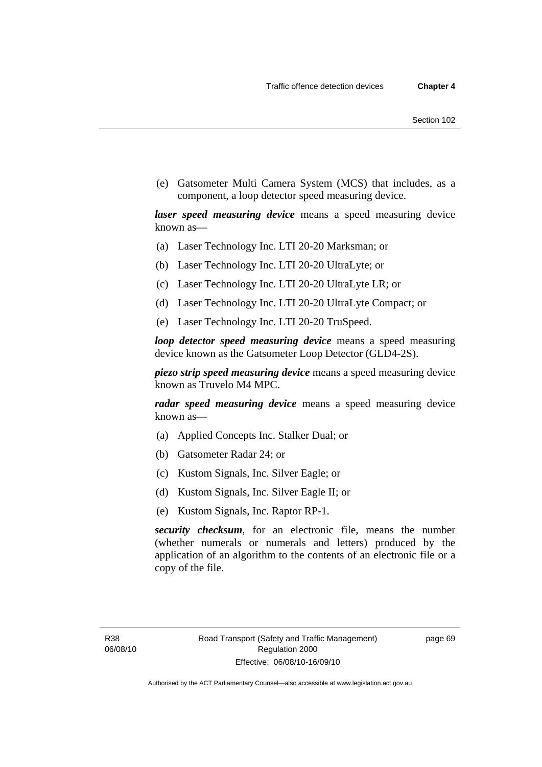(e) Gatsometer Multi Camera System (MCS) that includes, as a component, a loop detector speed measuring device.

*laser speed measuring device* means a speed measuring device known as—

- (a) Laser Technology Inc. LTI 20-20 Marksman; or
- (b) Laser Technology Inc. LTI 20-20 UltraLyte; or
- (c) Laser Technology Inc. LTI 20-20 UltraLyte LR; or
- (d) Laser Technology Inc. LTI 20-20 UltraLyte Compact; or
- (e) Laser Technology Inc. LTI 20-20 TruSpeed.

*loop detector speed measuring device* means a speed measuring device known as the Gatsometer Loop Detector (GLD4-2S).

*piezo strip speed measuring device* means a speed measuring device known as Truvelo M4 MPC.

*radar speed measuring device* means a speed measuring device known as—

- (a) Applied Concepts Inc. Stalker Dual; or
- (b) Gatsometer Radar 24; or
- (c) Kustom Signals, Inc. Silver Eagle; or
- (d) Kustom Signals, Inc. Silver Eagle II; or
- (e) Kustom Signals, Inc. Raptor RP-1.

*security checksum*, for an electronic file, means the number (whether numerals or numerals and letters) produced by the application of an algorithm to the contents of an electronic file or a copy of the file.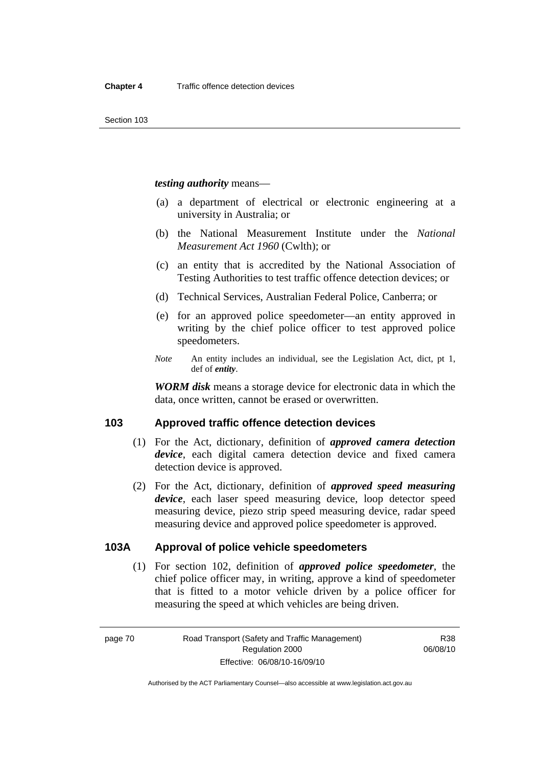#### *testing authority* means—

- (a) a department of electrical or electronic engineering at a university in Australia; or
- (b) the National Measurement Institute under the *National Measurement Act 1960* (Cwlth); or
- (c) an entity that is accredited by the National Association of Testing Authorities to test traffic offence detection devices; or
- (d) Technical Services, Australian Federal Police, Canberra; or
- (e) for an approved police speedometer—an entity approved in writing by the chief police officer to test approved police speedometers.
- *Note* An entity includes an individual, see the Legislation Act, dict, pt 1, def of *entity*.

*WORM disk* means a storage device for electronic data in which the data, once written, cannot be erased or overwritten.

### **103 Approved traffic offence detection devices**

- (1) For the Act, dictionary, definition of *approved camera detection device*, each digital camera detection device and fixed camera detection device is approved.
- (2) For the Act, dictionary, definition of *approved speed measuring device*, each laser speed measuring device, loop detector speed measuring device, piezo strip speed measuring device, radar speed measuring device and approved police speedometer is approved.

# **103A Approval of police vehicle speedometers**

 (1) For section 102, definition of *approved police speedometer*, the chief police officer may, in writing, approve a kind of speedometer that is fitted to a motor vehicle driven by a police officer for measuring the speed at which vehicles are being driven.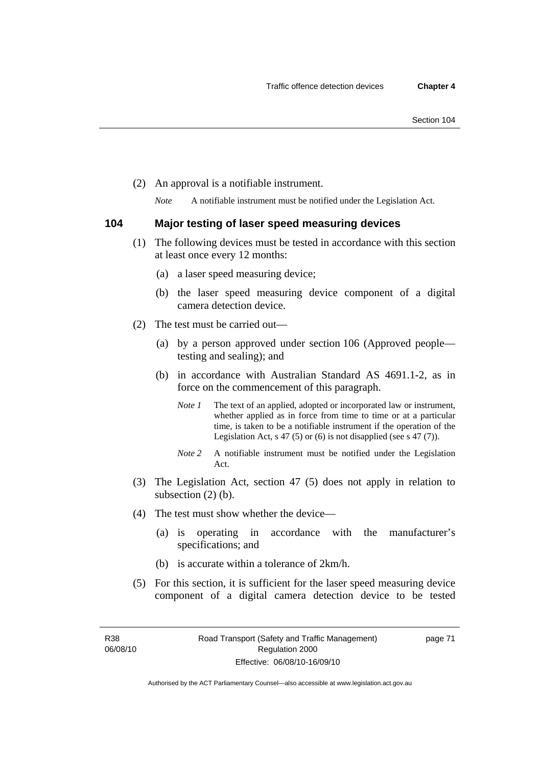(2) An approval is a notifiable instrument.

*Note* A notifiable instrument must be notified under the Legislation Act.

#### **104 Major testing of laser speed measuring devices**

- (1) The following devices must be tested in accordance with this section at least once every 12 months:
	- (a) a laser speed measuring device;
	- (b) the laser speed measuring device component of a digital camera detection device.
- (2) The test must be carried out—
	- (a) by a person approved under section 106 (Approved people testing and sealing); and
	- (b) in accordance with Australian Standard AS 4691.1-2, as in force on the commencement of this paragraph.
		- *Note 1* The text of an applied, adopted or incorporated law or instrument, whether applied as in force from time to time or at a particular time, is taken to be a notifiable instrument if the operation of the Legislation Act, s 47 (5) or (6) is not disapplied (see s 47 (7)).
		- *Note 2* A notifiable instrument must be notified under the Legislation Act.
- (3) The Legislation Act, section 47 (5) does not apply in relation to subsection (2) (b).
- (4) The test must show whether the device—
	- (a) is operating in accordance with the manufacturer's specifications; and
	- (b) is accurate within a tolerance of 2km/h.
- (5) For this section, it is sufficient for the laser speed measuring device component of a digital camera detection device to be tested

page 71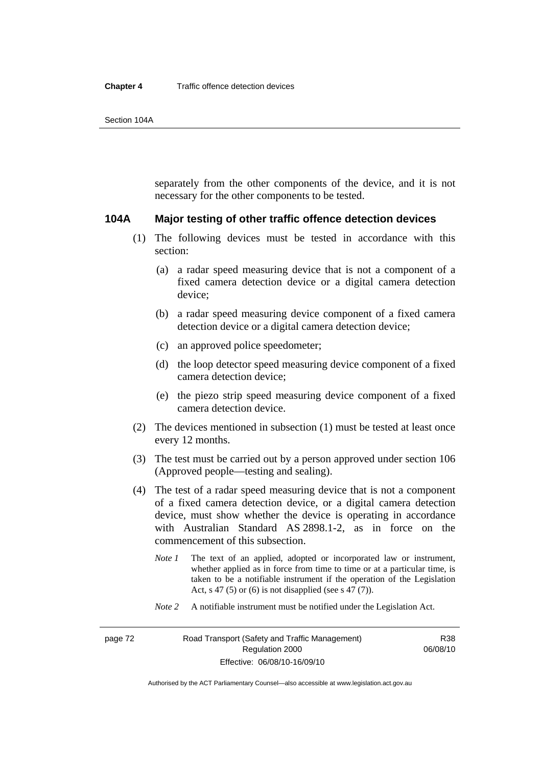separately from the other components of the device, and it is not necessary for the other components to be tested.

#### **104A Major testing of other traffic offence detection devices**

- (1) The following devices must be tested in accordance with this section:
	- (a) a radar speed measuring device that is not a component of a fixed camera detection device or a digital camera detection device;
	- (b) a radar speed measuring device component of a fixed camera detection device or a digital camera detection device;
	- (c) an approved police speedometer;
	- (d) the loop detector speed measuring device component of a fixed camera detection device;
	- (e) the piezo strip speed measuring device component of a fixed camera detection device.
- (2) The devices mentioned in subsection (1) must be tested at least once every 12 months.
- (3) The test must be carried out by a person approved under section 106 (Approved people—testing and sealing).
- (4) The test of a radar speed measuring device that is not a component of a fixed camera detection device, or a digital camera detection device, must show whether the device is operating in accordance with Australian Standard AS 2898.1-2, as in force on the commencement of this subsection.
	- *Note 1* The text of an applied, adopted or incorporated law or instrument, whether applied as in force from time to time or at a particular time, is taken to be a notifiable instrument if the operation of the Legislation Act, s 47 (5) or (6) is not disapplied (see s 47 (7)).
	- *Note 2* A notifiable instrument must be notified under the Legislation Act.

R38 06/08/10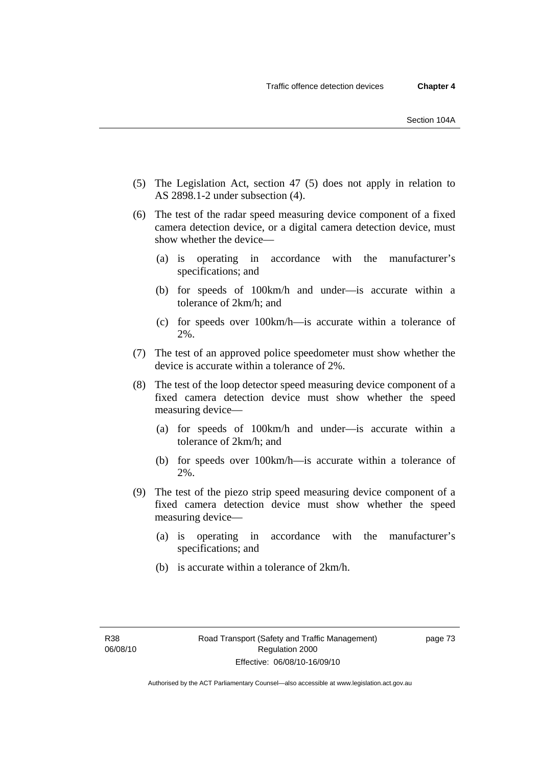- (5) The Legislation Act, section 47 (5) does not apply in relation to AS 2898.1-2 under subsection (4).
- (6) The test of the radar speed measuring device component of a fixed camera detection device, or a digital camera detection device, must show whether the device—
	- (a) is operating in accordance with the manufacturer's specifications; and
	- (b) for speeds of 100km/h and under—is accurate within a tolerance of 2km/h; and
	- (c) for speeds over 100km/h—is accurate within a tolerance of 2%.
- (7) The test of an approved police speedometer must show whether the device is accurate within a tolerance of 2%.
- (8) The test of the loop detector speed measuring device component of a fixed camera detection device must show whether the speed measuring device—
	- (a) for speeds of 100km/h and under—is accurate within a tolerance of 2km/h; and
	- (b) for speeds over 100km/h—is accurate within a tolerance of 2%.
- (9) The test of the piezo strip speed measuring device component of a fixed camera detection device must show whether the speed measuring device—
	- (a) is operating in accordance with the manufacturer's specifications; and
	- (b) is accurate within a tolerance of 2km/h.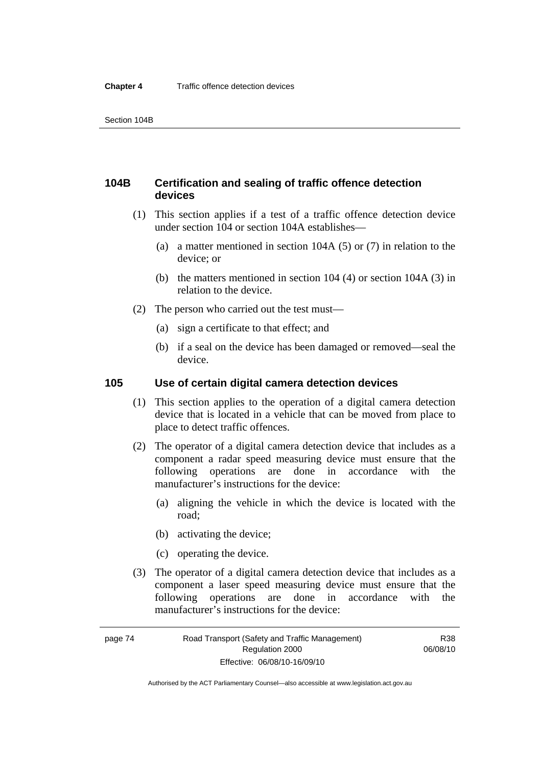# **104B Certification and sealing of traffic offence detection devices**

- (1) This section applies if a test of a traffic offence detection device under section 104 or section 104A establishes—
	- (a) a matter mentioned in section 104A (5) or (7) in relation to the device; or
	- (b) the matters mentioned in section 104 (4) or section 104A (3) in relation to the device.
- (2) The person who carried out the test must—
	- (a) sign a certificate to that effect; and
	- (b) if a seal on the device has been damaged or removed—seal the device.

### **105 Use of certain digital camera detection devices**

- (1) This section applies to the operation of a digital camera detection device that is located in a vehicle that can be moved from place to place to detect traffic offences.
- (2) The operator of a digital camera detection device that includes as a component a radar speed measuring device must ensure that the following operations are done in accordance with the manufacturer's instructions for the device:
	- (a) aligning the vehicle in which the device is located with the road;
	- (b) activating the device;
	- (c) operating the device.
- (3) The operator of a digital camera detection device that includes as a component a laser speed measuring device must ensure that the following operations are done in accordance with the manufacturer's instructions for the device:

Authorised by the ACT Parliamentary Counsel—also accessible at www.legislation.act.gov.au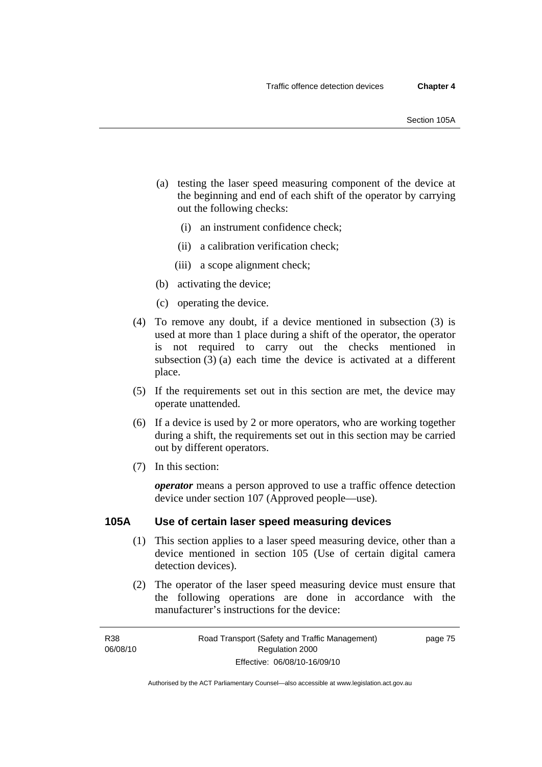- (a) testing the laser speed measuring component of the device at the beginning and end of each shift of the operator by carrying out the following checks:
	- (i) an instrument confidence check;
	- (ii) a calibration verification check;
	- (iii) a scope alignment check;
- (b) activating the device;
- (c) operating the device.
- (4) To remove any doubt, if a device mentioned in subsection (3) is used at more than 1 place during a shift of the operator, the operator is not required to carry out the checks mentioned in subsection (3) (a) each time the device is activated at a different place.
- (5) If the requirements set out in this section are met, the device may operate unattended.
- (6) If a device is used by 2 or more operators, who are working together during a shift, the requirements set out in this section may be carried out by different operators.
- (7) In this section:

*operator* means a person approved to use a traffic offence detection device under section 107 (Approved people—use).

#### **105A Use of certain laser speed measuring devices**

- (1) This section applies to a laser speed measuring device, other than a device mentioned in section 105 (Use of certain digital camera detection devices).
- (2) The operator of the laser speed measuring device must ensure that the following operations are done in accordance with the manufacturer's instructions for the device:

page 75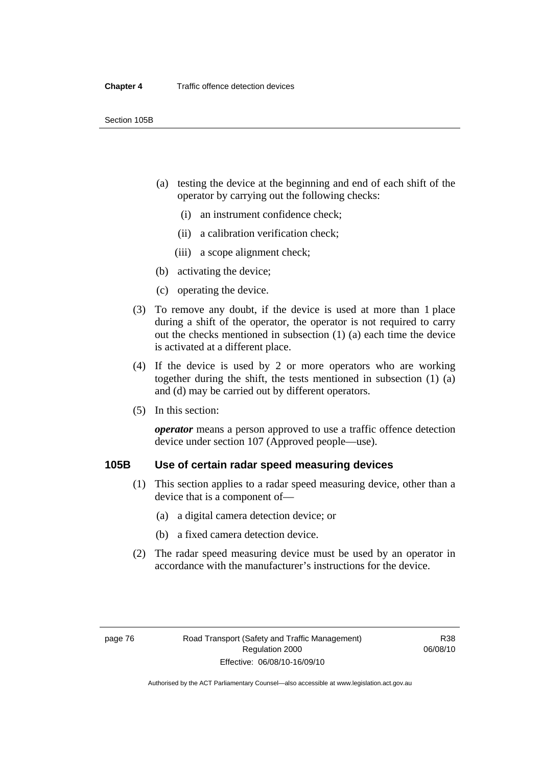- (a) testing the device at the beginning and end of each shift of the operator by carrying out the following checks:
	- (i) an instrument confidence check;
	- (ii) a calibration verification check;
	- (iii) a scope alignment check;
- (b) activating the device;
- (c) operating the device.
- (3) To remove any doubt, if the device is used at more than 1 place during a shift of the operator, the operator is not required to carry out the checks mentioned in subsection (1) (a) each time the device is activated at a different place.
- (4) If the device is used by 2 or more operators who are working together during the shift, the tests mentioned in subsection (1) (a) and (d) may be carried out by different operators.
- (5) In this section:

*operator* means a person approved to use a traffic offence detection device under section 107 (Approved people—use).

# **105B Use of certain radar speed measuring devices**

- (1) This section applies to a radar speed measuring device, other than a device that is a component of—
	- (a) a digital camera detection device; or
	- (b) a fixed camera detection device.
- (2) The radar speed measuring device must be used by an operator in accordance with the manufacturer's instructions for the device.

R38 06/08/10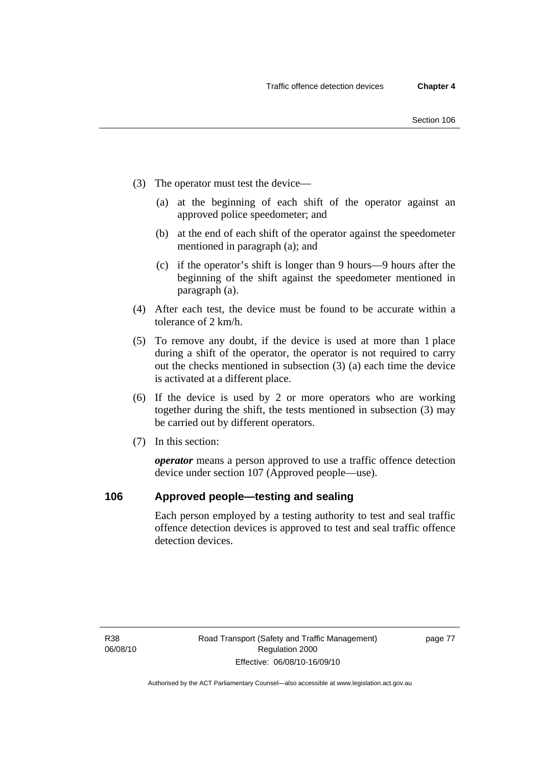- (3) The operator must test the device—
	- (a) at the beginning of each shift of the operator against an approved police speedometer; and
	- (b) at the end of each shift of the operator against the speedometer mentioned in paragraph (a); and
	- (c) if the operator's shift is longer than 9 hours—9 hours after the beginning of the shift against the speedometer mentioned in paragraph (a).
- (4) After each test, the device must be found to be accurate within a tolerance of 2 km/h.
- (5) To remove any doubt, if the device is used at more than 1 place during a shift of the operator, the operator is not required to carry out the checks mentioned in subsection (3) (a) each time the device is activated at a different place.
- (6) If the device is used by 2 or more operators who are working together during the shift, the tests mentioned in subsection (3) may be carried out by different operators.
- (7) In this section:

*operator* means a person approved to use a traffic offence detection device under section 107 (Approved people—use).

### **106 Approved people—testing and sealing**

Each person employed by a testing authority to test and seal traffic offence detection devices is approved to test and seal traffic offence detection devices.

R38 06/08/10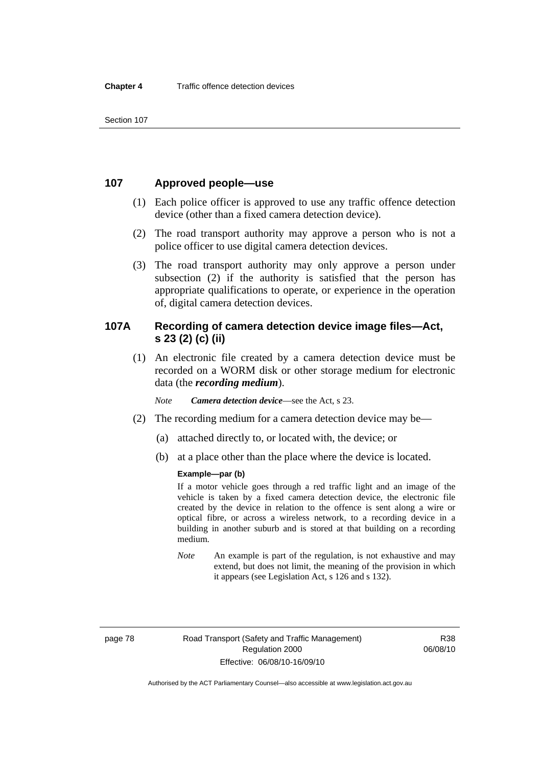Section 107

# **107 Approved people—use**

- (1) Each police officer is approved to use any traffic offence detection device (other than a fixed camera detection device).
- (2) The road transport authority may approve a person who is not a police officer to use digital camera detection devices.
- (3) The road transport authority may only approve a person under subsection (2) if the authority is satisfied that the person has appropriate qualifications to operate, or experience in the operation of, digital camera detection devices.

# **107A Recording of camera detection device image files—Act, s 23 (2) (c) (ii)**

 (1) An electronic file created by a camera detection device must be recorded on a WORM disk or other storage medium for electronic data (the *recording medium*).

*Note Camera detection device*—see the Act, s 23.

- (2) The recording medium for a camera detection device may be—
	- (a) attached directly to, or located with, the device; or
	- (b) at a place other than the place where the device is located.

#### **Example—par (b)**

If a motor vehicle goes through a red traffic light and an image of the vehicle is taken by a fixed camera detection device, the electronic file created by the device in relation to the offence is sent along a wire or optical fibre, or across a wireless network, to a recording device in a building in another suburb and is stored at that building on a recording medium.

*Note* An example is part of the regulation, is not exhaustive and may extend, but does not limit, the meaning of the provision in which it appears (see Legislation Act, s 126 and s 132).

R38 06/08/10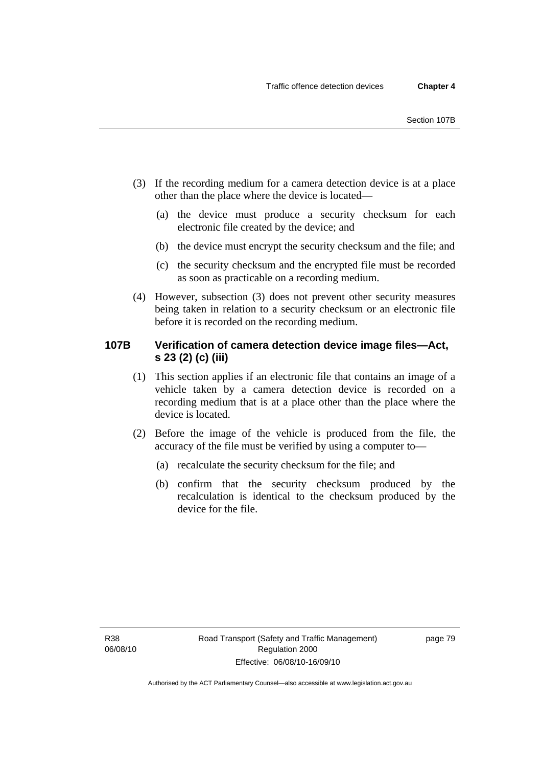- (3) If the recording medium for a camera detection device is at a place other than the place where the device is located—
	- (a) the device must produce a security checksum for each electronic file created by the device; and
	- (b) the device must encrypt the security checksum and the file; and
	- (c) the security checksum and the encrypted file must be recorded as soon as practicable on a recording medium.
- (4) However, subsection (3) does not prevent other security measures being taken in relation to a security checksum or an electronic file before it is recorded on the recording medium.

# **107B Verification of camera detection device image files—Act, s 23 (2) (c) (iii)**

- (1) This section applies if an electronic file that contains an image of a vehicle taken by a camera detection device is recorded on a recording medium that is at a place other than the place where the device is located.
- (2) Before the image of the vehicle is produced from the file, the accuracy of the file must be verified by using a computer to—
	- (a) recalculate the security checksum for the file; and
	- (b) confirm that the security checksum produced by the recalculation is identical to the checksum produced by the device for the file.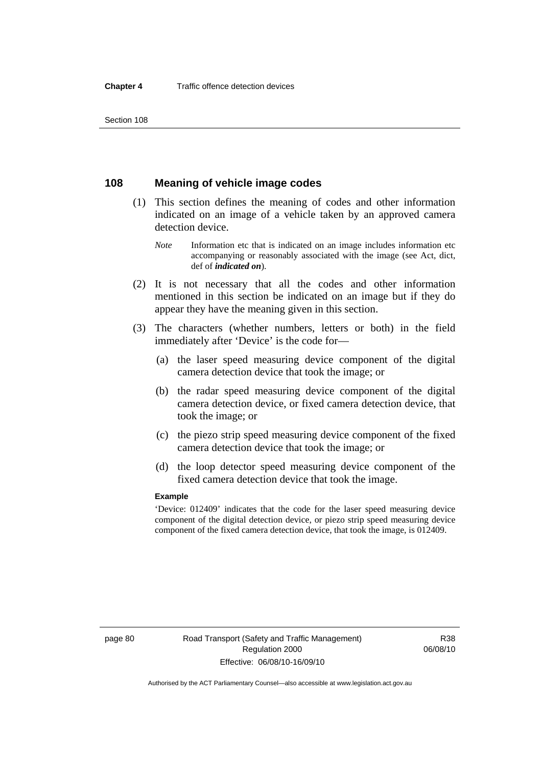Section 108

## **108 Meaning of vehicle image codes**

- (1) This section defines the meaning of codes and other information indicated on an image of a vehicle taken by an approved camera detection device.
	- *Note* Information etc that is indicated on an image includes information etc accompanying or reasonably associated with the image (see Act, dict, def of *indicated on*).
- (2) It is not necessary that all the codes and other information mentioned in this section be indicated on an image but if they do appear they have the meaning given in this section.
- (3) The characters (whether numbers, letters or both) in the field immediately after 'Device' is the code for—
	- (a) the laser speed measuring device component of the digital camera detection device that took the image; or
	- (b) the radar speed measuring device component of the digital camera detection device, or fixed camera detection device, that took the image; or
	- (c) the piezo strip speed measuring device component of the fixed camera detection device that took the image; or
	- (d) the loop detector speed measuring device component of the fixed camera detection device that took the image.

#### **Example**

'Device: 012409' indicates that the code for the laser speed measuring device component of the digital detection device, or piezo strip speed measuring device component of the fixed camera detection device, that took the image, is 012409.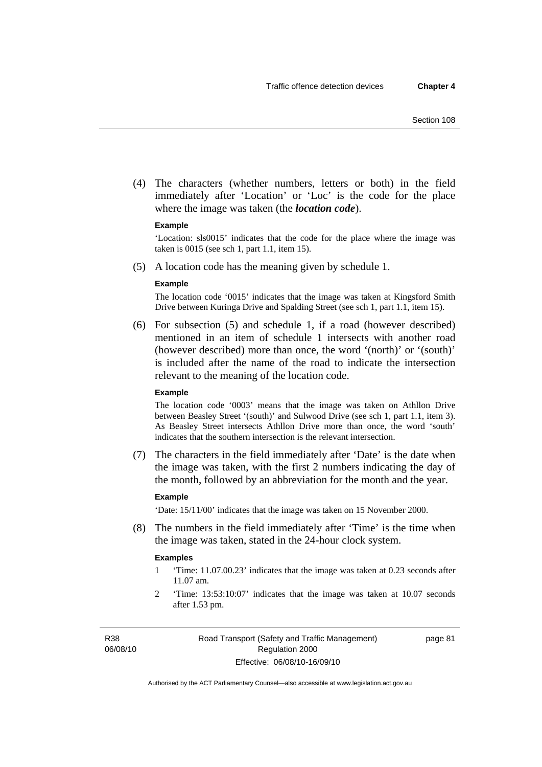(4) The characters (whether numbers, letters or both) in the field immediately after 'Location' or 'Loc' is the code for the place where the image was taken (the *location code*).

#### **Example**

'Location: sls0015' indicates that the code for the place where the image was taken is 0015 (see sch 1, part 1.1, item 15).

(5) A location code has the meaning given by schedule 1.

#### **Example**

The location code '0015' indicates that the image was taken at Kingsford Smith Drive between Kuringa Drive and Spalding Street (see sch 1, part 1.1, item 15).

 (6) For subsection (5) and schedule 1, if a road (however described) mentioned in an item of schedule 1 intersects with another road (however described) more than once, the word '(north)' or '(south)' is included after the name of the road to indicate the intersection relevant to the meaning of the location code.

#### **Example**

The location code '0003' means that the image was taken on Athllon Drive between Beasley Street '(south)' and Sulwood Drive (see sch 1, part 1.1, item 3). As Beasley Street intersects Athllon Drive more than once, the word 'south' indicates that the southern intersection is the relevant intersection.

 (7) The characters in the field immediately after 'Date' is the date when the image was taken, with the first 2 numbers indicating the day of the month, followed by an abbreviation for the month and the year.

#### **Example**

'Date: 15/11/00' indicates that the image was taken on 15 November 2000.

 (8) The numbers in the field immediately after 'Time' is the time when the image was taken, stated in the 24-hour clock system.

#### **Examples**

- 1 'Time: 11.07.00.23' indicates that the image was taken at 0.23 seconds after 11.07 am.
- 2 'Time: 13:53:10:07' indicates that the image was taken at 10.07 seconds after 1.53 pm.

R38 06/08/10 page 81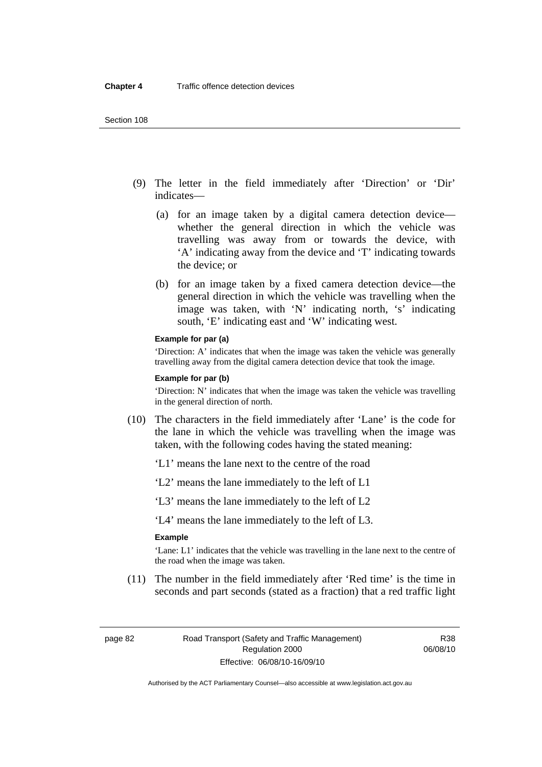- (9) The letter in the field immediately after 'Direction' or 'Dir' indicates—
	- (a) for an image taken by a digital camera detection device whether the general direction in which the vehicle was travelling was away from or towards the device, with 'A' indicating away from the device and 'T' indicating towards the device; or
	- (b) for an image taken by a fixed camera detection device—the general direction in which the vehicle was travelling when the image was taken, with 'N' indicating north, 's' indicating south, 'E' indicating east and 'W' indicating west.

#### **Example for par (a)**

'Direction: A' indicates that when the image was taken the vehicle was generally travelling away from the digital camera detection device that took the image.

#### **Example for par (b)**

'Direction: N' indicates that when the image was taken the vehicle was travelling in the general direction of north.

- (10) The characters in the field immediately after 'Lane' is the code for the lane in which the vehicle was travelling when the image was taken, with the following codes having the stated meaning:
	- 'L1' means the lane next to the centre of the road
	- 'L2' means the lane immediately to the left of L1
	- 'L3' means the lane immediately to the left of L2

'L4' means the lane immediately to the left of L3.

#### **Example**

'Lane: L1' indicates that the vehicle was travelling in the lane next to the centre of the road when the image was taken.

 (11) The number in the field immediately after 'Red time' is the time in seconds and part seconds (stated as a fraction) that a red traffic light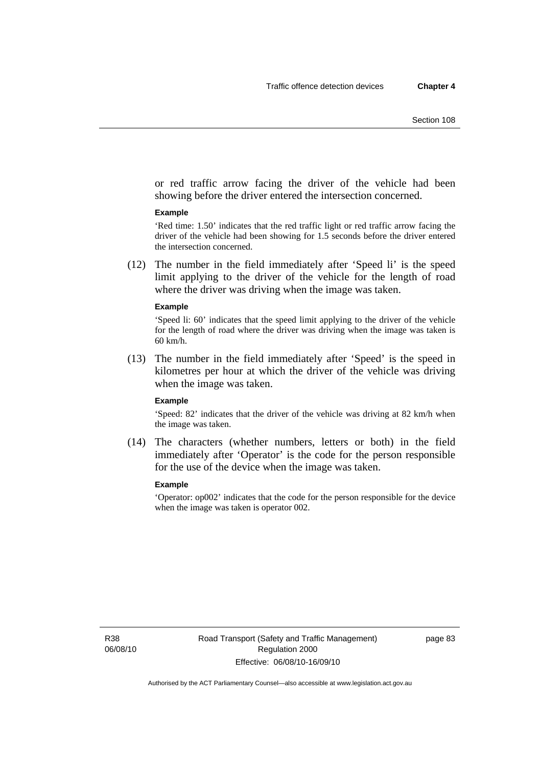or red traffic arrow facing the driver of the vehicle had been showing before the driver entered the intersection concerned.

#### **Example**

'Red time: 1.50' indicates that the red traffic light or red traffic arrow facing the driver of the vehicle had been showing for 1.5 seconds before the driver entered the intersection concerned.

 (12) The number in the field immediately after 'Speed li' is the speed limit applying to the driver of the vehicle for the length of road where the driver was driving when the image was taken.

#### **Example**

'Speed li: 60' indicates that the speed limit applying to the driver of the vehicle for the length of road where the driver was driving when the image was taken is 60 km/h.

 (13) The number in the field immediately after 'Speed' is the speed in kilometres per hour at which the driver of the vehicle was driving when the image was taken.

#### **Example**

'Speed: 82' indicates that the driver of the vehicle was driving at 82 km/h when the image was taken.

 (14) The characters (whether numbers, letters or both) in the field immediately after 'Operator' is the code for the person responsible for the use of the device when the image was taken.

#### **Example**

'Operator: op002' indicates that the code for the person responsible for the device when the image was taken is operator 002.

R38 06/08/10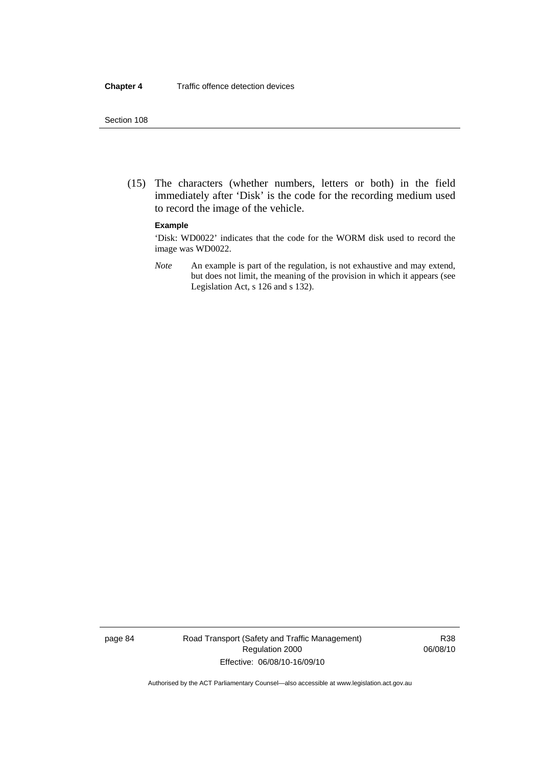#### Section 108

 (15) The characters (whether numbers, letters or both) in the field immediately after 'Disk' is the code for the recording medium used to record the image of the vehicle.

#### **Example**

'Disk: WD0022' indicates that the code for the WORM disk used to record the image was WD0022.

*Note* An example is part of the regulation, is not exhaustive and may extend, but does not limit, the meaning of the provision in which it appears (see Legislation Act, s 126 and s 132).

page 84 Road Transport (Safety and Traffic Management) Regulation 2000 Effective: 06/08/10-16/09/10

R38 06/08/10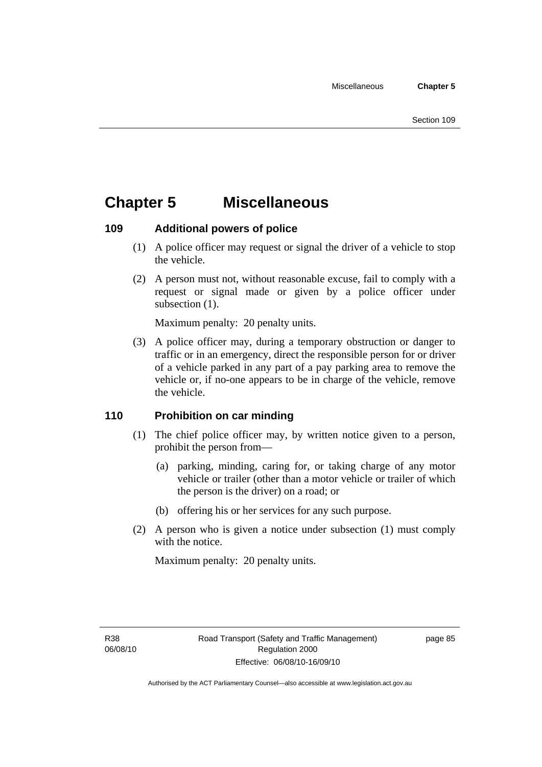# **Chapter 5 Miscellaneous**

# **109 Additional powers of police**

- (1) A police officer may request or signal the driver of a vehicle to stop the vehicle.
- (2) A person must not, without reasonable excuse, fail to comply with a request or signal made or given by a police officer under subsection  $(1)$ .

Maximum penalty: 20 penalty units.

 (3) A police officer may, during a temporary obstruction or danger to traffic or in an emergency, direct the responsible person for or driver of a vehicle parked in any part of a pay parking area to remove the vehicle or, if no-one appears to be in charge of the vehicle, remove the vehicle.

# **110 Prohibition on car minding**

- (1) The chief police officer may, by written notice given to a person, prohibit the person from—
	- (a) parking, minding, caring for, or taking charge of any motor vehicle or trailer (other than a motor vehicle or trailer of which the person is the driver) on a road; or
	- (b) offering his or her services for any such purpose.
- (2) A person who is given a notice under subsection (1) must comply with the notice.

Maximum penalty: 20 penalty units.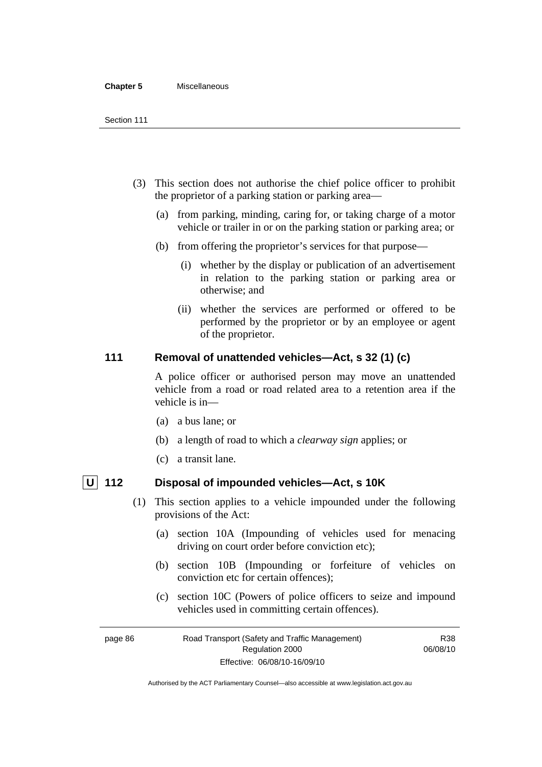#### **Chapter 5** Miscellaneous

- (3) This section does not authorise the chief police officer to prohibit the proprietor of a parking station or parking area—
	- (a) from parking, minding, caring for, or taking charge of a motor vehicle or trailer in or on the parking station or parking area; or
	- (b) from offering the proprietor's services for that purpose—
		- (i) whether by the display or publication of an advertisement in relation to the parking station or parking area or otherwise; and
		- (ii) whether the services are performed or offered to be performed by the proprietor or by an employee or agent of the proprietor.

# **111 Removal of unattended vehicles—Act, s 32 (1) (c)**

A police officer or authorised person may move an unattended vehicle from a road or road related area to a retention area if the vehicle is in—

- (a) a bus lane; or
- (b) a length of road to which a *clearway sign* applies; or
- (c) a transit lane.

- **U 112 Disposal of impounded vehicles—Act, s 10K** 
	- (1) This section applies to a vehicle impounded under the following provisions of the Act:
		- (a) section 10A (Impounding of vehicles used for menacing driving on court order before conviction etc);
		- (b) section 10B (Impounding or forfeiture of vehicles on conviction etc for certain offences);
		- (c) section 10C (Powers of police officers to seize and impound vehicles used in committing certain offences).

R38 06/08/10

page 86 Road Transport (Safety and Traffic Management) Regulation 2000 Effective: 06/08/10-16/09/10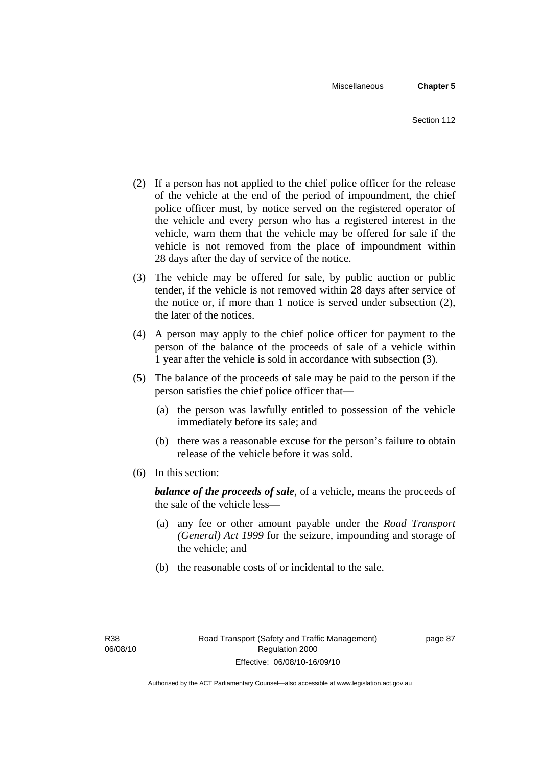- (2) If a person has not applied to the chief police officer for the release of the vehicle at the end of the period of impoundment, the chief police officer must, by notice served on the registered operator of the vehicle and every person who has a registered interest in the vehicle, warn them that the vehicle may be offered for sale if the vehicle is not removed from the place of impoundment within 28 days after the day of service of the notice.
- (3) The vehicle may be offered for sale, by public auction or public tender, if the vehicle is not removed within 28 days after service of the notice or, if more than 1 notice is served under subsection (2), the later of the notices.
- (4) A person may apply to the chief police officer for payment to the person of the balance of the proceeds of sale of a vehicle within 1 year after the vehicle is sold in accordance with subsection (3).
- (5) The balance of the proceeds of sale may be paid to the person if the person satisfies the chief police officer that—
	- (a) the person was lawfully entitled to possession of the vehicle immediately before its sale; and
	- (b) there was a reasonable excuse for the person's failure to obtain release of the vehicle before it was sold.
- (6) In this section:

*balance of the proceeds of sale*, of a vehicle, means the proceeds of the sale of the vehicle less—

- (a) any fee or other amount payable under the *Road Transport (General) Act 1999* for the seizure, impounding and storage of the vehicle; and
- (b) the reasonable costs of or incidental to the sale.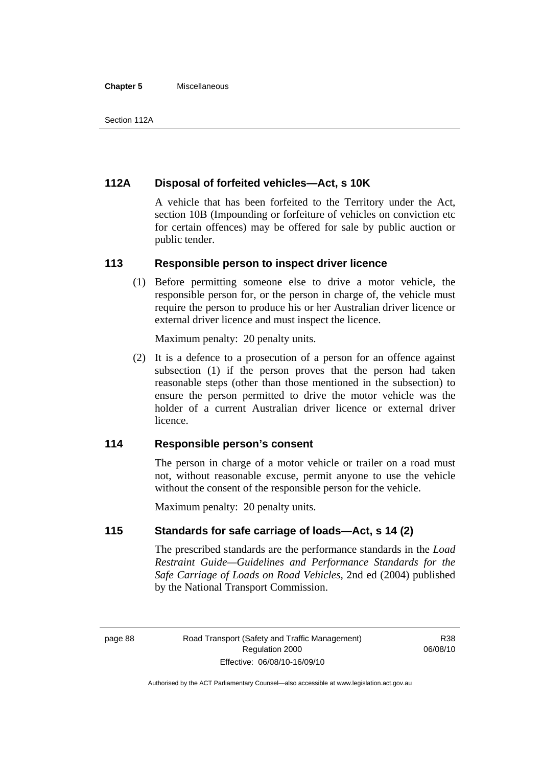#### **Chapter 5** Miscellaneous

# **112A Disposal of forfeited vehicles—Act, s 10K**

A vehicle that has been forfeited to the Territory under the Act, section 10B (Impounding or forfeiture of vehicles on conviction etc for certain offences) may be offered for sale by public auction or public tender.

#### **113 Responsible person to inspect driver licence**

 (1) Before permitting someone else to drive a motor vehicle, the responsible person for, or the person in charge of, the vehicle must require the person to produce his or her Australian driver licence or external driver licence and must inspect the licence.

Maximum penalty: 20 penalty units.

 (2) It is a defence to a prosecution of a person for an offence against subsection (1) if the person proves that the person had taken reasonable steps (other than those mentioned in the subsection) to ensure the person permitted to drive the motor vehicle was the holder of a current Australian driver licence or external driver licence.

# **114 Responsible person's consent**

The person in charge of a motor vehicle or trailer on a road must not, without reasonable excuse, permit anyone to use the vehicle without the consent of the responsible person for the vehicle.

Maximum penalty: 20 penalty units.

## **115 Standards for safe carriage of loads—Act, s 14 (2)**

The prescribed standards are the performance standards in the *Load Restraint Guide—Guidelines and Performance Standards for the Safe Carriage of Loads on Road Vehicles*, 2nd ed (2004) published by the National Transport Commission.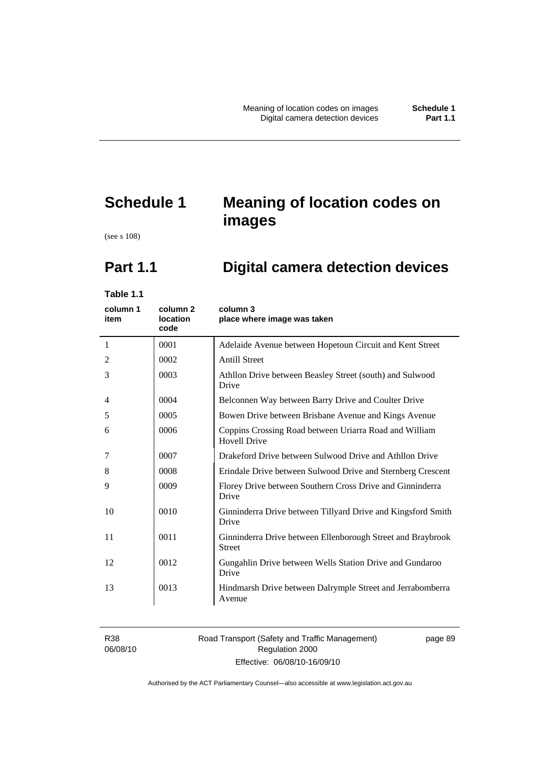# **Schedule 1 Meaning of location codes on images**

(see s 108)

# **Part 1.1 Digital camera detection devices**

**Table 1.1** 

| column 1<br>item | column <sub>2</sub><br><b>location</b><br>code | column 3<br>place where image was taken                                       |
|------------------|------------------------------------------------|-------------------------------------------------------------------------------|
| 1                | 0001                                           | Adelaide Avenue between Hopetoun Circuit and Kent Street                      |
| 2                | 0002                                           | <b>Antill Street</b>                                                          |
| 3                | 0003                                           | Athllon Drive between Beasley Street (south) and Sulwood<br>Drive             |
| 4                | 0004                                           | Belconnen Way between Barry Drive and Coulter Drive                           |
| 5                | 0005                                           | Bowen Drive between Brisbane Avenue and Kings Avenue                          |
| 6                | 0006                                           | Coppins Crossing Road between Uriarra Road and William<br><b>Hovell Drive</b> |
| 7                | 0007                                           | Drakeford Drive between Sulwood Drive and Athllon Drive                       |
| 8                | 0008                                           | Erindale Drive between Sulwood Drive and Sternberg Crescent                   |
| 9                | 0009                                           | Florey Drive between Southern Cross Drive and Ginninderra<br>Drive            |
| 10               | 0010                                           | Ginninderra Drive between Tillyard Drive and Kingsford Smith<br>Drive         |
| 11               | 0011                                           | Ginninderra Drive between Ellenborough Street and Braybrook<br><b>Street</b>  |
| 12               | 0012                                           | Gungahlin Drive between Wells Station Drive and Gundaroo<br>Drive             |
| 13               | 0013                                           | Hindmarsh Drive between Dalrymple Street and Jerrabomberra<br>Avenue          |

R38 06/08/10

#### Road Transport (Safety and Traffic Management) Regulation 2000 Effective: 06/08/10-16/09/10

page 89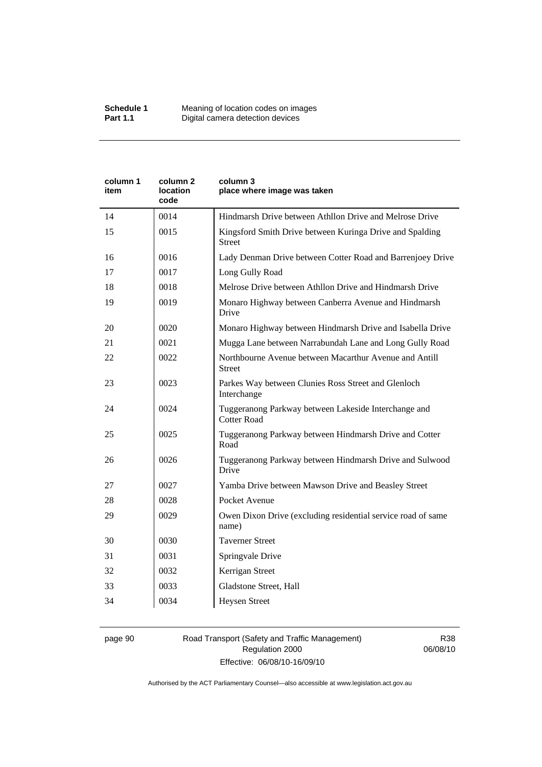| Kingsford Smith Drive between Kuringa Drive and Spalding<br>Lady Denman Drive between Cotter Road and Barrenjoey Drive |
|------------------------------------------------------------------------------------------------------------------------|
|                                                                                                                        |
|                                                                                                                        |
|                                                                                                                        |
|                                                                                                                        |
|                                                                                                                        |
| Monaro Highway between Canberra Avenue and Hindmarsh                                                                   |
| Monaro Highway between Hindmarsh Drive and Isabella Drive                                                              |
| Mugga Lane between Narrabundah Lane and Long Gully Road                                                                |
|                                                                                                                        |
|                                                                                                                        |
|                                                                                                                        |
| Tuggeranong Parkway between Hindmarsh Drive and Cotter                                                                 |
| Tuggeranong Parkway between Hindmarsh Drive and Sulwood                                                                |
|                                                                                                                        |
|                                                                                                                        |
| Owen Dixon Drive (excluding residential service road of same                                                           |
|                                                                                                                        |
|                                                                                                                        |
|                                                                                                                        |
|                                                                                                                        |
|                                                                                                                        |
|                                                                                                                        |

#### page 90 Road Transport (Safety and Traffic Management) Regulation 2000 Effective: 06/08/10-16/09/10

R38 06/08/10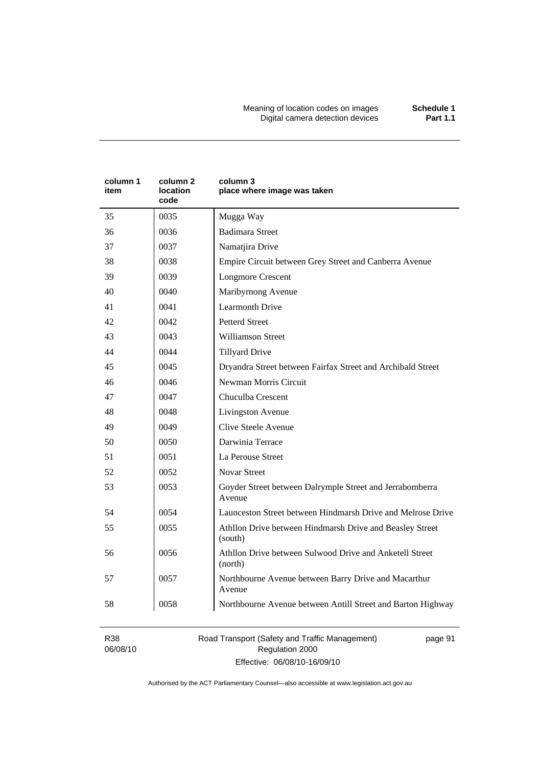Meaning of location codes on images **Schedule 1**  Digital camera detection devices **Part 1.1** 

| column 1<br>item | column 2<br>location<br>code | column 3<br>place where image was taken                             |  |
|------------------|------------------------------|---------------------------------------------------------------------|--|
| 35               | 0035                         | Mugga Way                                                           |  |
| 36               | 0036                         | <b>Badimara Street</b>                                              |  |
| 37               | 0037                         | Namatjira Drive                                                     |  |
| 38               | 0038                         | Empire Circuit between Grey Street and Canberra Avenue              |  |
| 39               | 0039                         | <b>Longmore Crescent</b>                                            |  |
| 40               | 0040                         | Maribyrnong Avenue                                                  |  |
| 41               | 0041                         | <b>Learmonth Drive</b>                                              |  |
| 42               | 0042                         | <b>Petterd Street</b>                                               |  |
| 43               | 0043                         | Williamson Street                                                   |  |
| 44               | 0044                         | <b>Tillyard Drive</b>                                               |  |
| 45               | 0045                         | Dryandra Street between Fairfax Street and Archibald Street         |  |
| 46               | 0046                         | Newman Morris Circuit                                               |  |
| 47               | 0047                         | Chuculba Crescent                                                   |  |
| 48               | 0048                         | Livingston Avenue                                                   |  |
| 49               | 0049                         | Clive Steele Avenue                                                 |  |
| 50               | 0050                         | Darwinia Terrace                                                    |  |
| 51               | 0051                         | La Perouse Street                                                   |  |
| 52               | 0052                         | <b>Novar Street</b>                                                 |  |
| 53               | 0053                         | Goyder Street between Dalrymple Street and Jerrabomberra<br>Avenue  |  |
| 54               | 0054                         | Launceston Street between Hindmarsh Drive and Melrose Drive         |  |
| 55               | 0055                         | Athllon Drive between Hindmarsh Drive and Beasley Street<br>(south) |  |
| 56               | 0056                         | Athllon Drive between Sulwood Drive and Anketell Street<br>(north)  |  |
| 57               | 0057                         | Northbourne Avenue between Barry Drive and Macarthur<br>Avenue      |  |
| 58               | 0058                         | Northbourne Avenue between Antill Street and Barton Highway         |  |

R38 06/08/10 Road Transport (Safety and Traffic Management) Regulation 2000 Effective: 06/08/10-16/09/10

page 91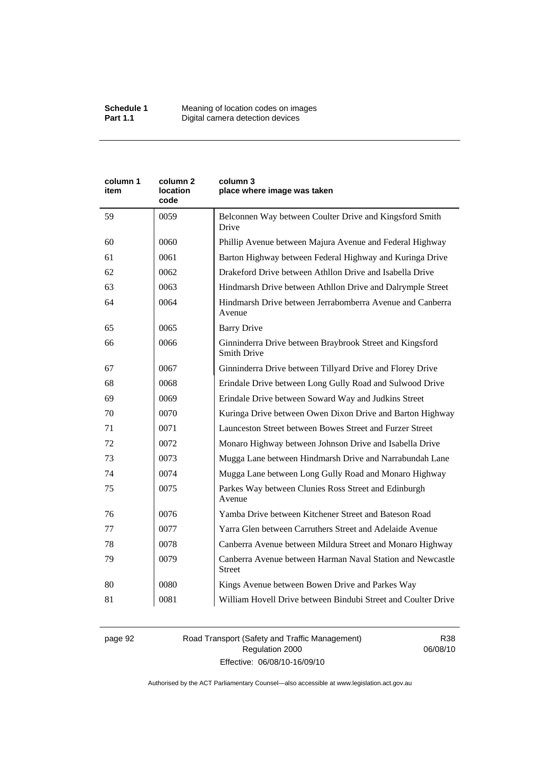| column 1<br>item | column 2<br>location<br>code | column 3<br>place where image was taken                                        |  |
|------------------|------------------------------|--------------------------------------------------------------------------------|--|
| 59               | 0059                         | Belconnen Way between Coulter Drive and Kingsford Smith<br>Drive               |  |
| 60               | 0060                         | Phillip Avenue between Majura Avenue and Federal Highway                       |  |
| 61               | 0061                         | Barton Highway between Federal Highway and Kuringa Drive                       |  |
| 62               | 0062                         | Drakeford Drive between Athllon Drive and Isabella Drive                       |  |
| 63               | 0063                         | Hindmarsh Drive between Athllon Drive and Dalrymple Street                     |  |
| 64               | 0064                         | Hindmarsh Drive between Jerrabomberra Avenue and Canberra<br>Avenue            |  |
| 65               | 0065                         | <b>Barry Drive</b>                                                             |  |
| 66               | 0066                         | Ginninderra Drive between Braybrook Street and Kingsford<br><b>Smith Drive</b> |  |
| 67               | 0067                         | Ginninderra Drive between Tillyard Drive and Florey Drive                      |  |
| 68               | 0068                         | Erindale Drive between Long Gully Road and Sulwood Drive                       |  |
| 69               | 0069                         | Erindale Drive between Soward Way and Judkins Street                           |  |
| 70               | 0070                         | Kuringa Drive between Owen Dixon Drive and Barton Highway                      |  |
| 71               | 0071                         | Launceston Street between Bowes Street and Furzer Street                       |  |
| 72               | 0072                         | Monaro Highway between Johnson Drive and Isabella Drive                        |  |
| 73               | 0073                         | Mugga Lane between Hindmarsh Drive and Narrabundah Lane                        |  |
| 74               | 0074                         | Mugga Lane between Long Gully Road and Monaro Highway                          |  |
| 75               | 0075                         | Parkes Way between Clunies Ross Street and Edinburgh<br>Avenue                 |  |
| 76               | 0076                         | Yamba Drive between Kitchener Street and Bateson Road                          |  |
| 77               | 0077                         | Yarra Glen between Carruthers Street and Adelaide Avenue                       |  |
| 78               | 0078                         | Canberra Avenue between Mildura Street and Monaro Highway                      |  |
| 79               | 0079                         | Canberra Avenue between Harman Naval Station and Newcastle<br><b>Street</b>    |  |
| 80               | 0080                         | Kings Avenue between Bowen Drive and Parkes Way                                |  |
| 81               | 0081                         | William Hovell Drive between Bindubi Street and Coulter Drive                  |  |

page 92 Road Transport (Safety and Traffic Management) Regulation 2000 Effective: 06/08/10-16/09/10

R38 06/08/10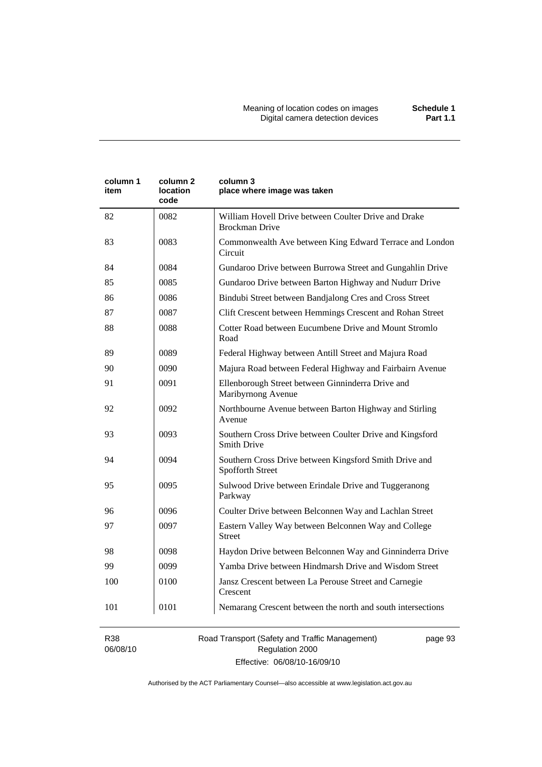| column 1<br>item | column <sub>2</sub><br>location<br>code | column 3<br>place where image was taken                                        |  |
|------------------|-----------------------------------------|--------------------------------------------------------------------------------|--|
| 82               | 0082                                    | William Hovell Drive between Coulter Drive and Drake<br><b>Brockman Drive</b>  |  |
| 83               | 0083                                    | Commonwealth Ave between King Edward Terrace and London<br>Circuit             |  |
| 84               | 0084                                    | Gundaroo Drive between Burrowa Street and Gungahlin Drive                      |  |
| 85               | 0085                                    | Gundaroo Drive between Barton Highway and Nudurr Drive                         |  |
| 86               | 0086                                    | Bindubi Street between Bandjalong Cres and Cross Street                        |  |
| 87               | 0087                                    | Clift Crescent between Hemmings Crescent and Rohan Street                      |  |
| 88               | 0088                                    | Cotter Road between Eucumbene Drive and Mount Stromlo<br>Road                  |  |
| 89               | 0089                                    | Federal Highway between Antill Street and Majura Road                          |  |
| 90               | 0090                                    | Majura Road between Federal Highway and Fairbairn Avenue                       |  |
| 91               | 0091                                    | Ellenborough Street between Ginninderra Drive and<br>Maribyrnong Avenue        |  |
| 92               | 0092                                    | Northbourne Avenue between Barton Highway and Stirling<br>Avenue               |  |
| 93               | 0093                                    | Southern Cross Drive between Coulter Drive and Kingsford<br><b>Smith Drive</b> |  |
| 94               | 0094                                    | Southern Cross Drive between Kingsford Smith Drive and<br>Spofforth Street     |  |
| 95               | 0095                                    | Sulwood Drive between Erindale Drive and Tuggeranong<br>Parkway                |  |
| 96               | 0096                                    | Coulter Drive between Belconnen Way and Lachlan Street                         |  |
| 97               | 0097                                    | Eastern Valley Way between Belconnen Way and College<br><b>Street</b>          |  |
| 98               | 0098                                    | Haydon Drive between Belconnen Way and Ginninderra Drive                       |  |
| 99               | 0099                                    | Yamba Drive between Hindmarsh Drive and Wisdom Street                          |  |
| 100              | 0100                                    | Jansz Crescent between La Perouse Street and Carnegie<br>Crescent              |  |
| 101              | 0101                                    | Nemarang Crescent between the north and south intersections                    |  |

R38 06/08/10 Road Transport (Safety and Traffic Management) Regulation 2000 Effective: 06/08/10-16/09/10

page 93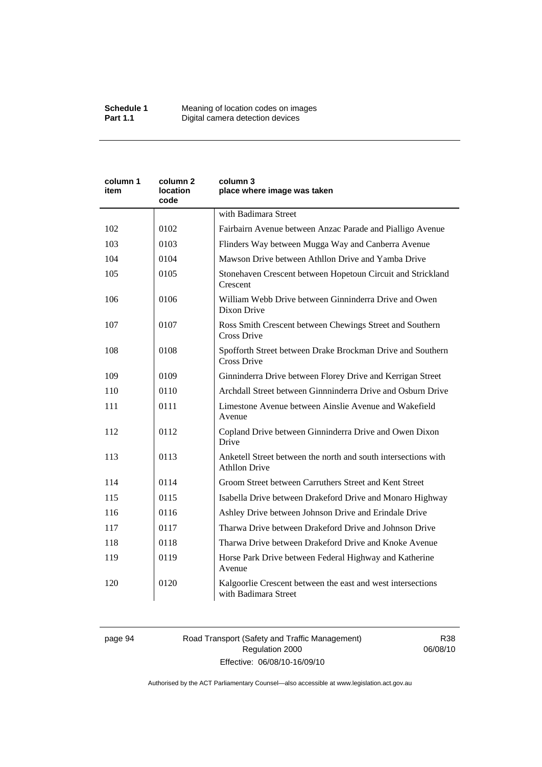| column 1<br>item | column 2<br>location<br>code | column 3<br>place where image was taken                                                |  |
|------------------|------------------------------|----------------------------------------------------------------------------------------|--|
|                  |                              | with Badimara Street                                                                   |  |
| 102              | 0102                         | Fairbairn Avenue between Anzac Parade and Pialligo Avenue                              |  |
| 103              | 0103                         | Flinders Way between Mugga Way and Canberra Avenue                                     |  |
| 104              | 0104                         | Mawson Drive between Athllon Drive and Yamba Drive                                     |  |
| 105              | 0105                         | Stonehaven Crescent between Hopetoun Circuit and Strickland<br>Crescent                |  |
| 106              | 0106                         | William Webb Drive between Ginninderra Drive and Owen<br>Dixon Drive                   |  |
| 107              | 0107                         | Ross Smith Crescent between Chewings Street and Southern<br>Cross Drive                |  |
| 108              | 0108                         | Spofforth Street between Drake Brockman Drive and Southern<br><b>Cross Drive</b>       |  |
| 109              | 0109                         | Ginninderra Drive between Florey Drive and Kerrigan Street                             |  |
| 110              | 0110                         | Archdall Street between Ginnninderra Drive and Osburn Drive                            |  |
| 111              | 0111                         | Limestone Avenue between Ainslie Avenue and Wakefield<br>Avenue                        |  |
| 112              | 0112                         | Copland Drive between Ginninderra Drive and Owen Dixon<br>Drive                        |  |
| 113              | 0113                         | Anketell Street between the north and south intersections with<br><b>Athllon Drive</b> |  |
| 114              | 0114                         | Groom Street between Carruthers Street and Kent Street                                 |  |
| 115              | 0115                         | Isabella Drive between Drakeford Drive and Monaro Highway                              |  |
| 116              | 0116                         | Ashley Drive between Johnson Drive and Erindale Drive                                  |  |
| 117              | 0117                         | Tharwa Drive between Drakeford Drive and Johnson Drive                                 |  |
| 118              | 0118                         | Tharwa Drive between Drakeford Drive and Knoke Avenue                                  |  |
| 119              | 0119                         | Horse Park Drive between Federal Highway and Katherine<br>Avenue                       |  |
| 120              | 0120                         | Kalgoorlie Crescent between the east and west intersections<br>with Badimara Street    |  |

## page 94 Road Transport (Safety and Traffic Management) Regulation 2000 Effective: 06/08/10-16/09/10

R38 06/08/10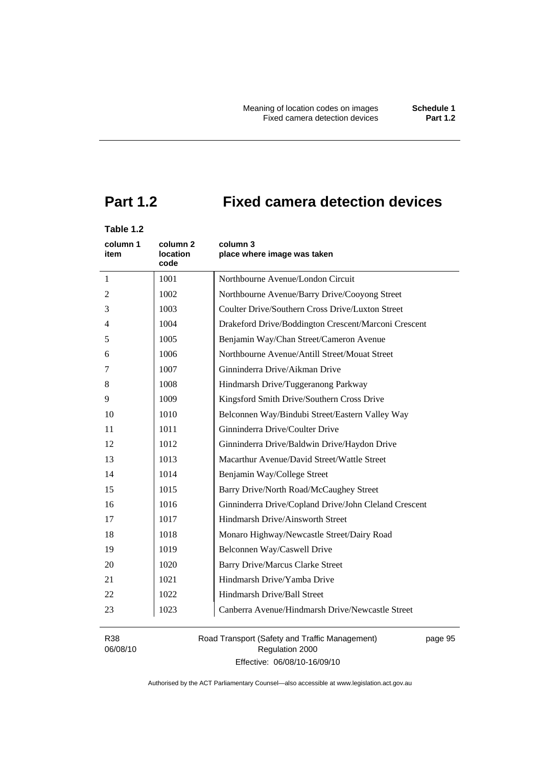# **Part 1.2 Fixed camera detection devices**

## **Table 1.2**

| column 1<br>item | column 2<br>location<br>code | column 3<br>place where image was taken               |  |
|------------------|------------------------------|-------------------------------------------------------|--|
| $\mathbf{1}$     | 1001                         | Northbourne Avenue/London Circuit                     |  |
| 2                | 1002                         | Northbourne Avenue/Barry Drive/Cooyong Street         |  |
| 3                | 1003                         | Coulter Drive/Southern Cross Drive/Luxton Street      |  |
| 4                | 1004                         | Drakeford Drive/Boddington Crescent/Marconi Crescent  |  |
| 5                | 1005                         | Benjamin Way/Chan Street/Cameron Avenue               |  |
| 6                | 1006                         | Northbourne Avenue/Antill Street/Mouat Street         |  |
| 7                | 1007                         | Ginninderra Drive/Aikman Drive                        |  |
| 8                | 1008                         | Hindmarsh Drive/Tuggeranong Parkway                   |  |
| 9                | 1009                         | Kingsford Smith Drive/Southern Cross Drive            |  |
| 10               | 1010                         | Belconnen Way/Bindubi Street/Eastern Valley Way       |  |
| 11               | 1011                         | Ginninderra Drive/Coulter Drive                       |  |
| 12               | 1012                         | Ginninderra Drive/Baldwin Drive/Haydon Drive          |  |
| 13               | 1013                         | Macarthur Avenue/David Street/Wattle Street           |  |
| 14               | 1014                         | Benjamin Way/College Street                           |  |
| 15               | 1015                         | Barry Drive/North Road/McCaughey Street               |  |
| 16               | 1016                         | Ginninderra Drive/Copland Drive/John Cleland Crescent |  |
| 17               | 1017                         | Hindmarsh Drive/Ainsworth Street                      |  |
| 18               | 1018                         | Monaro Highway/Newcastle Street/Dairy Road            |  |
| 19               | 1019                         | Belconnen Way/Caswell Drive                           |  |
| 20               | 1020                         | <b>Barry Drive/Marcus Clarke Street</b>               |  |
| 21               | 1021                         | Hindmarsh Drive/Yamba Drive                           |  |
| 22               | 1022                         | Hindmarsh Drive/Ball Street                           |  |
| 23               | 1023                         | Canberra Avenue/Hindmarsh Drive/Newcastle Street      |  |

R38 06/08/10 Road Transport (Safety and Traffic Management) Regulation 2000 Effective: 06/08/10-16/09/10

page 95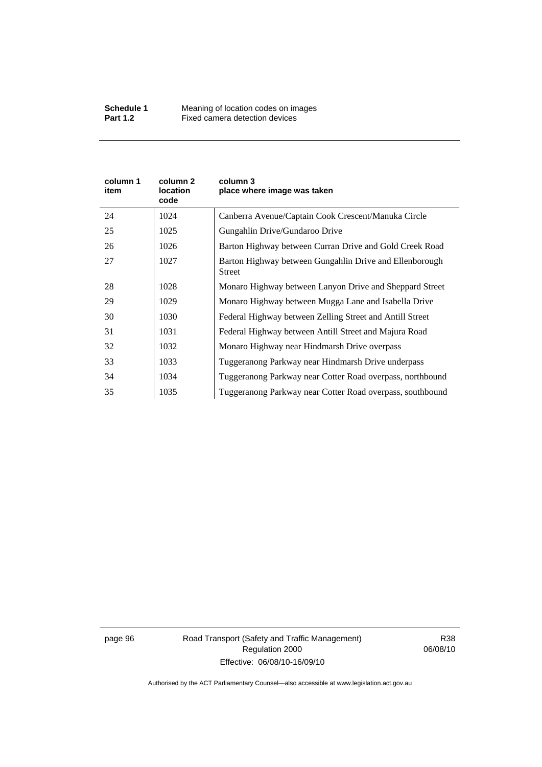| column 1<br>item | column 2<br>location<br>code | column 3<br>place where image was taken                                  |  |
|------------------|------------------------------|--------------------------------------------------------------------------|--|
| 24               | 1024                         | Canberra Avenue/Captain Cook Crescent/Manuka Circle                      |  |
| 25               | 1025                         | Gungahlin Drive/Gundaroo Drive                                           |  |
| 26               | 1026                         | Barton Highway between Curran Drive and Gold Creek Road                  |  |
| 27               | 1027                         | Barton Highway between Gungahlin Drive and Ellenborough<br><b>Street</b> |  |
| 28               | 1028                         | Monaro Highway between Lanyon Drive and Sheppard Street                  |  |
| 29               | 1029                         | Monaro Highway between Mugga Lane and Isabella Drive                     |  |
| 30               | 1030                         | Federal Highway between Zelling Street and Antill Street                 |  |
| 31               | 1031                         | Federal Highway between Antill Street and Majura Road                    |  |
| 32               | 1032                         | Monaro Highway near Hindmarsh Drive overpass                             |  |
| 33               | 1033                         | Tuggeranong Parkway near Hindmarsh Drive underpass                       |  |
| 34               | 1034                         | Tuggeranong Parkway near Cotter Road overpass, northbound                |  |
| 35               | 1035                         | Tuggeranong Parkway near Cotter Road overpass, southbound                |  |

page 96 Road Transport (Safety and Traffic Management) Regulation 2000 Effective: 06/08/10-16/09/10

R38 06/08/10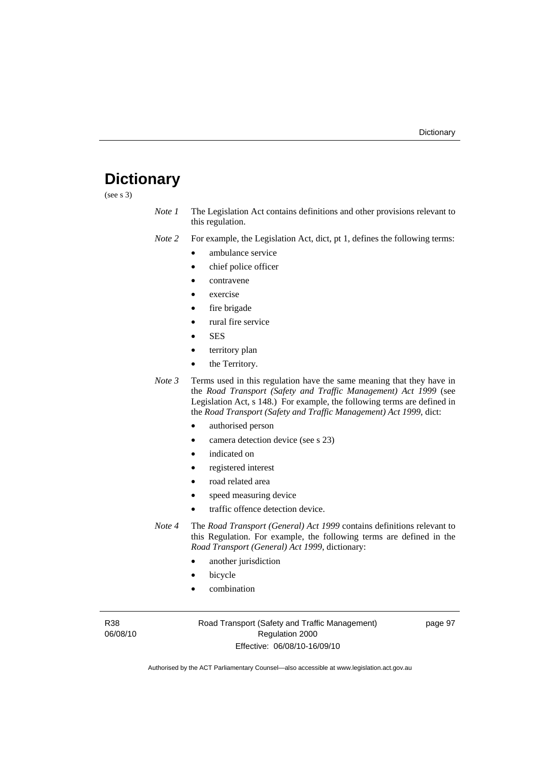# **Dictionary**

(see s 3)

*Note 1* The Legislation Act contains definitions and other provisions relevant to this regulation.

*Note 2* For example, the Legislation Act, dict, pt 1, defines the following terms:

- ambulance service
	- chief police officer
- contravene
- exercise
- fire brigade
- rural fire service
- SES
- territory plan
- the Territory.
- *Note 3* Terms used in this regulation have the same meaning that they have in the *Road Transport (Safety and Traffic Management) Act 1999* (see Legislation Act, s 148.) For example, the following terms are defined in the *Road Transport (Safety and Traffic Management) Act 1999*, dict:
	- authorised person
	- camera detection device (see s 23)
	- indicated on
	- registered interest
	- road related area
	- speed measuring device
	- traffic offence detection device.

*Note 4* The *Road Transport (General) Act 1999* contains definitions relevant to this Regulation. For example, the following terms are defined in the *Road Transport (General) Act 1999*, dictionary:

- another jurisdiction
- **bicycle**
- combination

R38 06/08/10 Road Transport (Safety and Traffic Management) Regulation 2000 Effective: 06/08/10-16/09/10

page 97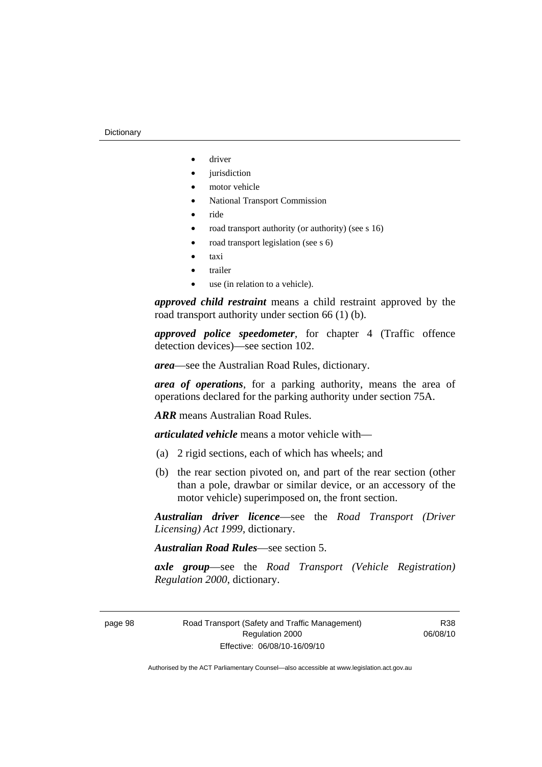- driver
- *jurisdiction*
- motor vehicle
- National Transport Commission
- ride
- road transport authority (or authority) (see s 16)
- road transport legislation (see s 6)
- taxi
- trailer
- use (in relation to a vehicle).

*approved child restraint* means a child restraint approved by the road transport authority under section 66 (1) (b).

*approved police speedometer*, for chapter 4 (Traffic offence detection devices)—see section 102.

*area*—see the Australian Road Rules, dictionary.

*area of operations*, for a parking authority, means the area of operations declared for the parking authority under section 75A.

*ARR* means Australian Road Rules.

*articulated vehicle* means a motor vehicle with—

- (a) 2 rigid sections, each of which has wheels; and
- (b) the rear section pivoted on, and part of the rear section (other than a pole, drawbar or similar device, or an accessory of the motor vehicle) superimposed on, the front section.

*Australian driver licence*—see the *Road Transport (Driver Licensing) Act 1999*, dictionary.

*Australian Road Rules*—see section 5.

*axle group*—see the *Road Transport (Vehicle Registration) Regulation 2000*, dictionary.

page 98 Road Transport (Safety and Traffic Management) Regulation 2000 Effective: 06/08/10-16/09/10

R38 06/08/10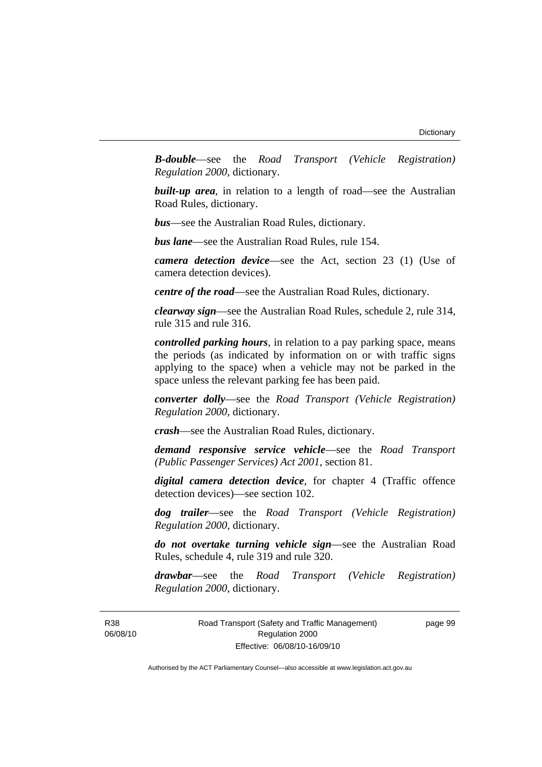*B-double*—see the *Road Transport (Vehicle Registration) Regulation 2000*, dictionary.

**built-up area**, in relation to a length of road—see the Australian Road Rules, dictionary.

*bus*—see the Australian Road Rules, dictionary.

*bus lane*—see the Australian Road Rules, rule 154.

*camera detection device*—see the Act, section 23 (1) (Use of camera detection devices).

*centre of the road*—see the Australian Road Rules, dictionary.

*clearway sign*—see the Australian Road Rules, schedule 2, rule 314, rule 315 and rule 316.

*controlled parking hours*, in relation to a pay parking space, means the periods (as indicated by information on or with traffic signs applying to the space) when a vehicle may not be parked in the space unless the relevant parking fee has been paid.

*converter dolly*—see the *Road Transport (Vehicle Registration) Regulation 2000*, dictionary.

*crash*—see the Australian Road Rules, dictionary.

*demand responsive service vehicle*—see the *Road Transport (Public Passenger Services) Act 2001*, section 81.

*digital camera detection device*, for chapter 4 (Traffic offence detection devices)—see section 102.

*dog trailer*—see the *Road Transport (Vehicle Registration) Regulation 2000*, dictionary.

*do not overtake turning vehicle sign*—see the Australian Road Rules, schedule 4, rule 319 and rule 320.

*drawbar*—see the *Road Transport (Vehicle Registration) Regulation 2000*, dictionary.

R38 06/08/10 Road Transport (Safety and Traffic Management) Regulation 2000 Effective: 06/08/10-16/09/10

page 99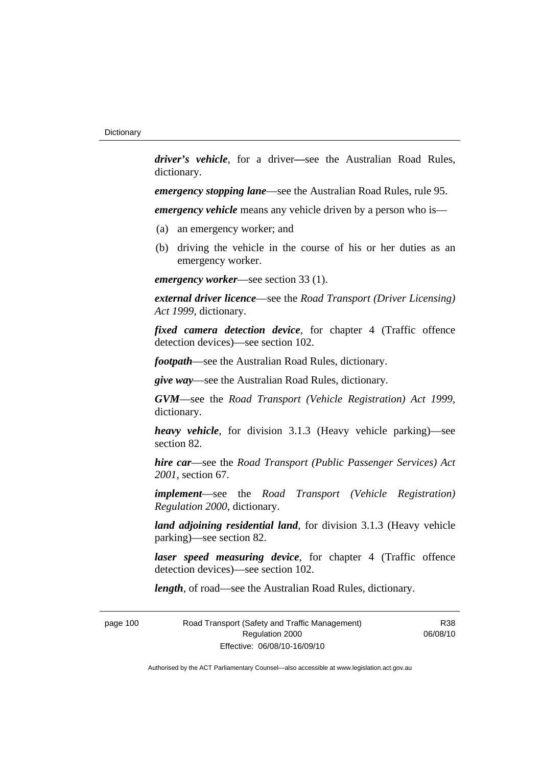*driver's vehicle*, for a driver*—*see the Australian Road Rules, dictionary.

*emergency stopping lane*—see the Australian Road Rules, rule 95.

*emergency vehicle* means any vehicle driven by a person who is—

- (a) an emergency worker; and
- (b) driving the vehicle in the course of his or her duties as an emergency worker.

*emergency worker*—see section 33 (1).

*external driver licence*—see the *Road Transport (Driver Licensing) Act 1999*, dictionary.

*fixed camera detection device*, for chapter 4 (Traffic offence detection devices)—see section 102.

*footpath*—see the Australian Road Rules, dictionary.

*give way*—see the Australian Road Rules, dictionary.

*GVM*—see the *Road Transport (Vehicle Registration) Act 1999*, dictionary.

*heavy vehicle*, for division 3.1.3 (Heavy vehicle parking)—see section 82.

*hire car*—see the *Road Transport (Public Passenger Services) Act 2001*, section 67.

*implement*—see the *Road Transport (Vehicle Registration) Regulation 2000*, dictionary.

*land adjoining residential land*, for division 3.1.3 (Heavy vehicle parking)—see section 82.

*laser speed measuring device*, for chapter 4 (Traffic offence detection devices)—see section 102.

*length*, of road—see the Australian Road Rules, dictionary.

page 100 Road Transport (Safety and Traffic Management) Regulation 2000 Effective: 06/08/10-16/09/10

R38 06/08/10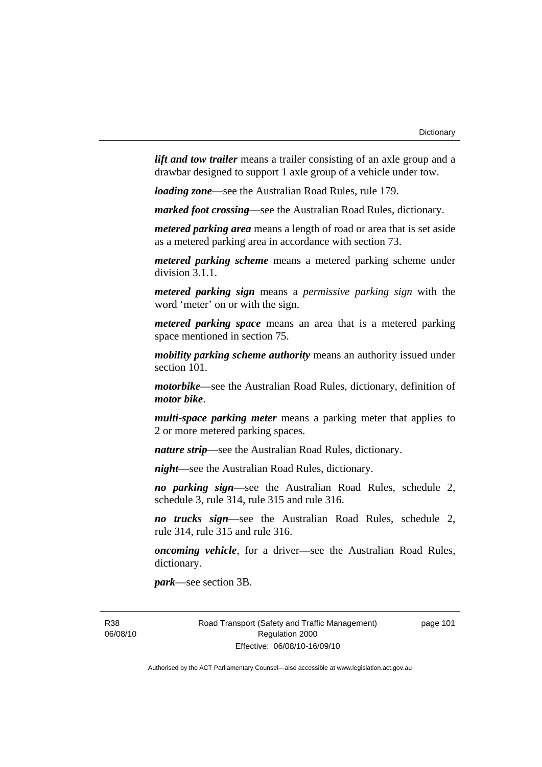*lift and tow trailer* means a trailer consisting of an axle group and a drawbar designed to support 1 axle group of a vehicle under tow.

*loading zone*—see the Australian Road Rules, rule 179.

*marked foot crossing*—see the Australian Road Rules, dictionary.

*metered parking area* means a length of road or area that is set aside as a metered parking area in accordance with section 73.

*metered parking scheme* means a metered parking scheme under division 3.1.1.

*metered parking sign* means a *permissive parking sign* with the word 'meter' on or with the sign.

*metered parking space* means an area that is a metered parking space mentioned in section 75.

*mobility parking scheme authority* means an authority issued under section 101.

*motorbike*—see the Australian Road Rules, dictionary, definition of *motor bike*.

*multi-space parking meter* means a parking meter that applies to 2 or more metered parking spaces.

*nature strip*—see the Australian Road Rules, dictionary.

*night*—see the Australian Road Rules, dictionary.

*no parking sign*—see the Australian Road Rules, schedule 2, schedule 3, rule 314, rule 315 and rule 316.

*no trucks sign*—see the Australian Road Rules, schedule 2, rule 314, rule 315 and rule 316.

*oncoming vehicle*, for a driver—see the Australian Road Rules, dictionary.

*park*—see section 3B.

R38 06/08/10 Road Transport (Safety and Traffic Management) Regulation 2000 Effective: 06/08/10-16/09/10

page 101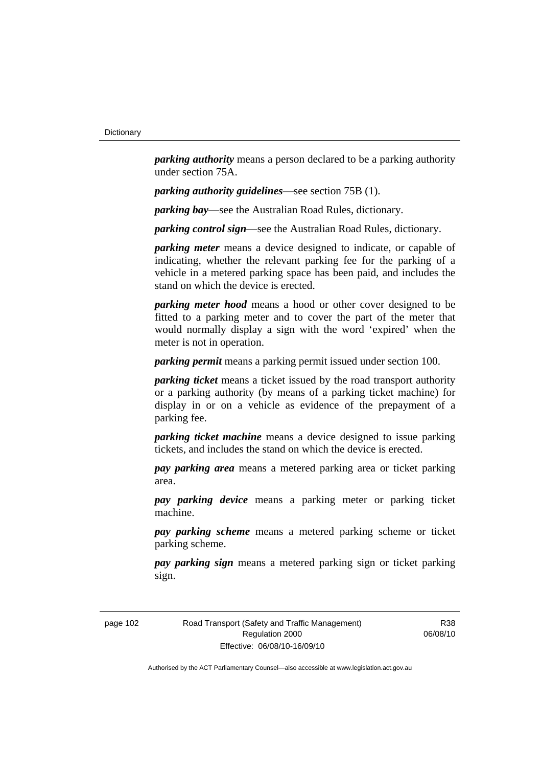*parking authority* means a person declared to be a parking authority under section 75A.

*parking authority guidelines*—see section 75B (1).

*parking bay*—see the Australian Road Rules, dictionary.

*parking control sign*—see the Australian Road Rules, dictionary.

*parking meter* means a device designed to indicate, or capable of indicating, whether the relevant parking fee for the parking of a vehicle in a metered parking space has been paid, and includes the stand on which the device is erected.

*parking meter hood* means a hood or other cover designed to be fitted to a parking meter and to cover the part of the meter that would normally display a sign with the word 'expired' when the meter is not in operation.

*parking permit* means a parking permit issued under section 100.

*parking ticket* means a ticket issued by the road transport authority or a parking authority (by means of a parking ticket machine) for display in or on a vehicle as evidence of the prepayment of a parking fee.

*parking ticket machine* means a device designed to issue parking tickets, and includes the stand on which the device is erected.

*pay parking area* means a metered parking area or ticket parking area.

*pay parking device* means a parking meter or parking ticket machine.

*pay parking scheme* means a metered parking scheme or ticket parking scheme.

*pay parking sign* means a metered parking sign or ticket parking sign.

page 102 Road Transport (Safety and Traffic Management) Regulation 2000 Effective: 06/08/10-16/09/10

R38 06/08/10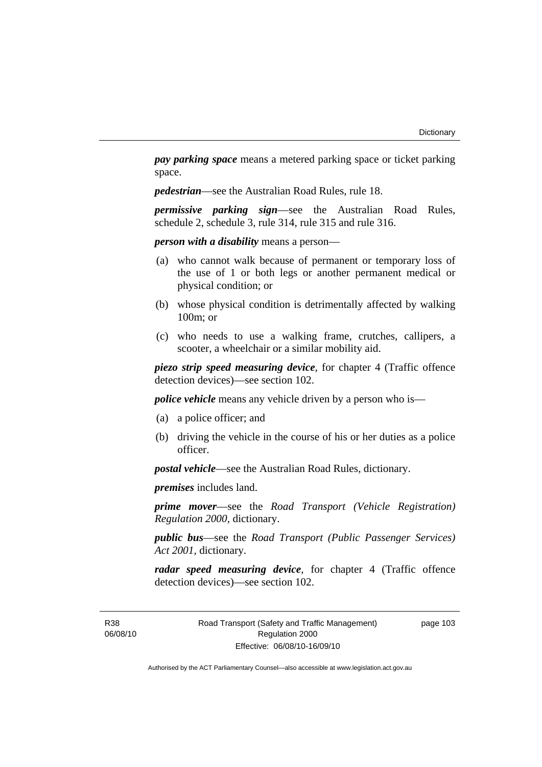*pay parking space* means a metered parking space or ticket parking space.

*pedestrian*—see the Australian Road Rules, rule 18.

*permissive parking sign*—see the Australian Road Rules, schedule 2, schedule 3, rule 314, rule 315 and rule 316.

*person with a disability* means a person—

- (a) who cannot walk because of permanent or temporary loss of the use of 1 or both legs or another permanent medical or physical condition; or
- (b) whose physical condition is detrimentally affected by walking 100m; or
- (c) who needs to use a walking frame, crutches, callipers, a scooter, a wheelchair or a similar mobility aid.

*piezo strip speed measuring device*, for chapter 4 (Traffic offence detection devices)—see section 102.

*police vehicle* means any vehicle driven by a person who is—

- (a) a police officer; and
- (b) driving the vehicle in the course of his or her duties as a police officer.

*postal vehicle*—see the Australian Road Rules, dictionary.

*premises* includes land.

*prime mover*—see the *Road Transport (Vehicle Registration) Regulation 2000*, dictionary.

*public bus*—see the *Road Transport (Public Passenger Services) Act 2001*, dictionary.

*radar speed measuring device*, for chapter 4 (Traffic offence detection devices)—see section 102.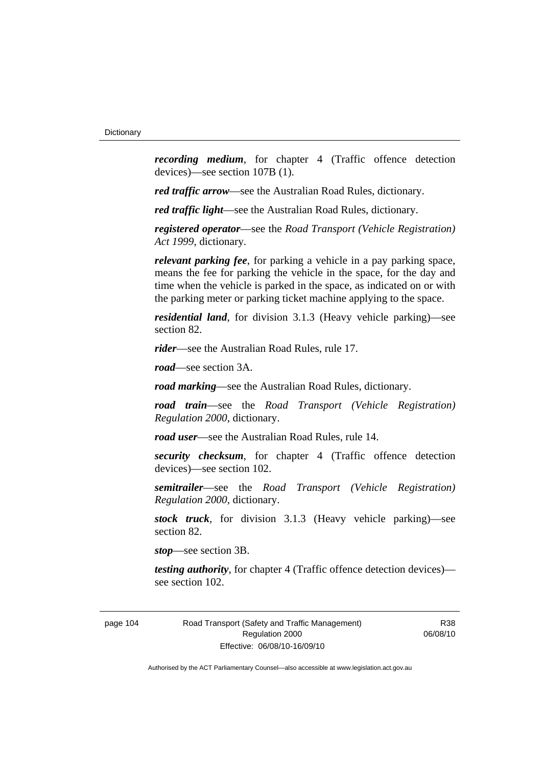*recording medium*, for chapter 4 (Traffic offence detection devices)—see section 107B (1).

*red traffic arrow*—see the Australian Road Rules, dictionary.

*red traffic light*—see the Australian Road Rules, dictionary.

*registered operator*—see the *Road Transport (Vehicle Registration) Act 1999*, dictionary.

*relevant parking fee*, for parking a vehicle in a pay parking space, means the fee for parking the vehicle in the space, for the day and time when the vehicle is parked in the space, as indicated on or with the parking meter or parking ticket machine applying to the space.

*residential land*, for division 3.1.3 (Heavy vehicle parking)—see section 82.

*rider*—see the Australian Road Rules, rule 17.

*road*—see section 3A.

*road marking*—see the Australian Road Rules, dictionary.

*road train*—see the *Road Transport (Vehicle Registration) Regulation 2000*, dictionary.

*road user*—see the Australian Road Rules, rule 14.

*security checksum*, for chapter 4 (Traffic offence detection devices)—see section 102.

*semitrailer*—see the *Road Transport (Vehicle Registration) Regulation 2000*, dictionary.

*stock truck*, for division 3.1.3 (Heavy vehicle parking)—see section 82.

*stop*—see section 3B.

*testing authority*, for chapter 4 (Traffic offence detection devices) see section 102.

page 104 Road Transport (Safety and Traffic Management) Regulation 2000 Effective: 06/08/10-16/09/10

R38 06/08/10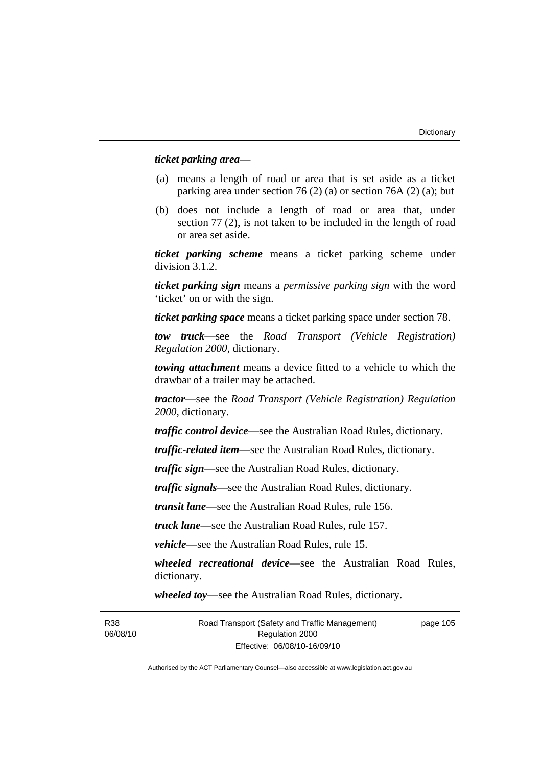## *ticket parking area*—

- (a) means a length of road or area that is set aside as a ticket parking area under section 76 (2) (a) or section 76A (2) (a); but
- (b) does not include a length of road or area that, under section 77 (2), is not taken to be included in the length of road or area set aside.

*ticket parking scheme* means a ticket parking scheme under division 3.1.2.

*ticket parking sign* means a *permissive parking sign* with the word 'ticket' on or with the sign.

*ticket parking space* means a ticket parking space under section 78.

*tow truck*—see the *Road Transport (Vehicle Registration) Regulation 2000*, dictionary.

*towing attachment* means a device fitted to a vehicle to which the drawbar of a trailer may be attached.

*tractor*—see the *Road Transport (Vehicle Registration) Regulation 2000*, dictionary.

*traffic control device*—see the Australian Road Rules, dictionary.

*traffic-related item*—see the Australian Road Rules, dictionary.

*traffic sign*—see the Australian Road Rules, dictionary.

*traffic signals*—see the Australian Road Rules, dictionary.

*transit lane*—see the Australian Road Rules, rule 156.

*truck lane*—see the Australian Road Rules, rule 157.

*vehicle*—see the Australian Road Rules, rule 15.

*wheeled recreational device*—see the Australian Road Rules, dictionary.

*wheeled toy*—see the Australian Road Rules, dictionary.

Road Transport (Safety and Traffic Management) Regulation 2000 Effective: 06/08/10-16/09/10

page 105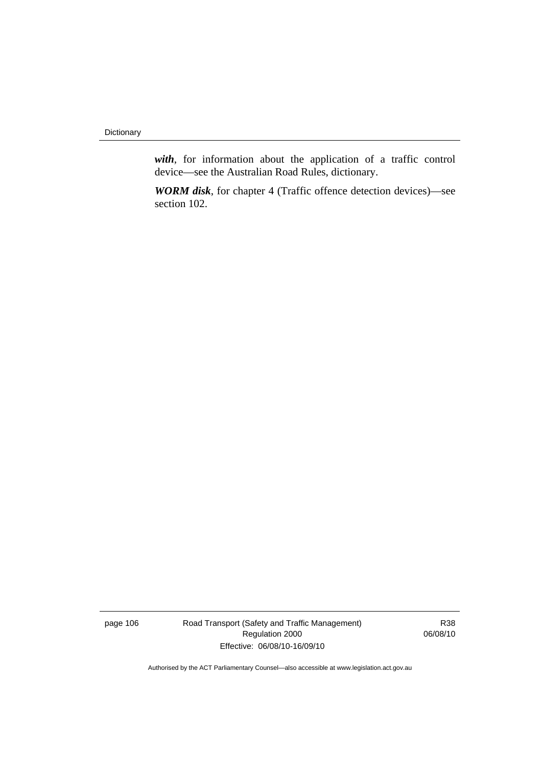**Dictionary** 

*with*, for information about the application of a traffic control device—see the Australian Road Rules, dictionary.

*WORM disk*, for chapter 4 (Traffic offence detection devices)—see section 102.

page 106 Road Transport (Safety and Traffic Management) Regulation 2000 Effective: 06/08/10-16/09/10

R38 06/08/10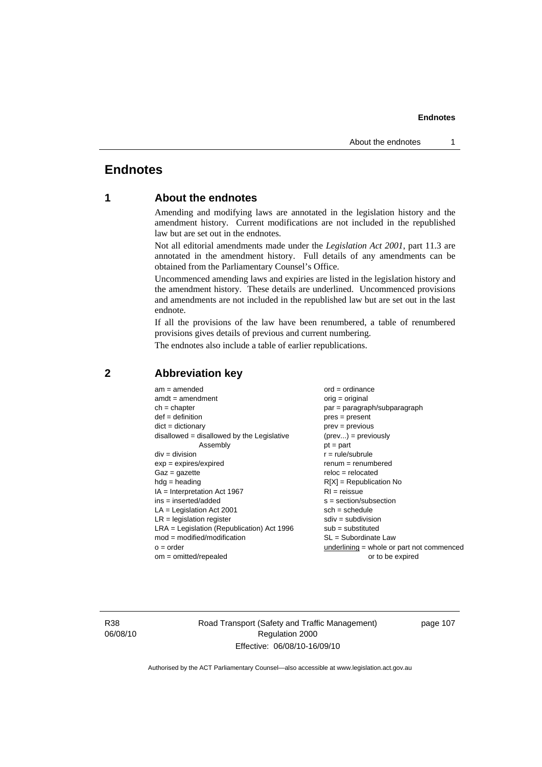## **Endnotes**

## **1 About the endnotes**

Amending and modifying laws are annotated in the legislation history and the amendment history. Current modifications are not included in the republished law but are set out in the endnotes.

Not all editorial amendments made under the *Legislation Act 2001*, part 11.3 are annotated in the amendment history. Full details of any amendments can be obtained from the Parliamentary Counsel's Office.

Uncommenced amending laws and expiries are listed in the legislation history and the amendment history. These details are underlined. Uncommenced provisions and amendments are not included in the republished law but are set out in the last endnote.

If all the provisions of the law have been renumbered, a table of renumbered provisions gives details of previous and current numbering.

The endnotes also include a table of earlier republications.

| $am = amended$                               | $ord = ordinance$                         |
|----------------------------------------------|-------------------------------------------|
| $amdt = amendment$                           | $orig = original$                         |
| $ch = chapter$                               | par = paragraph/subparagraph              |
| $def = definition$                           | $pres = present$                          |
| $dict = dictionary$                          | $prev = previous$                         |
| $disallowed = disallowed by the Legislative$ | $(\text{prev}) = \text{previously}$       |
| Assembly                                     | $pt = part$                               |
| $div = division$                             | $r = rule/subrule$                        |
| $exp = expires/expired$                      | $remum = renumbered$                      |
| $Gaz = gazette$                              | $reloc = relocated$                       |
| $hdg =$ heading                              | $R[X]$ = Republication No                 |
| $IA = Interpretation Act 1967$               | $RI = reissue$                            |
| $ins = inserted/added$                       | $s = section/subsection$                  |
| $LA =$ Legislation Act 2001                  | $sch = schedule$                          |
| $LR =$ legislation register                  | $sdiv = subdivision$                      |
| $LRA =$ Legislation (Republication) Act 1996 | $sub = substituted$                       |
| $mod = modified/modification$                | $SL = Subordinate$ Law                    |
| $o = order$                                  | underlining = whole or part not commenced |
| $om = omitted/repealed$                      | or to be expired                          |
|                                              |                                           |

## **2 Abbreviation key**

R38 06/08/10 Road Transport (Safety and Traffic Management) Regulation 2000 Effective: 06/08/10-16/09/10

page 107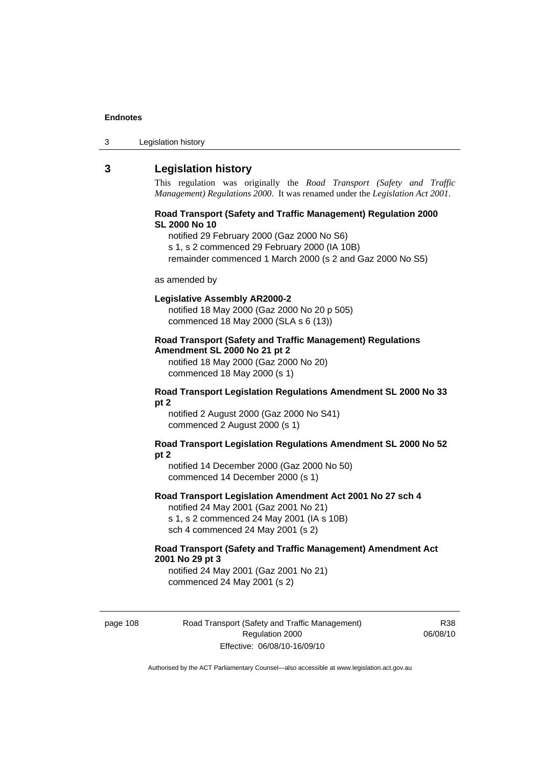| 3 | Legislation history |  |
|---|---------------------|--|
|---|---------------------|--|

## **3 Legislation history**

This regulation was originally the *Road Transport (Safety and Traffic Management) Regulations 2000*. It was renamed under the *Legislation Act 2001*.

## **Road Transport (Safety and Traffic Management) Regulation 2000 SL 2000 No 10**

notified 29 February 2000 (Gaz 2000 No S6)

s 1, s 2 commenced 29 February 2000 (IA 10B)

remainder commenced 1 March 2000 (s 2 and Gaz 2000 No S5)

#### as amended by

### **Legislative Assembly AR2000-2**

notified 18 May 2000 (Gaz 2000 No 20 p 505) commenced 18 May 2000 (SLA s 6 (13))

## **Road Transport (Safety and Traffic Management) Regulations Amendment SL 2000 No 21 pt 2**

notified 18 May 2000 (Gaz 2000 No 20) commenced 18 May 2000 (s 1)

## **Road Transport Legislation Regulations Amendment SL 2000 No 33 pt 2**

notified 2 August 2000 (Gaz 2000 No S41) commenced 2 August 2000 (s 1)

## **Road Transport Legislation Regulations Amendment SL 2000 No 52 pt 2**

notified 14 December 2000 (Gaz 2000 No 50) commenced 14 December 2000 (s 1)

## **Road Transport Legislation Amendment Act 2001 No 27 sch 4**

notified 24 May 2001 (Gaz 2001 No 21) s 1, s 2 commenced 24 May 2001 (IA s 10B) sch 4 commenced 24 May 2001 (s 2)

## **Road Transport (Safety and Traffic Management) Amendment Act 2001 No 29 pt 3**

notified 24 May 2001 (Gaz 2001 No 21) commenced 24 May 2001 (s 2)

page 108 Road Transport (Safety and Traffic Management) Regulation 2000 Effective: 06/08/10-16/09/10

R38 06/08/10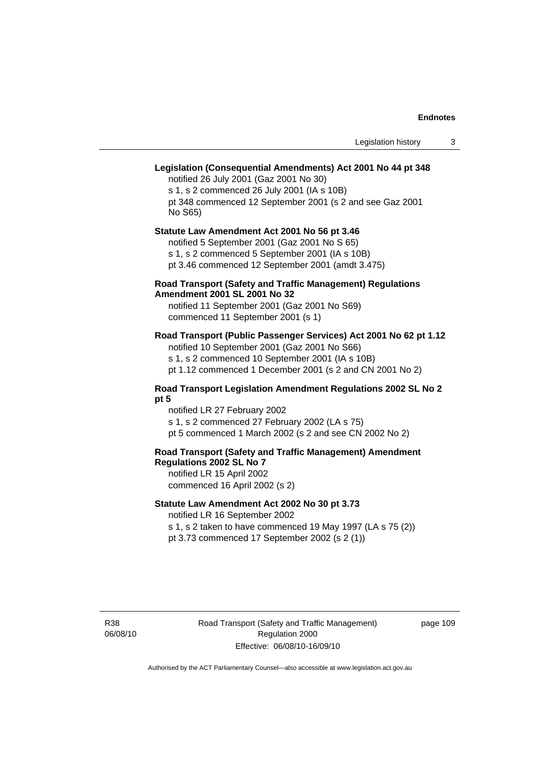## **Legislation (Consequential Amendments) Act 2001 No 44 pt 348**

notified 26 July 2001 (Gaz 2001 No 30) s 1, s 2 commenced 26 July 2001 (IA s 10B) pt 348 commenced 12 September 2001 (s 2 and see Gaz 2001 No S65)

## **Statute Law Amendment Act 2001 No 56 pt 3.46**

notified 5 September 2001 (Gaz 2001 No S 65) s 1, s 2 commenced 5 September 2001 (IA s 10B)

pt 3.46 commenced 12 September 2001 (amdt 3.475)

## **Road Transport (Safety and Traffic Management) Regulations Amendment 2001 SL 2001 No 32**

notified 11 September 2001 (Gaz 2001 No S69) commenced 11 September 2001 (s 1)

## **Road Transport (Public Passenger Services) Act 2001 No 62 pt 1.12**

notified 10 September 2001 (Gaz 2001 No S66) s 1, s 2 commenced 10 September 2001 (IA s 10B)

pt 1.12 commenced 1 December 2001 (s 2 and CN 2001 No 2)

## **Road Transport Legislation Amendment Regulations 2002 SL No 2 pt 5**

notified LR 27 February 2002 s 1, s 2 commenced 27 February 2002 (LA s 75) pt 5 commenced 1 March 2002 (s 2 and see CN 2002 No 2)

## **Road Transport (Safety and Traffic Management) Amendment Regulations 2002 SL No 7**

notified LR 15 April 2002 commenced 16 April 2002 (s 2)

## **Statute Law Amendment Act 2002 No 30 pt 3.73**

notified LR 16 September 2002

s 1, s 2 taken to have commenced 19 May 1997 (LA s 75 (2)) pt 3.73 commenced 17 September 2002 (s 2 (1))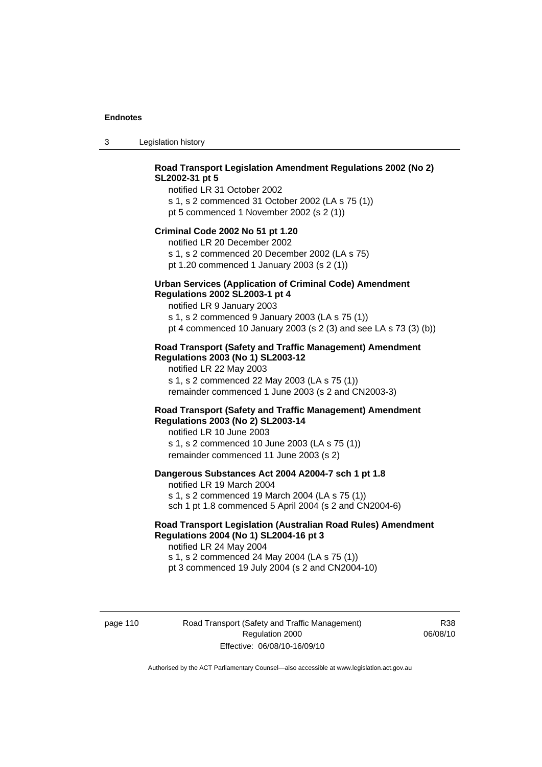3 Legislation history

## **Road Transport Legislation Amendment Regulations 2002 (No 2) SL2002-31 pt 5**

notified LR 31 October 2002 s 1, s 2 commenced 31 October 2002 (LA s 75 (1)) pt 5 commenced 1 November 2002 (s 2 (1))

## **Criminal Code 2002 No 51 pt 1.20**

notified LR 20 December 2002 s 1, s 2 commenced 20 December 2002 (LA s 75) pt 1.20 commenced 1 January 2003 (s 2 (1))

## **Urban Services (Application of Criminal Code) Amendment Regulations 2002 SL2003-1 pt 4**

notified LR 9 January 2003 s 1, s 2 commenced 9 January 2003 (LA s 75 (1)) pt 4 commenced 10 January 2003 (s 2 (3) and see LA s 73 (3) (b))

## **Road Transport (Safety and Traffic Management) Amendment Regulations 2003 (No 1) SL2003-12**

notified LR 22 May 2003 s 1, s 2 commenced 22 May 2003 (LA s 75 (1)) remainder commenced 1 June 2003 (s 2 and CN2003-3)

## **Road Transport (Safety and Traffic Management) Amendment Regulations 2003 (No 2) SL2003-14**

notified LR 10 June 2003 s 1, s 2 commenced 10 June 2003 (LA s 75 (1)) remainder commenced 11 June 2003 (s 2)

## **Dangerous Substances Act 2004 A2004-7 sch 1 pt 1.8**

notified LR 19 March 2004 s 1, s 2 commenced 19 March 2004 (LA s 75 (1)) sch 1 pt 1.8 commenced 5 April 2004 (s 2 and CN2004-6)

## **Road Transport Legislation (Australian Road Rules) Amendment Regulations 2004 (No 1) SL2004-16 pt 3**

notified LR 24 May 2004 s 1, s 2 commenced 24 May 2004 (LA s 75 (1)) pt 3 commenced 19 July 2004 (s 2 and CN2004-10)

page 110 Road Transport (Safety and Traffic Management) Regulation 2000 Effective: 06/08/10-16/09/10

R38 06/08/10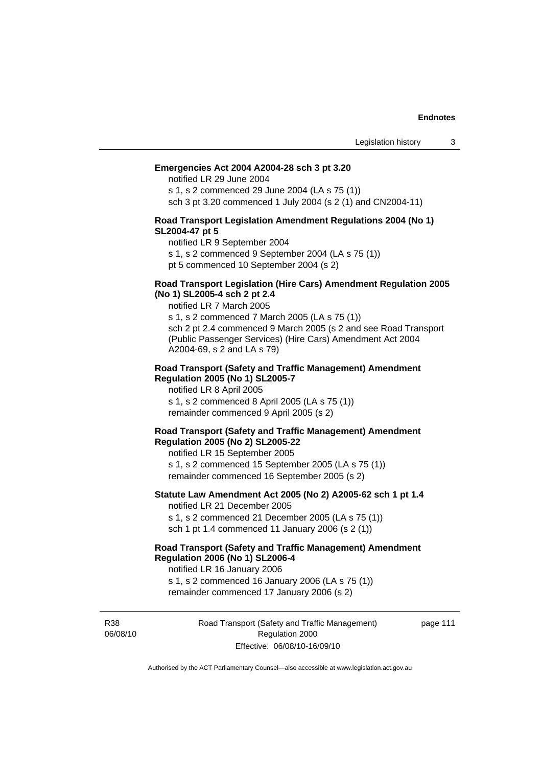## **Emergencies Act 2004 A2004-28 sch 3 pt 3.20**

notified LR 29 June 2004

s 1, s 2 commenced 29 June 2004 (LA s 75 (1)) sch 3 pt 3.20 commenced 1 July 2004 (s 2 (1) and CN2004-11)

## **Road Transport Legislation Amendment Regulations 2004 (No 1) SL2004-47 pt 5**

notified LR 9 September 2004

s 1, s 2 commenced 9 September 2004 (LA s 75 (1))

pt 5 commenced 10 September 2004 (s 2)

## **Road Transport Legislation (Hire Cars) Amendment Regulation 2005 (No 1) SL2005-4 sch 2 pt 2.4**

notified LR 7 March 2005

s 1, s 2 commenced 7 March 2005 (LA s 75 (1)) sch 2 pt 2.4 commenced 9 March 2005 (s 2 and see Road Transport (Public Passenger Services) (Hire Cars) Amendment Act 2004 A2004-69, s 2 and LA s 79)

## **Road Transport (Safety and Traffic Management) Amendment Regulation 2005 (No 1) SL2005-7**

notified LR 8 April 2005 s 1, s 2 commenced 8 April 2005 (LA s 75 (1)) remainder commenced 9 April 2005 (s 2)

## **Road Transport (Safety and Traffic Management) Amendment Regulation 2005 (No 2) SL2005-22**

notified LR 15 September 2005 s 1, s 2 commenced 15 September 2005 (LA s 75 (1)) remainder commenced 16 September 2005 (s 2)

## **Statute Law Amendment Act 2005 (No 2) A2005-62 sch 1 pt 1.4**  notified LR 21 December 2005

s 1, s 2 commenced 21 December 2005 (LA s 75 (1)) sch 1 pt 1.4 commenced 11 January 2006 (s 2 (1))

## **Road Transport (Safety and Traffic Management) Amendment Regulation 2006 (No 1) SL2006-4**

notified LR 16 January 2006 s 1, s 2 commenced 16 January 2006 (LA s 75 (1))

remainder commenced 17 January 2006 (s 2)

R38 06/08/10 Road Transport (Safety and Traffic Management) Regulation 2000 Effective: 06/08/10-16/09/10

page 111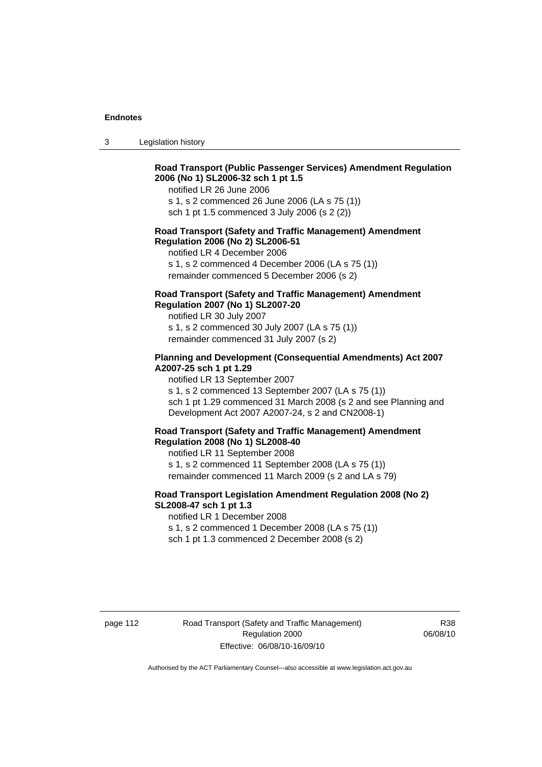3 Legislation history

## **Road Transport (Public Passenger Services) Amendment Regulation 2006 (No 1) SL2006-32 sch 1 pt 1.5**

notified LR 26 June 2006

s 1, s 2 commenced 26 June 2006 (LA s 75 (1)) sch 1 pt 1.5 commenced 3 July 2006 (s 2 (2))

## **Road Transport (Safety and Traffic Management) Amendment Regulation 2006 (No 2) SL2006-51**

notified LR 4 December 2006

s 1, s 2 commenced 4 December 2006 (LA s 75 (1)) remainder commenced 5 December 2006 (s 2)

## **Road Transport (Safety and Traffic Management) Amendment Regulation 2007 (No 1) SL2007-20**

notified LR 30 July 2007 s 1, s 2 commenced 30 July 2007 (LA s 75 (1)) remainder commenced 31 July 2007 (s 2)

## **Planning and Development (Consequential Amendments) Act 2007 A2007-25 sch 1 pt 1.29**

notified LR 13 September 2007

s 1, s 2 commenced 13 September 2007 (LA s 75 (1)) sch 1 pt 1.29 commenced 31 March 2008 (s 2 and see Planning and Development Act 2007 A2007-24, s 2 and CN2008-1)

#### **Road Transport (Safety and Traffic Management) Amendment Regulation 2008 (No 1) SL2008-40**

notified LR 11 September 2008 s 1, s 2 commenced 11 September 2008 (LA s 75 (1)) remainder commenced 11 March 2009 (s 2 and LA s 79)

## **Road Transport Legislation Amendment Regulation 2008 (No 2) SL2008-47 sch 1 pt 1.3**

notified LR 1 December 2008 s 1, s 2 commenced 1 December 2008 (LA s 75 (1)) sch 1 pt 1.3 commenced 2 December 2008 (s 2)

page 112 Road Transport (Safety and Traffic Management) Regulation 2000 Effective: 06/08/10-16/09/10

R38 06/08/10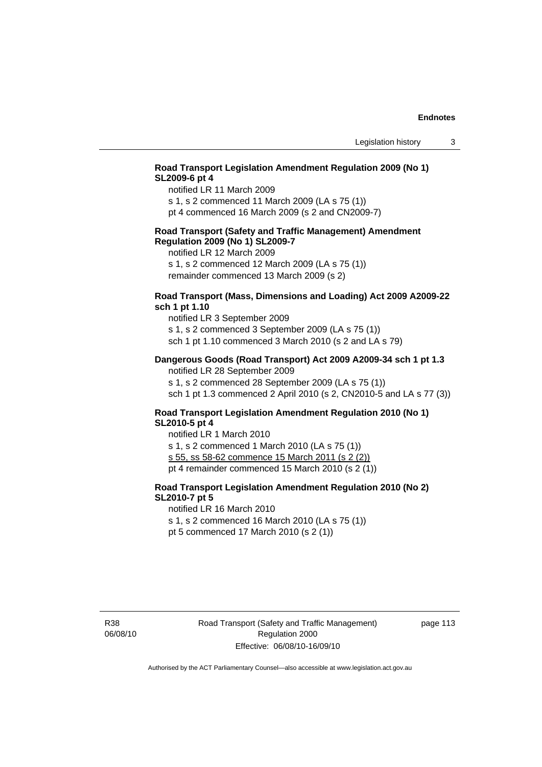## **Road Transport Legislation Amendment Regulation 2009 (No 1) SL2009-6 pt 4**

notified LR 11 March 2009

s 1, s 2 commenced 11 March 2009 (LA s 75 (1)) pt 4 commenced 16 March 2009 (s 2 and CN2009-7)

## **Road Transport (Safety and Traffic Management) Amendment Regulation 2009 (No 1) SL2009-7**

notified LR 12 March 2009

s 1, s 2 commenced 12 March 2009 (LA s 75 (1)) remainder commenced 13 March 2009 (s 2)

## **Road Transport (Mass, Dimensions and Loading) Act 2009 A2009-22 sch 1 pt 1.10**

notified LR 3 September 2009 s 1, s 2 commenced 3 September 2009 (LA s 75 (1)) sch 1 pt 1.10 commenced 3 March 2010 (s 2 and LA s 79)

## **Dangerous Goods (Road Transport) Act 2009 A2009-34 sch 1 pt 1.3**

notified LR 28 September 2009 s 1, s 2 commenced 28 September 2009 (LA s 75 (1)) sch 1 pt 1.3 commenced 2 April 2010 (s 2, CN2010-5 and LA s 77 (3))

## **Road Transport Legislation Amendment Regulation 2010 (No 1) SL2010-5 pt 4**

notified LR 1 March 2010 s 1, s 2 commenced 1 March 2010 (LA s 75 (1)) s 55, ss 58-62 commence 15 March 2011 (s 2 (2)) pt 4 remainder commenced 15 March 2010 (s 2 (1))

## **Road Transport Legislation Amendment Regulation 2010 (No 2) SL2010-7 pt 5**

notified LR 16 March 2010

s 1, s 2 commenced 16 March 2010 (LA s 75 (1))

pt 5 commenced 17 March 2010 (s 2 (1))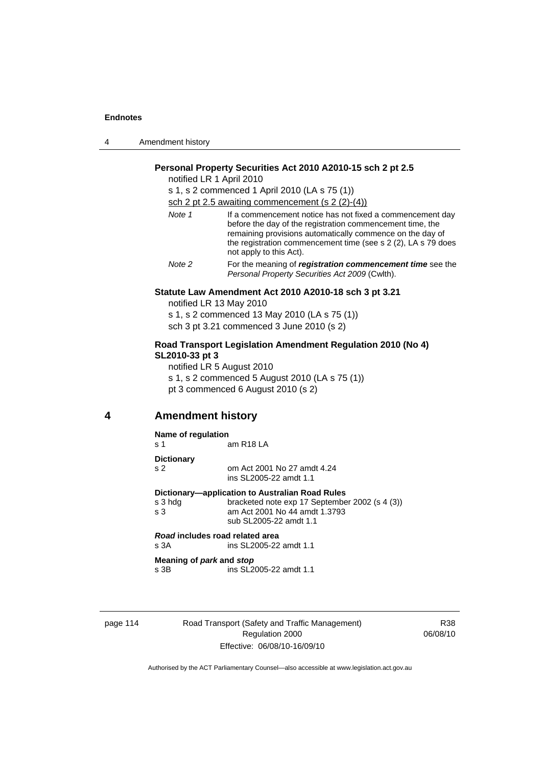| 4 | Amendment history |
|---|-------------------|
|---|-------------------|

## **Personal Property Securities Act 2010 A2010-15 sch 2 pt 2.5**

notified LR 1 April 2010

s 1, s 2 commenced 1 April 2010 (LA s 75 (1))

sch 2 pt 2.5 awaiting commencement (s 2 (2)-(4))

| Note 1 | If a commencement notice has not fixed a commencement day<br>before the day of the registration commencement time, the<br>remaining provisions automatically commence on the day of<br>the registration commencement time (see s 2 (2), LA s 79 does<br>not apply to this Act). |
|--------|---------------------------------------------------------------------------------------------------------------------------------------------------------------------------------------------------------------------------------------------------------------------------------|
| Note 2 | For the meaning of registration commencement time see the<br>Personal Property Securities Act 2009 (Cwlth).                                                                                                                                                                     |

## **Statute Law Amendment Act 2010 A2010-18 sch 3 pt 3.21**

notified LR 13 May 2010 s 1, s 2 commenced 13 May 2010 (LA s 75 (1)) sch 3 pt 3.21 commenced 3 June 2010 (s 2)

## **Road Transport Legislation Amendment Regulation 2010 (No 4) SL2010-33 pt 3**

notified LR 5 August 2010 s 1, s 2 commenced 5 August 2010 (LA s 75 (1)) pt 3 commenced 6 August 2010 (s 2)

## **4 Amendment history**

#### **Name of regulation**

s 1 am R18 LA

#### **Dictionary**

s 2 om Act 2001 No 27 amdt 4.24 ins SL2005-22 amdt 1.1

**Dictionary—application to Australian Road Rules** 

s 3 hdg bracketed note exp 17 September 2002 (s 4 (3)) s 3 am Act 2001 No 44 amdt 1.3793 sub SL2005-22 amdt 1.1

*Road* **includes road related area**  s 3A ins SL2005-22 amdt 1.1

**Meaning of** *park* **and** *stop* s 3B ins SL2005-22 amdt 1.1

page 114 Road Transport (Safety and Traffic Management) Regulation 2000 Effective: 06/08/10-16/09/10

R38 06/08/10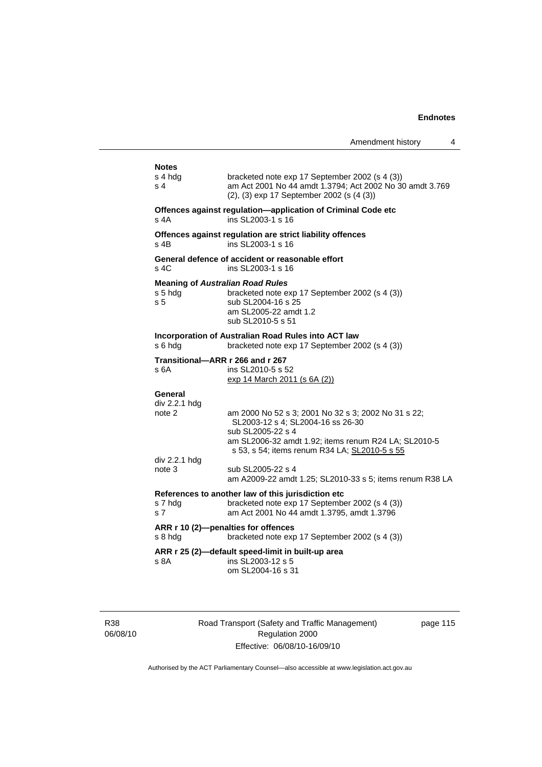|                                                                      |                                                                                                                                                                                                                                             | Amendment history | 4 |
|----------------------------------------------------------------------|---------------------------------------------------------------------------------------------------------------------------------------------------------------------------------------------------------------------------------------------|-------------------|---|
| <b>Notes</b><br>s 4 hdg<br>s 4                                       | bracketed note exp 17 September 2002 (s 4 (3))<br>am Act 2001 No 44 amdt 1.3794; Act 2002 No 30 amdt 3.769<br>(2), (3) exp 17 September 2002 (s (4 (3))                                                                                     |                   |   |
| s 4A                                                                 | Offences against regulation-application of Criminal Code etc<br>ins SL2003-1 s 16                                                                                                                                                           |                   |   |
| s 4B                                                                 | Offences against regulation are strict liability offences<br>ins SL2003-1 s 16                                                                                                                                                              |                   |   |
| s 4C                                                                 | General defence of accident or reasonable effort<br>ins SL2003-1 s 16                                                                                                                                                                       |                   |   |
| <b>Meaning of Australian Road Rules</b><br>s 5 hdg<br>s <sub>5</sub> | bracketed note exp 17 September 2002 (s 4 (3))<br>sub SL2004-16 s 25<br>am SL2005-22 amdt 1.2<br>sub SL2010-5 s 51                                                                                                                          |                   |   |
| s 6 hdg                                                              | Incorporation of Australian Road Rules into ACT law<br>bracketed note exp 17 September 2002 (s 4 (3))                                                                                                                                       |                   |   |
| Transitional-ARR r 266 and r 267<br>s 6A                             | ins SL2010-5 s 52<br>exp 14 March 2011 (s 6A (2))                                                                                                                                                                                           |                   |   |
| General<br>div 2.2.1 hdg<br>note 2<br>div 2.2.1 hdg<br>note 3        | am 2000 No 52 s 3; 2001 No 32 s 3; 2002 No 31 s 22;<br>SL2003-12 s 4; SL2004-16 ss 26-30<br>sub SL2005-22 s 4<br>am SL2006-32 amdt 1.92; items renum R24 LA; SL2010-5<br>s 53, s 54; items renum R34 LA; SL2010-5 s 55<br>sub SL2005-22 s 4 |                   |   |
|                                                                      | am A2009-22 amdt 1.25; SL2010-33 s 5; items renum R38 LA                                                                                                                                                                                    |                   |   |
| s 7 hdg<br>s <sub>7</sub>                                            | References to another law of this jurisdiction etc<br>bracketed note exp 17 September 2002 (s 4 (3))<br>am Act 2001 No 44 amdt 1.3795, amdt 1.3796                                                                                          |                   |   |
| s 8 hdg                                                              | ARR r 10 (2)-penalties for offences<br>bracketed note exp 17 September 2002 (s 4 (3))                                                                                                                                                       |                   |   |
| s 8A                                                                 | ARR r 25 (2)-default speed-limit in built-up area<br>ins SL2003-12 s 5<br>om SL2004-16 s 31                                                                                                                                                 |                   |   |
|                                                                      |                                                                                                                                                                                                                                             |                   |   |

R38 06/08/10 Road Transport (Safety and Traffic Management) Regulation 2000 Effective: 06/08/10-16/09/10

page 115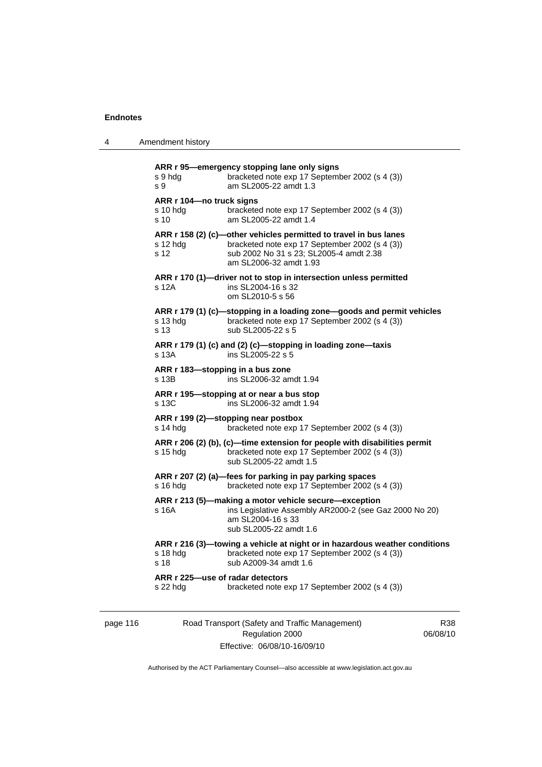| Amendment history<br>4 |  |
|------------------------|--|
|------------------------|--|

| s 9 hda<br>s 9                                          | ARR r 95-emergency stopping lane only signs<br>bracketed note exp 17 September 2002 (s 4 (3))<br>am SL2005-22 amdt 1.3                                                                   |
|---------------------------------------------------------|------------------------------------------------------------------------------------------------------------------------------------------------------------------------------------------|
| ARR r 104-no truck signs<br>s 10 hdg<br>s <sub>10</sub> | bracketed note exp 17 September 2002 (s 4 (3))<br>am SL2005-22 amdt 1.4                                                                                                                  |
| s 12 hdg<br>s 12                                        | ARR r 158 (2) (c)-other vehicles permitted to travel in bus lanes<br>bracketed note exp 17 September 2002 (s 4 (3))<br>sub 2002 No 31 s 23; SL2005-4 amdt 2.38<br>am SL2006-32 amdt 1.93 |
| s 12A                                                   | ARR r 170 (1)-driver not to stop in intersection unless permitted<br>ins SL2004-16 s 32<br>om SL2010-5 s 56                                                                              |
| s 13 hdg<br>s <sub>13</sub>                             | ARR r 179 (1) (c)-stopping in a loading zone-goods and permit vehicles<br>bracketed note exp 17 September 2002 (s 4 (3))<br>sub SL2005-22 s 5                                            |
| s 13A                                                   | ARR r 179 (1) (c) and (2) (c)-stopping in loading zone-taxis<br>ins SL2005-22 s 5                                                                                                        |
| ARR r 183-stopping in a bus zone<br>s 13B               | ins SL2006-32 amdt 1.94                                                                                                                                                                  |
| s 13C                                                   | ARR r 195-stopping at or near a bus stop<br>ins SL2006-32 amdt 1.94                                                                                                                      |
| s 14 hdg                                                | ARR r 199 (2)-stopping near postbox<br>bracketed note exp 17 September 2002 (s 4 (3))                                                                                                    |
| s 15 hdg                                                | ARR r 206 (2) (b), (c)-time extension for people with disabilities permit<br>bracketed note exp 17 September 2002 (s 4 (3))<br>sub SL2005-22 amdt 1.5                                    |
| s 16 hdg                                                | ARR r 207 (2) (a)-fees for parking in pay parking spaces<br>bracketed note exp 17 September 2002 (s 4 (3))                                                                               |
| s 16A                                                   | ARR r 213 (5)—making a motor vehicle secure—exception<br>ins Legislative Assembly AR2000-2 (see Gaz 2000 No 20)<br>am SL2004-16 s 33<br>sub SL2005-22 amdt 1.6                           |
| s 18 hdg<br>s 18                                        | ARR r 216 (3)-towing a vehicle at night or in hazardous weather conditions<br>bracketed note exp 17 September 2002 (s 4 (3))<br>sub A2009-34 amdt 1.6                                    |
| ARR r 225-use of radar detectors<br>$s$ 22 hdg          | bracketed note exp 17 September 2002 (s 4 (3))                                                                                                                                           |

page 116 Road Transport (Safety and Traffic Management) Regulation 2000 Effective: 06/08/10-16/09/10

R38 06/08/10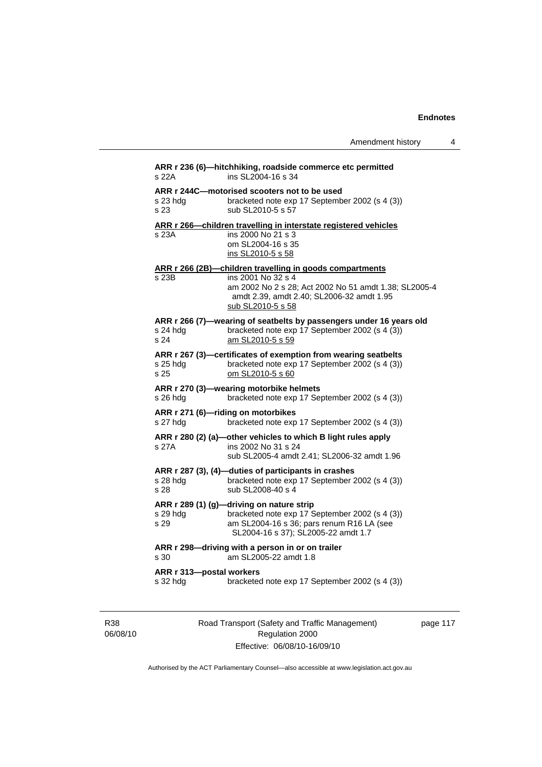Amendment history 4

|                          | ARR r 244C-motorised scooters not to be used                                                                                                                                    |
|--------------------------|---------------------------------------------------------------------------------------------------------------------------------------------------------------------------------|
| s 23 hda<br>s 23.        | bracketed note exp 17 September 2002 (s 4 (3))<br>sub SL2010-5 s 57                                                                                                             |
|                          | ARR r 266-children travelling in interstate registered vehicles                                                                                                                 |
| s 23A                    | ins 2000 No 21 s 3<br>om SL2004-16 s 35<br>ins SL2010-5 s 58                                                                                                                    |
|                          | ARR r 266 (2B)-children travelling in goods compartments                                                                                                                        |
| s 23B                    | ins 2001 No 32 s 4<br>am 2002 No 2 s 28; Act 2002 No 51 amdt 1.38; SL2005-4<br>amdt 2.39, amdt 2.40; SL2006-32 amdt 1.95<br>sub SL2010-5 s 58                                   |
| s 24 hdg<br>s 24         | ARR r 266 (7)-wearing of seatbelts by passengers under 16 years old<br>bracketed note exp 17 September 2002 (s 4 (3))<br>am SL2010-5 s 59                                       |
| s 25 hdg<br>s 25         | ARR r 267 (3)-certificates of exemption from wearing seatbelts<br>bracketed note exp 17 September 2002 (s 4 (3))<br>om SL2010-5 s 60                                            |
| s 26 hdg                 | ARR r 270 (3)-wearing motorbike helmets<br>bracketed note exp 17 September 2002 (s 4 (3))                                                                                       |
| s 27 hdg                 | ARR r 271 (6)-riding on motorbikes<br>bracketed note exp 17 September 2002 (s 4 (3))                                                                                            |
| s 27A                    | ARR r 280 (2) (a)-other vehicles to which B light rules apply<br>ins 2002 No 31 s 24<br>sub SL2005-4 amdt 2.41; SL2006-32 amdt 1.96                                             |
|                          |                                                                                                                                                                                 |
| s 28 hdg<br>s 28         | ARR r 287 (3), (4)-duties of participants in crashes<br>bracketed note exp 17 September 2002 (s 4 (3))<br>sub SL2008-40 s 4                                                     |
| s 29 hdg<br>s 29         | ARR r 289 (1) (g)-driving on nature strip<br>bracketed note exp 17 September 2002 (s 4 (3))<br>am SL2004-16 s 36; pars renum R16 LA (see<br>SL2004-16 s 37); SL2005-22 amdt 1.7 |
| s 30                     | ARR r 298-driving with a person in or on trailer<br>am SL2005-22 amdt 1.8                                                                                                       |
| ARR r 313-postal workers |                                                                                                                                                                                 |

R38 06/08/10 Road Transport (Safety and Traffic Management) Regulation 2000 Effective: 06/08/10-16/09/10

page 117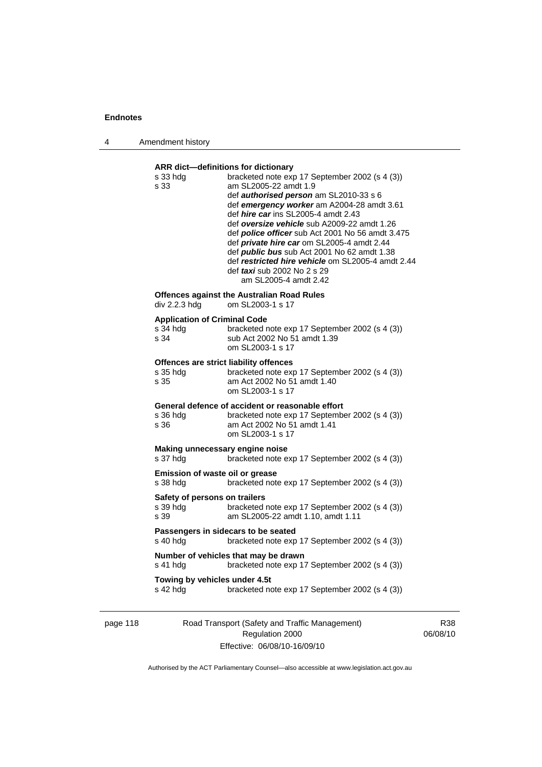4 Amendment history

#### **ARR dict—definitions for dictionary**

| s 33 hdg<br>s 33                                           | bracketed note exp 17 September 2002 (s 4 (3))<br>am SL2005-22 amdt 1.9<br>def authorised person am SL2010-33 s 6<br>def emergency worker am A2004-28 amdt 3.61<br>def <i>hire car</i> ins SL2005-4 amdt 2.43<br>def oversize vehicle sub A2009-22 amdt 1.26<br>def <i>police officer</i> sub Act 2001 No 56 amdt 3.475<br>def private hire car om SL2005-4 amdt 2.44<br>def <i>public bus</i> sub Act 2001 No 62 amdt 1.38<br>def restricted hire vehicle om SL2005-4 amdt 2.44<br>def <i>taxi</i> sub 2002 No 2 s 29<br>am SL2005-4 amdt 2.42 |
|------------------------------------------------------------|-------------------------------------------------------------------------------------------------------------------------------------------------------------------------------------------------------------------------------------------------------------------------------------------------------------------------------------------------------------------------------------------------------------------------------------------------------------------------------------------------------------------------------------------------|
| div 2.2.3 hdg                                              | <b>Offences against the Australian Road Rules</b><br>om SL2003-1 s 17                                                                                                                                                                                                                                                                                                                                                                                                                                                                           |
| <b>Application of Criminal Code</b><br>s 34 hdg<br>s 34    | bracketed note exp 17 September 2002 (s 4 (3))<br>sub Act 2002 No 51 amdt 1.39<br>om SL2003-1 s 17                                                                                                                                                                                                                                                                                                                                                                                                                                              |
| Offences are strict liability offences<br>s 35 hdg<br>s 35 | bracketed note exp 17 September 2002 (s 4 (3))<br>am Act 2002 No 51 amdt 1.40<br>om SL2003-1 s 17                                                                                                                                                                                                                                                                                                                                                                                                                                               |
| s 36 hda<br>s 36                                           | General defence of accident or reasonable effort<br>bracketed note exp 17 September 2002 (s 4 (3))<br>am Act 2002 No 51 amdt 1.41<br>om SL2003-1 s 17                                                                                                                                                                                                                                                                                                                                                                                           |
| Making unnecessary engine noise<br>s 37 hdg                | bracketed note exp 17 September 2002 (s 4 (3))                                                                                                                                                                                                                                                                                                                                                                                                                                                                                                  |
| <b>Emission of waste oil or grease</b><br>s 38 hdg         | bracketed note exp 17 September 2002 (s 4 (3))                                                                                                                                                                                                                                                                                                                                                                                                                                                                                                  |
| Safety of persons on trailers<br>s 39 hdg<br>s 39          | bracketed note exp 17 September 2002 (s 4 (3))<br>am SL2005-22 amdt 1.10, amdt 1.11                                                                                                                                                                                                                                                                                                                                                                                                                                                             |
| s 40 hda                                                   | Passengers in sidecars to be seated<br>bracketed note exp 17 September 2002 (s 4 (3))                                                                                                                                                                                                                                                                                                                                                                                                                                                           |
| s 41 hdg                                                   | Number of vehicles that may be drawn<br>bracketed note exp 17 September 2002 (s 4 (3))                                                                                                                                                                                                                                                                                                                                                                                                                                                          |
| Towing by vehicles under 4.5t<br>s 42 hdg                  | bracketed note exp 17 September 2002 (s 4 (3))                                                                                                                                                                                                                                                                                                                                                                                                                                                                                                  |

page 118 Road Transport (Safety and Traffic Management) Regulation 2000 Effective: 06/08/10-16/09/10

R38 06/08/10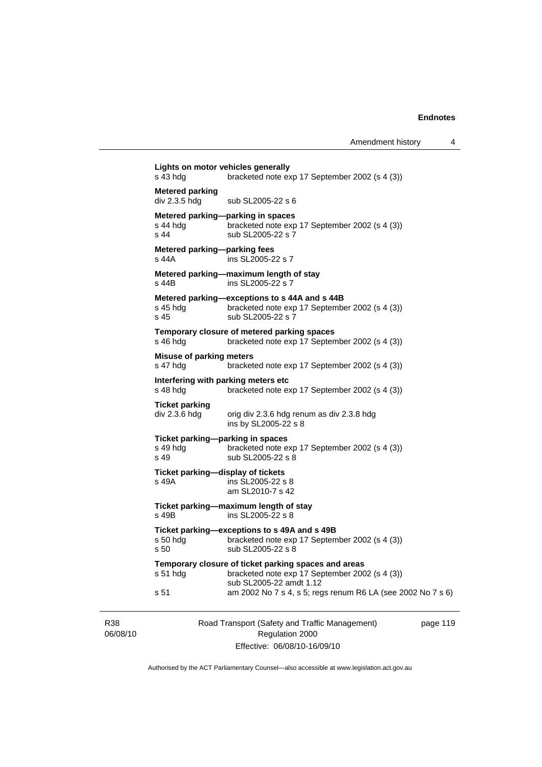|                 | s 43 hdg                                              | Lights on motor vehicles generally<br>bracketed note exp 17 September 2002 (s 4 (3))                                              |          |
|-----------------|-------------------------------------------------------|-----------------------------------------------------------------------------------------------------------------------------------|----------|
|                 | <b>Metered parking</b><br>div 2.3.5 hdg               | sub SL2005-22 s 6                                                                                                                 |          |
|                 | s 44 hdq<br>s 44                                      | Metered parking-parking in spaces<br>bracketed note exp 17 September 2002 (s 4 (3))<br>sub SL2005-22 s 7                          |          |
|                 | Metered parking-parking fees<br>s 44A                 | ins SL2005-22 s 7                                                                                                                 |          |
|                 | s 44B                                                 | Metered parking-maximum length of stay<br>ins SL2005-22 s 7                                                                       |          |
|                 | s 45 hdg<br>s 45                                      | Metered parking-exceptions to s 44A and s 44B<br>bracketed note exp 17 September 2002 (s 4 (3))<br>sub SL2005-22 s 7              |          |
|                 | s 46 hdg                                              | Temporary closure of metered parking spaces<br>bracketed note exp 17 September 2002 (s 4 (3))                                     |          |
|                 | <b>Misuse of parking meters</b><br>s 47 hdg           | bracketed note exp 17 September 2002 (s 4 (3))                                                                                    |          |
|                 | s 48 hdg                                              | Interfering with parking meters etc<br>bracketed note exp 17 September 2002 (s 4 (3))                                             |          |
|                 | <b>Ticket parking</b><br>div 2.3.6 hdg                | orig div 2.3.6 hdg renum as div 2.3.8 hdg<br>ins by SL2005-22 s 8                                                                 |          |
|                 | Ticket parking--parking in spaces<br>s 49 hda<br>s 49 | bracketed note exp 17 September 2002 (s 4 (3))<br>sub SL2005-22 s 8                                                               |          |
|                 | Ticket parking-display of tickets<br>s 49A            | ins SL2005-22 s 8<br>am SL2010-7 s 42                                                                                             |          |
|                 | s 49B                                                 | Ticket parking-maximum length of stay<br>ins SL2005-22 s 8                                                                        |          |
|                 | $s50$ hdg<br>s 50                                     | Ticket parking-exceptions to s 49A and s 49B<br>bracketed note exp 17 September 2002 (s 4 (3))<br>sub SL2005-22 s 8               |          |
|                 | $s51$ hdg                                             | Temporary closure of ticket parking spaces and areas<br>bracketed note exp 17 September 2002 (s 4 (3))<br>sub SL2005-22 amdt 1.12 |          |
|                 | s 51                                                  | am 2002 No 7 s 4, s 5; regs renum R6 LA (see 2002 No 7 s 6)                                                                       |          |
| R38<br>06/08/10 |                                                       | Road Transport (Safety and Traffic Management)<br>Regulation 2000                                                                 | page 119 |

Authorised by the ACT Parliamentary Counsel—also accessible at www.legislation.act.gov.au

Effective: 06/08/10-16/09/10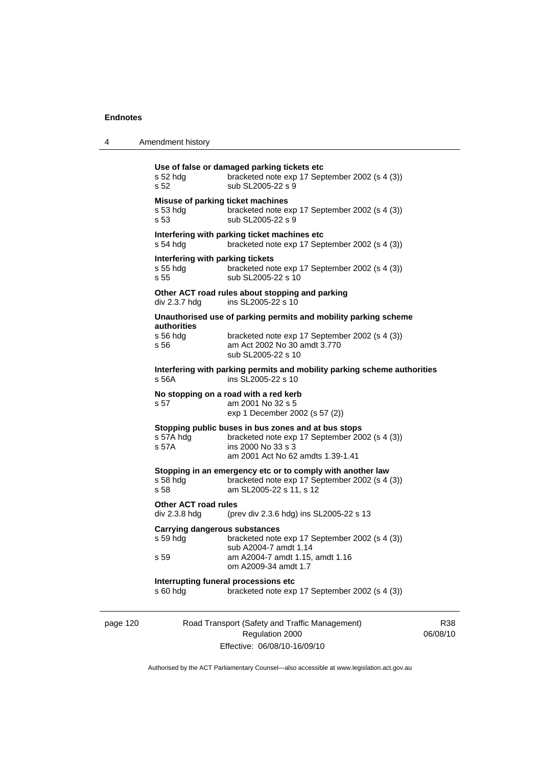| 4 | Amendment history |
|---|-------------------|
|---|-------------------|

|          | s 52 hdg<br>s 52                                      | Use of false or damaged parking tickets etc<br>bracketed note exp 17 September 2002 (s 4 (3))<br>sub SL2005-22 s 9                                               |
|----------|-------------------------------------------------------|------------------------------------------------------------------------------------------------------------------------------------------------------------------|
|          | Misuse of parking ticket machines<br>s 53 hdg<br>s 53 | bracketed note exp 17 September 2002 (s 4 (3))<br>sub SL2005-22 s 9                                                                                              |
|          | s 54 hda                                              | Interfering with parking ticket machines etc<br>bracketed note exp 17 September 2002 (s 4 (3))                                                                   |
|          | Interfering with parking tickets<br>s 55 hdg<br>s 55  | bracketed note exp 17 September 2002 (s 4 (3))<br>sub SL2005-22 s 10                                                                                             |
|          | div 2.3.7 hdg                                         | Other ACT road rules about stopping and parking<br>ins SL2005-22 s 10                                                                                            |
|          |                                                       | Unauthorised use of parking permits and mobility parking scheme                                                                                                  |
|          | authorities<br>s 56 hdg<br>s 56                       | bracketed note exp 17 September 2002 (s 4 (3))<br>am Act 2002 No 30 amdt 3.770<br>sub SL2005-22 s 10                                                             |
|          | s 56A                                                 | Interfering with parking permits and mobility parking scheme authorities<br>ins SL2005-22 s 10                                                                   |
|          | s 57                                                  | No stopping on a road with a red kerb<br>am 2001 No 32 s 5<br>exp 1 December 2002 (s 57 (2))                                                                     |
|          | s 57A hdg<br>s 57A                                    | Stopping public buses in bus zones and at bus stops<br>bracketed note exp 17 September 2002 (s 4 (3))<br>ins 2000 No 33 s 3<br>am 2001 Act No 62 amdts 1.39-1.41 |
|          | s 58 hda<br>s 58                                      | Stopping in an emergency etc or to comply with another law<br>bracketed note exp 17 September 2002 (s 4 (3))<br>am SL2005-22 s 11, s 12                          |
|          | <b>Other ACT road rules</b><br>div 2.3.8 hdg          | (prev div 2.3.6 hdg) ins SL2005-22 s 13                                                                                                                          |
|          | Carrying dangerous substances<br>s 59 hdg             | bracketed note exp 17 September 2002 (s 4 (3))                                                                                                                   |
|          | s 59                                                  | sub A2004-7 amdt 1.14<br>am A2004-7 amdt 1.15, amdt 1.16<br>om A2009-34 amdt 1.7                                                                                 |
|          | s 60 hdg                                              | Interrupting funeral processions etc<br>bracketed note exp 17 September 2002 (s 4 (3))                                                                           |
| page 120 |                                                       | Road Transport (Safety and Traffic Management)                                                                                                                   |

Regulation 2000 Effective: 06/08/10-16/09/10

R38 06/08/10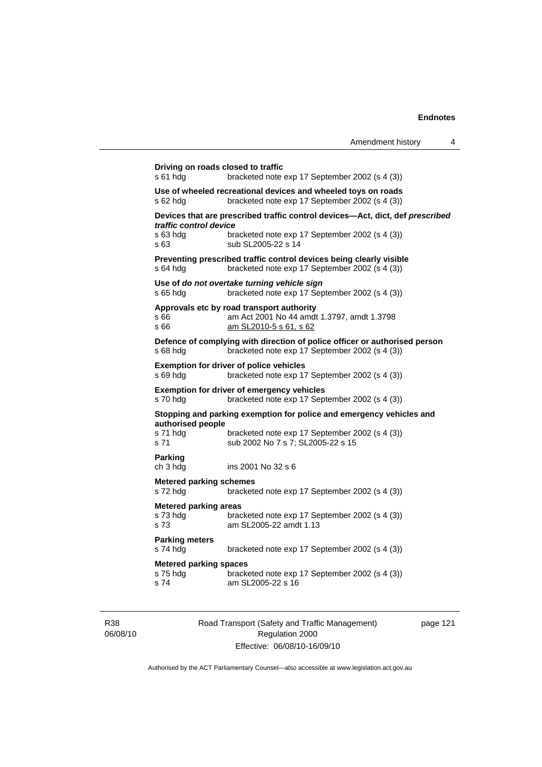| s 61 hda                                         | bracketed note exp 17 September 2002 (s 4 (3))                                                                               |
|--------------------------------------------------|------------------------------------------------------------------------------------------------------------------------------|
| s 62 hda                                         | Use of wheeled recreational devices and wheeled toys on roads<br>bracketed note exp 17 September 2002 (s 4 (3))              |
|                                                  | Devices that are prescribed traffic control devices—Act, dict, def prescribed                                                |
| traffic control device<br>s 63 hda<br>s 63       | bracketed note exp 17 September 2002 (s 4 (3))<br>sub SL2005-22 s 14                                                         |
| s 64 hdg                                         | Preventing prescribed traffic control devices being clearly visible<br>bracketed note exp 17 September 2002 (s 4 (3))        |
| s 65 hdg                                         | Use of do not overtake turning vehicle sign<br>bracketed note exp 17 September 2002 (s 4 (3))                                |
| s 66<br>s 66                                     | Approvals etc by road transport authority<br>am Act 2001 No 44 amdt 1.3797, amdt 1.3798<br>am SL2010-5 s 61, s 62            |
| s 68 hda                                         | Defence of complying with direction of police officer or authorised person<br>bracketed note exp 17 September 2002 (s 4 (3)) |
| s 69 hda                                         | <b>Exemption for driver of police vehicles</b><br>bracketed note exp 17 September 2002 (s 4 (3))                             |
| s 70 hda                                         | <b>Exemption for driver of emergency vehicles</b><br>bracketed note exp 17 September 2002 (s 4 (3))                          |
| authorised people                                | Stopping and parking exemption for police and emergency vehicles and                                                         |
| s 71 hdg<br>s 71                                 | bracketed note exp 17 September 2002 (s 4 (3))<br>sub 2002 No 7 s 7; SL2005-22 s 15                                          |
| Parking<br>ch 3 hda                              | ins 2001 No 32 s 6                                                                                                           |
| <b>Metered parking schemes</b><br>s 72 hda       | bracketed note exp 17 September 2002 (s 4 (3))                                                                               |
| <b>Metered parking areas</b><br>s 73 hdg<br>s 73 | bracketed note exp 17 September 2002 (s 4 (3))<br>am SL2005-22 amdt 1.13                                                     |
| <b>Parking meters</b><br>s 74 hda                | bracketed note exp 17 September 2002 (s 4 (3))                                                                               |
|                                                  | <b>Metered parking spaces</b>                                                                                                |

R38 06/08/10 Road Transport (Safety and Traffic Management) Regulation 2000 Effective: 06/08/10-16/09/10

page 121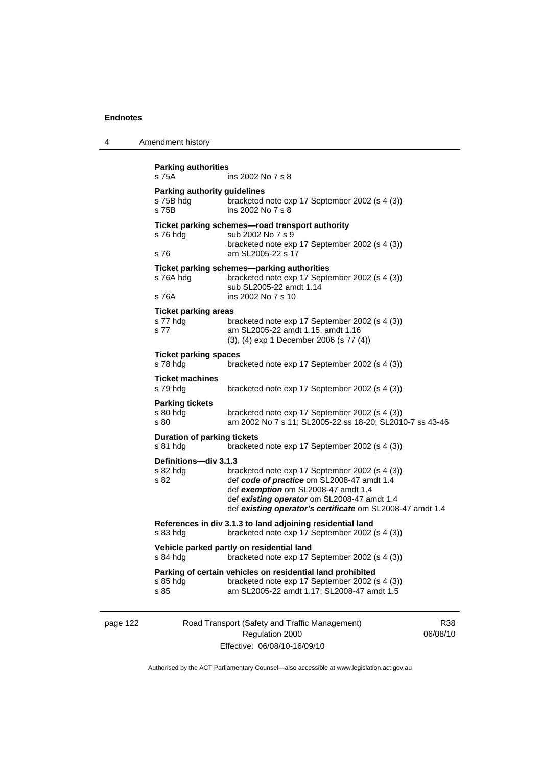| 4 | Amendment history |
|---|-------------------|
|---|-------------------|

| s 75A                                                     | <b>Parking authorities</b><br>ins 2002 No 7 s 8                                                                                                                                                                                                 |  |  |
|-----------------------------------------------------------|-------------------------------------------------------------------------------------------------------------------------------------------------------------------------------------------------------------------------------------------------|--|--|
| <b>Parking authority guidelines</b><br>s 75B hdg<br>s 75B | bracketed note exp 17 September 2002 (s 4 (3))<br>ins 2002 No 7 s 8                                                                                                                                                                             |  |  |
| s 76 hdg<br>s 76                                          | Ticket parking schemes-road transport authority<br>sub 2002 No 7 s 9<br>bracketed note exp 17 September 2002 (s 4 (3))<br>am SL2005-22 s 17                                                                                                     |  |  |
| s 76A hdg<br>s 76A                                        | Ticket parking schemes-parking authorities<br>bracketed note exp 17 September 2002 (s 4 (3))<br>sub SL2005-22 amdt 1.14<br>ins 2002 No 7 s 10                                                                                                   |  |  |
| Ticket parking areas<br>s 77 hdg<br>s 77                  | bracketed note exp 17 September 2002 (s 4 (3))<br>am SL2005-22 amdt 1.15, amdt 1.16<br>(3), (4) exp 1 December 2006 (s 77 (4))                                                                                                                  |  |  |
| <b>Ticket parking spaces</b><br>s 78 hdg                  | bracketed note exp 17 September 2002 (s 4 (3))                                                                                                                                                                                                  |  |  |
| <b>Ticket machines</b><br>s 79 hdg                        | bracketed note exp 17 September 2002 (s 4 (3))                                                                                                                                                                                                  |  |  |
| <b>Parking tickets</b><br>s 80 hdg<br>s 80                | bracketed note exp 17 September 2002 (s 4 (3))<br>am 2002 No 7 s 11; SL2005-22 ss 18-20; SL2010-7 ss 43-46                                                                                                                                      |  |  |
| <b>Duration of parking tickets</b><br>s 81 hdg            | bracketed note exp 17 September 2002 (s 4 (3))                                                                                                                                                                                                  |  |  |
| Definitions-div 3.1.3<br>s 82 hdg<br>s 82                 | bracketed note exp 17 September 2002 (s 4 (3))<br>def code of practice om SL2008-47 amdt 1.4<br>def exemption om SL2008-47 amdt 1.4<br>def existing operator om SL2008-47 amdt 1.4<br>def existing operator's certificate om SL2008-47 amdt 1.4 |  |  |
| s 83 hdg                                                  | References in div 3.1.3 to land adjoining residential land<br>bracketed note exp 17 September 2002 (s 4 (3))                                                                                                                                    |  |  |
| s 84 hdg                                                  | Vehicle parked partly on residential land<br>bracketed note exp 17 September 2002 (s 4 (3))                                                                                                                                                     |  |  |
| s 85 hdg<br>s 85                                          | Parking of certain vehicles on residential land prohibited<br>bracketed note exp 17 September 2002 (s 4 (3))<br>am SL2005-22 amdt 1.17; SL2008-47 amdt 1.5                                                                                      |  |  |

page 122 Road Transport (Safety and Traffic Management) Regulation 2000 Effective: 06/08/10-16/09/10

R38 06/08/10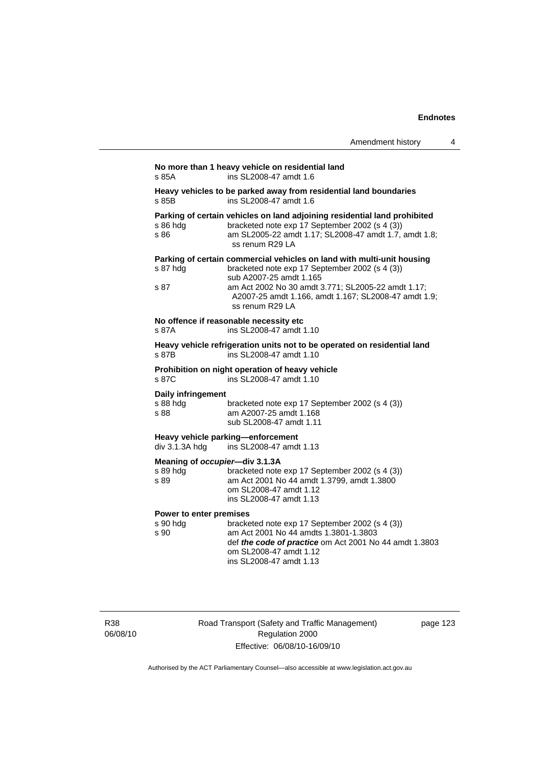## **No more than 1 heavy vehicle on residential land**  s 85A ins SL2008-47 amdt 1.6 **Heavy vehicles to be parked away from residential land boundaries**  s 85B ins SL2008-47 amdt 1.6 **Parking of certain vehicles on land adjoining residential land prohibited** s 86 hdg bracketed note exp 17 September 2002 (s 4 (3)) bracketed note exp 17 September 2002 (s 4 (3)) s 86 am SL2005-22 amdt 1.17; SL2008-47 amdt 1.7, amdt 1.8; ss renum R29 LA **Parking of certain commercial vehicles on land with multi-unit housing**  s 87 hdg bracketed note exp 17 September 2002 (s 4 (3)) sub A2007-25 amdt 1.165 s 87 am Act 2002 No 30 amdt 3.771; SL2005-22 amdt 1.17; A2007-25 amdt 1.166, amdt 1.167; SL2008-47 amdt 1.9; ss renum R29 LA **No offence if reasonable necessity etc**  s 87A ins SL2008-47 amdt 1.10 **Heavy vehicle refrigeration units not to be operated on residential land**  s 87B ins SL2008-47 amdt 1.10 **Prohibition on night operation of heavy vehicle**  s 87C ins SL2008-47 amdt 1.10 **Daily infringement**  s 88 hdg bracketed note exp 17 September 2002 (s 4 (3))<br>s 88 am A2007-25 amdt 1 168 s 88 am A2007-25 amdt 1.168 sub SL2008-47 amdt 1.11 **Heavy vehicle parking—enforcement**  div 3.1.3A hdg ins SL2008-47 amdt 1.13 **Meaning of** *occupier***—div 3.1.3A**  s 89 hdg bracketed note exp 17 September 2002 (s 4 (3)) s 89 am Act 2001 No 44 amdt 1.3799, amdt 1.3800 om SL2008-47 amdt 1.12 ins SL2008-47 amdt 1.13 **Power to enter premises**  s 90 hdg bracketed note exp 17 September 2002 (s 4 (3))<br>s 90 am Act 2001 No 44 amdts 1.3801-1.3803 am Act 2001 No 44 amdts 1.3801-1.3803 def *the code of practice* om Act 2001 No 44 amdt 1.3803 om SL2008-47 amdt 1.12 ins SL2008-47 amdt 1.13

R38 06/08/10 Road Transport (Safety and Traffic Management) Regulation 2000 Effective: 06/08/10-16/09/10

page 123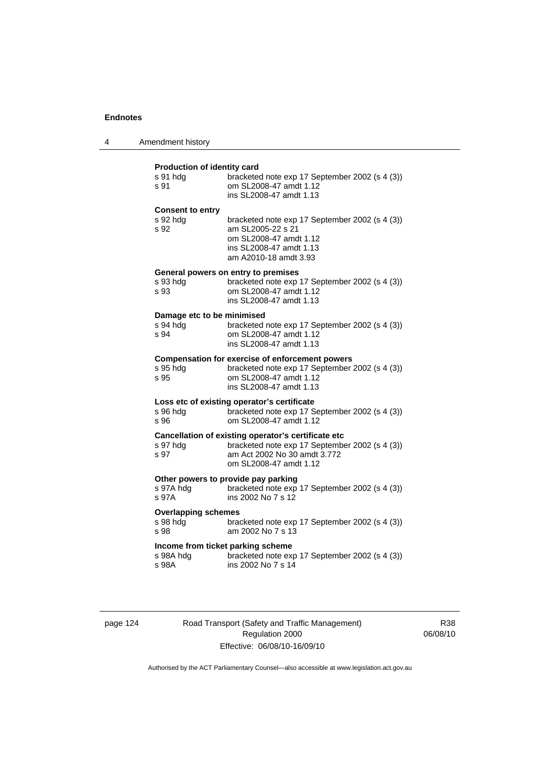| 4 | Amendment history |
|---|-------------------|
|---|-------------------|

### **Production of identity card**

| s 91 hdg<br>s 91                                        | bracketed note exp 17 September 2002 (s 4 (3))<br>om SL2008-47 amdt 1.12<br>ins SL2008-47 amdt 1.13                                                             |
|---------------------------------------------------------|-----------------------------------------------------------------------------------------------------------------------------------------------------------------|
| <b>Consent to entry</b><br>s 92 hdg<br>s 92             | bracketed note exp 17 September 2002 (s 4 (3))<br>am SL2005-22 s 21<br>om SL2008-47 amdt 1.12<br>ins SL2008-47 amdt 1.13<br>am A2010-18 amdt 3.93               |
| s 93 hdg<br>s 93                                        | General powers on entry to premises<br>bracketed note exp 17 September 2002 (s 4 (3))<br>om SL2008-47 amdt 1.12<br>ins SL2008-47 amdt 1.13                      |
| Damage etc to be minimised<br>s 94 hdg<br>s 94          | bracketed note exp 17 September 2002 (s 4 (3))<br>om SL2008-47 amdt 1.12<br>ins SL2008-47 amdt 1.13                                                             |
| s 95 hdg<br>s 95                                        | <b>Compensation for exercise of enforcement powers</b><br>bracketed note exp 17 September 2002 (s 4 (3))<br>om SL2008-47 amdt 1.12<br>ins SL2008-47 amdt 1.13   |
| s 96 hdg<br>s 96                                        | Loss etc of existing operator's certificate<br>bracketed note exp 17 September 2002 (s 4 (3))<br>om SL2008-47 amdt 1.12                                         |
| s 97 hdg<br>s 97                                        | Cancellation of existing operator's certificate etc<br>bracketed note exp 17 September 2002 (s 4 (3))<br>am Act 2002 No 30 amdt 3.772<br>om SL2008-47 amdt 1.12 |
| s 97A hdg<br>s 97A                                      | Other powers to provide pay parking<br>bracketed note exp 17 September 2002 (s 4 (3))<br>ins 2002 No 7 s 12                                                     |
| <b>Overlapping schemes</b><br>s 98 hdg<br>s 98          | bracketed note exp 17 September 2002 (s 4 (3))<br>am 2002 No 7 s 13                                                                                             |
| Income from ticket parking scheme<br>s 98A hdg<br>s 98A | bracketed note exp 17 September 2002 (s 4 (3))<br>ins 2002 No 7 s 14                                                                                            |
|                                                         |                                                                                                                                                                 |

page 124 Road Transport (Safety and Traffic Management) Regulation 2000 Effective: 06/08/10-16/09/10

R38 06/08/10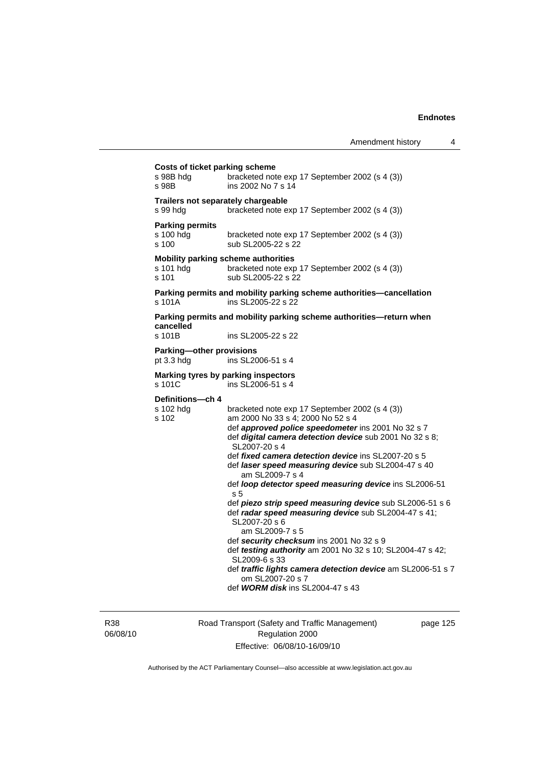| Costs of ticket parking scheme<br>bracketed note exp 17 September 2002 (s 4 (3))<br>s 98B hdg |                                                                                                                                |  |
|-----------------------------------------------------------------------------------------------|--------------------------------------------------------------------------------------------------------------------------------|--|
| s 98B                                                                                         | ins 2002 No 7 s 14                                                                                                             |  |
| Trailers not separately chargeable<br>s 99 hdg                                                | bracketed note exp 17 September 2002 (s 4 (3))                                                                                 |  |
| <b>Parking permits</b><br>s 100 hdg<br>s 100                                                  | bracketed note exp 17 September 2002 (s 4 (3))<br>sub SL2005-22 s 22                                                           |  |
| s 101 hdg<br>s 101                                                                            | Mobility parking scheme authorities<br>bracketed note exp 17 September 2002 (s 4 (3))<br>sub SL2005-22 s 22                    |  |
| s 101A                                                                                        | Parking permits and mobility parking scheme authorities-cancellation<br>ins SL2005-22 s 22                                     |  |
| cancelled                                                                                     | Parking permits and mobility parking scheme authorities—return when                                                            |  |
| s 101B                                                                                        | ins SL2005-22 s 22                                                                                                             |  |
| Parking-other provisions<br>pt $3.3$ hdg                                                      | ins SL2006-51 s 4                                                                                                              |  |
| s 101C                                                                                        | Marking tyres by parking inspectors<br>ins SL2006-51 s 4                                                                       |  |
| Definitions-ch 4                                                                              |                                                                                                                                |  |
| s 102 hdg<br>s 102                                                                            | bracketed note exp 17 September 2002 (s 4 (3))<br>am 2000 No 33 s 4; 2000 No 52 s 4                                            |  |
|                                                                                               | def approved police speedometer ins 2001 No 32 s 7<br>def digital camera detection device sub 2001 No 32 s 8;<br>SL2007-20 s 4 |  |
|                                                                                               | def fixed camera detection device ins SL2007-20 s 5                                                                            |  |
|                                                                                               | def laser speed measuring device sub SL2004-47 s 40<br>am SL2009-7 s 4                                                         |  |
|                                                                                               | def loop detector speed measuring device ins SL2006-51<br>s 5                                                                  |  |
|                                                                                               | def piezo strip speed measuring device sub SL2006-51 s 6                                                                       |  |
|                                                                                               | def radar speed measuring device sub SL2004-47 s 41;<br>SL2007-20 s 6<br>am SL2009-7 s 5                                       |  |
|                                                                                               | def security checksum ins 2001 No 32 s 9                                                                                       |  |
|                                                                                               | def testing authority am 2001 No 32 s 10; SL2004-47 s 42;<br>SL2009-6 s 33                                                     |  |
|                                                                                               | def traffic lights camera detection device am SL2006-51 s 7<br>om SL2007-20 s 7                                                |  |
|                                                                                               | def WORM disk ins SL2004-47 s 43                                                                                               |  |
|                                                                                               |                                                                                                                                |  |

R38 06/08/10 Road Transport (Safety and Traffic Management) Regulation 2000 Effective: 06/08/10-16/09/10

page 125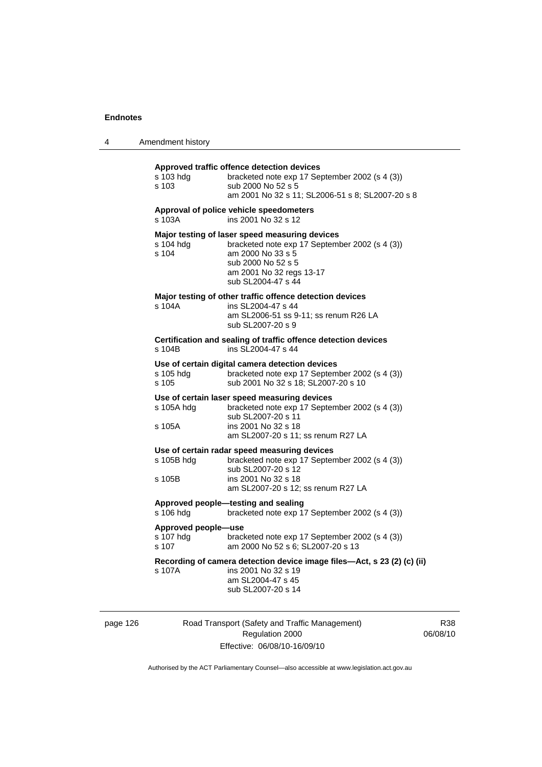|  | Amendment history |
|--|-------------------|
|--|-------------------|

| s 103 hda<br>s 103                                                                             | Approved traffic offence detection devices<br>bracketed note exp 17 September 2002 (s 4 (3))<br>sub 2000 No 52 s 5<br>am 2001 No 32 s 11; SL2006-51 s 8; SL2007-20 s 8                        |
|------------------------------------------------------------------------------------------------|-----------------------------------------------------------------------------------------------------------------------------------------------------------------------------------------------|
| Approval of police vehicle speedometers<br>ins 2001 No 32 s 12<br>s 103A                       |                                                                                                                                                                                               |
| s 104 hdg<br>s 104                                                                             | Major testing of laser speed measuring devices<br>bracketed note exp 17 September 2002 (s 4 (3))<br>am 2000 No 33 s 5<br>sub 2000 No 52 s 5<br>am 2001 No 32 regs 13-17<br>sub SL2004-47 s 44 |
| s 104A                                                                                         | Major testing of other traffic offence detection devices<br>ins SL2004-47 s 44<br>am SL2006-51 ss 9-11; ss renum R26 LA<br>sub SL2007-20 s 9                                                  |
| Certification and sealing of traffic offence detection devices<br>ins SL2004-47 s 44<br>s 104B |                                                                                                                                                                                               |
| s 105 hdg<br>s 105                                                                             | Use of certain digital camera detection devices<br>bracketed note exp 17 September 2002 (s 4 (3))<br>sub 2001 No 32 s 18; SL2007-20 s 10                                                      |
| s 105A hdg<br>s 105A                                                                           | Use of certain laser speed measuring devices<br>bracketed note exp 17 September 2002 (s 4 (3))<br>sub SL2007-20 s 11<br>ins 2001 No 32 s 18<br>am SL2007-20 s 11; ss renum R27 LA             |
| s 105B hdg<br>s 105B                                                                           | Use of certain radar speed measuring devices<br>bracketed note exp 17 September 2002 (s 4 (3))<br>sub SL2007-20 s 12<br>ins 2001 No 32 s 18<br>am SL2007-20 s 12; ss renum R27 LA             |
| Approved people-testing and sealing<br>s 106 hdg                                               | bracketed note exp 17 September 2002 (s 4 (3))                                                                                                                                                |
| Approved people-use<br>s 107 hdg<br>$s$ 107                                                    | bracketed note exp 17 September 2002 (s 4 (3))<br>am 2000 No 52 s 6; SL2007-20 s 13                                                                                                           |
| s 107A                                                                                         | Recording of camera detection device image files-Act, s 23 (2) (c) (ii)<br>ins 2001 No 32 s 19<br>am SL2004-47 s 45<br>sub SL2007-20 s 14                                                     |

page 126 Road Transport (Safety and Traffic Management) Regulation 2000 Effective: 06/08/10-16/09/10

R38 06/08/10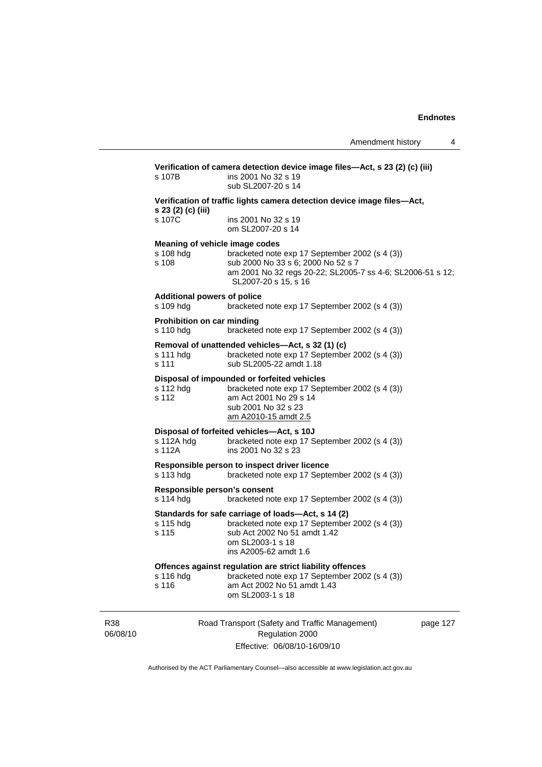| s 107B                                          | ins 2001 No 32 s 19<br>sub SL2007-20 s 14                                                                                                                                                                    |  |
|-------------------------------------------------|--------------------------------------------------------------------------------------------------------------------------------------------------------------------------------------------------------------|--|
| s 23 (2) (c) (iii)                              | Verification of traffic lights camera detection device image files-Act,                                                                                                                                      |  |
| s 107C                                          | ins 2001 No 32 s 19<br>om SL2007-20 s 14                                                                                                                                                                     |  |
| s 108 hda<br>s 108                              | Meaning of vehicle image codes<br>bracketed note exp 17 September 2002 (s 4 (3))<br>sub 2000 No 33 s 6; 2000 No 52 s 7<br>am 2001 No 32 regs 20-22; SL2005-7 ss 4-6; SL2006-51 s 12;<br>SL2007-20 s 15, s 16 |  |
| <b>Additional powers of police</b><br>s 109 hdg | bracketed note exp 17 September 2002 (s 4 (3))                                                                                                                                                               |  |
| <b>Prohibition on car minding</b><br>s 110 hdg  | bracketed note exp 17 September 2002 (s 4 (3))                                                                                                                                                               |  |
| s 111 hdg<br>s 111                              | Removal of unattended vehicles-Act, s 32 (1) (c)<br>bracketed note exp 17 September 2002 (s 4 (3))<br>sub SL2005-22 amdt 1.18                                                                                |  |
| s 112 hdg<br>s 112                              | Disposal of impounded or forfeited vehicles<br>bracketed note exp 17 September 2002 (s 4 (3))<br>am Act 2001 No 29 s 14<br>sub 2001 No 32 s 23<br>am A2010-15 amdt 2.5                                       |  |
| s 112A hdg<br>s 112A                            | Disposal of forfeited vehicles-Act, s 10J<br>bracketed note exp 17 September 2002 (s 4 (3))<br>ins 2001 No 32 s 23                                                                                           |  |
| s 113 hdg                                       | Responsible person to inspect driver licence<br>bracketed note exp 17 September 2002 (s 4 (3))                                                                                                               |  |
| s 114 hdg                                       | Responsible person's consent<br>bracketed note exp 17 September 2002 (s 4 (3))                                                                                                                               |  |
| s 115 hdg<br>s 115                              | Standards for safe carriage of loads-Act, s 14 (2)<br>bracketed note exp 17 September 2002 (s 4 (3))<br>sub Act 2002 No 51 amdt 1.42<br>om SL2003-1 s 18<br>ins A2005-62 amdt 1.6                            |  |
| s 116 hdg<br>s 116                              | Offences against regulation are strict liability offences<br>bracketed note exp 17 September 2002 (s 4 (3))<br>am Act 2002 No 51 amdt 1.43<br>om SL2003-1 s 18                                               |  |

R38 06/08/10

Regulation 2000 Effective: 06/08/10-16/09/10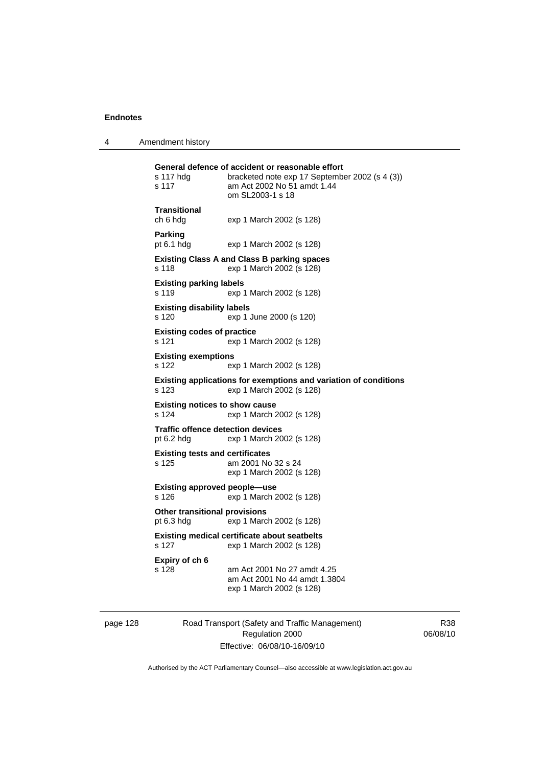4 Amendment history

| s 117 hdg<br>s 117                                     | General defence of accident or reasonable effort<br>bracketed note exp 17 September 2002 (s 4 (3))<br>am Act 2002 No 51 amdt 1.44<br>om SL2003-1 s 18 |
|--------------------------------------------------------|-------------------------------------------------------------------------------------------------------------------------------------------------------|
| Transitional<br>ch 6 hdg                               | exp 1 March 2002 (s 128)                                                                                                                              |
| Parking<br>pt 6.1 hdg                                  | exp 1 March 2002 (s 128)                                                                                                                              |
| s 118                                                  | <b>Existing Class A and Class B parking spaces</b><br>exp 1 March 2002 (s 128)                                                                        |
| <b>Existing parking labels</b><br>s 119                | exp 1 March 2002 (s 128)                                                                                                                              |
| <b>Existing disability labels</b><br>s 120             | exp 1 June 2000 (s 120)                                                                                                                               |
| <b>Existing codes of practice</b><br>s 121             | exp 1 March 2002 (s 128)                                                                                                                              |
| <b>Existing exemptions</b><br>s 122                    | exp 1 March 2002 (s 128)                                                                                                                              |
| s 123                                                  | Existing applications for exemptions and variation of conditions<br>exp 1 March 2002 (s 128)                                                          |
| <b>Existing notices to show cause</b><br>s 124         | exp 1 March 2002 (s 128)                                                                                                                              |
| <b>Traffic offence detection devices</b><br>pt 6.2 hdg | exp 1 March 2002 (s 128)                                                                                                                              |
| <b>Existing tests and certificates</b><br>s 125        | am 2001 No 32 s 24<br>exp 1 March 2002 (s 128)                                                                                                        |
| Existing approved people—use<br>s 126                  | exp 1 March 2002 (s 128)                                                                                                                              |
| <b>Other transitional provisions</b><br>pt 6.3 hdg     | exp 1 March 2002 (s 128)                                                                                                                              |
| s 127                                                  | <b>Existing medical certificate about seatbelts</b><br>exp 1 March 2002 (s 128)                                                                       |
| Expiry of ch 6<br>s 128                                | am Act 2001 No 27 amdt 4.25<br>am Act 2001 No 44 amdt 1.3804<br>exp 1 March 2002 (s 128)                                                              |

page 128 Road Transport (Safety and Traffic Management) Regulation 2000 Effective: 06/08/10-16/09/10

R38 06/08/10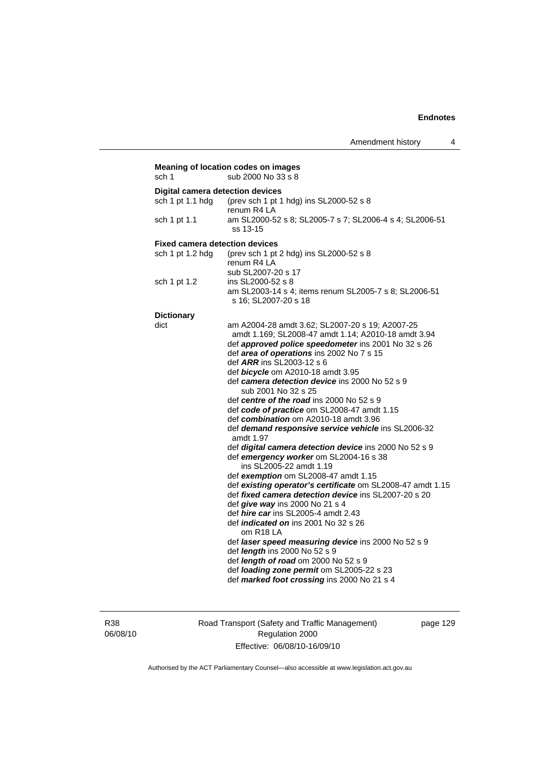| sch 1                                   | Meaning of location codes on images<br>sub 2000 No 33 s 8                            |
|-----------------------------------------|--------------------------------------------------------------------------------------|
| <b>Digital camera detection devices</b> |                                                                                      |
| sch 1 pt 1.1 hdg                        | (prev sch 1 pt 1 hdg) ins SL2000-52 s 8                                              |
|                                         | renum R4 LA                                                                          |
| sch 1 pt 1.1                            | am SL2000-52 s 8; SL2005-7 s 7; SL2006-4 s 4; SL2006-51                              |
|                                         | ss 13-15                                                                             |
| <b>Fixed camera detection devices</b>   |                                                                                      |
| sch 1 pt 1.2 hdg                        | (prev sch 1 pt 2 hdg) ins SL2000-52 s 8                                              |
|                                         | renum R4 LA                                                                          |
|                                         | sub SL2007-20 s 17                                                                   |
| sch 1 pt 1.2                            | ins SL2000-52 s 8                                                                    |
|                                         | am SL2003-14 s 4; items renum SL2005-7 s 8; SL2006-51                                |
|                                         | s 16; SL2007-20 s 18                                                                 |
| <b>Dictionary</b>                       |                                                                                      |
| dict                                    | am A2004-28 amdt 3.62; SL2007-20 s 19; A2007-25                                      |
|                                         | amdt 1.169; SL2008-47 amdt 1.14; A2010-18 amdt 3.94                                  |
|                                         | def approved police speedometer ins 2001 No 32 s 26                                  |
|                                         | def area of operations ins 2002 No 7 s 15                                            |
|                                         | def ARR ins SL2003-12 s 6                                                            |
|                                         | def bicycle om A2010-18 amdt 3.95                                                    |
|                                         | def camera detection device ins 2000 No 52 s 9                                       |
|                                         | sub 2001 No 32 s 25                                                                  |
|                                         | def centre of the road ins 2000 No 52 s 9                                            |
|                                         | def code of practice om SL2008-47 amdt 1.15<br>def combination om A2010-18 amdt 3.96 |
|                                         | def demand responsive service vehicle ins SL2006-32                                  |
|                                         | amdt 1.97                                                                            |
|                                         | def digital camera detection device ins 2000 No 52 s 9                               |
|                                         | def emergency worker om SL2004-16 s 38                                               |
|                                         | ins SL2005-22 amdt 1.19                                                              |
|                                         | def exemption om SL2008-47 amdt 1.15                                                 |
|                                         | def existing operator's certificate om SL2008-47 amdt 1.15                           |
|                                         | def <i>fixed camera detection device</i> ins SL2007-20 s 20                          |
|                                         | def give way ins 2000 No 21 s 4                                                      |
|                                         | def <i>hire car</i> ins SL2005-4 amdt 2.43                                           |
|                                         | def <i>indicated on</i> ins 2001 No 32 s 26                                          |
|                                         | om R18 LA                                                                            |
|                                         | def laser speed measuring device ins 2000 No 52 s 9                                  |
|                                         | def <i>length</i> ins 2000 No 52 s 9<br>def length of road om 2000 No 52 s 9         |
|                                         | def loading zone permit om SL2005-22 s 23                                            |
|                                         | def marked foot crossing ins 2000 No 21 s 4                                          |
|                                         |                                                                                      |

R38 06/08/10 Road Transport (Safety and Traffic Management) Regulation 2000 Effective: 06/08/10-16/09/10

page 129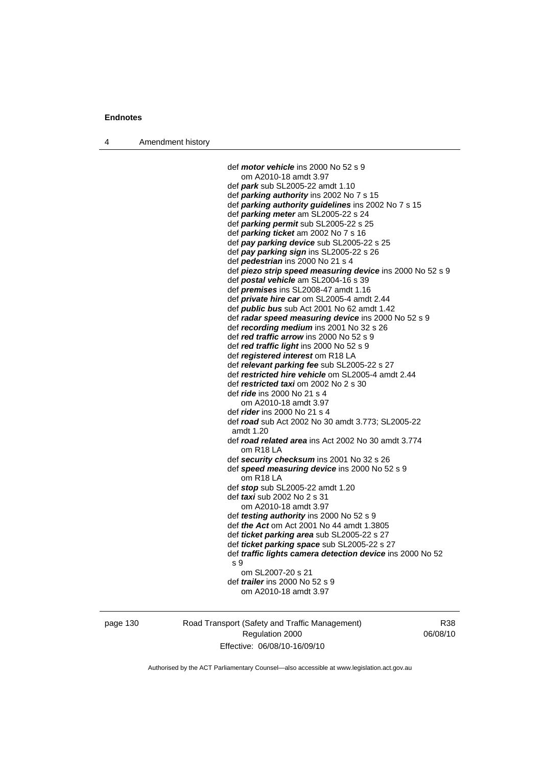4 Amendment history

 def *motor vehicle* ins 2000 No 52 s 9 om A2010-18 amdt 3.97 def *park* sub SL2005-22 amdt 1.10 def *parking authority* ins 2002 No 7 s 15 def *parking authority guidelines* ins 2002 No 7 s 15 def *parking meter* am SL2005-22 s 24 def *parking permit* sub SL2005-22 s 25 def *parking ticket* am 2002 No 7 s 16 def *pay parking device* sub SL2005-22 s 25 def *pay parking sign* ins SL2005-22 s 26 def *pedestrian* ins 2000 No 21 s 4 def *piezo strip speed measuring device* ins 2000 No 52 s 9 def *postal vehicle* am SL2004-16 s 39 def *premises* ins SL2008-47 amdt 1.16 def *private hire car* om SL2005-4 amdt 2.44 def *public bus* sub Act 2001 No 62 amdt 1.42 def *radar speed measuring device* ins 2000 No 52 s 9 def *recording medium* ins 2001 No 32 s 26 def *red traffic arrow* ins 2000 No 52 s 9 def *red traffic light* ins 2000 No 52 s 9 def *registered interest* om R18 LA def *relevant parking fee* sub SL2005-22 s 27 def *restricted hire vehicle* om SL2005-4 amdt 2.44 def *restricted taxi* om 2002 No 2 s 30 def *ride* ins 2000 No 21 s 4 om A2010-18 amdt 3.97 def *rider* ins 2000 No 21 s 4 def *road* sub Act 2002 No 30 amdt 3.773; SL2005-22 amdt 1.20 def *road related area* ins Act 2002 No 30 amdt 3.774 om R18 LA def *security checksum* ins 2001 No 32 s 26 def *speed measuring device* ins 2000 No 52 s 9 om R18 LA def *stop* sub SL2005-22 amdt 1.20 def *taxi* sub 2002 No 2 s 31 om A2010-18 amdt 3.97 def *testing authority* ins 2000 No 52 s 9 def *the Act* om Act 2001 No 44 amdt 1.3805 def *ticket parking area* sub SL2005-22 s 27 def *ticket parking space* sub SL2005-22 s 27 def *traffic lights camera detection device* ins 2000 No 52 s 9 om SL2007-20 s 21 def *trailer* ins 2000 No 52 s 9 om A2010-18 amdt 3.97

page 130 Road Transport (Safety and Traffic Management) Regulation 2000 Effective: 06/08/10-16/09/10

R38 06/08/10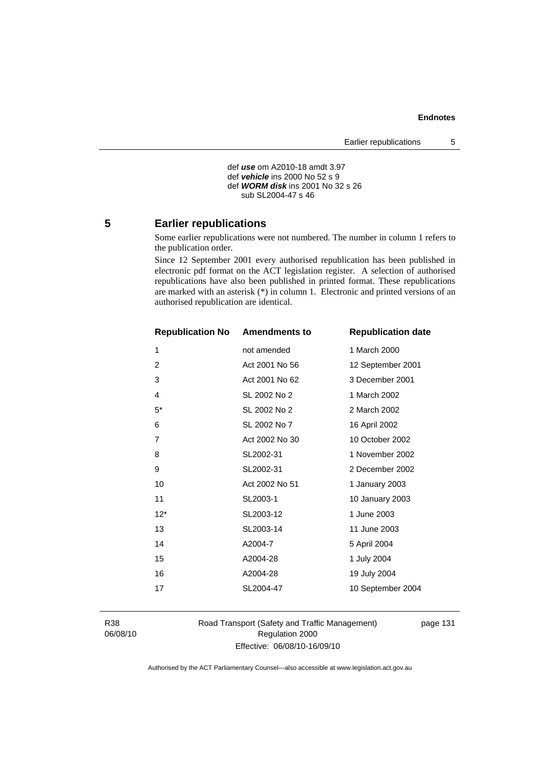```
 def use om A2010-18 amdt 3.97 
def vehicle ins 2000 No 52 s 9 
def WORM disk ins 2001 No 32 s 26 
   sub SL2004-47 s 46
```
#### **5 Earlier republications**

Some earlier republications were not numbered. The number in column 1 refers to the publication order.

Since 12 September 2001 every authorised republication has been published in electronic pdf format on the ACT legislation register. A selection of authorised republications have also been published in printed format. These republications are marked with an asterisk (\*) in column 1. Electronic and printed versions of an authorised republication are identical.

| <b>Republication No</b> | <b>Amendments to</b> | <b>Republication date</b> |
|-------------------------|----------------------|---------------------------|
| 1                       | not amended          | 1 March 2000              |
| 2                       | Act 2001 No 56       | 12 September 2001         |
| 3                       | Act 2001 No 62       | 3 December 2001           |
| 4                       | SL 2002 No 2         | 1 March 2002              |
| $5^*$                   | SL 2002 No 2         | 2 March 2002              |
| 6                       | SL 2002 No 7         | 16 April 2002             |
| $\overline{7}$          | Act 2002 No 30       | 10 October 2002           |
| 8                       | SL2002-31            | 1 November 2002           |
| 9                       | SL2002-31            | 2 December 2002           |
| 10                      | Act 2002 No 51       | 1 January 2003            |
| 11                      | SL2003-1             | 10 January 2003           |
| $12*$                   | SL2003-12            | 1 June 2003               |
| 13                      | SL2003-14            | 11 June 2003              |
| 14                      | A2004-7              | 5 April 2004              |
| 15                      | A2004-28             | 1 July 2004               |
| 16                      | A2004-28             | 19 July 2004              |
| 17                      | SL2004-47            | 10 September 2004         |
|                         |                      |                           |

R38 06/08/10 Road Transport (Safety and Traffic Management) Regulation 2000 Effective: 06/08/10-16/09/10

page 131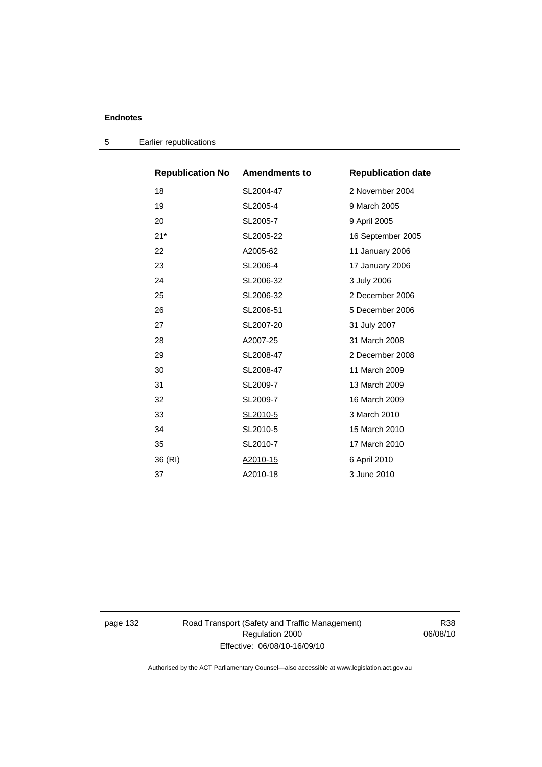5 Earlier republications

| <b>Republication No Amendments to</b> |           | <b>Republication date</b> |
|---------------------------------------|-----------|---------------------------|
| 18                                    | SL2004-47 | 2 November 2004           |
| 19                                    | SL2005-4  | 9 March 2005              |
| 20                                    | SL2005-7  | 9 April 2005              |
| $21*$                                 | SL2005-22 | 16 September 2005         |
| 22                                    | A2005-62  | 11 January 2006           |
| 23                                    | SL2006-4  | 17 January 2006           |
| 24                                    | SL2006-32 | 3 July 2006               |
| 25                                    | SL2006-32 | 2 December 2006           |
| 26                                    | SL2006-51 | 5 December 2006           |
| 27                                    | SL2007-20 | 31 July 2007              |
| 28                                    | A2007-25  | 31 March 2008             |
| 29                                    | SL2008-47 | 2 December 2008           |
| 30                                    | SL2008-47 | 11 March 2009             |
| 31                                    | SL2009-7  | 13 March 2009             |
| 32                                    | SL2009-7  | 16 March 2009             |
| 33                                    | SL2010-5  | 3 March 2010              |
| 34                                    | SL2010-5  | 15 March 2010             |
| 35                                    | SL2010-7  | 17 March 2010             |
| 36 (RI)                               | A2010-15  | 6 April 2010              |
| 37                                    | A2010-18  | 3 June 2010               |

page 132 Road Transport (Safety and Traffic Management) Regulation 2000 Effective: 06/08/10-16/09/10

R38 06/08/10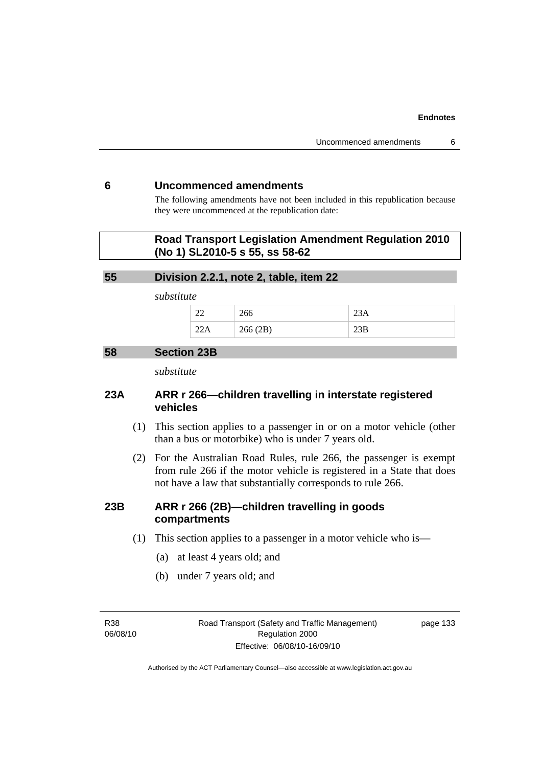## **6 Uncommenced amendments**

The following amendments have not been included in this republication because they were uncommenced at the republication date:

# **Road Transport Legislation Amendment Regulation 2010 (No 1) SL2010-5 s 55, ss 58-62**

## **55 Division 2.2.1, note 2, table, item 22**

*substitute* 

| $\sim$<br>-- | ∠∪∪                |       |
|--------------|--------------------|-------|
|              | 266(2R)<br>200(2D) | ∠لار∠ |

### **58 Section 23B**

*substitute* 

# **23A ARR r 266—children travelling in interstate registered vehicles**

- (1) This section applies to a passenger in or on a motor vehicle (other than a bus or motorbike) who is under 7 years old.
- (2) For the Australian Road Rules, rule 266, the passenger is exempt from rule 266 if the motor vehicle is registered in a State that does not have a law that substantially corresponds to rule 266.

# **23B ARR r 266 (2B)—children travelling in goods compartments**

- (1) This section applies to a passenger in a motor vehicle who is—
	- (a) at least 4 years old; and
	- (b) under 7 years old; and

R38 06/08/10 Road Transport (Safety and Traffic Management) Regulation 2000 Effective: 06/08/10-16/09/10

page 133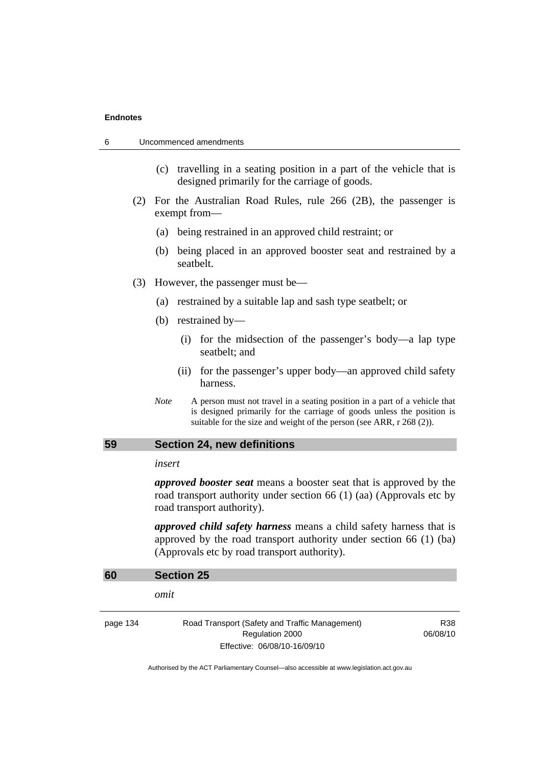- (c) travelling in a seating position in a part of the vehicle that is designed primarily for the carriage of goods.
- (2) For the Australian Road Rules, rule 266 (2B), the passenger is exempt from—
	- (a) being restrained in an approved child restraint; or
	- (b) being placed in an approved booster seat and restrained by a seatbelt.
- (3) However, the passenger must be—
	- (a) restrained by a suitable lap and sash type seatbelt; or
	- (b) restrained by—
		- (i) for the midsection of the passenger's body—a lap type seatbelt; and
		- (ii) for the passenger's upper body—an approved child safety harness.
	- *Note* A person must not travel in a seating position in a part of a vehicle that is designed primarily for the carriage of goods unless the position is suitable for the size and weight of the person (see ARR, r 268 (2)).

## **59 Section 24, new definitions**

#### *insert*

*approved booster seat* means a booster seat that is approved by the road transport authority under section 66 (1) (aa) (Approvals etc by road transport authority).

*approved child safety harness* means a child safety harness that is approved by the road transport authority under section 66 (1) (ba) (Approvals etc by road transport authority).

| omit                                                                                              |                 |
|---------------------------------------------------------------------------------------------------|-----------------|
|                                                                                                   |                 |
| Road Transport (Safety and Traffic Management)<br>Regulation 2000<br>Effective: 06/08/10-16/09/10 | R38<br>06/08/10 |
|                                                                                                   |                 |